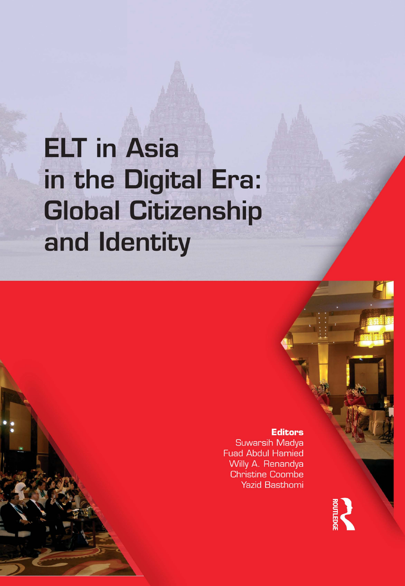# **ELT** in Asia in the Digital Era: **Global Citizenship** and Identity

#### **Editors**

Suwarsih Madya **Fuad Abdul Hamied** Willy A. Renandya **Christine Coombe Yazid Basthomi**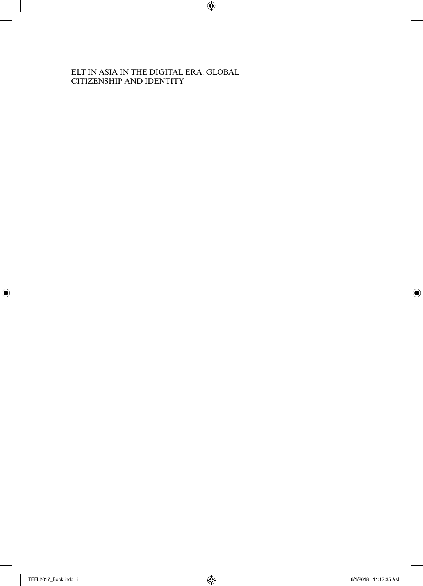### ELT IN ASIA IN THE DIGITAL ERA: GLOBAL CITIZENSHIP AND IDENTITY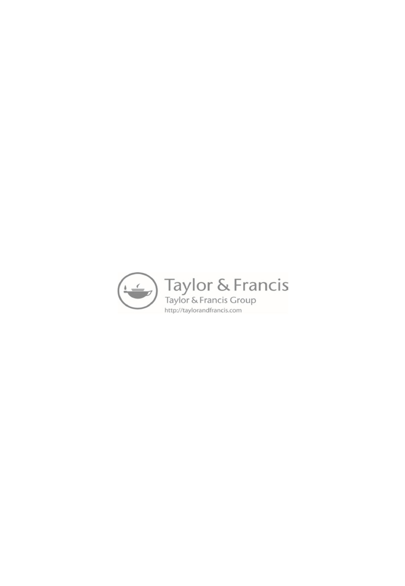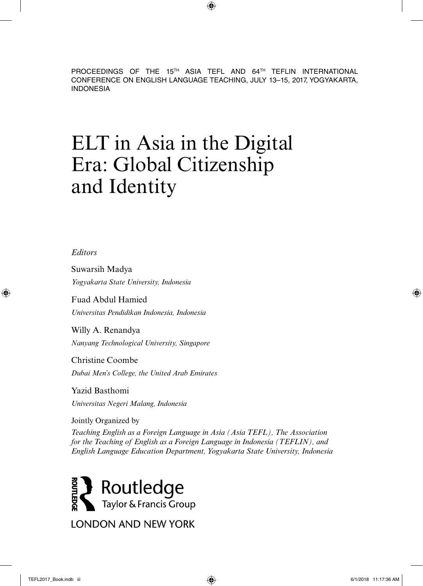PROCEEDINGS OF THE 15TH ASIA TEFL AND 64TH TEFLIN INTERNATIONAL CONFERENCE ON ENGLISH LANGUAGE TEACHING, JULY 13–15, 2017, YOGYAKARTA, INDONESIA

## ELT in Asia in the Digital Era: Global Citizenship and Identity

*Editors*

Suwarsih Madya *Yogyakarta State University, Indonesia*

Fuad Abdul Hamied *Universitas Pendidikan Indonesia, Indonesia*

Willy A. Renandya *Nanyang Technological University, Singapore*

Christine Coombe *Dubai Men's College, the United Arab Emirates*

Yazid Basthomi *Universitas Negeri Malang, Indonesia*

Jointly Organized by

*Teaching English as a Foreign Language in Asia (Asia TEFL), The Association for the Teaching of English as a Foreign Language in Indonesia (TEFLIN), and English Language Education Department, Yogyakarta State University, Indonesia*



**LONDON AND NEW YORK**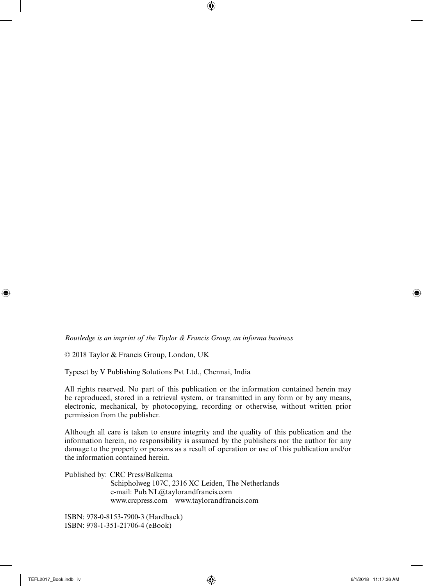*Routledge is an imprint of the Taylor & Francis Group, an informa business* 

© 2018 Taylor & Francis Group, London, UK

Typeset by V Publishing Solutions Pvt Ltd., Chennai, India

All rights reserved. No part of this publication or the information contained herein may be reproduced, stored in a retrieval system, or transmitted in any form or by any means, electronic, mechanical, by photocopying, recording or otherwise, without written prior permission from the publisher.

Although all care is taken to ensure integrity and the quality of this publication and the information herein, no responsibility is assumed by the publishers nor the author for any damage to the property or persons as a result of operation or use of this publication and/or the information contained herein.

Published by: CRC Press/Balkema Schipholweg 107C, 2316 XC Leiden, The Netherlands e-mail: [Pub.NL@taylorandfrancis.com](mailto:Pub.NL@taylorandfrancis.com) [www.crcpress.com](http://www.crcpress.com) – [www.taylorandfrancis.com](http://www.taylorandfrancis.com)

ISBN: 978-0-8153-7900-3 (Hardback) ISBN: 978-1-351-21706-4 (eBook)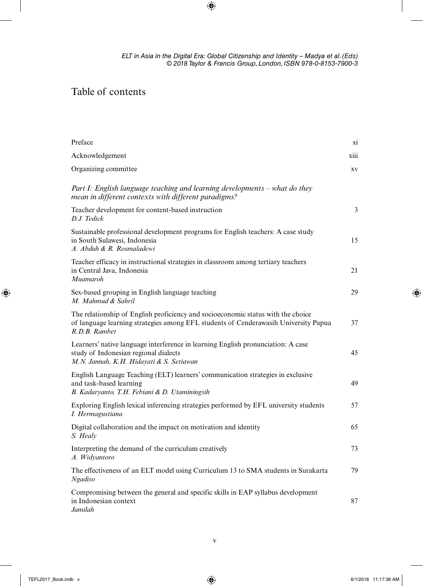## Table of contents

| Preface                                                                                                                                                                                               | xi   |
|-------------------------------------------------------------------------------------------------------------------------------------------------------------------------------------------------------|------|
| Acknowledgement                                                                                                                                                                                       | xiii |
| Organizing committee                                                                                                                                                                                  | XV   |
| Part I: English language teaching and learning developments - what do they<br>mean in different contexts with different paradigms?                                                                    |      |
| Teacher development for content-based instruction<br>D.J. Tedick                                                                                                                                      | 3    |
| Sustainable professional development programs for English teachers: A case study<br>in South Sulawesi, Indonesia<br>A. Abduh & R. Rosmaladewi                                                         | 15   |
| Teacher efficacy in instructional strategies in classroom among tertiary teachers<br>in Central Java, Indonesia<br>Muamaroh                                                                           | 21   |
| Sex-based grouping in English language teaching<br>M. Mahmud & Sahril                                                                                                                                 | 29   |
| The relationship of English proficiency and socioeconomic status with the choice<br>of language learning strategies among EFL students of Cenderawasih University Papua<br>$R$ , $D$ , $B$ , $Rambet$ | 37   |
| Learners' native language interference in learning English pronunciation: A case<br>study of Indonesian regional dialects<br>M.N. Jannah, K.H. Hidayati & S. Setiawan                                 | 45   |
| English Language Teaching (ELT) learners' communication strategies in exclusive<br>and task-based learning<br>B. Kadaryanto, T.H. Febiani & D. Utaminingsih                                           | 49   |
| Exploring English lexical inferencing strategies performed by EFL university students<br>I. Hermagustiana                                                                                             | 57   |
| Digital collaboration and the impact on motivation and identity<br>S. Healy                                                                                                                           | 65   |
| Interpreting the demand of the curriculum creatively<br>A. Widyantoro                                                                                                                                 | 73   |
| The effectiveness of an ELT model using Curriculum 13 to SMA students in Surakarta<br><b>Ngadiso</b>                                                                                                  | 79   |
| Compromising between the general and specific skills in EAP syllabus development<br>in Indonesian context<br>Jamilah                                                                                  | 87   |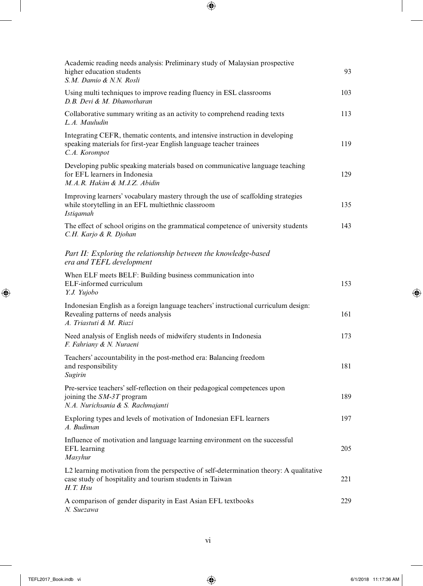| Academic reading needs analysis: Preliminary study of Malaysian prospective<br>higher education students<br>S.M. Damio & N.N. Rosli                                  |     |  |
|----------------------------------------------------------------------------------------------------------------------------------------------------------------------|-----|--|
| Using multi techniques to improve reading fluency in ESL classrooms<br>D.B. Devi & M. Dhamotharan                                                                    | 103 |  |
| Collaborative summary writing as an activity to comprehend reading texts<br>L.A. Mauludin                                                                            | 113 |  |
| Integrating CEFR, thematic contents, and intensive instruction in developing<br>speaking materials for first-year English language teacher trainees<br>C.A. Korompot | 119 |  |
| Developing public speaking materials based on communicative language teaching<br>for EFL learners in Indonesia<br>M.A.R. Hakim & M.J.Z. Abidin                       | 129 |  |
| Improving learners' vocabulary mastery through the use of scaffolding strategies<br>while storytelling in an EFL multiethnic classroom<br><b>Istigamah</b>           | 135 |  |
| The effect of school origins on the grammatical competence of university students<br>C.H. Karjo & R. Djohan                                                          | 143 |  |
| Part II: Exploring the relationship between the knowledge-based<br>era and TEFL development                                                                          |     |  |
| When ELF meets BELF: Building business communication into<br>ELF-informed curriculum<br>Y.J. Yujobo                                                                  | 153 |  |
| Indonesian English as a foreign language teachers' instructional curriculum design:<br>Revealing patterns of needs analysis<br>A. Triastuti & M. Riazi               | 161 |  |
| Need analysis of English needs of midwifery students in Indonesia<br>F. Fahriany & N. Nuraeni                                                                        | 173 |  |
| Teachers' accountability in the post-method era: Balancing freedom<br>and responsibility<br>Sugirin                                                                  | 181 |  |
| Pre-service teachers' self-reflection on their pedagogical competences upon<br>joining the $SM-3T$ program<br>N.A. Nurichsania & S. Rachmajanti                      | 189 |  |
| Exploring types and levels of motivation of Indonesian EFL learners<br>A. Budiman                                                                                    | 197 |  |
| Influence of motivation and language learning environment on the successful<br>EFL learning<br>Masyhur                                                               | 205 |  |
| L2 learning motivation from the perspective of self-determination theory: A qualitative<br>case study of hospitality and tourism students in Taiwan<br>H.T. Hsu      | 221 |  |
| A comparison of gender disparity in East Asian EFL textbooks<br>N. Suezawa                                                                                           | 229 |  |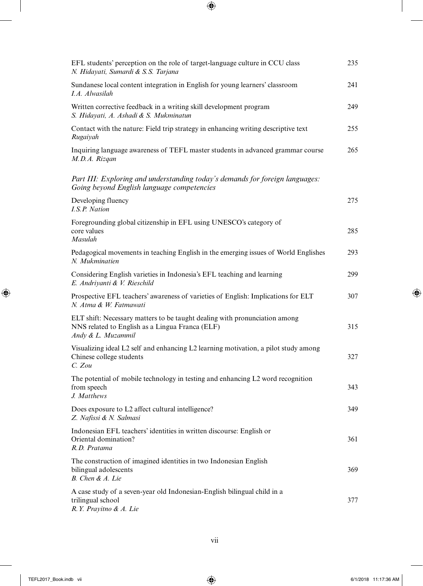| EFL students' perception on the role of target-language culture in CCU class<br>N. Hidayati, Sumardi & S.S. Tarjana                                 |     |  |  |
|-----------------------------------------------------------------------------------------------------------------------------------------------------|-----|--|--|
| Sundanese local content integration in English for young learners' classroom<br>I.A. Alwasilah                                                      |     |  |  |
| Written corrective feedback in a writing skill development program<br>S. Hidayati, A. Ashadi & S. Mukminatun                                        |     |  |  |
| Contact with the nature: Field trip strategy in enhancing writing descriptive text<br>Rugaiyah                                                      | 255 |  |  |
| Inquiring language awareness of TEFL master students in advanced grammar course<br>M.D.A. Rizgan                                                    | 265 |  |  |
| Part III: Exploring and understanding today's demands for foreign languages:<br>Going beyond English language competencies                          |     |  |  |
| Developing fluency<br>I.S.P. Nation                                                                                                                 | 275 |  |  |
| Foregrounding global citizenship in EFL using UNESCO's category of<br>core values<br>Masulah                                                        | 285 |  |  |
| Pedagogical movements in teaching English in the emerging issues of World Englishes<br>N. Mukminatien                                               | 293 |  |  |
| Considering English varieties in Indonesia's EFL teaching and learning<br>E. Andriyanti & V. Rieschild                                              | 299 |  |  |
| Prospective EFL teachers' awareness of varieties of English: Implications for ELT<br>N. Atma & W. Fatmawati                                         | 307 |  |  |
| ELT shift: Necessary matters to be taught dealing with pronunciation among<br>NNS related to English as a Lingua Franca (ELF)<br>Andy & L. Muzammil | 315 |  |  |
| Visualizing ideal L2 self and enhancing L2 learning motivation, a pilot study among<br>Chinese college students<br>C. Zou                           | 327 |  |  |
| The potential of mobile technology in testing and enhancing L2 word recognition<br>from speech<br>J. Matthews                                       | 343 |  |  |
| Does exposure to L2 affect cultural intelligence?<br>Z. Nafissi & N. Salmasi                                                                        | 349 |  |  |
| Indonesian EFL teachers' identities in written discourse: English or<br>Oriental domination?<br>R.D. Pratama                                        | 361 |  |  |
| The construction of imagined identities in two Indonesian English<br>bilingual adolescents<br>B. Chen & A. Lie                                      | 369 |  |  |
| A case study of a seven-year old Indonesian-English bilingual child in a<br>trilingual school<br>R.Y. Prayitno & A. Lie                             | 377 |  |  |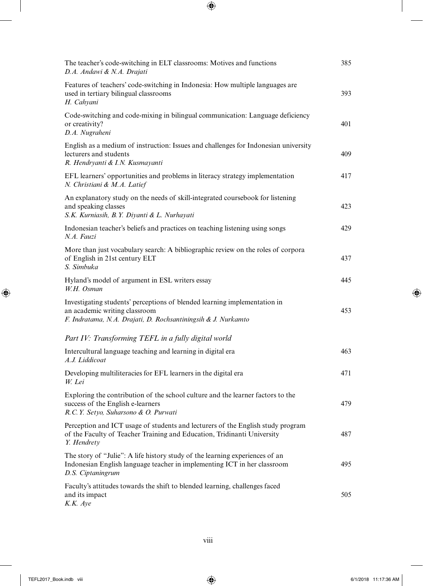| The teacher's code-switching in ELT classrooms: Motives and functions<br>D.A. Andawi & N.A. Drajati                                                                           | 385 |
|-------------------------------------------------------------------------------------------------------------------------------------------------------------------------------|-----|
| Features of teachers' code-switching in Indonesia: How multiple languages are<br>used in tertiary bilingual classrooms<br>H. Cahyani                                          | 393 |
| Code-switching and code-mixing in bilingual communication: Language deficiency<br>or creativity?<br>D.A. Nugraheni                                                            | 401 |
| English as a medium of instruction: Issues and challenges for Indonesian university<br>lecturers and students<br>R. Hendryanti & I.N. Kusmayanti                              | 409 |
| EFL learners' opportunities and problems in literacy strategy implementation<br>N. Christiani & M.A. Latief                                                                   | 417 |
| An explanatory study on the needs of skill-integrated coursebook for listening<br>and speaking classes<br>S.K. Kurniasih, B.Y. Diyanti & L. Nurhayati                         | 423 |
| Indonesian teacher's beliefs and practices on teaching listening using songs<br>N.A. Fauzi                                                                                    | 429 |
| More than just vocabulary search: A bibliographic review on the roles of corpora<br>of English in 21st century ELT<br>S. Simbuka                                              | 437 |
| Hyland's model of argument in ESL writers essay<br>W.H. Osman                                                                                                                 | 445 |
| Investigating students' perceptions of blended learning implementation in<br>an academic writing classroom<br>F. Indratama, N.A. Drajati, D. Rochsantiningsih & J. Nurkamto   | 453 |
| Part IV: Transforming TEFL in a fully digital world                                                                                                                           |     |
| Intercultural language teaching and learning in digital era<br>A.J. Liddicoat                                                                                                 | 463 |
| Developing multiliteracies for EFL learners in the digital era<br>W. Lei                                                                                                      | 471 |
| Exploring the contribution of the school culture and the learner factors to the<br>success of the English e-learners<br>R.C.Y. Setyo, Suharsono & O. Purwati                  | 479 |
| Perception and ICT usage of students and lecturers of the English study program<br>of the Faculty of Teacher Training and Education, Tridinanti University<br>Y. Hendrety     | 487 |
| The story of "Julie": A life history study of the learning experiences of an<br>Indonesian English language teacher in implementing ICT in her classroom<br>D.S. Ciptaningrum | 495 |
| Faculty's attitudes towards the shift to blended learning, challenges faced<br>and its impact<br>K.K. Aye                                                                     | 505 |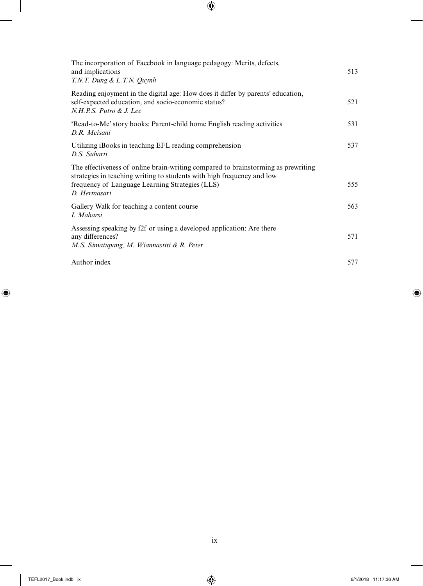| The incorporation of Facebook in language pedagogy: Merits, defects,<br>and implications<br>T.N.T. Dung & L.T.N. Quynh                                                                                                         |     |
|--------------------------------------------------------------------------------------------------------------------------------------------------------------------------------------------------------------------------------|-----|
| Reading enjoyment in the digital age: How does it differ by parents' education,<br>self-expected education, and socio-economic status?<br>N.H.P.S. Putro & J. Lee                                                              | 521 |
| 'Read-to-Me' story books: Parent-child home English reading activities<br>D.R. Meisani                                                                                                                                         | 531 |
| Utilizing iBooks in teaching EFL reading comprehension<br>D.S. Suharti                                                                                                                                                         | 537 |
| The effectiveness of online brain-writing compared to brainstorming as prewriting<br>strategies in teaching writing to students with high frequency and low<br>frequency of Language Learning Strategies (LLS)<br>D. Hermasari | 555 |
| Gallery Walk for teaching a content course<br>I. Maharsi                                                                                                                                                                       | 563 |
| Assessing speaking by f2f or using a developed application: Are there<br>any differences?<br>M.S. Simatupang, M. Wiannastiti & R. Peter                                                                                        | 571 |
| Author index                                                                                                                                                                                                                   | 577 |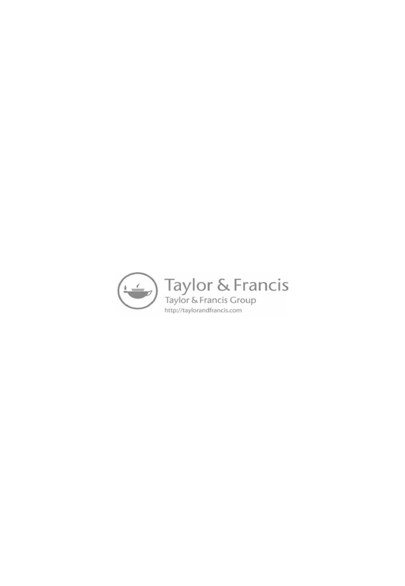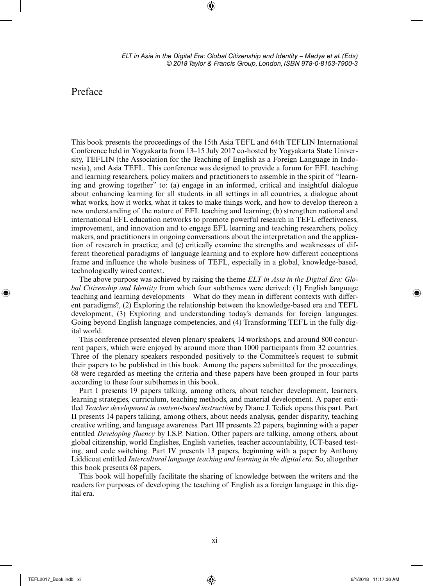## [Preface](#page--1-0)

This book presents the proceedings of the 15th Asia TEFL and 64th TEFLIN International Conference held in Yogyakarta from 13–15 July 2017 co-hosted by Yogyakarta State University, TEFLIN (the Association for the Teaching of English as a Foreign Language in Indonesia), and Asia TEFL. This conference was designed to provide a forum for EFL teaching and learning researchers, policy makers and practitioners to assemble in the spirit of "learning and growing together" to: (a) engage in an informed, critical and insightful dialogue about enhancing learning for all students in all settings in all countries, a dialogue about what works, how it works, what it takes to make things work, and how to develop thereon a new understanding of the nature of EFL teaching and learning; (b) strengthen national and international EFL education networks to promote powerful research in TEFL effectiveness, improvement, and innovation and to engage EFL learning and teaching researchers, policy makers, and practitioners in ongoing conversations about the interpretation and the application of research in practice; and (c) critically examine the strengths and weaknesses of different theoretical paradigms of language learning and to explore how different conceptions frame and influence the whole business of TEFL, especially in a global, knowledge-based, technologically wired context.

The above purpose was achieved by raising the theme *ELT in Asia in the Digital Era: Global Citizenship and Identity* from which four subthemes were derived: (1) English language teaching and learning developments – What do they mean in different contexts with different paradigms?, (2) Exploring the relationship between the knowledge-based era and TEFL development, (3) Exploring and understanding today's demands for foreign languages: Going beyond English language competencies, and (4) Transforming TEFL in the fully digital world.

This conference presented eleven plenary speakers, 14 workshops, and around 800 concurrent papers, which were enjoyed by around more than 1000 participants from 32 countries. Three of the plenary speakers responded positively to the Committee's request to submit their papers to be published in this book. Among the papers submitted for the proceedings, 68 were regarded as meeting the criteria and these papers have been grouped in four parts according to these four subthemes in this book.

[Part I](#page--1-0) presents 19 papers talking, among others, about teacher development, learners, learning strategies, curriculum, teaching methods, and material development. A paper entitled *Teacher development in content-based instruction* by Diane J. Tedick opens this part. [Part](#page--1-0)  [II](#page--1-0) presents 14 papers talking, among others, about needs analysis, gender disparity, teaching creative writing, and language awareness. [Part III](#page--1-0) presents 22 papers, beginning with a paper entitled *Developing fluency* by I.S.P. Nation. Other papers are talking, among others, about global citizenship, world Englishes, English varieties, teacher accountability, ICT-based testing, and code switching. [Part IV](#page--1-0) presents 13 papers, beginning with a paper by Anthony Liddicoat entitled *Intercultural language teaching and learning in the digital era*. So, altogether this book presents 68 papers.

This book will hopefully facilitate the sharing of knowledge between the writers and the readers for purposes of developing the teaching of English as a foreign language in this digital era.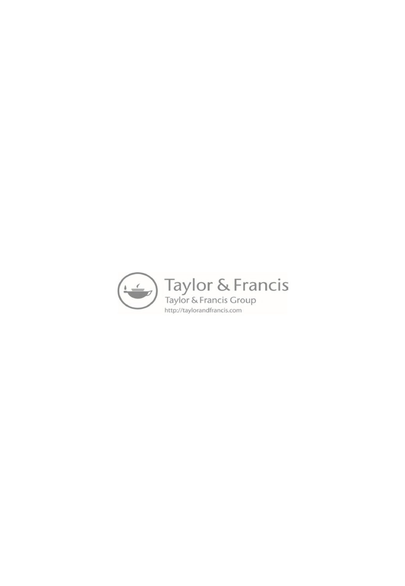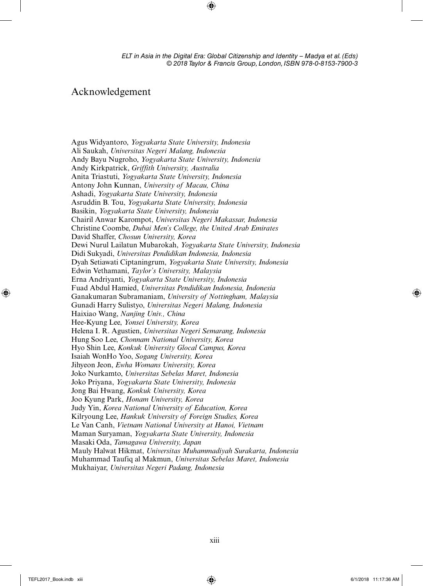## [Acknowledgement](#page--1-0)

Agus Widyantoro, *Yogyakarta State University, Indonesia* Ali Saukah, *Universitas Negeri Malang, Indonesia* Andy Bayu Nugroho, *Yogyakarta State University, Indonesia* Andy Kirkpatrick, *Griffith University, Australia* Anita Triastuti, *Yogyakarta State University, Indonesia* Antony John Kunnan, *University of Macau, China* Ashadi, *Yogyakarta State University, Indonesia* Asruddin B. Tou, *Yogyakarta State University, Indonesia* Basikin, *Yogyakarta State University, Indonesia* Chairil Anwar Karompot, *Universitas Negeri Makassar, Indonesia* Christine Coombe, *Dubai Men's College, the United Arab Emirates* David Shaffer, *Chosun University, Korea* Dewi Nurul Lailatun Mubarokah, *Yogyakarta State University, Indonesia* Didi Sukyadi, *Universitas Pendidikan Indonesia, Indonesia* Dyah Setiawati Ciptaningrum, *Yogyakarta State University, Indonesia* Edwin Vethamani, *Taylor's University, Malaysia* Erna Andriyanti, *Yogyakarta State University, Indonesia* Fuad Abdul Hamied, *Universitas Pendidikan Indonesia, Indonesia* Ganakumaran Subramaniam, *University of Nottingham, Malaysia* Gunadi Harry Sulistyo, *Universitas Negeri Malang, Indonesia* Haixiao Wang, *Nanjing Univ., China* Hee-Kyung Lee, *Yonsei University, Korea* Helena I. R. Agustien, *Universitas Negeri Semarang, Indonesia* Hung Soo Lee, *Chonnam National University, Korea* Hyo Shin Lee, *Konkuk University Glocal Campus, Korea* Isaiah WonHo Yoo, *Sogang University, Korea* Jihyeon Jeon, *Ewha Womans University, Korea* Joko Nurkamto, *Universitas Sebelas Maret, Indonesia* Joko Priyana, *Yogyakarta State University, Indonesia* Jong Bai Hwang, *Konkuk University, Korea* Joo Kyung Park, *Honam University, Korea* Judy Yin, *Korea National University of Education, Korea* Kilryoung Lee, *Hankuk University of Foreign Studies, Korea* Le Van Canh, *Vietnam National University at Hanoi, Vietnam* Maman Suryaman, *Yogyakarta State University, Indonesia* Masaki Oda, *Tamagawa University, Japan* Mauly Halwat Hikmat, *Universitas Muhammadiyah Surakarta, Indonesia* Muhammad Taufiq al Makmun, *Universitas Sebelas Maret, Indonesia* Mukhaiyar, *Universitas Negeri Padang, Indonesia*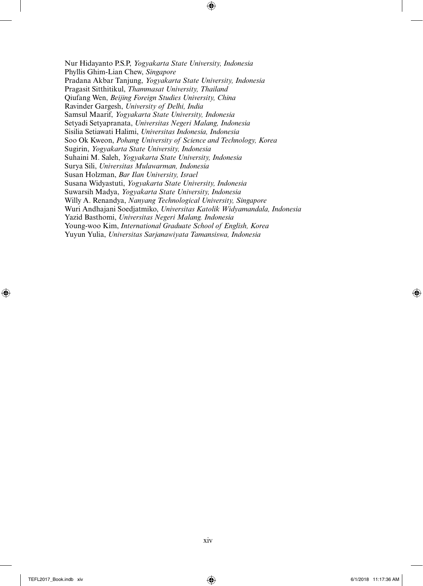Nur Hidayanto P.S.P, *Yogyakarta State University, Indonesia* Phyllis Ghim-Lian Chew, *Singapore* Pradana Akbar Tanjung, *Yogyakarta State University, Indonesia* Pragasit Sitthitikul, *Thammasat University, Thailand* Qiufang Wen, *Beijing Foreign Studies University, China* Ravinder Gargesh, *University of Delhi, India* Samsul Maarif, *Yogyakarta State University, Indonesia* Setyadi Setyapranata, *Universitas Negeri Malang, Indonesia* Sisilia Setiawati Halimi, *Universitas Indonesia, Indonesia* Soo Ok Kweon, *Pohang University of Science and Technology, Korea* Sugirin, *Yogyakarta State University, Indonesia* Suhaini M. Saleh, *Yogyakarta State University, Indonesia* Surya Sili, *Universitas Mulawarman, Indonesia* Susan Holzman, *Bar Ilan University, Israel* Susana Widyastuti, *Yogyakarta State University, Indonesia* Suwarsih Madya, *Yogyakarta State University, Indonesia* Willy A. Renandya, *Nanyang Technological University, Singapore* Wuri Andhajani Soedjatmiko, *Universitas Katolik Widyamandala, Indonesia* Yazid Basthomi, *Universitas Negeri Malang. Indonesia* Young-woo Kim, *International Graduate School of English, Korea* Yuyun Yulia, *Universitas Sarjanawiyata Tamansiswa, Indonesia*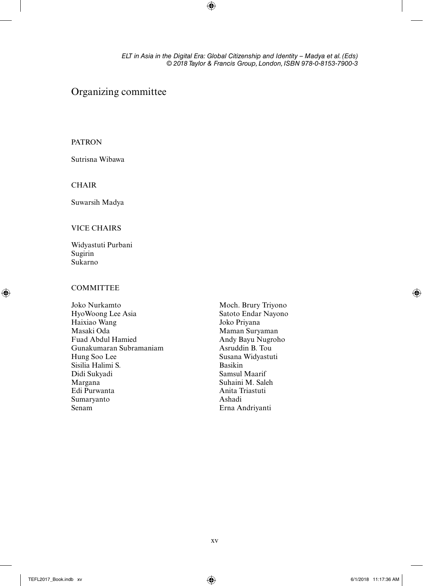## [Organizing committee](#page--1-0)

#### PATRON

Sutrisna Wibawa

#### **CHAIR**

Suwarsih Madya

#### VICE CHAIRS

Widyastuti Purbani Sugirin Sukarno

#### COMMITTEE

- Joko Nurkamto HyoWoong Lee Asia Haixiao Wang Masaki Oda Fuad Abdul Hamied Gunakumaran Subramaniam Hung Soo Lee Sisilia Halimi S. Didi Sukyadi Margana Edi Purwanta Sumaryanto Senam
- Moch. Brury Triyono Satoto Endar Nayono Joko Priyana Maman Suryaman Andy Bayu Nugroho Asruddin B. Tou Susana Widyastuti Basikin Samsul Maarif Suhaini M. Saleh Anita Triastuti Ashadi Erna Andriyanti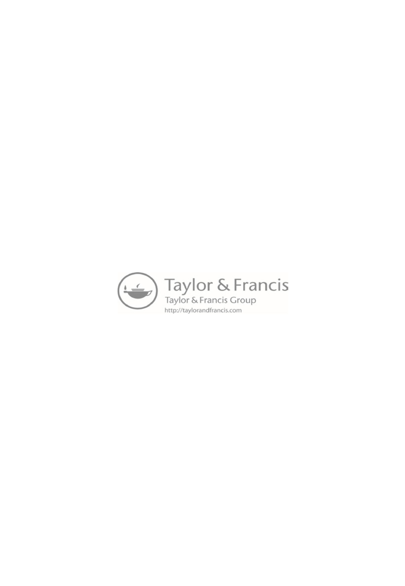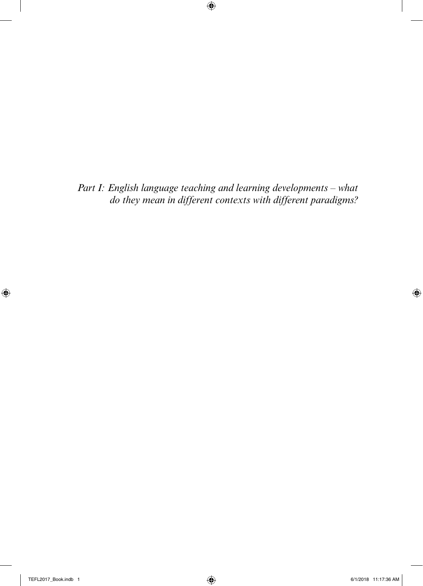*[Part I: English language teaching and learning developments – what](#page--1-0)  do they mean in different contexts with different paradigms?*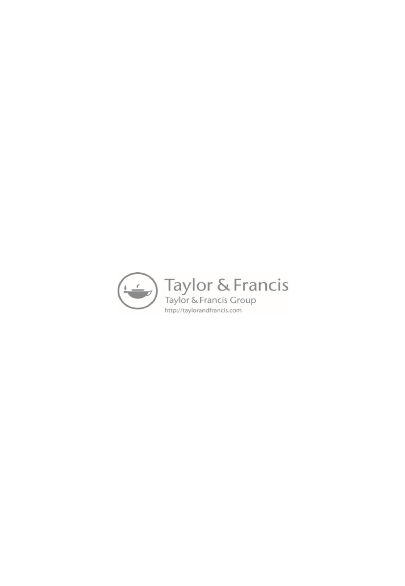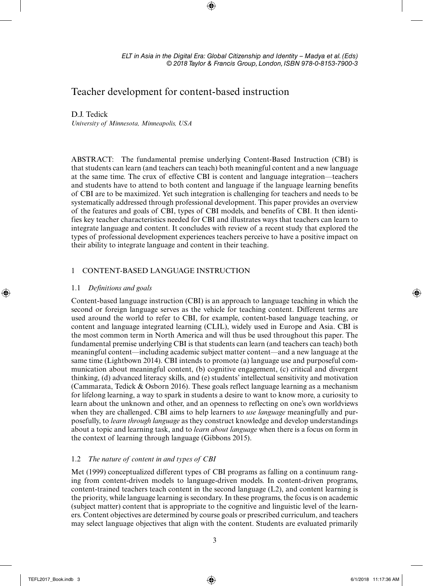## [Teacher development for content-based instruction](#page--1-0)

#### D.J. Tedick

*University of Minnesota, Minneapolis, USA*

ABSTRACT: The fundamental premise underlying Content-Based Instruction (CBI) is that students can learn (and teachers can teach) both meaningful content and a new language at the same time. The crux of effective CBI is content and language integration—teachers and students have to attend to both content and language if the language learning benefits of CBI are to be maximized. Yet such integration is challenging for teachers and needs to be systematically addressed through professional development. This paper provides an overview of the features and goals of CBI, types of CBI models, and benefits of CBI. It then identifies key teacher characteristics needed for CBI and illustrates ways that teachers can learn to integrate language and content. It concludes with review of a recent study that explored the types of professional development experiences teachers perceive to have a positive impact on their ability to integrate language and content in their teaching.

#### 1 CONTENT-BASED LANGUAGE INSTRUCTION

#### 1.1 *Definitions and goals*

Content-based language instruction (CBI) is an approach to language teaching in which the second or foreign language serves as the vehicle for teaching content. Different terms are used around the world to refer to CBI, for example, content-based language teaching, or content and language integrated learning (CLIL), widely used in Europe and Asia. CBI is the most common term in North America and will thus be used throughout this paper. The fundamental premise underlying CBI is that students can learn (and teachers can teach) both meaningful content—including academic subject matter content—and a new language at the same time (Lightbown 2014). CBI intends to promote (a) language use and purposeful communication about meaningful content, (b) cognitive engagement, (c) critical and divergent thinking, (d) advanced literacy skills, and (e) students' intellectual sensitivity and motivation (Cammarata, Tedick & Osborn 2016). These goals reflect language learning as a mechanism for lifelong learning, a way to spark in students a desire to want to know more, a curiosity to learn about the unknown and other, and an openness to reflecting on one's own worldviews when they are challenged. CBI aims to help learners to *use language* meaningfully and purposefully, to *learn through language* as they construct knowledge and develop understandings about a topic and learning task, and to *learn about language* when there is a focus on form in the context of learning through language (Gibbons 2015).

#### 1.2 *The nature of content in and types of CBI*

Met (1999) conceptualized different types of CBI programs as falling on a continuum ranging from content-driven models to language-driven models. In content-driven programs, content-trained teachers teach content in the second language (L2), and content learning is the priority, while language learning is secondary. In these programs, the focus is on academic (subject matter) content that is appropriate to the cognitive and linguistic level of the learners. Content objectives are determined by course goals or prescribed curriculum, and teachers may select language objectives that align with the content. Students are evaluated primarily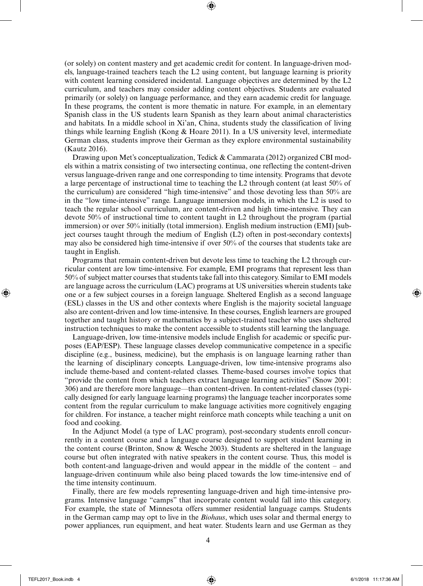(or solely) on content mastery and get academic credit for content. In language-driven models, language-trained teachers teach the L2 using content, but language learning is priority with content learning considered incidental. Language objectives are determined by the L<sub>2</sub> curriculum, and teachers may consider adding content objectives. Students are evaluated primarily (or solely) on language performance, and they earn academic credit for language. In these programs, the content is more thematic in nature. For example, in an elementary Spanish class in the US students learn Spanish as they learn about animal characteristics and habitats. In a middle school in Xi'an, China, students study the classification of living things while learning English (Kong & Hoare 2011). In a US university level, intermediate German class, students improve their German as they explore environmental sustainability (Kautz 2016).

Drawing upon Met's conceptualization, Tedick & Cammarata (2012) organized CBI models within a matrix consisting of two intersecting continua, one reflecting the content-driven versus language-driven range and one corresponding to time intensity. Programs that devote a large percentage of instructional time to teaching the L2 through content (at least 50% of the curriculum) are considered "high time-intensive" and those devoting less than 50% are in the "low time-intensive" range. Language immersion models, in which the L2 is used to teach the regular school curriculum, are content-driven and high time-intensive. They can devote 50% of instructional time to content taught in L2 throughout the program (partial immersion) or over 50% initially (total immersion). English medium instruction (EMI) [subject courses taught through the medium of English (L2) often in post-secondary contexts] may also be considered high time-intensive if over 50% of the courses that students take are taught in English.

Programs that remain content-driven but devote less time to teaching the L2 through curricular content are low time-intensive. For example, EMI programs that represent less than 50% of subject matter courses that students take fall into this category. Similar to EMI models are language across the curriculum (LAC) programs at US universities wherein students take one or a few subject courses in a foreign language. Sheltered English as a second language (ESL) classes in the US and other contexts where English is the majority societal language also are content-driven and low time-intensive. In these courses, English learners are grouped together and taught history or mathematics by a subject-trained teacher who uses sheltered instruction techniques to make the content accessible to students still learning the language.

Language-driven, low time-intensive models include English for academic or specific purposes (EAP/ESP). These language classes develop communicative competence in a specific discipline (e.g., business, medicine), but the emphasis is on language learning rather than the learning of disciplinary concepts. Language-driven, low time-intensive programs also include theme-based and content-related classes. Theme-based courses involve topics that "provide the content from which teachers extract language learning activities" (Snow 2001: 306) and are therefore more language—than content-driven. In content-related classes (typically designed for early language learning programs) the language teacher incorporates some content from the regular curriculum to make language activities more cognitively engaging for children. For instance, a teacher might reinforce math concepts while teaching a unit on food and cooking.

In the Adjunct Model (a type of LAC program), post-secondary students enroll concurrently in a content course and a language course designed to support student learning in the content course (Brinton, Snow & Wesche 2003). Students are sheltered in the language course but often integrated with native speakers in the content course. Thus, this model is both content-and language-driven and would appear in the middle of the content – and language-driven continuum while also being placed towards the low time-intensive end of the time intensity continuum.

Finally, there are few models representing language-driven and high time-intensive programs. Intensive language "camps" that incorporate content would fall into this category. For example, the state of Minnesota offers summer residential language camps. Students in the German camp may opt to live in the *Biohaus*, which uses solar and thermal energy to power appliances, run equipment, and heat water. Students learn and use German as they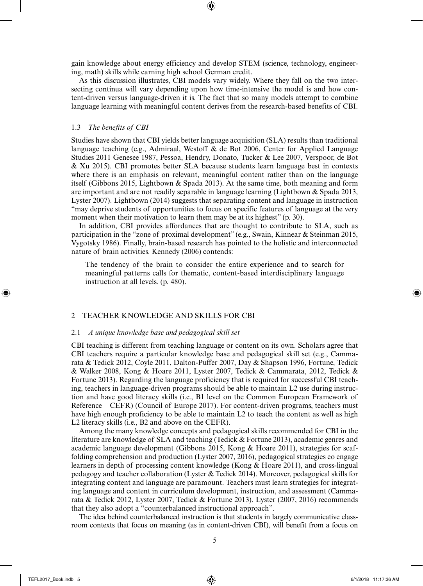gain knowledge about energy efficiency and develop STEM (science, technology, engineering, math) skills while earning high school German credit.

As this discussion illustrates, CBI models vary widely. Where they fall on the two intersecting continua will vary depending upon how time-intensive the model is and how content-driven versus language-driven it is. The fact that so many models attempt to combine language learning with meaningful content derives from the research-based benefits of CBI.

#### 1.3 *The benefits of CBI*

Studies have shown that CBI yields better language acquisition (SLA) results than traditional language teaching (e.g., Admiraal, Westoff & de Bot 2006, Center for Applied Language Studies 2011 Genesee 1987, Pessoa, Hendry, Donato, Tucker & Lee 2007, Verspoor, de Bot & Xu 2015). CBI promotes better SLA because students learn language best in contexts where there is an emphasis on relevant, meaningful content rather than on the language itself (Gibbons 2015, Lightbown & Spada 2013). At the same time, both meaning and form are important and are not readily separable in language learning (Lightbown & Spada 2013, Lyster 2007). Lightbown (2014) suggests that separating content and language in instruction "may deprive students of opportunities to focus on specific features of language at the very moment when their motivation to learn them may be at its highest" (p. 30).

In addition, CBI provides affordances that are thought to contribute to SLA, such as participation in the "zone of proximal development" (e.g., Swain, Kinnear & Steinman 2015, Vygotsky 1986). Finally, brain-based research has pointed to the holistic and interconnected nature of brain activities. Kennedy (2006) contends:

The tendency of the brain to consider the entire experience and to search for meaningful patterns calls for thematic, content-based interdisciplinary language instruction at all levels. (p. 480).

#### 2 TEACHER KNOWLEDGE AND SKILLS FOR CBI

#### 2.1 *A unique knowledge base and pedagogical skill set*

CBI teaching is different from teaching language or content on its own. Scholars agree that CBI teachers require a particular knowledge base and pedagogical skill set (e.g., Cammarata & Tedick 2012, Coyle 2011, Dalton-Puffer 2007, Day & Shapson 1996, Fortune, Tedick & Walker 2008, Kong & Hoare 2011, Lyster 2007, Tedick & Cammarata, 2012, Tedick & Fortune 2013). Regarding the language proficiency that is required for successful CBI teaching, teachers in language-driven programs should be able to maintain L2 use during instruction and have good literacy skills (i.e., B1 level on the Common European Framework of Reference – CEFR) (Council of Europe 2017). For content-driven programs, teachers must have high enough proficiency to be able to maintain L2 to teach the content as well as high L2 literacy skills (i.e., B2 and above on the CEFR).

Among the many knowledge concepts and pedagogical skills recommended for CBI in the literature are knowledge of SLA and teaching (Tedick & Fortune 2013), academic genres and academic language development (Gibbons 2015, Kong & Hoare 2011), strategies for scaffolding comprehension and production (Lyster 2007, 2016), pedagogical strategies eo engage learners in depth of processing content knowledge (Kong & Hoare 2011), and cross-lingual pedagogy and teacher collaboration (Lyster & Tedick 2014). Moreover, pedagogical skills for integrating content and language are paramount. Teachers must learn strategies for integrating language and content in curriculum development, instruction, and assessment (Cammarata & Tedick 2012, Lyster 2007, Tedick & Fortune 2013). Lyster (2007, 2016) recommends that they also adopt a "counterbalanced instructional approach".

The idea behind counterbalanced instruction is that students in largely communicative classroom contexts that focus on meaning (as in content-driven CBI), will benefit from a focus on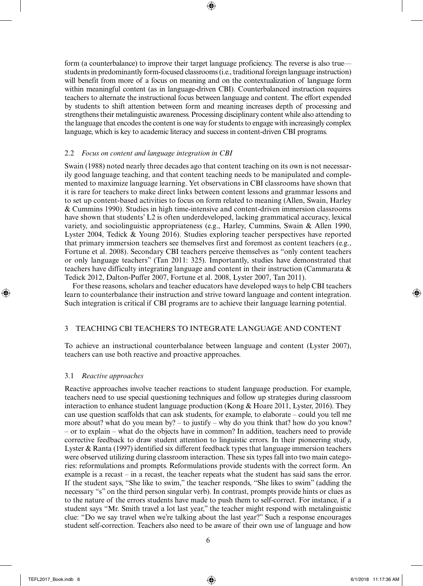form (a counterbalance) to improve their target language proficiency. The reverse is also true students in predominantly form-focused classrooms (i.e., traditional foreign language instruction) will benefit from more of a focus on meaning and on the contextualization of language form within meaningful content (as in language-driven CBI). Counterbalanced instruction requires teachers to alternate the instructional focus between language and content. The effort expended by students to shift attention between form and meaning increases depth of processing and strengthens their metalinguistic awareness. Processing disciplinary content while also attending to the language that encodes the content is one way for students to engage with increasingly complex language, which is key to academic literacy and success in content-driven CBI programs.

#### 2.2 *Focus on content and language integration in CBI*

Swain (1988) noted nearly three decades ago that content teaching on its own is not necessarily good language teaching, and that content teaching needs to be manipulated and complemented to maximize language learning. Yet observations in CBI classrooms have shown that it is rare for teachers to make direct links between content lessons and grammar lessons and to set up content-based activities to focus on form related to meaning (Allen, Swain, Harley & Cummins 1990). Studies in high time-intensive and content-driven immersion classrooms have shown that students' L2 is often underdeveloped, lacking grammatical accuracy, lexical variety, and sociolinguistic appropriateness (e.g., Harley, Cummins, Swain & Allen 1990, Lyster 2004, Tedick & Young 2016). Studies exploring teacher perspectives have reported that primary immersion teachers see themselves first and foremost as content teachers (e.g., Fortune et al. 2008). Secondary CBI teachers perceive themselves as "only content teachers or only language teachers" (Tan 2011: 325). Importantly, studies have demonstrated that teachers have difficulty integrating language and content in their instruction (Cammarata & Tedick 2012, Dalton-Puffer 2007, Fortune et al. 2008, Lyster 2007, Tan 2011).

For these reasons, scholars and teacher educators have developed ways to help CBI teachers learn to counterbalance their instruction and strive toward language and content integration. Such integration is critical if CBI programs are to achieve their language learning potential.

#### 3 TEACHING CBI TEACHERS TO INTEGRATE LANGUAGE AND CONTENT

To achieve an instructional counterbalance between language and content (Lyster 2007), teachers can use both reactive and proactive approaches.

#### 3.1 *Reactive approaches*

Reactive approaches involve teacher reactions to student language production. For example, teachers need to use special questioning techniques and follow up strategies during classroom interaction to enhance student language production (Kong & Hoare 2011, Lyster, 2016). They can use question scaffolds that can ask students, for example, to elaborate – could you tell me more about? what do you mean by? – to justify – why do you think that? how do you know? – or to explain – what do the objects have in common? In addition, teachers need to provide corrective feedback to draw student attention to linguistic errors. In their pioneering study, Lyster & Ranta (1997) identified six different feedback types that language immersion teachers were observed utilizing during classroom interaction. These six types fall into two main categories: reformulations and prompts. Reformulations provide students with the correct form. An example is a recast – in a recast, the teacher repeats what the student has said sans the error. If the student says, "She like to swim," the teacher responds, "She likes to swim" (adding the necessary "s" on the third person singular verb). In contrast, prompts provide hints or clues as to the nature of the errors students have made to push them to self-correct. For instance, if a student says "Mr. Smith travel a lot last year," the teacher might respond with metalinguistic clue: "Do we say travel when we're talking about the last year?" Such a response encourages student self-correction. Teachers also need to be aware of their own use of language and how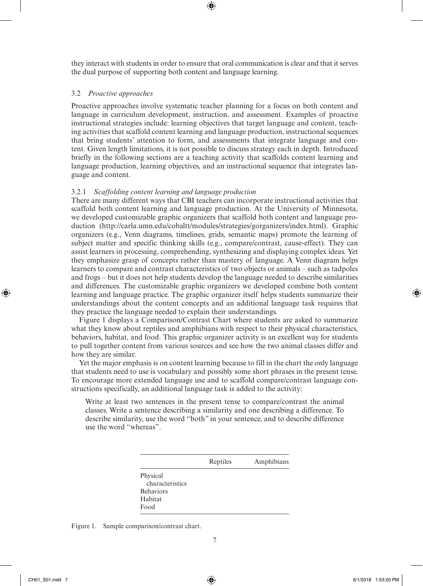they interact with students in order to ensure that oral communication is clear and that it serves the dual purpose of supporting both content and language learning.

#### 3.2 *Proactive approaches*

Proactive approaches involve systematic teacher planning for a focus on both content and language in curriculum development, instruction, and assessment. Examples of proactive instructional strategies include: learning objectives that target language and content, teaching activities that scaffold content learning and language production, instructional sequences that bring students' attention to form, and assessments that integrate language and content. Given length limitations, it is not possible to discuss strategy each in depth. Introduced briefly in the following sections are a teaching activity that scaffolds content learning and language production, learning objectives, and an instructional sequence that integrates language and content.

#### 3.2.1 *Scaffolding content learning and language production*

There are many different ways that CBI teachers can incorporate instructional activities that scaffold both content learning and language production. At the University of Minnesota, we developed customizable graphic organizers that scaffold both content and language production [\(http://carla.umn.edu/cobaltt/modules/strategies/gorganizers/index.html\)](http://carla.umn.edu/cobaltt/modules/strategies/gorganizers/index.html). Graphic organizers (e.g., Venn diagrams, timelines, grids, semantic maps) promote the learning of subject matter and specific thinking skills (e.g., compare/contrast, cause-effect). They can assist learners in processing, comprehending, synthesizing and displaying complex ideas. Yet they emphasize grasp of concepts rather than mastery of language. A Venn diagram helps learners to compare and contrast characteristics of two objects or animals – such as tadpoles and frogs – but it does not help students develop the language needed to describe similarities and differences. The customizable graphic organizers we developed combine both content learning and language practice. The graphic organizer itself helps students summarize their understandings about the content concepts and an additional language task requires that they practice the language needed to explain their understandings.

[Figure 1](#page--1-0) displays a Comparison/Contrast Chart where students are asked to summarize what they know about reptiles and amphibians with respect to their physical characteristics, behaviors, habitat, and food. This graphic organizer activity is an excellent way for students to pull together content from various sources and see how the two animal classes differ and how they are similar.

Yet the major emphasis is on content learning because to fill in the chart the only language that students need to use is vocabulary and possibly some short phrases in the present tense. To encourage more extended language use and to scaffold compare/contrast language constructions specifically, an additional language task is added to the activity:

Write at least two sentences in the present tense to compare/contrast the animal classes. Write a sentence describing a similarity and one describing a difference. To describe similarity, use the word "both" in your sentence, and to describe difference use the word "whereas".

|                             | Reptiles | Amphibians |
|-----------------------------|----------|------------|
| Physical<br>characteristics |          |            |
| <b>Behaviors</b>            |          |            |
| Habitat                     |          |            |
| Food                        |          |            |

[Figure 1](#page--1-0). Sample comparison/contrast chart.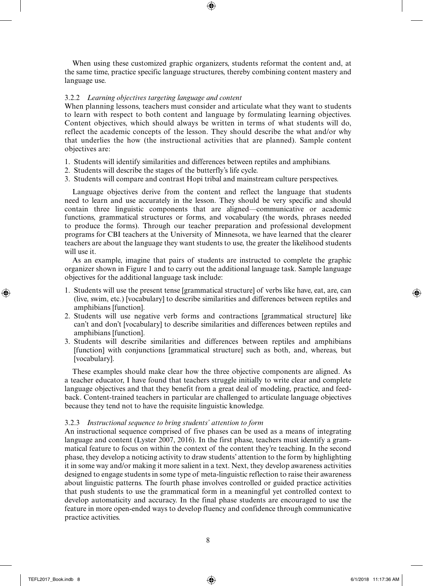When using these customized graphic organizers, students reformat the content and, at the same time, practice specific language structures, thereby combining content mastery and language use.

#### 3.2.2 *Learning objectives targeting language and content*

When planning lessons, teachers must consider and articulate what they want to students to learn with respect to both content and language by formulating learning objectives. Content objectives, which should always be written in terms of what students will do, reflect the academic concepts of the lesson. They should describe the what and/or why that underlies the how (the instructional activities that are planned). Sample content objectives are:

- 1. Students will identify similarities and differences between reptiles and amphibians.
- 2. Students will describe the stages of the butterfly's life cycle.
- 3. Students will compare and contrast Hopi tribal and mainstream culture perspectives.

Language objectives derive from the content and reflect the language that students need to learn and use accurately in the lesson. They should be very specific and should contain three linguistic components that are aligned—communicative or academic functions, grammatical structures or forms, and vocabulary (the words, phrases needed to produce the forms). Through our teacher preparation and professional development programs for CBI teachers at the University of Minnesota, we have learned that the clearer teachers are about the language they want students to use, the greater the likelihood students will use it.

As an example, imagine that pairs of students are instructed to complete the graphic organizer shown in [Figure 1](#page--1-0) and to carry out the additional language task. Sample language objectives for the additional language task include:

- 1. Students will use the present tense [grammatical structure] of verbs like have, eat, are, can (live, swim, etc.) [vocabulary] to describe similarities and differences between reptiles and amphibians [function].
- 2. Students will use negative verb forms and contractions [grammatical structure] like can't and don't [vocabulary] to describe similarities and differences between reptiles and amphibians [function].
- 3. Students will describe similarities and differences between reptiles and amphibians [function] with conjunctions [grammatical structure] such as both, and, whereas, but [vocabulary].

These examples should make clear how the three objective components are aligned. As a teacher educator, I have found that teachers struggle initially to write clear and complete language objectives and that they benefit from a great deal of modeling, practice, and feedback. Content-trained teachers in particular are challenged to articulate language objectives because they tend not to have the requisite linguistic knowledge.

#### 3.2.3 *Instructional sequence to bring students' attention to form*

An instructional sequence comprised of five phases can be used as a means of integrating language and content (Lyster 2007, 2016). In the first phase, teachers must identify a grammatical feature to focus on within the context of the content they're teaching. In the second phase, they develop a noticing activity to draw students' attention to the form by highlighting it in some way and/or making it more salient in a text. Next, they develop awareness activities designed to engage students in some type of meta-linguistic reflection to raise their awareness about linguistic patterns. The fourth phase involves controlled or guided practice activities that push students to use the grammatical form in a meaningful yet controlled context to develop automaticity and accuracy. In the final phase students are encouraged to use the feature in more open-ended ways to develop fluency and confidence through communicative practice activities.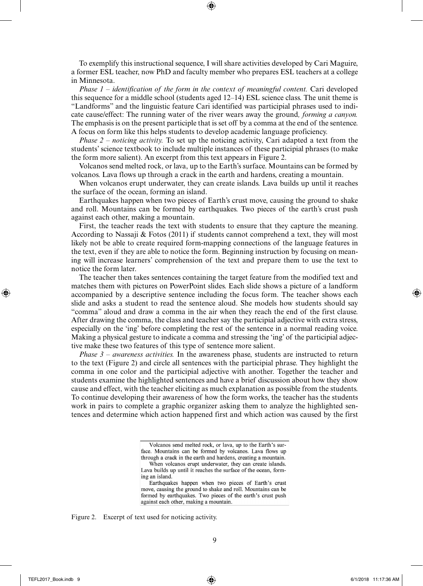To exemplify this instructional sequence, I will share activities developed by Cari Maguire, a former ESL teacher, now PhD and faculty member who prepares ESL teachers at a college in Minnesota.

*Phase 1 – identification of the form in the context of meaningful content.* Cari developed this sequence for a middle school (students aged 12–14) ESL science class. The unit theme is "Landforms" and the linguistic feature Cari identified was participial phrases used to indicate cause/effect: The running water of the river wears away the ground*, forming a canyon.* The emphasis is on the present participle that is set off by a comma at the end of the sentence. A focus on form like this helps students to develop academic language proficiency.

*Phase 2 – noticing activity.* To set up the noticing activity, Cari adapted a text from the students' science textbook to include multiple instances of these participial phrases (to make the form more salient). An excerpt from this text appears in [Figure 2](#page--1-0).

Volcanos send melted rock, or lava, up to the Earth's surface. Mountains can be formed by volcanos. Lava flows up through a crack in the earth and hardens, creating a mountain.

When volcanos erupt underwater, they can create islands. Lava builds up until it reaches the surface of the ocean, forming an island.

Earthquakes happen when two pieces of Earth's crust move, causing the ground to shake and roll. Mountains can be formed by earthquakes. Two pieces of the earth's crust push against each other, making a mountain.

First, the teacher reads the text with students to ensure that they capture the meaning. According to Nassaji & Fotos (2011) if students cannot comprehend a text, they will most likely not be able to create required form-mapping connections of the language features in the text, even if they are able to notice the form. Beginning instruction by focusing on meaning will increase learners' comprehension of the text and prepare them to use the text to notice the form later.

The teacher then takes sentences containing the target feature from the modified text and matches them with pictures on PowerPoint slides. Each slide shows a picture of a landform accompanied by a descriptive sentence including the focus form. The teacher shows each slide and asks a student to read the sentence aloud. She models how students should say "comma" aloud and draw a comma in the air when they reach the end of the first clause. After drawing the comma, the class and teacher say the participial adjective with extra stress, especially on the 'ing' before completing the rest of the sentence in a normal reading voice. Making a physical gesture to indicate a comma and stressing the 'ing' of the participial adjective make these two features of this type of sentence more salient.

*Phase 3 – awareness activities.* In the awareness phase, students are instructed to return to the text ([Figure 2](#page--1-0)) and circle all sentences with the participial phrase. They highlight the comma in one color and the participial adjective with another. Together the teacher and students examine the highlighted sentences and have a brief discussion about how they show cause and effect, with the teacher eliciting as much explanation as possible from the students. To continue developing their awareness of how the form works, the teacher has the students work in pairs to complete a graphic organizer asking them to analyze the highlighted sentences and determine which action happened first and which action was caused by the first

[Figure 2](#page--1-0). Excerpt of text used for noticing activity.

Volcanos send melted rock, or lava, up to the Earth's surface. Mountains can be formed by volcanos. Lava flows up through a crack in the earth and hardens, creating a mountain. When volcanos erupt underwater, they can create islands. Lava builds up until it reaches the surface of the ocean, forming an island.

Earthquakes happen when two pieces of Earth's crust move, causing the ground to shake and roll. Mountains can be formed by earthquakes. Two pieces of the earth's crust push against each other, making a mountain.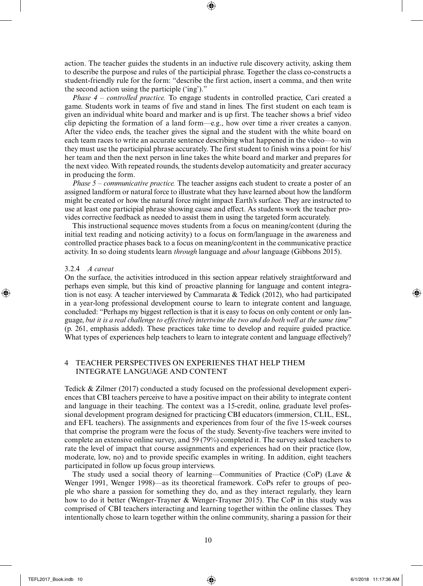action. The teacher guides the students in an inductive rule discovery activity, asking them to describe the purpose and rules of the participial phrase. Together the class co-constructs a student-friendly rule for the form: "describe the first action, insert a comma, and then write the second action using the participle ('ing')."

*Phase 4 – controlled practice.* To engage students in controlled practice, Cari created a game. Students work in teams of five and stand in lines. The first student on each team is given an individual white board and marker and is up first. The teacher shows a brief video clip depicting the formation of a land form—e.g., how over time a river creates a canyon. After the video ends, the teacher gives the signal and the student with the white board on each team races to write an accurate sentence describing what happened in the video—to win they must use the participial phrase accurately. The first student to finish wins a point for his/ her team and then the next person in line takes the white board and marker and prepares for the next video. With repeated rounds, the students develop automaticity and greater accuracy in producing the form.

*Phase 5 – communicative practice.* The teacher assigns each student to create a poster of an assigned landform or natural force to illustrate what they have learned about how the landform might be created or how the natural force might impact Earth's surface. They are instructed to use at least one participial phrase showing cause and effect. As students work the teacher provides corrective feedback as needed to assist them in using the targeted form accurately.

This instructional sequence moves students from a focus on meaning/content (during the initial text reading and noticing activity) to a focus on form/language in the awareness and controlled practice phases back to a focus on meaning/content in the communicative practice activity. In so doing students learn *through* language and *about* language (Gibbons 2015).

#### 3.2.4 *A caveat*

On the surface, the activities introduced in this section appear relatively straightforward and perhaps even simple, but this kind of proactive planning for language and content integration is not easy. A teacher interviewed by Cammarata & Tedick (2012), who had participated in a year-long professional development course to learn to integrate content and language, concluded: "Perhaps my biggest reflection is that it is easy to focus on only content or only language, *but it is a real challenge to effectively intertwine the two and do both well at the same time*" (p. 261, emphasis added). These practices take time to develop and require guided practice. What types of experiences help teachers to learn to integrate content and language effectively?

#### 4 TEACHER PERSPECTIVES ON EXPERIENES THAT HELP THEM INTEGRATE LANGUAGE AND CONTENT

Tedick & Zilmer (2017) conducted a study focused on the professional development experiences that CBI teachers perceive to have a positive impact on their ability to integrate content and language in their teaching. The context was a 15-credit, online, graduate level professional development program designed for practicing CBI educators (immersion, CLIL, ESL, and EFL teachers). The assignments and experiences from four of the five 15-week courses that comprise the program were the focus of the study. Seventy-five teachers were invited to complete an extensive online survey, and 59 (79%) completed it. The survey asked teachers to rate the level of impact that course assignments and experiences had on their practice (low, moderate, low, no) and to provide specific examples in writing. In addition, eight teachers participated in follow up focus group interviews.

The study used a social theory of learning—Communities of Practice (CoP) (Lave  $\&$ Wenger 1991, Wenger 1998)—as its theoretical framework. CoPs refer to groups of people who share a passion for something they do, and as they interact regularly, they learn how to do it better (Wenger-Trayner & Wenger-Trayner 2015). The CoP in this study was comprised of CBI teachers interacting and learning together within the online classes. They intentionally chose to learn together within the online community, sharing a passion for their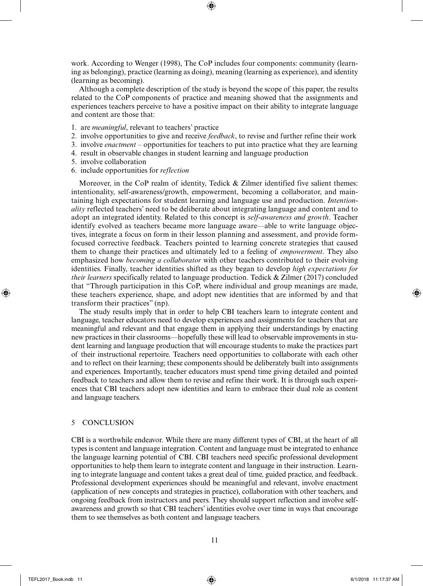work. According to Wenger (1998), The CoP includes four components: community (learning as belonging), practice (learning as doing), meaning (learning as experience), and identity (learning as becoming).

Although a complete description of the study is beyond the scope of this paper, the results related to the CoP components of practice and meaning showed that the assignments and experiences teachers perceive to have a positive impact on their ability to integrate language and content are those that:

- 1. are *meaningful*, relevant to teachers' practice
- 2. involve opportunities to give and receive *feedback*, to revise and further refine their work
- 3. involve *enactment* opportunities for teachers to put into practice what they are learning
- 4. result in observable changes in student learning and language production
- 5. involve collaboration
- 6. include opportunities for *reflection*

Moreover, in the CoP realm of identity, Tedick  $\&$  Zilmer identified five salient themes: intentionality, self-awareness/growth, empowerment, becoming a collaborator, and maintaining high expectations for student learning and language use and production. *Intentionality* reflected teachers' need to be deliberate about integrating language and content and to adopt an integrated identity. Related to this concept is *self-awareness and growth*. Teacher identify evolved as teachers became more language aware—able to write language objectives, integrate a focus on form in their lesson planning and assessment, and provide formfocused corrective feedback. Teachers pointed to learning concrete strategies that caused them to change their practices and ultimately led to a feeling of *empowerment*. They also emphasized how *becoming a collaborator* with other teachers contributed to their evolving identities. Finally, teacher identities shifted as they began to develop *high expectations for their learners* specifically related to language production. Tedick & Zilmer (2017) concluded that "Through participation in this CoP, where individual and group meanings are made, these teachers experience, shape, and adopt new identities that are informed by and that transform their practices" (np).

The study results imply that in order to help CBI teachers learn to integrate content and language, teacher educators need to develop experiences and assignments for teachers that are meaningful and relevant and that engage them in applying their understandings by enacting new practices in their classrooms—hopefully these will lead to observable improvements in student learning and language production that will encourage students to make the practices part of their instructional repertoire. Teachers need opportunities to collaborate with each other and to reflect on their learning; these components should be deliberately built into assignments and experiences. Importantly, teacher educators must spend time giving detailed and pointed feedback to teachers and allow them to revise and refine their work. It is through such experiences that CBI teachers adopt new identities and learn to embrace their dual role as content and language teachers.

#### 5 CONCLUSION

CBI is a worthwhile endeavor. While there are many different types of CBI, at the heart of all types is content and language integration. Content and language must be integrated to enhance the language learning potential of CBI. CBI teachers need specific professional development opportunities to help them learn to integrate content and language in their instruction. Learning to integrate language and content takes a great deal of time, guided practice, and feedback. Professional development experiences should be meaningful and relevant, involve enactment (application of new concepts and strategies in practice), collaboration with other teachers, and ongoing feedback from instructors and peers. They should support reflection and involve selfawareness and growth so that CBI teachers' identities evolve over time in ways that encourage them to see themselves as both content and language teachers.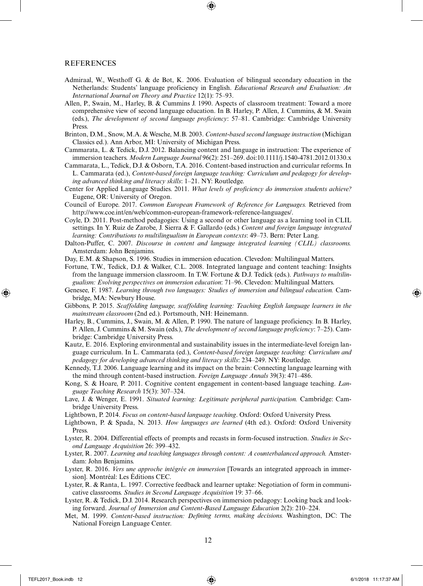#### REFERENCES

- Admiraal, W., Westhoff G. & de Bot, K. 2006. Evaluation of bilingual secondary education in the Netherlands: Students' language proficiency in English. *Educational Research and Evaluation: An International Journal on Theory and Practice* 12(1): 75–93.
- Allen, P., Swain, M., Harley, B. & Cummins J. 1990. Aspects of classroom treatment: Toward a more comprehensive view of second language education. In B. Harley, P. Allen, J. Cummins, & M. Swain (eds.), *The development of second language proficiency*: 57–81. Cambridge: Cambridge University Press.
- Brinton, D.M., Snow, M.A. & Wesche, M.B. 2003. *Content-based second language instruction* (Michigan Classics ed.). Ann Arbor, MI: University of Michigan Press.
- Cammarata, L. & Tedick, D.J. 2012. Balancing content and language in instruction: The experience of immersion teachers. *Modern Language Journal* 96(2): 251–269. doi:10.1111/j.1540-4781.2012.01330.x
- Cammarata, L., Tedick, D.J. & Osborn, T.A. 2016. Content-based instruction and curricular reforms. In L. Cammarata (ed.), *Content-based foreign language teaching: Curriculum and pedagogy for developing advanced thinking and literacy skills*: 1–21. NY: Routledge.
- Center for Applied Language Studies. 2011. *What levels of proficiency do immersion students achieve?* Eugene, OR: University of Oregon.
- Council of Europe. 2017. *Common European Framework of Reference for Languages.* Retrieved from [http://www.coe.int/en/web/common-european-framework-reference-languages/.](http://www.coe.int/en/web/common-european-framework-reference-languages/)
- Coyle, D. 2011. Post-method pedagogies: Using a second or other language as a learning tool in CLIL settings. In Y. Ruiz de Zarobe, J. Sierra & F. Gallardo (eds.) *Content and foreign language integrated learning: Contributions to multilingualism in European contexts*: 49–73. Bern: Peter Lang.
- Dalton-Puffer, C. 2007. *Discourse in content and language integrated learning (CLIL) classrooms.* Amsterdam: John Benjamins.
- Day, E.M. & Shapson, S. 1996. Studies in immersion education. Clevedon: Multilingual Matters.
- Fortune, T.W., Tedick, D.J. & Walker, C.L. 2008. Integrated language and content teaching: Insights from the language immersion classroom. In T.W. Fortune & D.J. Tedick (eds.). *Pathways to multilingualism: Evolving perspectives on immersion education*: 71–96. Clevedon: Multilingual Matters.
- Genesee, F. 1987. *Learning through two languages: Studies of immersion and bilingual education.* Cambridge, MA: Newbury House.
- Gibbons, P. 2015. *Scaffolding language, scaffolding learning: Teaching English language learners in the mainstream classroom* (2nd ed.). Portsmouth, NH: Heinemann.
- Harley, B., Cummins, J., Swain, M. & Allen, P. 1990. The nature of language proficiency. In B. Harley, P. Allen, J. Cummins & M. Swain (eds.), *The development of second language proficiency*: 7–25). Cambridge: Cambridge University Press.
- Kautz, E. 2016. Exploring environmental and sustainability issues in the intermediate-level foreign language curriculum. In L. Cammarata (ed.), *Content-based foreign language teaching: Curriculum and pedagogy for developing advanced thinking and literacy skills*: 234–249. NY: Routledge.
- Kennedy, T.J. 2006. Language learning and its impact on the brain: Connecting language learning with the mind through content-based instruction. *Foreign Language Annals* 39(3): 471–486.
- Kong, S. & Hoare, P. 2011. Cognitive content engagement in content-based language teaching. *Language Teaching Research* 15(3): 307–324.
- Lave, J. & Wenger, E. 1991. *Situated learning: Legitimate peripheral participation.* Cambridge: Cambridge University Press.
- Lightbown, P. 2014. *Focus on content-based language teaching*. Oxford: Oxford University Press.
- Lightbown, P. & Spada, N. 2013. *How languages are learned* (4th ed.). Oxford: Oxford University Press.
- Lyster, R. 2004. Differential effects of prompts and recasts in form-focused instruction. *Studies in Second Language Acquisition* 26: 399–432.
- Lyster, R. 2007. *Learning and teaching languages through content: A counterbalanced approach.* Amsterdam: John Benjamins.
- Lyster, R. 2016. *Vers une approche intégrée en immersion* [Towards an integrated approach in immersion]. Montréal: Les Éditions CEC.
- Lyster, R. & Ranta, L. 1997. Corrective feedback and learner uptake: Negotiation of form in communicative classrooms. *Studies in Second Language Acquisition* 19: 37–66.
- Lyster, R. & Tedick, D.J. 2014. Research perspectives on immersion pedagogy: Looking back and looking forward. *Journal of Immersion and Content-Based Language Education* 2(2): 210–224.
- Met, M. 1999. *Content-based instruction: Defining terms, making decisions.* Washington, DC: The National Foreign Language Center.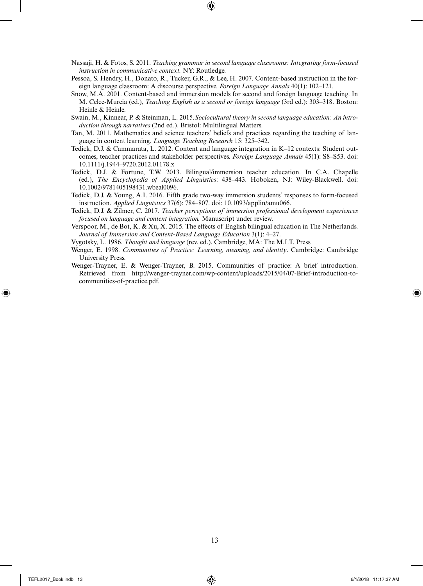- Nassaji, H. & Fotos, S. 2011. *Teaching grammar in second language classrooms: Integrating form-focused instruction in communicative context.* NY: Routledge.
- Pessoa, S. Hendry, H., Donato, R., Tucker, G.R., & Lee, H. 2007. Content-based instruction in the foreign language classroom: A discourse perspective. *Foreign Language Annals* 40(1): 102–121.
- Snow, M.A. 2001. Content-based and immersion models for second and foreign language teaching. In M. Celce-Murcia (ed.), *Teaching English as a second or foreign language* (3rd ed.): 303–318. Boston: Heinle & Heinle.
- Swain, M., Kinnear, P. & Steinman, L. 2015.*Sociocultural theory in second language education: An introduction through narratives* (2nd ed.). Bristol: Multilingual Matters.
- Tan, M. 2011. Mathematics and science teachers' beliefs and practices regarding the teaching of language in content learning. *Language Teaching Research* 15: 325–342.
- Tedick, D.J. & Cammarata, L. 2012. Content and language integration in K–12 contexts: Student outcomes, teacher practices and stakeholder perspectives. *Foreign Language Annals* 45(1): S8–S53. doi: 10.1111/j.1944–9720.2012.01178.x
- Tedick, D.J. & Fortune, T.W. 2013. Bilingual/immersion teacher education. In C.A. Chapelle (ed.), *The Encyclopedia of Applied Linguistics*: 438–443. Hoboken, NJ: Wiley-Blackwell. doi: 10.1002/9781405198431.wbeal0096.
- Tedick, D.J. & Young, A.I. 2016. Fifth grade two-way immersion students' responses to form-focused instruction. *Applied Linguistics* 37(6): 784–807. doi: 10.1093/applin/amu066.
- Tedick, D.J. & Zilmer, C. 2017. *Teacher perceptions of immersion professional development experiences focused on language and content integration.* Manuscript under review.
- Verspoor, M., de Bot, K. & Xu, X. 2015. The effects of English bilingual education in The Netherlands. *Journal of Immersion and Content-Based Language Education* 3(1): 4–27.
- Vygotsky, L. 1986. *Thought and language* (rev. ed.). Cambridge, MA: The M.I.T. Press.
- Wenger, E. 1998. *Communities of Practice: Learning, meaning, and identity*. Cambridge: Cambridge University Press.
- Wenger-Trayner, E. & Wenger-Trayner, B. 2015. Communities of practice: A brief introduction. Retrieved from [http://wenger-trayner.com/wp-content/uploads/2015/04/07-Brief-introduction-to](http://wenger-trayner.com/wp-content/uploads/2015/04/07-Brief-introduction-to-communities-of-practoce.pdf)[communities-of-practice.pdf.](http://wenger-trayner.com/wp-content/uploads/2015/04/07-Brief-introduction-to-communities-of-practoce.pdf)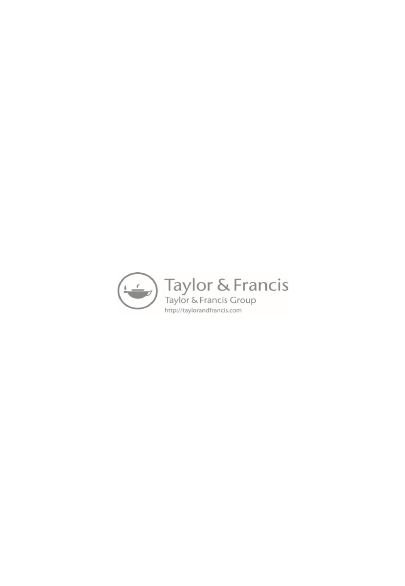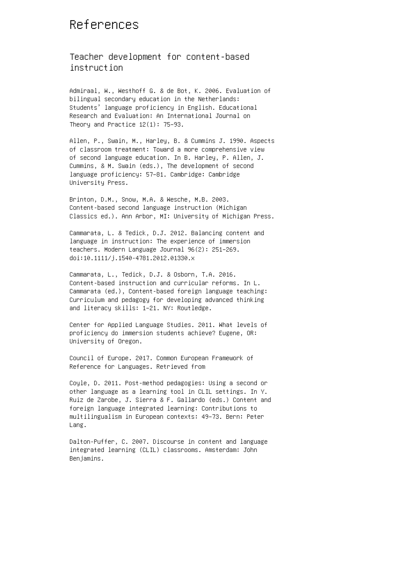## References

Teacher development for content-based instruction

Admiraal, W., Westhoff G. & de Bot, K. 2006. Evaluation of bilingual secondary education in the Netherlands: Students' language proficiency in English. Educational Research and Evaluation: An International Journal on Theory and Practice 12(1): 75–93.

Allen, P., Swain, M., Harley, B. & Cummins J. 1990. Aspects of classroom treatment: Toward a more comprehensive view of second language education. In B. Harley, P. Allen, J. Cummins, & M. Swain (eds.), The development of second language proficiency: 57–81. Cambridge: Cambridge University Press.

Brinton, D.M., Snow, M.A. & Wesche, M.B. 2003. Content-based second language instruction (Michigan Classics ed.). Ann Arbor, MI: University of Michigan Press.

Cammarata, L. & Tedick, D.J. 2012. Balancing content and language in instruction: The experience of immersion teachers. Modern Language Journal 96(2): 251–269. doi:10.1111/j.1540-4781.2012.01330.x

Cammarata, L., Tedick, D.J. & Osborn, T.A. 2016. Content-based instruction and curricular reforms. In L. Cammarata (ed.), Content-based foreign language teaching: Curriculum and pedagogy for developing advanced thinking and literacy skills: 1–21. NY: Routledge.

Center for Applied Language Studies. 2011. What levels of proficiency do immersion students achieve? Eugene, OR: University of Oregon.

Council of Europe. 2017. Common European Framework of Reference for Languages. Retrieved from

Coyle, D. 2011. Post-method pedagogies: Using a second or other language as a learning tool in CLIL settings. In Y. Ruiz de Zarobe, J. Sierra & F. Gallardo (eds.) Content and foreign language integrated learning: Contributions to multilingualism in European contexts: 49–73. Bern: Peter Lang.

Dalton-Puffer, C. 2007. Discourse in content and language integrated learning (CLIL) classrooms. Amsterdam: John Benjamins.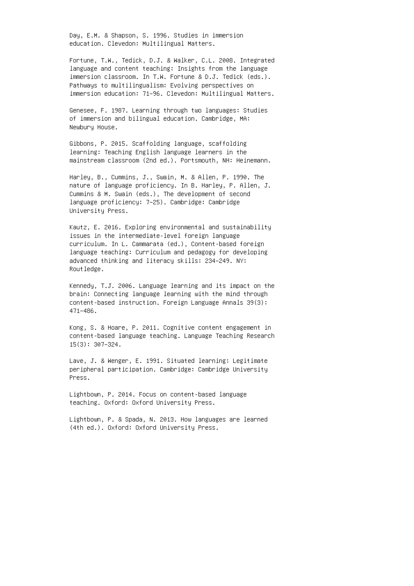Day, E.M. & Shapson, S. 1996. Studies in immersion education. Clevedon: Multilingual Matters.

Fortune, T.W., Tedick, D.J. & Walker, C.L. 2008. Integrated language and content teaching: Insights from the language immersion classroom. In T.W. Fortune & D.J. Tedick (eds.). Pathways to multilingualism: Evolving perspectives on immersion education: 71–96. Clevedon: Multilingual Matters.

Genesee, F. 1987. Learning through two languages: Studies of immersion and bilingual education. Cambridge, MA: Newbury House.

Gibbons, P. 2015. Scaffolding language, scaffolding learning: Teaching English language learners in the mainstream classroom (2nd ed.). Portsmouth, NH: Heinemann.

Harley, B., Cummins, J., Swain, M. & Allen, P. 1990. The nature of language proficiency. In B. Harley, P. Allen, J. Cummins & M. Swain (eds.), The development of second language proficiency: 7–25). Cambridge: Cambridge University Press.

Kautz, E. 2016. Exploring environmental and sustainability issues in the intermediate-level foreign language curriculum. In L. Cammarata (ed.), Content-based foreign language teaching: Curriculum and pedagogy for developing advanced thinking and literacy skills: 234–249. NY: Routledge.

Kennedy, T.J. 2006. Language learning and its impact on the brain: Connecting language learning with the mind through content-based instruction. Foreign Language Annals 39(3): 471–486.

Kong, S. & Hoare, P. 2011. Cognitive content engagement in content-based language teaching. Language Teaching Research 15(3): 307–324.

Lave, J. & Wenger, E. 1991. Situated learning: Legitimate peripheral participation. Cambridge: Cambridge University Press.

Lightbown, P. 2014. Focus on content-based language teaching. Oxford: Oxford University Press.

Lightbown, P. & Spada, N. 2013. How languages are learned (4th ed.). Oxford: Oxford University Press.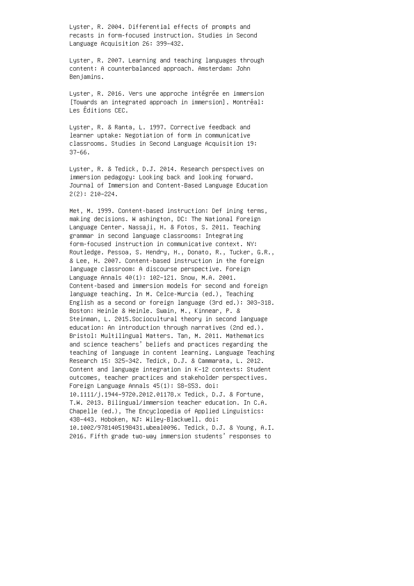Lyster, R. 2004. Differential effects of prompts and recasts in form-focused instruction. Studies in Second Language Acquisition 26: 399–432.

Lyster, R. 2007. Learning and teaching languages through content: A counterbalanced approach. Amsterdam: John Benjamins.

Lyster, R. 2016. Vers une approche intégrée en immersion [Towards an integrated approach in immersion]. Montréal: Les Éditions CEC.

Lyster, R. & Ranta, L. 1997. Corrective feedback and learner uptake: Negotiation of form in communicative classrooms. Studies in Second Language Acquisition 19: 37–66.

Lyster, R. & Tedick, D.J. 2014. Research perspectives on immersion pedagogy: Looking back and looking forward. Journal of Immersion and Content-Based Language Education 2(2): 210–224.

Met, M. 1999. Content-based instruction: Def ining terms, making decisions. W ashington, DC: The National Foreign Language Center. Nassaji, H. & Fotos, S. 2011. Teaching grammar in second language classrooms: Integrating form-focused instruction in communicative context. NY: Routledge. Pessoa, S. Hendry, H., Donato, R., Tucker, G.R., & Lee, H. 2007. Content-based instruction in the foreign language classroom: A discourse perspective. Foreign Language Annals 40(1): 102–121. Snow, M.A. 2001. Content-based and immersion models for second and foreign language teaching. In M. Celce-Murcia (ed.), Teaching English as a second or foreign language (3rd ed.): 303–318. Boston: Heinle & Heinle. Swain, M., Kinnear, P. & Steinman, L. 2015.Sociocultural theory in second language education: An introduction through narratives (2nd ed.). Bristol: Multilingual Matters. Tan, M. 2011. Mathematics and science teachers' beliefs and practices regarding the teaching of language in content learning. Language Teaching Research 15: 325–342. Tedick, D.J. & Cammarata, L. 2012. Content and language integration in K–12 contexts: Student outcomes, teacher practices and stakeholder perspectives. Foreign Language Annals 45(1): S8–S53. doi: 10.1111/j.1944–9720.2012.01178.x Tedick, D.J. & Fortune, T.W. 2013. Bilingual/immersion teacher education. In C.A. Chapelle (ed.), The Encyclopedia of Applied Linguistics: 438–443. Hoboken, NJ: Wiley-Blackwell. doi: 10.1002/9781405198431.wbeal0096. Tedick, D.J. & Young, A.I. 2016. Fifth grade two-way immersion students' responses to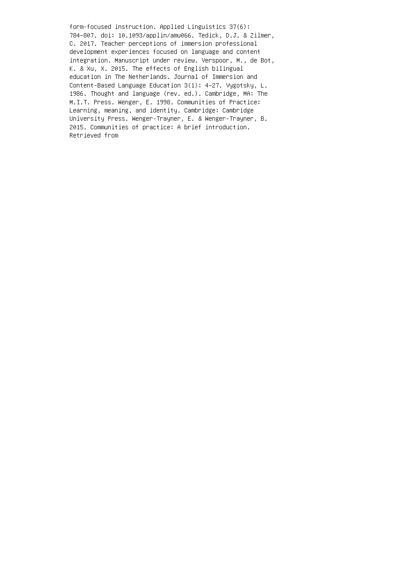form-focused instruction. Applied Linguistics 37(6): 784–807. doi: 10.1093/applin/amu066. Tedick, D.J. & Zilmer, C. 2017. Teacher perceptions of immersion professional development experiences focused on language and content integration. Manuscript under review. Verspoor, M., de Bot, K. & Xu, X. 2015. The effects of English bilingual education in The Netherlands. Journal of Immersion and Content-Based Language Education 3(1): 4–27. Vygotsky, L. 1986. Thought and language (rev. ed.). Cambridge, MA: The M.I.T. Press. Wenger, E. 1998. Communities of Practice: Learning, meaning, and identity. Cambridge: Cambridge University Press. Wenger-Trayner, E. & Wenger-Trayner, B. 2015. Communities of practice: A brief introduction. Retrieved from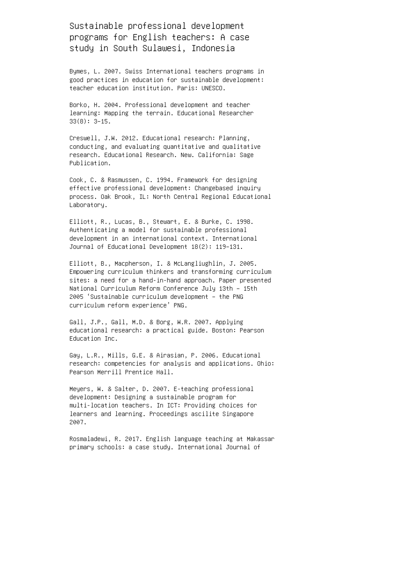Sustainable professional development programs for English teachers: A case study in South Sulawesi, Indonesia

Bymes, L. 2007. Swiss International teachers programs in good practices in education for sustainable development: teacher education institution. Paris: UNESCO.

Borko, H. 2004. Professional development and teacher learning: Mapping the terrain. Educational Researcher 33(8): 3–15.

Creswell, J.W. 2012. Educational research: Planning, conducting, and evaluating quantitative and qualitative research. Educational Research. New. California: Sage Publication.

Cook, C. & Rasmussen, C. 1994. Framework for designing effective professional development: Changebased inquiry process. Oak Brook, IL: North Central Regional Educational Laboratory.

Elliott, R., Lucas, B., Stewart, E. & Burke, C. 1998. Authenticating a model for sustainable professional development in an international context. International Journal of Educational Development 18(2): 119–131.

Elliott, B., Macpherson, I. & McLangliughlin, J. 2005. Empowering curriculum thinkers and transforming curriculum sites: a need for a hand-in-hand approach. Paper presented National Curriculum Reform Conference July 13th – 15th 2005 'Sustainable curriculum development – the PNG curriculum reform experience' PNG.

Gall, J.P., Gall, M.D. & Borg, W.R. 2007. Applying educational research: a practical guide. Boston: Pearson Education Inc.

Gay, L.R., Mills, G.E. & Airasian, P. 2006. Educational research: competencies for analysis and applications. Ohio: Pearson Merrill Prentice Hall.

Meyers, W. & Salter, D. 2007. E-teaching professional development: Designing a sustainable program for multi-location teachers. In ICT: Providing choices for learners and learning. Proceedings ascilite Singapore 2007.

Rosmaladewi, R. 2017. English language teaching at Makassar primary schools: a case study. International Journal of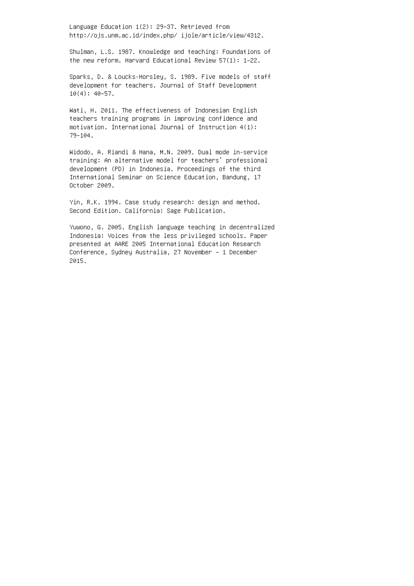Language Education 1(2): 29–37. Retrieved from http://ojs.unm.ac.id/index.php/ ijole/article/view/4312.

Shulman, L.S. 1987. Knowledge and teaching: Foundations of the new reform. Harvard Educational Review 57(1): 1–22.

Sparks, D. & Loucks-Horsley, S. 1989. Five models of staff development for teachers. Journal of Staff Development 10(4): 40–57.

Wati, H. 2011. The effectiveness of Indonesian English teachers training programs in improving confidence and motivation. International Journal of Instruction 4(1): 79–104.

Widodo, A. Riandi & Hana, M.N. 2009. Dual mode in-service training: An alternative model for teachers' professional development (PD) in Indonesia. Proceedings of the third International Seminar on Science Education, Bandung, 17 October 2009.

Yin, R.K. 1994. Case study research: design and method. Second Edition. California: Sage Publication.

Yuwono, G. 2005. English language teaching in decentralized Indonesia: Voices from the less privileged schools. Paper presented at AARE 2005 International Education Research Conference, Sydney Australia, 27 November – 1 December 2015.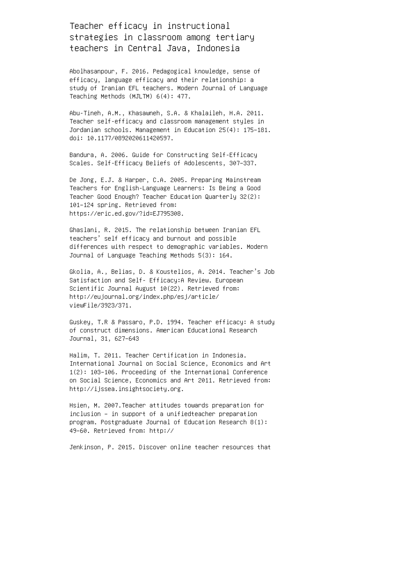Teacher efficacy in instructional strategies in classroom among tertiary teachers in Central Java, Indonesia

Abolhasanpour, F. 2016. Pedagogical knowledge, sense of efficacy, language efficacy and their relationship: a study of Iranian EFL teachers. Modern Journal of Language Teaching Methods (MJLTM) 6(4): 477.

Abu-Tineh, A.M., Khasawneh, S.A. & Khalaileh, H.A. 2011. Teacher self-efficacy and classroom management styles in Jordanian schools. Management in Education 25(4): 175–181. doi: 10.1177/0892020611420597.

Bandura, A. 2006. Guide for Constructing Self-Efficacy Scales. Self-Efficacy Beliefs of Adolescents, 307–337.

De Jong, E.J. & Harper, C.A. 2005. Preparing Mainstream Teachers for English-Language Learners: Is Being a Good Teacher Good Enough? Teacher Education Quarterly 32(2): 101–124 spring. Retrieved from: https://eric.ed.gov/?id=EJ795308.

Ghaslani, R. 2015. The relationship between Iranian EFL teachers' self efficacy and burnout and possible differences with respect to demographic variables. Modern Journal of Language Teaching Methods 5(3): 164.

Gkolia, A., Belias, D. & Koustelios, A. 2014. Teacher's Job Satisfaction and Self- Efficacy:A Review. European Scientific Journal August 10(22). Retrieved from: http://eujournal.org/index.php/esj/article/ viewFile/3923/371.

Guskey, T.R & Passaro, P.D. 1994. Teacher efficacy: A study of construct dimensions. American Educational Research Journal, 31, 627–643

Halim, T. 2011. Teacher Certification in Indonesia. International Journal on Social Science, Economics and Art 1(2): 103–106. Proceeding of the International Conference on Social Science, Economics and Art 2011. Retrieved from: http://ijssea.insightsociety.org.

Hsien, M. 2007.Teacher attitudes towards preparation for inclusion – in support of a unifiedteacher preparation program. Postgraduate Journal of Education Research 8(1): 49–60. Retrieved from: http://

Jenkinson, P. 2015. Discover online teacher resources that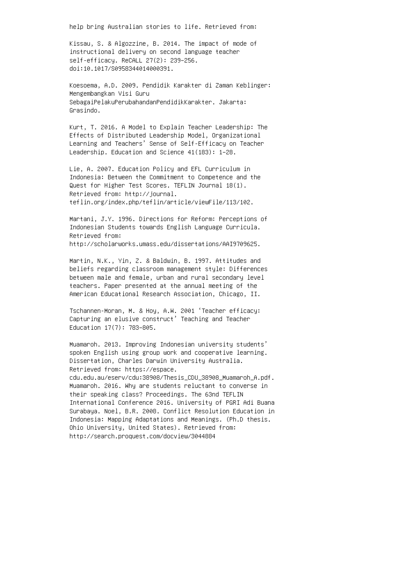help bring Australian stories to life. Retrieved from:

Kissau, S. & Algozzine, B. 2014. The impact of mode of instructional delivery on second language teacher self-efficacy. ReCALL 27(2): 239–256. doi:10.1017/S0958344014000391.

Koesoema, A.D. 2009. Pendidik Karakter di Zaman Keblinger: Mengembangkan Visi Guru SebagaiPelakuPerubahandanPendidikKarakter. Jakarta: Grasindo.

Kurt, T. 2016. A Model to Explain Teacher Leadership: The Effects of Distributed Leadership Model, Organizational Learning and Teachers' Sense of Self-Efficacy on Teacher Leadership. Education and Science 41(183): 1–28.

Lie, A. 2007. Education Policy and EFL Curriculum in Indonesia: Between the Commitment to Competence and the Quest for Higher Test Scores. TEFLIN Journal 18(1). Retrieved from: http://journal. teflin.org/index.php/teflin/article/viewFile/113/102.

Martani, J.Y. 1996. Directions for Reform: Perceptions of Indonesian Students towards English Language Curricula. Retrieved from: http://scholarworks.umass.edu/dissertations/AAI9709625.

Martin, N.K., Yin, Z. & Baldwin, B. 1997. Attitudes and beliefs regarding classroom management style: Differences between male and female, urban and rural secondary level teachers. Paper presented at the annual meeting of the American Educational Research Association, Chicago, II.

Tschannen-Moran, M. & Hoy, A.W. 2001 'Teacher efficacy: Capturing an elusive construct' Teaching and Teacher Education 17(7): 783–805.

Muamaroh. 2013. Improving Indonesian university students' spoken English using group work and cooperative learning. Dissertation, Charles Darwin University Australia. Retrieved from: https://espace.

cdu.edu.au/eserv/cdu:38908/Thesis\_CDU\_38908\_Muamaroh\_A.pdf. Muamaroh. 2016. Why are students reluctant to converse in their speaking class? Proceedings. The 63nd TEFLIN International Conference 2016. University of PGRI Adi Buana Surabaya. Noel, B.R. 2008. Conflict Resolution Education in Indonesia: Mapping Adaptations and Meanings. (Ph.D thesis. Ohio University, United States). Retrieved from: http://search.proquest.com/docview/3044884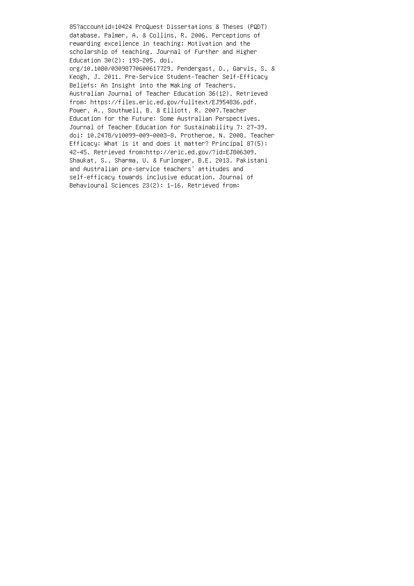85?accountid=10424 ProQuest Dissertations & Theses (PQDT) database. Palmer, A. & Collins, R. 2006. Perceptions of rewarding excellence in teaching: Motivation and the scholarship of teaching. Journal of Further and Higher Education 30(2): 193–205. doi. org/10.1080/03098770600617729. Pendergast, D., Garvis, S. & Keogh, J. 2011. Pre-Service Student-Teacher Self-Efficacy Beliefs: An Insight into the Making of Teachers. Australian Journal of Teacher Education 36(12). Retrieved from: https://files.eric.ed.gov/fulltext/EJ954836.pdf. Power, A., Southwell, B. & Elliott, R. 2007.Teacher Education for the Future: Some Australian Perspectives. Journal of Teacher Education for Sustainability 7: 27–39. doi: 10.2478/v10099–009–0003–8. Protheroe, N. 2008. Teacher Efficacy: What is it and does it matter? Principal 87(5): 42–45. Retrieved from:http://eric.ed.gov/?id=EJ806309. Shaukat, S., Sharma, U. & Furlonger, B.E. 2013. Pakistani and Australian pre-service teachers' attitudes and self-efficacy towards inclusive education. Journal of Behavioural Sciences 23(2): 1–16. Retrieved from: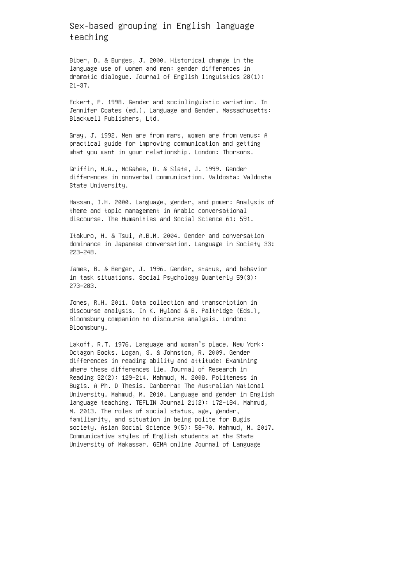#### Sex-based grouping in English language teaching

Biber, D. & Burges, J. 2000. Historical change in the language use of women and men: gender differences in dramatic dialogue. Journal of English linguistics 28(1): 21–37.

Eckert, P. 1998. Gender and sociolinguistic variation. In Jennifer Coates (ed.), Language and Gender. Massachusetts: Blackwell Publishers, Ltd.

Gray, J. 1992. Men are from mars, women are from venus: A practical guide for improving communication and getting what you want in your relationship. London: Thorsons.

Griffin, M.A., McGahee, D. & Slate, J. 1999. Gender differences in nonverbal communication. Valdosta: Valdosta State University.

Hassan, I.H. 2000. Language, gender, and power: Analysis of theme and topic management in Arabic conversational discourse. The Humanities and Social Science 61: 591.

Itakuro, H. & Tsui, A.B.M. 2004. Gender and conversation dominance in Japanese conversation. Language in Society 33: 223–248.

James, B. & Berger, J. 1996. Gender, status, and behavior in task situations. Social Psychology Quarterly 59(3): 273–283.

Jones, R.H. 2011. Data collection and transcription in discourse analysis. In K. Hyland & B. Paltridge (Eds.), Bloomsbury companion to discourse analysis. London: Bloomsbury.

Lakoff, R.T. 1976. Language and woman's place. New York: Octagon Books. Logan, S. & Johnston, R. 2009. Gender differences in reading ability and attitude: Examining where these differences lie. Journal of Research in Reading 32(2): 129–214. Mahmud, M. 2008. Politeness in Bugis. A Ph. D Thesis. Canberra: The Australian National University. Mahmud, M. 2010. Language and gender in English language teaching. TEFLIN Journal 21(2): 172–184. Mahmud, M. 2013. The roles of social status, age, gender, familiarity, and situation in being polite for Bugis society. Asian Social Science 9(5): 58–70. Mahmud, M. 2017. Communicative styles of English students at the State University of Makassar. GEMA online Journal of Language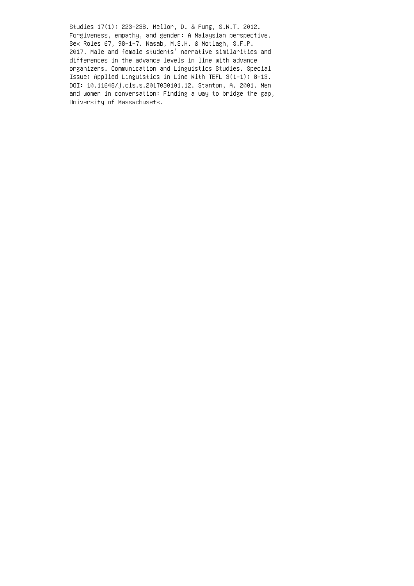Studies 17(1): 223–238. Mellor, D. & Fung, S.W.T. 2012. Forgiveness, empathy, and gender: A Malaysian perspective. Sex Roles 67, 98–1–7. Nasab, M.S.H. & Motlagh, S.F.P. 2017. Male and female students' narrative similarities and differences in the advance levels in line with advance organizers. Communication and Linguistics Studies. Special Issue: Applied Linguistics in Line With TEFL 3(1–1): 8–13. DOI: 10.11648/j.cls.s.2017030101.12. Stanton, A. 2001. Men and women in conversation: Finding a way to bridge the gap, University of Massachusets.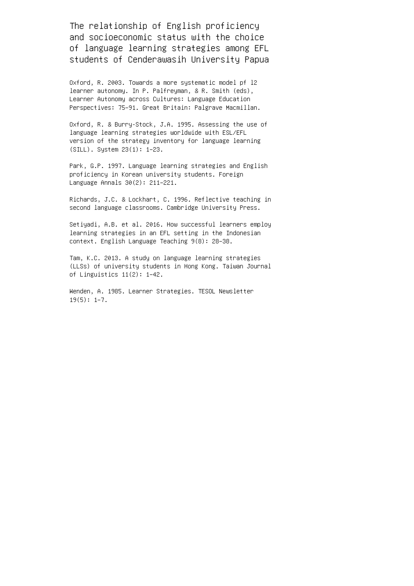The relationship of English proficiency and socioeconomic status with the choice of language learning strategies among EFL students of Cenderawasih University Papua

Oxford, R. 2003. Towards a more systematic model pf l2 learner autonomy. In P. Palfreyman, & R. Smith (eds), Learner Autonomy across Cultures: Language Education Perspectives: 75–91. Great Britain: Palgrave Macmillan.

Oxford, R. & Burry-Stock, J.A. 1995. Assessing the use of language learning strategies worldwide with ESL/EFL version of the strategy inventory for language learning (SILL). System 23(1): 1–23.

Park, G.P. 1997. Language learning strategies and English proficiency in Korean university students. Foreign Language Annals 30(2): 211–221.

Richards, J.C. & Lockhart, C. 1996. Reflective teaching in second language classrooms. Cambridge University Press.

Setiyadi, A.B. et al. 2016. How successful learners employ learning strategies in an EFL setting in the Indonesian context. English Language Teaching 9(8): 28–38.

Tam, K.C. 2013. A study on language learning strategies (LLSs) of university students in Hong Kong. Taiwan Journal of Linguistics 11(2): 1–42.

Wenden, A. 1985. Learner Strategies. TESOL Newsletter 19(5): 1–7.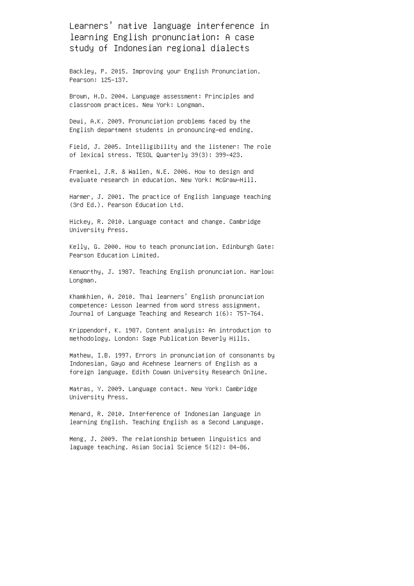Learners' native language interference in learning English pronunciation: A case study of Indonesian regional dialects

Backley, P. 2015. Improving your English Pronunciation. Pearson: 125–137.

Brown, H.D. 2004. Language assessment: Principles and classroom practices. New York: Longman.

Dewi, A.K. 2009. Pronunciation problems faced by the English department students in pronouncing—ed ending.

Field, J. 2005. Intelligibility and the listener: The role of lexical stress. TESOL Quarterly 39(3): 399–423.

Fraenkel, J.R. & Wallen, N.E. 2006. How to design and evaluate research in education. New York: McGraw—Hill.

Harmer, J. 2001. The practice of English language teaching (3rd Ed.). Pearson Education Ltd.

Hickey, R. 2010. Language contact and change. Cambridge University Press.

Kelly, G. 2000. How to teach pronunciation. Edinburgh Gate: Pearson Education Limited.

Kenworthy, J. 1987. Teaching English pronunciation. Harlow: Longman.

Khamkhien, A. 2010. Thai learners' English pronunciation competence: Lesson learned from word stress assignment. Journal of Language Teaching and Research 1(6): 757–764.

Krippendorf, K. 1987. Content analysis: An introduction to methodology. London: Sage Publication Beverly Hills.

Mathew, I.B. 1997. Errors in pronunciation of consonants by Indonesian, Gayo and Acehnese learners of English as a foreign language. Edith Cowan University Research Online.

Matras, Y. 2009. Language contact. New York: Cambridge University Press.

Menard, R. 2010. Interference of Indonesian language in learning English. Teaching English as a Second Language.

Meng, J. 2009. The relationship between linguistics and laguage teaching. Asian Social Science 5(12): 84–86.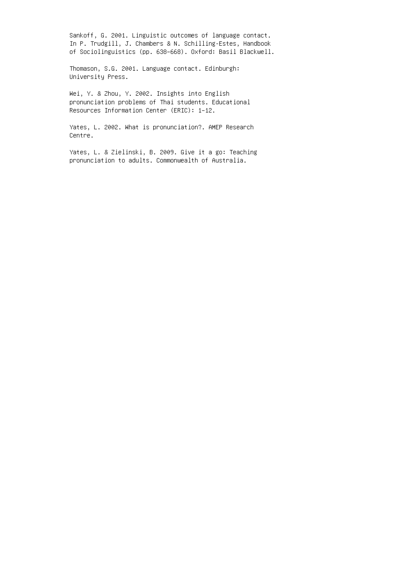Sankoff, G. 2001. Linguistic outcomes of language contact. In P. Trudgill, J. Chambers & N. Schilling-Estes, Handbook of Sociolinguistics (pp. 638–668). Oxford: Basil Blackwell.

Thomason, S.G. 2001. Language contact. Edinburgh: University Press.

Wei, Y. & Zhou, Y. 2002. Insights into English pronunciation problems of Thai students. Educational Resources Information Center (ERIC): 1–12.

Yates, L. 2002. What is pronunciation?. AMEP Research Centre.

Yates, L. & Zielinski, B. 2009. Give it a go: Teaching pronunciation to adults. Commonwealth of Australia.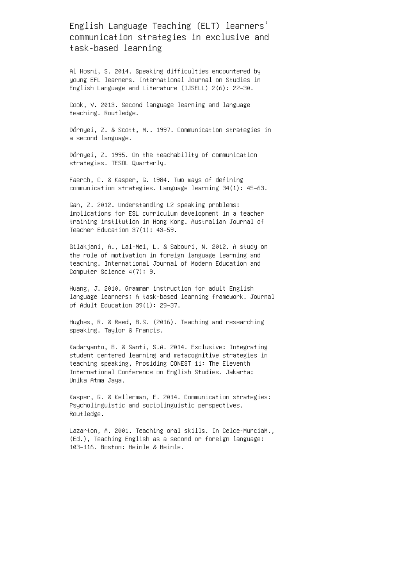### English Language Teaching (ELT) learners' communication strategies in exclusive and task-based learning

Al Hosni, S. 2014. Speaking difficulties encountered by young EFL learners. International Journal on Studies in English Language and Literature (IJSELL) 2(6): 22–30.

Cook, V. 2013. Second language learning and language teaching. Routledge.

Dörnyei, Z. & Scott, M.. 1997. Communication strategies in a second language.

Dörnyei, Z. 1995. On the teachability of communication strategies. TESOL Quarterly.

Faerch, C. & Kasper, G. 1984. Two ways of defining communication strategies. Language learning 34(1): 45–63.

Gan, Z. 2012. Understanding L2 speaking problems: implications for ESL curriculum development in a teacher training institution in Hong Kong. Australian Journal of Teacher Education 37(1): 43–59.

Gilakjani, A., Lai-Mei, L. & Sabouri, N. 2012. A study on the role of motivation in foreign language learning and teaching. International Journal of Modern Education and Computer Science 4(7): 9.

Huang, J. 2010. Grammar instruction for adult English language learners: A task-based learning framework. Journal of Adult Education 39(1): 29–37.

Hughes, R. & Reed, B.S. (2016). Teaching and researching speaking. Taylor & Francis.

Kadaryanto, B. & Santi, S.A. 2014. Exclusive: Integrating student centered learning and metacognitive strategies in teaching speaking, Prosiding CONEST 11: The Eleventh International Conference on English Studies. Jakarta: Unika Atma Jaya.

Kasper, G. & Kellerman, E. 2014. Communication strategies: Psycholinguistic and sociolinguistic perspectives. Routledge.

Lazarton, A. 2001. Teaching oral skills. In Celce-MurciaM., (Ed.), Teaching English as a second or foreign language: 103–116. Boston: Heinle & Heinle.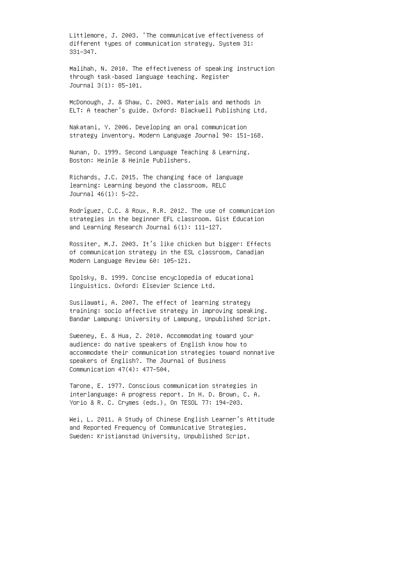Littlemore, J. 2003. 'The communicative effectiveness of different types of communication strategy. System 31: 331–347.

Malihah, N. 2010. The effectiveness of speaking instruction through task-based language teaching. Register Journal 3(1): 85–101.

McDonough, J. & Shaw, C. 2003. Materials and methods in ELT: A teacher's guide. Oxford: Blackwell Publishing Ltd.

Nakatani, Y. 2006. Developing an oral communication strategy inventory. Modern Language Journal 90: 151–168.

Nunan, D. 1999. Second Language Teaching & Learning. Boston: Heinle & Heinle Publishers.

Richards, J.C. 2015. The changing face of language learning: Learning beyond the classroom. RELC Journal 46(1): 5–22.

Rodríguez, C.C. & Roux, R.R. 2012. The use of communication strategies in the beginner EFL classroom. Gist Education and Learning Research Journal 6(1): 111–127.

Rossiter, M.J. 2003. It's like chicken but bigger: Effects of communication strategy in the ESL classroom, Canadian Modern Language Review 60: 105–121.

Spolsky, B. 1999. Concise encyclopedia of educational linguistics. Oxford: Elsevier Science Ltd.

Susilawati, A. 2007. The effect of learning strategy training: socio affective strategy in improving speaking. Bandar Lampung: University of Lampung, Unpublished Script.

Sweeney, E. & Hua, Z. 2010. Accommodating toward your audience: do native speakers of English know how to accommodate their communication strategies toward nonnative speakers of English?. The Journal of Business Communication 47(4): 477–504.

Tarone, E. 1977. Conscious communication strategies in interlanguage: A progress report. In H. D. Brown, C. A. Yorio & R. C. Crymes (eds.), On TESOL 77: 194–203.

Wei, L. 2011. A Study of Chinese English Learner's Attitude and Reported Frequency of Communicative Strategies. Sweden: Kristianstad University, Unpublished Script.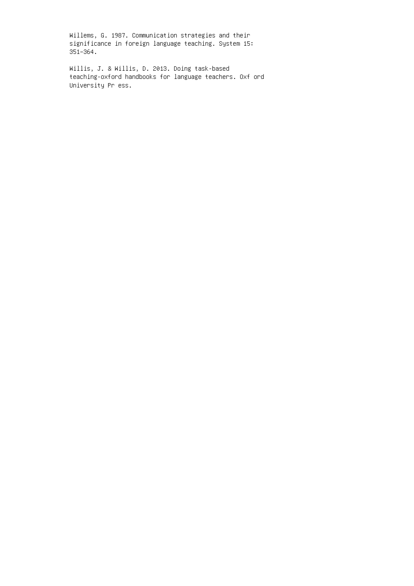Willems, G. 1987. Communication strategies and their significance in foreign language teaching. System 15: 351–364.

Willis, J. & Willis, D. 2013. Doing task-based teaching-oxford handbooks for language teachers. Oxf ord University Pr ess.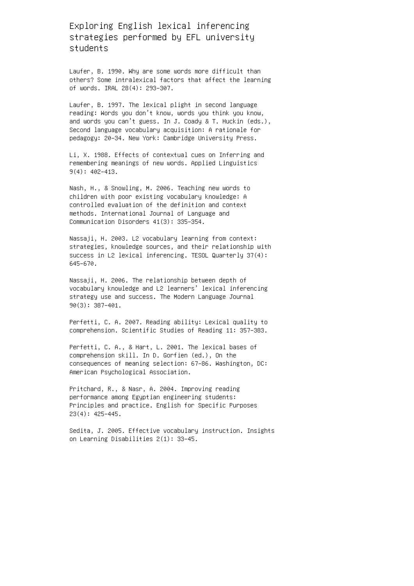Exploring English lexical inferencing strategies performed by EFL university students

Laufer, B. 1990. Why are some words more difficult than others? Some intralexical factors that affect the learning of words. IRAL 28(4): 293–307.

Laufer, B. 1997. The lexical plight in second language reading: Words you don't know, words you think you know, and words you can't guess. In J. Coady & T. Huckin (eds.), Second language vocabulary acquisition: A rationale for pedagogy: 20–34. New York: Cambridge University Press.

Li, X. 1988. Effects of contextual cues on Inferring and remembering meanings of new words. Applied Linguistics 9(4): 402–413.

Nash, H., & Snowling, M. 2006. Teaching new words to children with poor existing vocabulary knowledge: A controlled evaluation of the definition and context methods. International Journal of Language and Communication Disorders 41(3): 335–354.

Nassaji, H. 2003. L2 vocabulary learning from context: strategies, knowledge sources, and their relationship with success in L2 lexical inferencing. TESOL Quarterly 37(4): 645–670.

Nassaji, H. 2006. The relationship between depth of vocabulary knowledge and L2 learners' lexical inferencing strategy use and success. The Modern Language Journal 90(3): 387–401.

Perfetti, C. A. 2007. Reading ability: Lexical quality to comprehension. Scientific Studies of Reading 11: 357–383.

Perfetti, C. A., & Hart, L. 2001. The lexical bases of comprehension skill. In D. Gorfien (ed.), On the consequences of meaning selection: 67–86. Washington, DC: American Psychological Association.

Pritchard, R., & Nasr, A. 2004. Improving reading performance among Egyptian engineering students: Principles and practice. English for Specific Purposes 23(4): 425–445.

Sedita, J. 2005. Effective vocabulary instruction. Insights on Learning Disabilities 2(1): 33–45.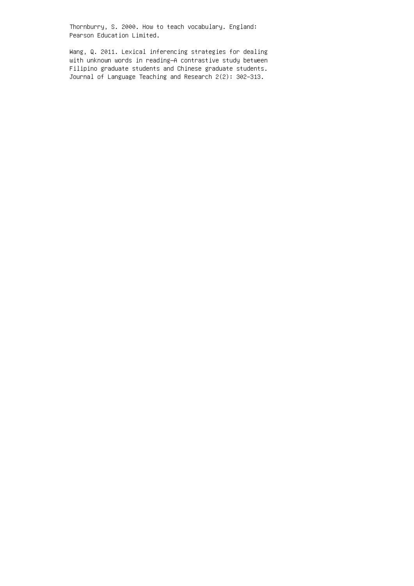Thornburry, S. 2000. How to teach vocabulary. England: Pearson Education Limited.

Wang, Q. 2011. Lexical inferencing strategies for dealing with unknown words in reading—A contrastive study between Filipino graduate students and Chinese graduate students. Journal of Language Teaching and Research 2(2): 302–313.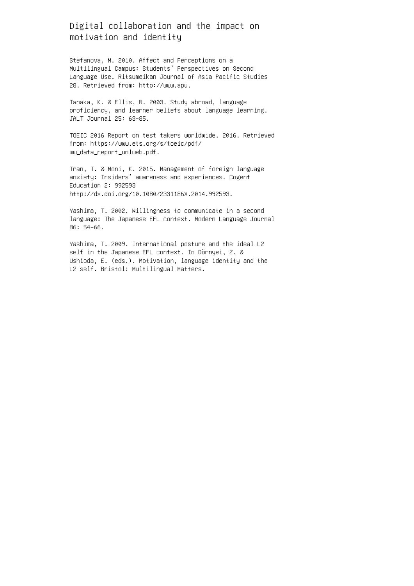Digital collaboration and the impact on motivation and identity

Stefanova, M. 2010. Affect and Perceptions on a Multilingual Campus: Students' Perspectives on Second Language Use. Ritsumeikan Journal of Asia Pacific Studies 28. Retrieved from: http://www.apu.

Tanaka, K. & Ellis, R. 2003. Study abroad, language proficiency, and learner beliefs about language learning. JALT Journal 25: 63–85.

TOEIC 2016 Report on test takers worldwide. 2016. Retrieved from: https://www.ets.org/s/toeic/pdf/ ww\_data\_report\_unlweb.pdf.

Tran, T. & Moni, K. 2015. Management of foreign language anxiety: Insiders' awareness and experiences. Cogent Education 2: 992593 http://dx.doi.org/10.1080/2331186X.2014.992593.

Yashima, T. 2002. Willingness to communicate in a second language: The Japanese EFL context. Modern Language Journal 86: 54–66.

Yashima, T. 2009. International posture and the ideal L2 self in the Japanese EFL context. In Dörnyei, Z. & Ushioda, E. (eds.). Motivation, language identity and the L2 self. Bristol: Multilingual Matters.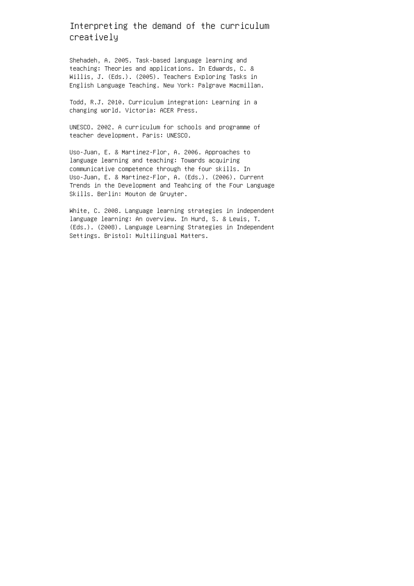Interpreting the demand of the curriculum creatively

Shehadeh, A. 2005. Task-based language learning and teaching: Theories and applications. In Edwards, C. & Willis, J. (Eds.). (2005). Teachers Exploring Tasks in English Language Teaching. New York: Palgrave Macmillan.

Todd, R.J. 2010. Curriculum integration: Learning in a changing world. Victoria: ACER Press.

UNESCO. 2002. A curriculum for schools and programme of teacher development. Paris: UNESCO.

Uso-Juan, E. & Martinez-Flor, A. 2006. Approaches to language learning and teaching: Towards acquiring communicative competence through the four skills. In Uso-Juan, E. & Martinez-Flor, A. (Eds.). (2006). Current Trends in the Development and Teahcing of the Four Language Skills. Berlin: Mouton de Gruyter.

White, C. 2008. Language learning strategies in independent language learning: An overview. In Hurd, S. & Lewis, T. (Eds.). (2008). Language Learning Strategies in Independent Settings. Bristol: Multilingual Matters.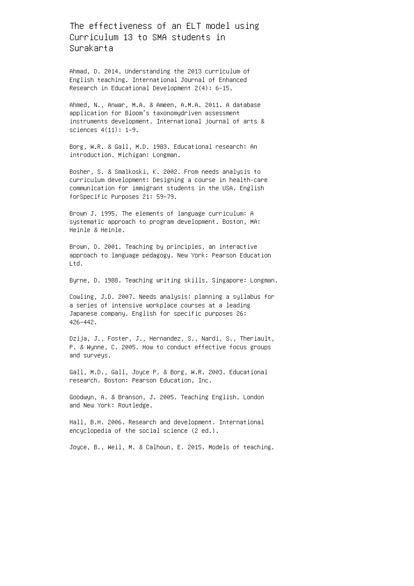The effectiveness of an ELT model using Curriculum 13 to SMA students in Surakarta

Ahmad, D. 2014. Understanding the 2013 curriculum of English teaching. International Journal of Enhanced Research in Educational Development 2(4): 6–15.

Ahmed, N., Anwar, M.A. & Ameen, A.M.A. 2011. A database application for Bloom's taxonomydriven assessment instruments development. International journal of arts & sciences 4(11): 1–9.

Borg, W.R. & Gall, M.D. 1983. Educational research: An introduction. Michigan: Longman.

Bosher, S. & Smalkoski, K. 2002. From needs analysis to curriculum development: Designing a course in health-care communication for immigrant students in the USA. English forSpecific Purposes 21: 59–79.

Brown J. 1995. The elements of language curriculum: A systematic approach to program development. Boston, MA: Heinle & Heinle.

Brown, D. 2001. Teaching by principles, an interactive approach to language pedagogy. New York: Pearson Education Ltd.

Byrne, D. 1988. Teaching writing skills. Singapore: Longman.

Cowling, J.D. 2007. Needs analysis: planning a syllabus for a series of intensive workplace courses at a leading Japanese company. English for specific purposes 26: 426–442.

Dzija, J., Foster, J., Hernandez, S., Nardi, S., Theriault, P. & Wynne, C. 2005. How to conduct effective focus groups and surveys.

Gall, M.D., Gall, Joyce P. & Borg, W.R. 2003. Educational research. Boston: Pearson Education, Inc.

Goodwyn, A. & Branson, J. 2005. Teaching English. London and New York: Routledge.

Hall, B.H. 2006. Research and development. International encyclopedia of the social science (2 ed.).

Joyce, B., Weil, M. & Calhoun, E. 2015. Models of teaching.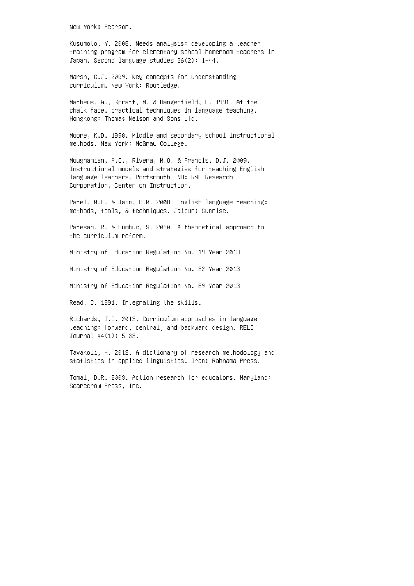New York: Pearson.

Kusumoto, Y. 2008. Needs analysis: developing a teacher training program for elementary school homeroom teachers in Japan. Second language studies 26(2): 1–44.

Marsh, C.J. 2009. Key concepts for understanding curriculum. New York: Routledge.

Mathews, A., Spratt, M. & Dangerfield, L. 1991. At the chalk face. practical techniques in language teaching. Hongkong: Thomas Nelson and Sons Ltd.

Moore, K.D. 1998. Middle and secondary school instructional methods. New York: McGraw College.

Moughamian, A.C., Rivera, M.O. & Francis, D.J. 2009. Instructional models and strategies for teaching English language learners. Portsmouth, NH: RMC Research Corporation, Center on Instruction.

Patel, M.F. & Jain, P.M. 2008. English language teaching: methods, tools, & techniques. Jaipur: Sunrise.

Patesan, R. & Bumbuc, S. 2010. A theoretical approach to the curriculum reform.

Ministry of Education Regulation No. 19 Year 2013

Ministry of Education Regulation No. 32 Year 2013

Ministry of Education Regulation No. 69 Year 2013

Read, C. 1991. Integrating the skills.

Richards, J.C. 2013. Curriculum approaches in language teaching: forward, central, and backward design. RELC Journal 44(1): 5–33.

Tavakoli, H. 2012. A dictionary of research methodology and statistics in applied linguistics. Iran: Rahnama Press.

Tomal, D.R. 2003. Action research for educators. Maryland: Scarecrow Press, Inc.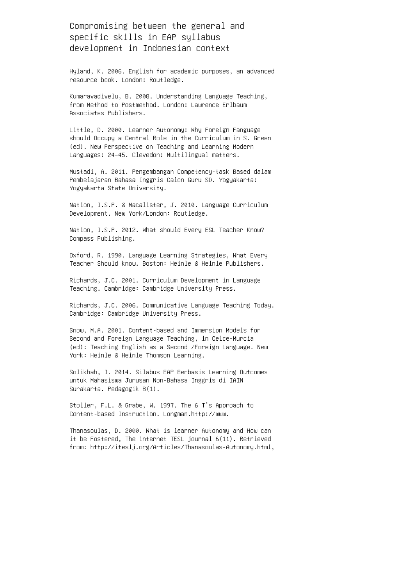# Compromising between the general and specific skills in EAP syllabus development in Indonesian context

Hyland, K. 2006. English for academic purposes, an advanced resource book. London: Routledge.

Kumaravadivelu, B. 2008. Understanding Language Teaching, from Method to Postmethod. London: Lawrence Erlbaum Associates Publishers.

Little, D. 2000. Learner Autonomy: Why Foreign Fanguage should Occupy a Central Role in the Curriculum in S. Green (ed). New Perspective on Teaching and Learning Modern Languages: 24–45. Clevedon: Multilingual matters.

Mustadi, A. 2011. Pengembangan Competency-task Based dalam Pembelajaran Bahasa Inggris Calon Guru SD. Yogyakarta: Yogyakarta State University.

Nation, I.S.P. & Macalister, J. 2010. Language Curriculum Development. New York/London: Routledge.

Nation, I.S.P. 2012. What should Every ESL Teacher Know? Compass Publishing.

Oxford, R. 1990. Language Learning Strategies, What Every Teacher Should know. Boston: Heinle & Heinle Publishers.

Richards, J.C. 2001. Curriculum Development in Language Teaching. Cambridge: Cambridge University Press.

Richards, J.C. 2006. Communicative Language Teaching Today. Cambridge: Cambridge University Press.

Snow, M.A. 2001. Content-based and Immersion Models for Second and Foreign Language Teaching, in Celce-Murcia (ed): Teaching English as a Second /Foreign Language. New York: Heinle & Heinle Thomson Learning.

Solikhah, I. 2014. Silabus EAP Berbasis Learning Outcomes untuk Mahasiswa Jurusan Non-Bahasa Inggris di IAIN Surakarta. Pedagogik 8(1).

Stoller, F.L. & Grabe, W. 1997. The 6 T's Approach to Content-based Instruction. Longman.http://www.

Thanasoulas, D. 2000. What is learner Autonomy and How can it be Fostered, The internet TESL journal 6(11). Retrieved from: http://iteslj.org/Articles/Thanasoulas-Autonomy.html,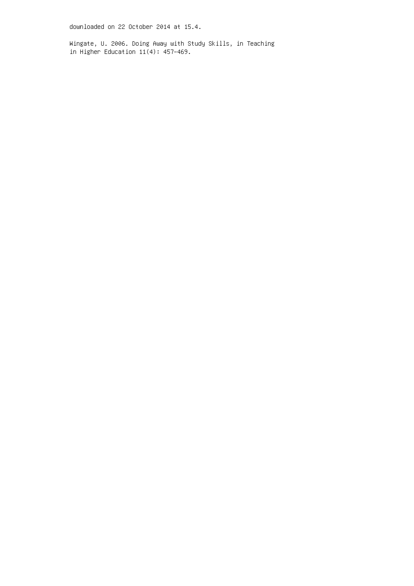downloaded on 22 October 2014 at 15.4.

Wingate, U. 2006. Doing Away with Study Skills, in Teaching in Higher Education 11(4): 457–469.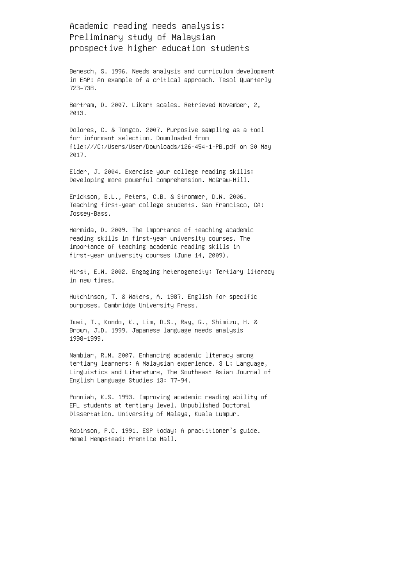Academic reading needs analysis: Preliminary study of Malaysian prospective higher education students

Benesch, S. 1996. Needs analysis and curriculum development in EAP: An example of a critical approach. Tesol Quarterly 723–738.

Bertram, D. 2007. Likert scales. Retrieved November, 2, 2013.

Dolores, C. & Tongco. 2007. Purposive sampling as a tool for informant selection. Downloaded from file:///C:/Users/User/Downloads/126-454-1-PB.pdf on 30 May 2017.

Elder, J. 2004. Exercise your college reading skills: Developing more powerful comprehension. McGraw-Hill.

Erickson, B.L., Peters, C.B. & Strommer, D.W. 2006. Teaching first-year college students. San Francisco, CA: Jossey-Bass.

Hermida, D. 2009. The importance of teaching academic reading skills in first-year university courses. The importance of teaching academic reading skills in first-year university courses (June 14, 2009).

Hirst, E.W. 2002. Engaging heterogeneity: Tertiary literacy in new times.

Hutchinson, T. & Waters, A. 1987. English for specific purposes. Cambridge University Press.

Iwai, T., Kondo, K., Lim, D.S., Ray, G., Shimizu, H. & Brown, J.D. 1999. Japanese language needs analysis 1998–1999.

Nambiar, R.M. 2007. Enhancing academic literacy among tertiary learners: A Malaysian experience. 3 L; Language, Linguistics and Literature, The Southeast Asian Journal of English Language Studies 13: 77–94.

Ponniah, K.S. 1993. Improving academic reading ability of EFL students at tertiary level. Unpublished Doctoral Dissertation. University of Malaya, Kuala Lumpur.

Robinson, P.C. 1991. ESP today: A practitioner's guide. Hemel Hempstead: Prentice Hall.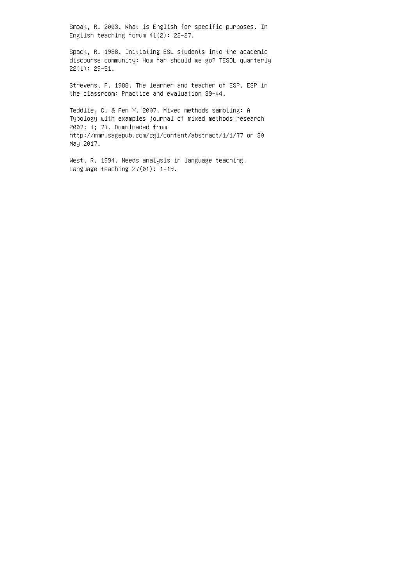Smoak, R. 2003. What is English for specific purposes. In English teaching forum 41(2): 22–27.

Spack, R. 1988. Initiating ESL students into the academic discourse community: How far should we go? TESOL quarterly 22(1): 29–51.

Strevens, P. 1988. The learner and teacher of ESP. ESP in the classroom: Practice and evaluation 39–44.

Teddlie, C. & Fen Y. 2007. Mixed methods sampling: A Typology with examples journal of mixed methods research 2007; 1; 77. Downloaded from http://mmr.sagepub.com/cgi/content/abstract/1/1/77 on 30 May 2017.

West, R. 1994. Needs analysis in language teaching. Language teaching 27(01): 1–19.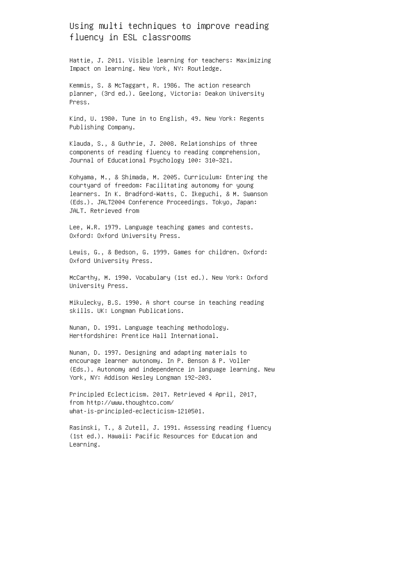Using multi techniques to improve reading fluency in ESL classrooms

Hattie, J. 2011. Visible learning for teachers: Maximizing Impact on learning. New York, NY: Routledge.

Kemmis, S. & McTaggart, R. 1986. The action research planner, (3rd ed.). Geelong, Victoria: Deakon University Press.

Kind, U. 1980. Tune in to English, 49. New York: Regents Publishing Company.

Klauda, S., & Guthrie, J. 2008. Relationships of three components of reading fluency to reading comprehension, Journal of Educational Psychology 100: 310–321.

Kohyama, M., & Shimada, M. 2005. Curriculum: Entering the courtyard of freedom: Facilitating autonomy for young learners. In K. Bradford-Watts, C. Ikeguchi, & M. Swanson (Eds.). JALT2004 Conference Proceedings. Tokyo, Japan: JALT. Retrieved from

Lee, W.R. 1979. Language teaching games and contests. Oxford: Oxford University Press.

Lewis, G., & Bedson, G. 1999. Games for children. Oxford: Oxford University Press.

McCarthy, M. 1990. Vocabulary (1st ed.). New York: Oxford University Press.

Mikulecky, B.S. 1990. A short course in teaching reading skills. UK: Longman Publications.

Nunan, D. 1991. Language teaching methodology. Hertfordshire: Prentice Hall International.

Nunan, D. 1997. Designing and adapting materials to encourage learner autonomy. In P. Benson & P. Voller (Eds.). Autonomy and independence in language learning. New York, NY: Addison Wesley Longman 192–203.

Principled Eclecticism. 2017. Retrieved 4 April, 2017, from http://www.thoughtco.com/ what-is-principled-eclecticism-1210501.

Rasinski, T., & Zutell, J. 1991. Assessing reading fluency (1st ed.). Hawaii: Pacific Resources for Education and Learning.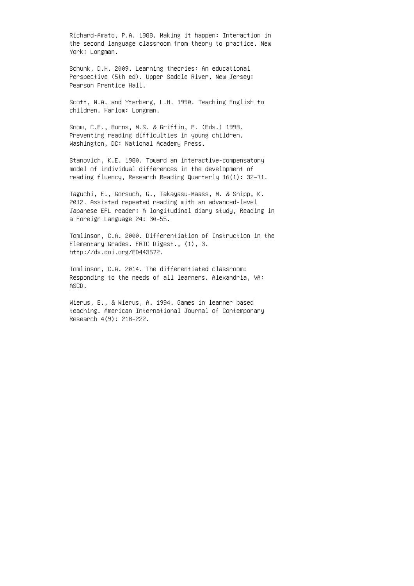Richard-Amato, P.A. 1988. Making it happen: Interaction in the second language classroom from theory to practice. New York: Longman.

Schunk, D.H. 2009. Learning theories: An educational Perspective (5th ed). Upper Saddle River, New Jersey: Pearson Prentice Hall.

Scott, W.A. and Yterberg, L.H. 1990. Teaching English to children. Harlow: Longman.

Snow, C.E., Burns, M.S. & Griffin, P. (Eds.) 1998. Preventing reading difficulties in young children. Washington, DC: National Academy Press.

Stanovich, K.E. 1980. Toward an interactive-compensatory model of individual differences in the development of reading fluency, Research Reading Quarterly 16(1): 32–71.

Taguchi, E., Gorsuch, G., Takayasu-Maass, M. & Snipp, K. 2012. Assisted repeated reading with an advanced-level Japanese EFL reader: A longitudinal diary study, Reading in a Foreign Language 24: 30–55.

Tomlinson, C.A. 2000. Differentiation of Instruction in the Elementary Grades. ERIC Digest., (1), 3. http://dx.doi.org/ED443572.

Tomlinson, C.A. 2014. The differentiated classroom: Responding to the needs of all learners. Alexandria, VA: ASCD.

Wierus, B., & Wierus, A. 1994. Games in learner based teaching. American International Journal of Contemporary Research 4(9): 218–222.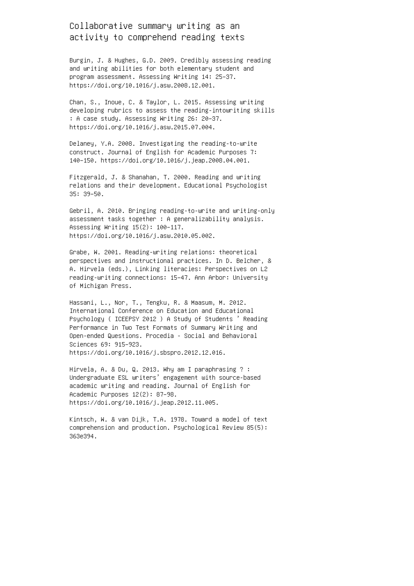#### Collaborative summary writing as an activity to comprehend reading texts

Burgin, J. & Hughes, G.D. 2009. Credibly assessing reading and writing abilities for both elementary student and program assessment. Assessing Writing 14: 25–37. https://doi.org/10.1016/j.asw.2008.12.001.

Chan, S., Inoue, C. & Taylor, L. 2015. Assessing writing developing rubrics to assess the reading-intowriting skills : A case study. Assessing Writing 26: 20–37. https://doi.org/10.1016/j.asw.2015.07.004.

Delaney, Y.A. 2008. Investigating the reading-to-write construct. Journal of English for Academic Purposes 7: 140–150. https://doi.org/10.1016/j.jeap.2008.04.001.

Fitzgerald, J. & Shanahan, T. 2000. Reading and writing relations and their development. Educational Psychologist 35: 39–50.

Gebril, A. 2010. Bringing reading-to-write and writing-only assessment tasks together : A generalizability analysis. Assessing Writing 15(2): 100–117. https://doi.org/10.1016/j.asw.2010.05.002.

Grabe, W. 2001. Reading-writing relations: theoretical perspectives and instructional practices. In D. Belcher, & A. Hirvela (eds.), Linking literacies: Perspectives on L2 reading-writing connections: 15–47. Ann Arbor: University of Michigan Press.

Hassani, L., Nor, T., Tengku, R. & Maasum, M. 2012. International Conference on Education and Educational Psychology ( ICEEPSY 2012 ) A Study of Students ' Reading Performance in Two Test Formats of Summary Writing and Open-ended Questions. Procedia - Social and Behavioral Sciences 69: 915–923. https://doi.org/10.1016/j.sbspro.2012.12.016.

Hirvela, A. & Du, Q. 2013. Why am I paraphrasing ? : Undergraduate ESL writers' engagement with source-based academic writing and reading. Journal of English for Academic Purposes 12(2): 87–98. https://doi.org/10.1016/j.jeap.2012.11.005.

Kintsch, W. & van Dijk, T.A. 1978. Toward a model of text comprehension and production. Psychological Review 85(5): 363e394.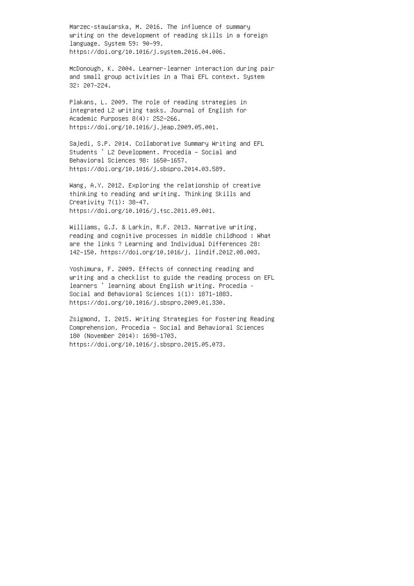Marzec-stawiarska, M. 2016. The influence of summary writing on the development of reading skills in a foreign language. System 59: 90–99. https://doi.org/10.1016/j.system.2016.04.006.

McDonough, K. 2004. Learner-learner interaction during pair and small group activities in a Thai EFL context. System 32: 207–224.

Plakans, L. 2009. The role of reading strategies in integrated L2 writing tasks. Journal of English for Academic Purposes 8(4): 252–266. https://doi.org/10.1016/j.jeap.2009.05.001.

Sajedi, S.P. 2014. Collaborative Summary Writing and EFL Students ' L2 Development. Procedia – Social and Behavioral Sciences 98: 1650–1657. https://doi.org/10.1016/j.sbspro.2014.03.589.

Wang, A.Y. 2012. Exploring the relationship of creative thinking to reading and writing. Thinking Skills and Creativity 7(1): 38–47. https://doi.org/10.1016/j.tsc.2011.09.001.

Williams, G.J. & Larkin, R.F. 2013. Narrative writing, reading and cognitive processes in middle childhood : What are the links ? Learning and Individual Differences 28: 142–150. https://doi.org/10.1016/j. lindif.2012.08.003.

Yoshimura, F. 2009. Effects of connecting reading and writing and a checklist to guide the reading process on EFL learners ' learning about English writing. Procedia - Social and Behavioral Sciences 1(1): 1871–1883. https://doi.org/10.1016/j.sbspro.2009.01.330.

Zsigmond, I. 2015. Writing Strategies for Fostering Reading Comprehension. Procedia – Social and Behavioral Sciences 180 (November 2014): 1698–1703. https://doi.org/10.1016/j.sbspro.2015.05.073.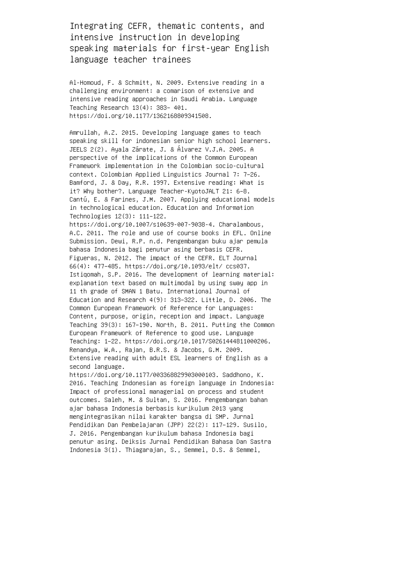Integrating CEFR, thematic contents, and intensive instruction in developing speaking materials for first-year English language teacher trainees

Al-Homoud, F. & Schmitt, N. 2009. Extensive reading in a challenging environment: a comarison of extensive and intensive reading approaches in Saudi Arabia. Language Teaching Research 13(4): 383– 401. https://doi.org/10.1177/1362168809341508.

Amrullah, A.Z. 2015. Developing language games to teach speaking skill for indonesian senior high school learners. JEELS 2(2). Ayala Zárate, J. & Álvarez V.J.A. 2005. A perspective of the implications of the Common European Framework implementation in the Colombian socio-cultural context. Colombian Applied Linguistics Journal 7: 7–26. Bamford, J. & Day, R.R. 1997. Extensive reading: What is it? Why bother?. Language Teacher-KyotoJALT 21: 6–8. Cantú, E. & Farines, J.M. 2007. Applying educational models in technological education. Education and Information Technologies 12(3): 111–122.

https://doi.org/10.1007/s10639-007-9038-4. Charalambous, A.C. 2011. The role and use of course books in EFL. Online Submission. Dewi, R.P. n.d. Pengembangan buku ajar pemula bahasa Indonesia bagi penutur asing berbasis CEFR. Figueras, N. 2012. The impact of the CEFR. ELT Journal 66(4): 477–485. https://doi.org/10.1093/elt/ ccs037. Istiqomah, S.P. 2016. The development of learning material: explanation text based on multimodal by using sway app in 11 th grade of SMAN 1 Batu. International Journal of Education and Research 4(9): 313–322. Little, D. 2006. The Common European Framework of Reference for Languages: Content, purpose, origin, reception and impact. Language Teaching 39(3): 167–190. North, B. 2011. Putting the Common European Framework of Reference to good use. Language Teaching: 1–22. https://doi.org/10.1017/S0261444811000206. Renandya, W.A., Rajan, B.R.S. & Jacobs, G.M. 2009. Extensive reading with adult ESL learners of English as a second language.

https://doi.org/10.1177/003368829903000103. Saddhono, K. 2016. Teaching Indonesian as foreign language in Indonesia: Impact of professional managerial on process and student outcomes. Saleh, M. & Sultan, S. 2016. Pengembangan bahan ajar bahasa Indonesia berbasis kurikulum 2013 yang mengintegrasikan nilai karakter bangsa di SMP. Jurnal Pendidikan Dan Pembelajaran (JPP) 22(2): 117–129. Susilo, J. 2016. Pengembangan kurikulum bahasa Indonesia bagi penutur asing. Deiksis Jurnal Pendidikan Bahasa Dan Sastra Indonesia 3(1). Thiagarajan, S., Semmel, D.S. & Semmel,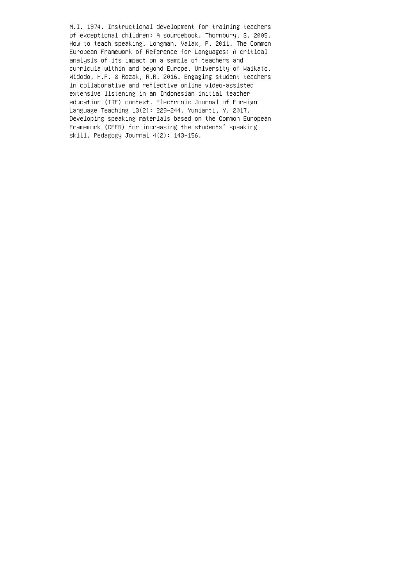M.I. 1974. Instructional development for training teachers of exceptional children: A sourcebook. Thornbury, S. 2005. How to teach speaking. Longman. Valax, P. 2011. The Common European Framework of Reference for Languages: A critical analysis of its impact on a sample of teachers and curricula within and beyond Europe. University of Waikato. Widodo, H.P. & Rozak, R.R. 2016. Engaging student teachers in collaborative and reflective online video-assisted extensive listening in an Indonesian initial teacher education (ITE) context. Electronic Journal of Foreign Language Teaching 13(2): 229–244. Yuniarti, Y. 2017. Developing speaking materials based on the Common European Framework (CEFR) for increasing the students' speaking skill. Pedagogy Journal 4(2): 143–156.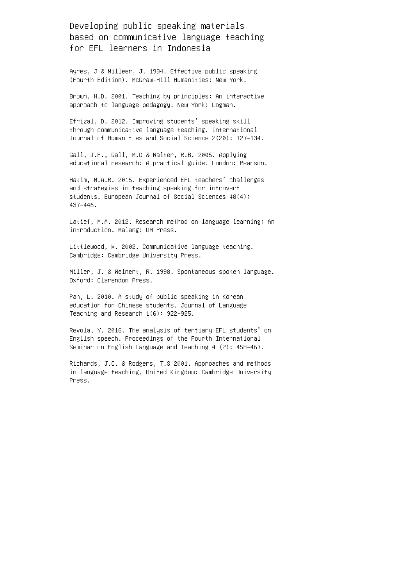# Developing public speaking materials based on communicative language teaching for EFL learners in Indonesia

Ayres, J & Milleer, J. 1994. Effective public speaking (Fourth Edition). McGraw-Hill Humanities: New York.

Brown, H.D. 2001. Teaching by principles: An interactive approach to language pedagogy. New York: Logman.

Efrizal, D. 2012. Improving students' speaking skill through communicative language teaching. International Journal of Humanities and Social Science 2(20): 127–134.

Gall, J.P., Gall, M.D & Walter, R.B. 2005. Applying educational research: A practical guide. London: Pearson.

Hakim, M.A.R. 2015. Experienced EFL teachers' challenges and strategies in teaching speaking for introvert students. European Journal of Social Sciences 48(4): 437–446.

Latief, M.A. 2012. Research method on language learning: An introduction. Malang: UM Press.

Littlewood, W. 2002. Communicative language teaching. Cambridge: Cambridge University Press.

Miller, J. & Weinert, R. 1998. Spontaneous spoken language. Oxford: Clarendon Press.

Pan, L. 2010. A study of public speaking in Korean education for Chinese students. Journal of Language Teaching and Research 1(6): 922–925.

Revola, Y. 2016. The analysis of tertiary EFL students' on English speech. Proceedings of the Fourth International Seminar on English Language and Teaching 4 (2): 458–467.

Richards, J.C. & Rodgers, T.S 2001. Approaches and methods in language teaching, United Kingdom: Cambridge University Press.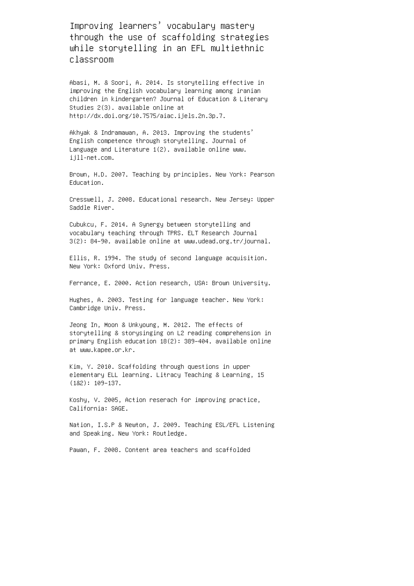Improving learners' vocabulary mastery through the use of scaffolding strategies while storytelling in an EFL multiethnic classroom

Abasi, M. & Soori, A. 2014. Is storytelling effective in improving the English vocabulary learning among iranian children in kindergarten? Journal of Education & Literary Studies 2(3). available online at http://dx.doi.org/10.7575/aiac.ijels.2n.3p.7.

Akhyak & Indramawan, A. 2013. Improving the students' English competence through storytelling. Journal of Language and Literature 1(2). available online www. ijll-net.com.

Brown, H.D. 2007. Teaching by principles. New York: Pearson Education.

Cresswell, J. 2008. Educational research. New Jersey: Upper Saddle River.

Cubukcu, F. 2014. A Synergy between storytelling and vocabulary teaching through TPRS. ELT Research Journal 3(2): 84–90. available online at www.udead.org.tr/journal.

Ellis, R. 1994. The study of second language acquisition. New York: Oxford Univ. Press.

Ferrance, E. 2000. Action research, USA: Brown University.

Hughes, A. 2003. Testing for language teacher. New York: Cambridge Univ. Press.

Jeong In, Moon & Unkyoung, M. 2012. The effects of storytelling & storysinging on L2 reading comprehension in primary English education 18(2): 389–404. available online at www.kapee.or.kr.

Kim, Y. 2010. Scaffolding through questions in upper elementary ELL learning. Litracy Teaching & Learning, 15 (1&2): 109–137.

Koshy, V. 2005, Action reserach for improving practice, California: SAGE.

Nation, I.S.P & Newton, J. 2009. Teaching ESL/EFL Listening and Speaking. New York: Routledge.

Pawan, F. 2008. Content area teachers and scaffolded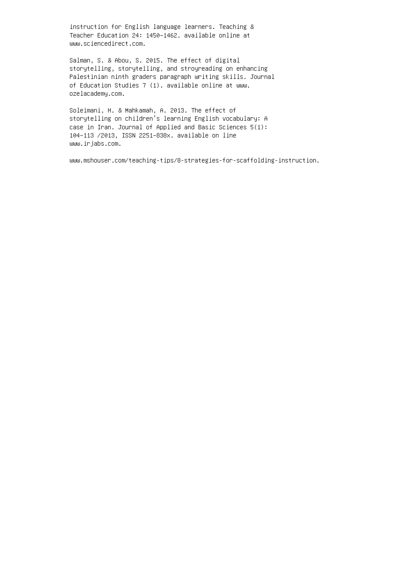instruction for English language learners. Teaching & Teacher Education 24: 1450–1462. available online at www.sciencedirect.com.

Salman, S. & Abou, S. 2015. The effect of digital storytelling, storytelling, and stroyreading on enhancing Palestinian ninth graders paragraph writing skills. Journal of Education Studies 7 (1). available online at www. ozelacademy.com.

Soleimani, H. & Mahkamah, A. 2013. The effect of storytelling on children's learning English vocabulary: A case in Iran. Journal of Applied and Basic Sciences 5(1): 104–113 /2013, ISSN 2251–838x. available on line www.irjabs.com.

www.mshouser.com/teaching-tips/8-strategies-for-scaffolding-instruction.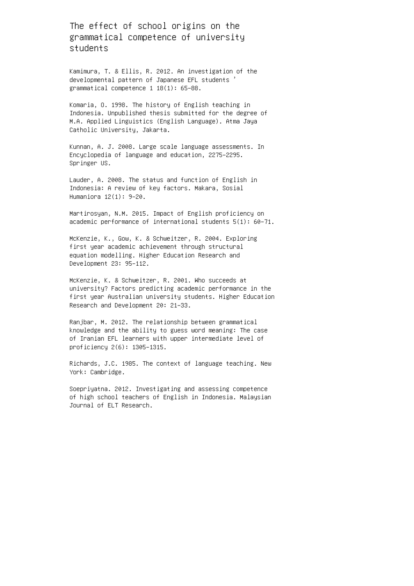The effect of school origins on the grammatical competence of university students

Kamimura, T. & Ellis, R. 2012. An investigation of the developmental pattern of Japanese EFL students ' grammatical competence 1 18(1): 65–88.

Komaria, O. 1998. The history of English teaching in Indonesia. Unpublished thesis submitted for the degree of M.A. Applied Linguistics (English Language). Atma Jaya Catholic University, Jakarta.

Kunnan, A. J. 2008. Large scale language assessments. In Encyclopedia of language and education, 2275–2295. Springer US.

Lauder, A. 2008. The status and function of English in Indonesia: A review of key factors. Makara, Sosial Humaniora 12(1): 9–20.

Martirosyan, N.M. 2015. Impact of English proficiency on academic performance of international students 5(1): 60–71.

McKenzie, K., Gow, K. & Schweitzer, R. 2004. Exploring first year academic achievement through structural equation modelling. Higher Education Research and Development 23: 95–112.

McKenzie, K. & Schweitzer, R. 2001. Who succeeds at university? Factors predicting academic performance in the first year Australian university students. Higher Education Research and Development 20: 21–33.

Ranjbar, M. 2012. The relationship between grammatical knowledge and the ability to guess word meaning: The case of Iranian EFL learners with upper intermediate level of proficiency 2(6): 1305–1315.

Richards, J.C. 1985. The context of language teaching. New York: Cambridge.

Soepriyatna. 2012. Investigating and assessing competence of high school teachers of English in Indonesia. Malaysian Journal of ELT Research.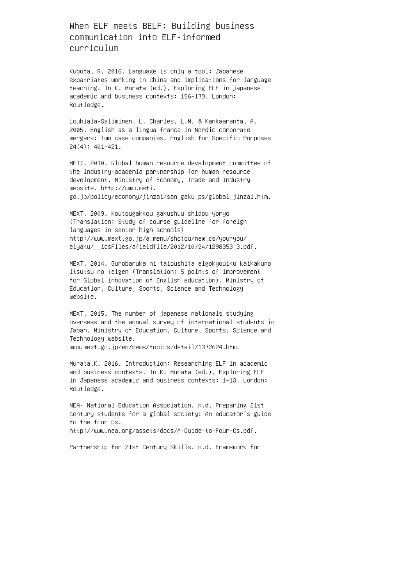When ELF meets BELF: Building business communication into ELF-informed curriculum

Kubota, R. 2016. Language is only a tool: Japanese expatriates working in China and implications for language teaching. In K. Murata (ed.), Exploring ELF in japanese academic and business contexts: 156–179. London: Routledge.

Louhiala-Saliminen, L. Charles, L.M. & Kankaaranta, A. 2005. English as a lingua franca in Nordic corporate mergers: Two case companies. English for Specific Purposes 24(4): 401–421.

METI. 2010. Global human resource development committee of the industry-academia partnership for human resource development. Ministry of Economy, Trade and Industry website. http://www.meti. go.jp/policy/economy/jinzai/san\_gaku\_ps/global\_jinzai.htm.

MEXT. 2009. Koutougakkou gakushuu shidou yoryo (Translation: Study of course guideline for foreign languages in senior high schools) http://www.mext.go.jp/a\_menu/shotou/new\_cs/youryou/ eiyaku/\_\_icsFiles/afieldfile/2012/10/24/1298353\_3.pdf.

MEXT. 2014. Gurobaruka ni taioushita eigokyouiku kaikakuno itsutsu no teigen (Translation: 5 points of improvement for Global innovation of English education). Ministry of Education, Culture, Sports, Science and Technology website.

MEXT. 2015. The number of japanese nationals studying overseas and the annual survey of international students in Japan. Ministry of Education, Culture, Sports, Science and Technology website.

www.mext.go.jp/en/news/topics/detail/1372624.htm.

Murata,K. 2016. Introduction: Researching ELF in academic and business contexts. In K. Murata (ed.), Exploring ELF in Japanese academic and business contexts: 1–13. London: Routledge.

NEA- National Education Association. n.d. Preparing 21st century students for a global society: An educator's guide to the four Cs. http://www.nea.org/assets/docs/A-Guide-to-Four-Cs.pdf.

Partnership for 21st Century Skills. n.d. Framework for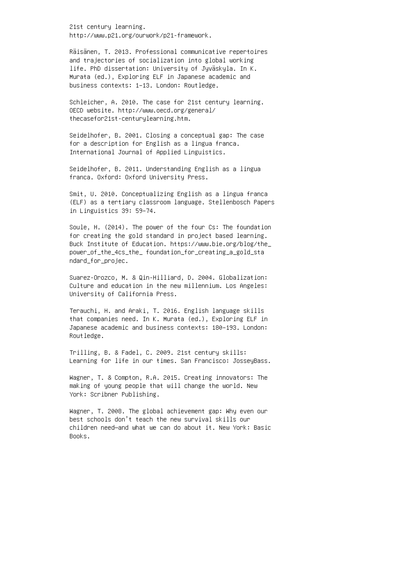21st century learning. http://www.p21.org/ourwork/p21-framework.

Räisänen, T. 2013. Professional communicative repertoires and trajectories of socialization into global working life. PhD dissertation: University of Jyväskyla. In K. Murata (ed.), Exploring ELF in Japanese academic and business contexts: 1–13. London: Routledge.

Schleicher, A. 2010. The case for 21st century learning. OECD website. http://www.oecd.org/general/ thecasefor21st-centurylearning.htm.

Seidelhofer, B. 2001. Closing a conceptual gap: The case for a description for English as a lingua franca. International Journal of Applied Linguistics.

Seidelhofer, B. 2011. Understanding English as a lingua franca. Oxford: Oxford University Press.

Smit, U. 2010. Conceptualizing English as a lingua franca (ELF) as a tertiary classroom language. Stellenbosch Papers in Linguistics 39: 59–74.

Soule, H. (2014). The power of the four Cs: The foundation for creating the gold standard in project based learning. Buck Institute of Education. https://www.bie.org/blog/the\_ power\_of\_the\_4cs\_the\_ foundation\_for\_creating\_a\_gold\_sta ndard\_for\_projec.

Suarez-Orozco, M. & Qin-Hilliard, D. 2004. Globalization: Culture and education in the new millennium. Los Angeles: University of California Press.

Terauchi, H. and Araki, T. 2016. English language skills that companies need. In K. Murata (ed.), Exploring ELF in Japanese academic and business contexts: 180–193. London: Routledge.

Trilling, B. & Fadel, C. 2009. 21st century skills: Learning for life in our times. San Francisco: JosseyBass.

Wagner, T. & Compton, R.A. 2015. Creating innovators: The making of young people that will change the world. New York: Scribner Publishing.

Wagner, T. 2008. The global achievement gap: Why even our best schools don't teach the new survival skills our children need—and what we can do about it. New York: Basic Books.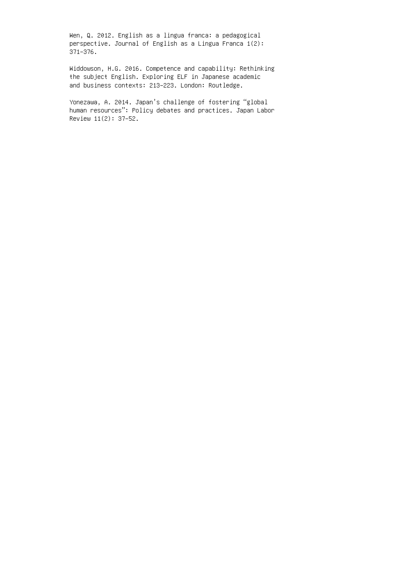Wen, Q. 2012. English as a lingua franca: a pedagogical perspective. Journal of English as a Lingua Franca 1(2): 371–376.

Widdowson, H.G. 2016. Competence and capability: Rethinking the subject English. Exploring ELF in Japanese academic and business contexts: 213–223. London: Routledge.

Yonezawa, A. 2014. Japan's challenge of fostering "global human resources": Policy debates and practices. Japan Labor Review 11(2): 37–52.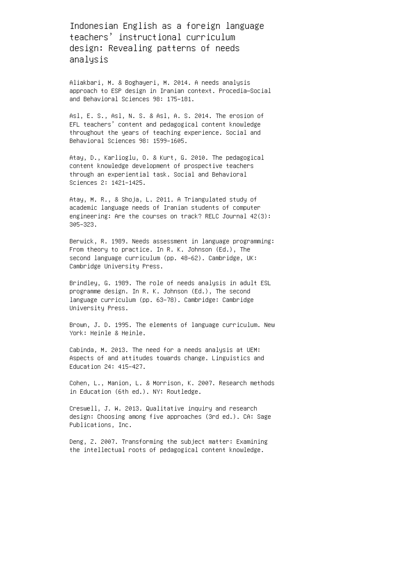Indonesian English as a foreign language teachers' instructional curriculum design: Revealing patterns of needs analysis

Aliakbari, M. & Boghayeri, M. 2014. A needs analysis approach to ESP design in Iranian context. Procedia—Social and Behavioral Sciences 98: 175–181.

Asl, E. S., Asl, N. S. & Asl, A. S. 2014. The erosion of EFL teachers' content and pedagogical content knowledge throughout the years of teaching experience. Social and Behavioral Sciences 98: 1599–1605.

Atay, D., Karlioglu, O. & Kurt, G. 2010. The pedagogical content knowledge development of prospective teachers through an experiential task. Social and Behavioral Sciences 2: 1421–1425.

Atay, M. R., & Shoja, L. 2011. A Triangulated study of academic language needs of Iranian students of computer engineering: Are the courses on track? RELC Journal 42(3): 305–323.

Berwick, R. 1989. Needs assessment in language programming: From theory to practice. In R. K. Johnson (Ed.), The second language curriculum (pp. 48–62). Cambridge, UK: Cambridge University Press.

Brindley, G. 1989. The role of needs analysis in adult ESL programme design. In R. K. Johnson (Ed.), The second language curriculum (pp. 63–78). Cambridge: Cambridge University Press.

Brown, J. D. 1995. The elements of language curriculum. New York: Heinle & Heinle.

Cabinda, M. 2013. The need for a needs analysis at UEM: Aspects of and attitudes towards change. Linguistics and Education 24: 415–427.

Cohen, L., Manion, L. & Morrison, K. 2007. Research methods in Education (6th ed.). NY: Routledge.

Creswell, J. W. 2013. Qualitative inquiry and research design: Choosing among five approaches (3rd ed.). CA: Sage Publications, Inc.

Deng, Z. 2007. Transforming the subject matter: Examining the intellectual roots of pedagogical content knowledge.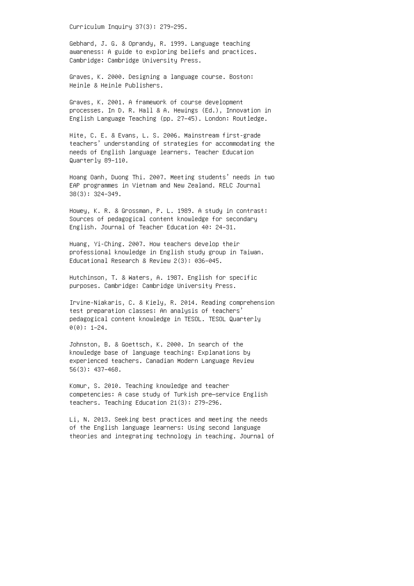Curriculum Inquiry 37(3): 279–295.

Gebhard, J. G. & Oprandy, R. 1999. Language teaching awareness: A guide to exploring beliefs and practices. Cambridge: Cambridge University Press.

Graves, K. 2000. Designing a language course. Boston: Heinle & Heinle Publishers.

Graves, K. 2001. A framework of course development processes. In D. R. Hall & A. Hewings (Ed.), Innovation in English Language Teaching (pp. 27–45). London: Routledge.

Hite, C. E. & Evans, L. S. 2006. Mainstream first-grade teachers' understanding of strategies for accommodating the needs of English language learners. Teacher Education Quarterly 89–110.

Hoang Oanh, Duong Thi. 2007. Meeting students' needs in two EAP programmes in Vietnam and New Zealand. RELC Journal 38(3): 324–349.

Howey, K. R. & Grossman, P. L. 1989. A study in contrast: Sources of pedagogical content knowledge for secondary English. Journal of Teacher Education 40: 24–31.

Huang, Yi-Ching. 2007. How teachers develop their professional knowledge in English study group in Taiwan. Educational Research & Review 2(3): 036–045.

Hutchinson, T. & Waters, A. 1987. English for specific purposes. Cambridge: Cambridge University Press.

Irvine-Niakaris, C. & Kiely, R. 2014. Reading comprehension test preparation classes: An analysis of teachers' pedagogical content knowledge in TESOL. TESOL Quarterly  $\theta(\theta)$ : 1–24.

Johnston, B. & Goettsch, K. 2000. In search of the knowledge base of language teaching: Explanations by experienced teachers. Canadian Modern Language Review 56(3): 437–468.

Komur, S. 2010. Teaching knowledge and teacher competencies: A case study of Turkish pre—service English teachers. Teaching Education 21(3): 279–296.

Li, N. 2013. Seeking best practices and meeting the needs of the English language learners: Using second language theories and integrating technology in teaching. Journal of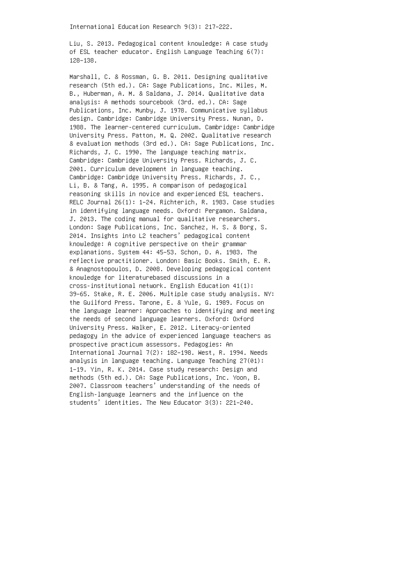International Education Research 9(3): 217–222.

Liu, S. 2013. Pedagogical content knowledge: A case study of ESL teacher educator. English Language Teaching 6(7): 128–138.

Marshall, C. & Rossman, G. B. 2011. Designing qualitative research (5th ed.). CA: Sage Publications, Inc. Miles, M. B., Huberman, A. M. & Saldana, J. 2014. Qualitative data analysis: A methods sourcebook (3rd. ed.). CA: Sage Publications, Inc. Munby, J. 1978. Communicative syllabus design. Cambridge: Cambridge University Press. Nunan, D. 1988. The learner-centered curriculum. Cambridge: Cambridge University Press. Patton, M. Q. 2002. Qualitative research & evaluation methods (3rd ed.). CA: Sage Publications, Inc. Richards, J. C. 1990. The language teaching matrix. Cambridge: Cambridge University Press. Richards, J. C. 2001. Curriculum development in language teaching. Cambridge: Cambridge University Press. Richards, J. C., Li, B. & Tang, A. 1995. A comparison of pedagogical reasoning skills in novice and experienced ESL teachers. RELC Journal 26(1): 1–24. Richterich, R. 1983. Case studies in identifying language needs. Oxford: Pergamon. Saldana, J. 2013. The coding manual for qualitative researchers. London: Sage Publications, Inc. Sanchez, H. S. & Borg, S. 2014. Insights into L2 teachers' pedagogical content knowledge: A cognitive perspective on their grammar explanations. System 44: 45–53. Schon, D. A. 1983. The reflective practitioner. London: Basic Books. Smith, E. R. & Anagnostopoulos, D. 2008. Developing pedagogical content knowledge for literaturebased discussions in a cross-institutional network. English Education 41(1): 39–65. Stake, R. E. 2006. Multiple case study analysis. NY: the Guilford Press. Tarone, E. & Yule, G. 1989. Focus on the language learner: Approaches to identifying and meeting the needs of second language learners. Oxford: Oxford University Press. Walker, E. 2012. Literacy-oriented pedagogy in the advice of experienced language teachers as prospective practicum assessors. Pedagogies: An International Journal 7(2): 182–198. West, R. 1994. Needs analysis in language teaching. Language Teaching 27(01): 1–19. Yin, R. K. 2014. Case study research: Design and methods (5th ed.). CA: Sage Publications, Inc. Yoon, B. 2007. Classroom teachers' understanding of the needs of English-language learners and the influence on the students' identities. The New Educator 3(3): 221–240.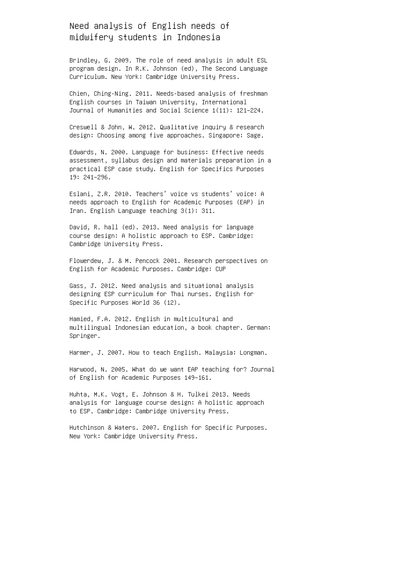# Need analysis of English needs of midwifery students in Indonesia

Brindley, G. 2009. The role of need analysis in adult ESL program design. In R.K. Johnson (ed), The Second Language Curriculum. New York: Cambridge University Press.

Chien, Ching-Ning. 2011. Needs-based analysis of freshman English courses in Taiwan University, International Journal of Humanities and Social Science 1(11): 121–224.

Creswell & John, W. 2012. Qualitative inquiry & research design: Choosing among five approaches. Singapore: Sage.

Edwards, N. 2000. Language for business: Effective needs assessment, syllabus design and materials preparation in a practical ESP case study. English for Specifics Purposes 19: 241–296.

Eslani, Z.R. 2010. Teachers' voice vs students' voice: A needs approach to English for Academic Purposes (EAP) in Iran. English Language teaching 3(1): 311.

David, R. hall (ed). 2013. Need analysis for language course design: A holistic approach to ESP. Cambridge: Cambridge University Press.

Flowerdew, J. & M. Pencock 2001. Research perspectives on English for Academic Purposes. Cambridge: CUP

Gass, J. 2012. Need analysis and situational analysis designing ESP curriculum for Thai nurses. English for Specific Purposes World 36 (12).

Hamied, F.A. 2012. English in multicultural and multilingual Indonesian education, a book chapter. German: Springer.

Harmer, J. 2007. How to teach English. Malaysia: Longman.

Harwood, N. 2005. What do we want EAP teaching for? Journal of English for Academic Purposes 149–161.

Huhta, M.K. Vogt, E. Johnson & H. Tulkei 2013. Needs analysis for language course design: A holistic approach to ESP. Cambridge: Cambridge University Press.

Hutchinson & Waters. 2007. English for Specific Purposes. New York: Cambridge University Press.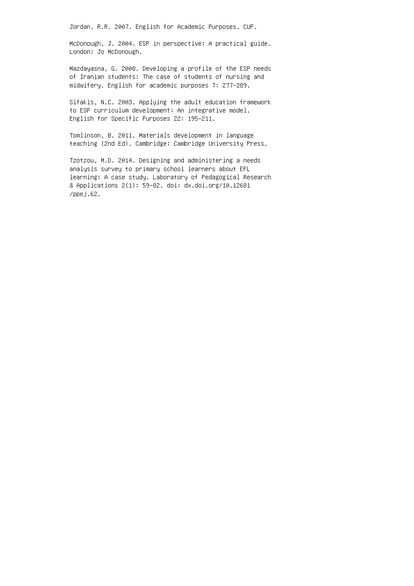Jordan, R.R. 2007. English for Academic Purposes. CUP.

McDonough, J. 2004. ESP in perspective: A practical guide. London: Jo McDonough.

Mazdayasna, G. 2008. Developing a profile of the ESP needs of Iranian students: The case of students of nursing and midwifery. English for academic purposes 7: 277–289.

Sifakis, N.C. 2003. Applying the adult education framework to ESP curriculum development: An integrative model. English for Specific Purposes 22: 195–211.

Tomlinson, B. 2011. Materials development in language teaching (2nd Ed). Cambridge: Cambridge University Press.

Tzotzou, M.D. 2014. Designing and administering a needs analysis survey to primary school learners about EFL learning: A case study. Laboratory of Pedagogical Research & Applications 2(1): 59–82. doi: dx.doi.org/10.12681 /ppej.62.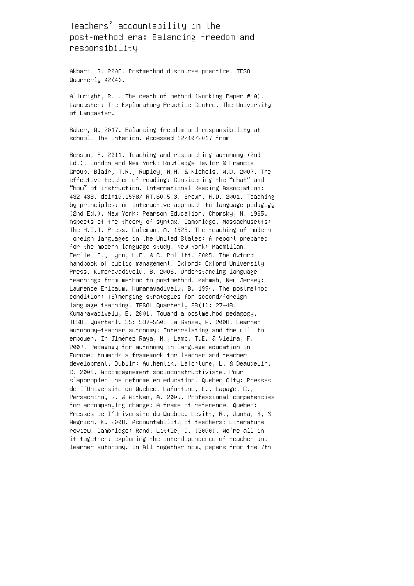Teachers' accountability in the post-method era: Balancing freedom and responsibility

Akbari, R. 2008. Postmethod discourse practice. TESOL Quarterly 42(4).

Allwright, R.L. The death of method (Working Paper #10). Lancaster: The Exploratory Practice Centre, The University of Lancaster.

Baker, Q. 2017. Balancing freedom and responsibility at school. The Ontarion. Accessed 12/10/2017 from

Benson, P. 2011. Teaching and researching autonomy (2nd Ed.). London and New York: Routledge Taylor & Francis Group. Blair, T.R., Rupley, W.H. & Nichols, W.D. 2007. The effective teacher of reading: Considering the "what" and "how" of instruction. International Reading Association: 432–438. doi:10.1598/ RT.60.5.3. Brown, H.D. 2001. Teaching by principles: An interactive approach to language pedagogy (2nd Ed.). New York: Pearson Education. Chomsky, N. 1965. Aspects of the theory of syntax. Cambridge, Massachusetts: The M.I.T. Press. Coleman, A. 1929. The teaching of modern foreign languages in the United States: A report prepared for the modern language study. New York: Macmillan. Ferlie, E., Lynn, L.E. & C. Pollitt. 2005. The Oxford handbook of public management. Oxford: Oxford University Press. Kumaravadivelu, B. 2006. Understanding language teaching: from method to postmethod. Mahwah, New Jersey: Lawrence Erlbaum. Kumaravadivelu, B. 1994. The postmethod condition: (E)merging strategies for second/foreign language teaching. TESOL Quarterly 28(1): 27–48. Kumaravadivelu, B. 2001. Toward a postmethod pedagogy. TESOL Quarterly 35: 537–560. La Ganza, W. 2008. Learner autonomy—teacher autonomy: Interrelating and the will to empower. In Jiménez Raya, M., Lamb, T.E. & Vieira, F. 2007. Pedagogy for autonomy in language education in Europe: towards a framework for learner and teacher development. Dublin: Authentik. Lafortune, L. & Deaudelin, C. 2001. Accompagnement socioconstructiviste. Pour s'appropier une reforme en education. Quebec City: Presses de I'Universite du Quebec. Lafortune, L., Lapage, C., Persechino, S. & Aitken, A. 2009. Professional competencies for accompanying change: A frame of reference. Quebec: Presses de I'Universite du Quebec. Levitt, R., Janta, B, & Wegrich, K. 2008. Accountability of teachers: Literature review. Cambridge: Rand. Little, D. (2000). We're all in it together: exploring the interdependence of teacher and learner autonomy. In All together now, papers from the 7th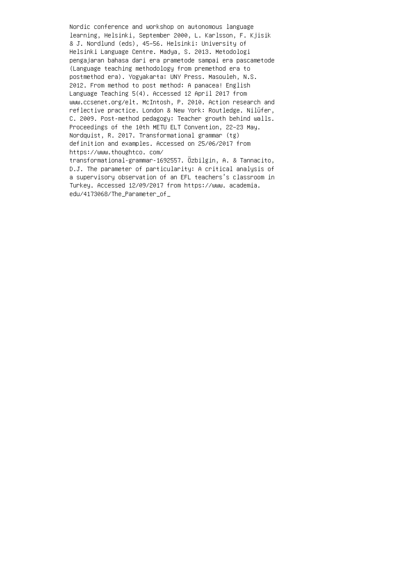Nordic conference and workshop on autonomous language learning, Helsinki, September 2000, L. Karlsson, F. Kjisik & J. Nordlund (eds), 45–56. Helsinki: University of Helsinki Language Centre. Madya, S. 2013. Metodologi pengajaran bahasa dari era prametode sampai era pascametode (Language teaching methodology from premethod era to postmethod era). Yogyakarta: UNY Press. Masouleh, N.S. 2012. From method to post method: A panacea! English Language Teaching 5(4). Accessed 12 April 2017 from www.ccsenet.org/elt. McIntosh, P. 2010. Action research and reflective practice. London & New York: Routledge. Nilüfer, C. 2009. Post-method pedagogy: Teacher growth behind walls. Proceedings of the 10th METU ELT Convention, 22–23 May. Nordquist, R. 2017. Transformational grammar (tg) definition and examples. Accessed on 25/06/2017 from https://www.thoughtco. com/ transformational-grammar-1692557. Özbilgin, A. & Tannacito,

D.J. The parameter of particularity: A critical analysis of a supervisory observation of an EFL teachers's classroom in Turkey. Accessed 12/09/2017 from https://www. academia. edu/4173068/The\_Parameter\_of\_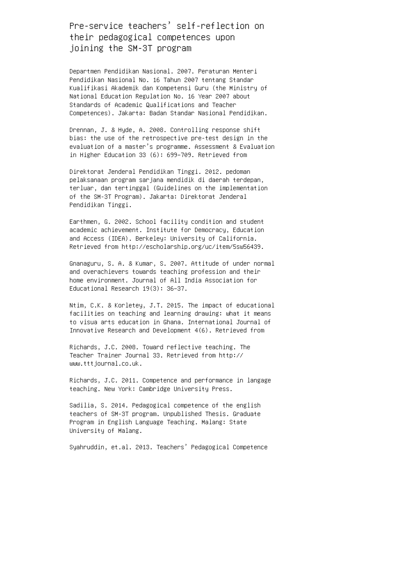# Pre-service teachers' self-reflection on their pedagogical competences upon joining the SM-3T program

Departmen Pendidikan Nasional. 2007. Peraturan Menteri Pendidikan Nasional No. 16 Tahun 2007 tentang Standar Kualifikasi Akademik dan Kompetensi Guru (the Ministry of National Education Regulation No. 16 Year 2007 about Standards of Academic Qualifications and Teacher Competences). Jakarta: Badan Standar Nasional Pendidikan.

Drennan, J. & Hyde, A. 2008. Controlling response shift bias: the use of the retrospective pre-test design in the evaluation of a master's programme. Assessment & Evaluation in Higher Education 33 (6): 699–709. Retrieved from

Direktorat Jenderal Pendidikan Tinggi. 2012. pedoman pelaksanaan program sarjana mendidik di daerah terdepan, terluar, dan tertinggal (Guidelines on the implementation of the SM-3T Program). Jakarta: Direktorat Jenderal Pendidikan Tinggi.

Earthmen, G. 2002. School facility condition and student academic achievement. Institute for Democracy, Education and Access (IDEA). Berkeley: University of California. Retrieved from http://escholarship.org/uc/item/5sw56439.

Gnanaguru, S. A. & Kumar, S. 2007. Attitude of under normal and overachievers towards teaching profession and their home environment. Journal of All India Association for Educational Research 19(3): 36–37.

Ntim, C.K. & Korletey, J.T. 2015. The impact of educational facilities on teaching and learning drawing: what it means to visua arts education in Ghana. International Journal of Innovative Research and Development 4(6). Retrieved from

Richards, J.C. 2008. Toward reflective teaching. The Teacher Trainer Journal 33. Retrieved from http:// www.tttjournal.co.uk.

Richards, J.C. 2011. Competence and performance in langage teaching. New York: Cambridge University Press.

Sadilia, S. 2014. Pedagogical competence of the english teachers of SM-3T program. Unpublished Thesis. Graduate Program in English Language Teaching. Malang: State University of Malang.

Syahruddin, et.al. 2013. Teachers' Pedagogical Competence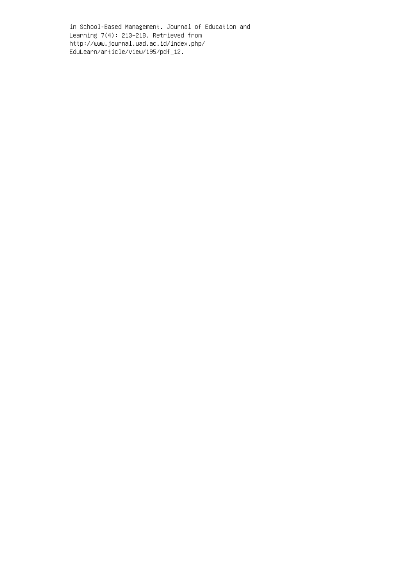in School-Based Management. Journal of Education and Learning 7(4): 213–218. Retrieved from http://www.journal.uad.ac.id/index.php/ EduLearn/article/view/195/pdf\_12.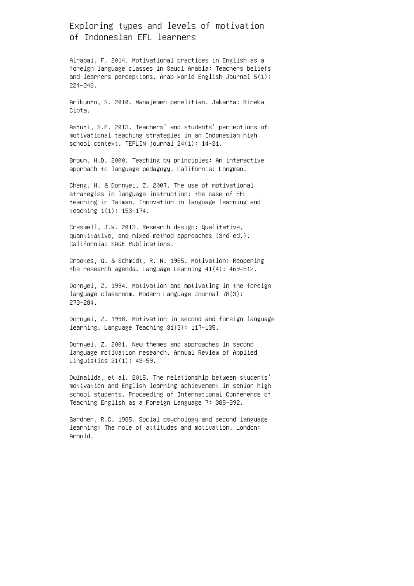Exploring types and levels of motivation of Indonesian EFL learners

Alrabai, F. 2014. Motivational practices in English as a foreign language classes in Saudi Arabia: Teachers beliefs and learners perceptions. Arab World English Journal 5(1): 224–246.

Arikunto, S. 2010. Manajemen penelitian. Jakarta: Rineka Cipta.

Astuti, S.P. 2013. Teachers' and students' perceptions of motivational teaching strategies in an Indonesian high school context. TEFLIN journal 24(1): 14–31.

Brown, H.D. 2000. Teaching by principles: An interactive approach to language pedagogy. California: Longman.

Cheng, H. & Dornyei, Z. 2007. The use of motivational strategies in language instruction: the case of EFL teaching in Taiwan. Innovation in language learning and teaching 1(1): 153–174.

Creswell, J.W. 2013. Research design: Qualitative, quantitative, and mixed method approaches (3rd ed.). California: SAGE Publications.

Crookes, G. & Schmidt, R. W. 1985. Motivation: Reopening the research agenda. Language Learning 41(4): 469–512.

Dornyei, Z. 1994. Motivation and motivating in the foreign language classroom. Modern Language Journal 78(3): 273–284.

Dornyei, Z. 1998. Motivation in second and foreign language learning. Language Teaching 31(3): 117–135.

Dornyei, Z. 2001. New themes and approaches in second language motivation research. Annual Review of Applied Linguistics 21(1): 43–59.

Dwinalida, et al. 2015. The relationship between students' motivation and English learning achievement in senior high school students. Proceeding of International Conference of Teaching English as a Foreign Language 7: 385–392.

Gardner, R.C. 1985. Social psychology and second language learning: The role of attitudes and motivation. London: Arnold.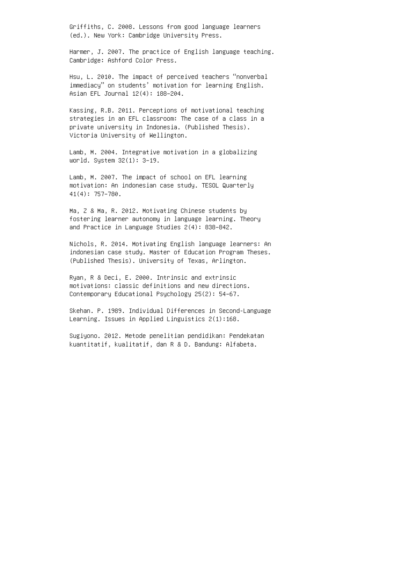Griffiths, C. 2008. Lessons from good language learners (ed.). New York: Cambridge University Press.

Harmer, J. 2007. The practice of English language teaching. Cambridge: Ashford Color Press.

Hsu, L. 2010. The impact of perceived teachers "nonverbal immediacy" on students' motivation for learning English. Asian EFL Journal 12(4): 188–204.

Kassing, R.B. 2011. Perceptions of motivational teaching strategies in an EFL classroom: The case of a class in a private university in Indonesia. (Published Thesis). Victoria University of Wellington.

Lamb, M. 2004. Integrative motivation in a globalizing world. System 32(1): 3–19.

Lamb, M. 2007. The impact of school on EFL learning motivation: An indonesian case study. TESOL Quarterly 41(4): 757–780.

Ma, Z & Ma, R. 2012. Motivating Chinese students by fostering learner autonomy in language learning. Theory and Practice in Language Studies 2(4): 838–842.

Nichols, R. 2014. Motivating English language learners: An indonesian case study. Master of Education Program Theses. (Published Thesis). University of Texas, Arlington.

Ryan, R & Deci, E. 2000. Intrinsic and extrinsic motivations: classic definitions and new directions. Contemporary Educational Psychology 25(2): 54–67.

Skehan. P. 1989. Individual Differences in Second-Language Learning. Issues in Applied Linguistics 2(1):168.

Sugiyono. 2012. Metode penelitian pendidikan: Pendekatan kuantitatif, kualitatif, dan R & D. Bandung: Alfabeta.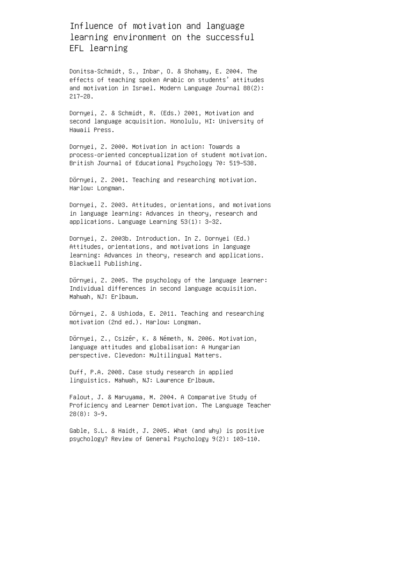Influence of motivation and language learning environment on the successful EFL learning

Donitsa-Schmidt, S., Inbar, O. & Shohamy, E. 2004. The effects of teaching spoken Arabic on students' attitudes and motivation in Israel. Modern Language Journal 88(2): 217–28.

Dornyei, Z. & Schmidt, R. (Eds.) 2001, Motivation and second language acquisition. Honolulu, HI: University of Hawaii Press.

Dornyei, Z. 2000. Motivation in action: Towards a process-oriented conceptualization of student motivation. British Journal of Educational Psychology 70: 519–538.

Dörnyei, Z. 2001. Teaching and researching motivation. Harlow: Longman.

Dornyei, Z. 2003. Attitudes, orientations, and motivations in language learning: Advances in theory, research and applications. Language Learning 53(1): 3–32.

Dornyei, Z. 2003b. Introduction. In Z. Dornyei (Ed.) Attitudes, orientations, and motivations in language learning: Advances in theory, research and applications. Blackwell Publishing.

Dörnyei, Z. 2005. The psychology of the language learner: Individual differences in second language acquisition. Mahwah, NJ: Erlbaum.

Dörnyei, Z. & Ushioda, E. 2011. Teaching and researching motivation (2nd ed.). Harlow: Longman.

Dörnyei, Z., Csizér, K. & Németh, N. 2006. Motivation, language attitudes and globalisation: A Hungarian perspective. Clevedon: Multilingual Matters.

Duff, P.A. 2008. Case study research in applied linguistics. Mahwah, NJ: Lawrence Erlbaum.

Falout, J. & Maruyama, M. 2004. A Comparative Study of Proficiency and Learner Demotivation. The Language Teacher 28(8): 3–9.

Gable, S.L. & Haidt, J. 2005. What (and why) is positive psychology? Review of General Psychology 9(2): 103–110.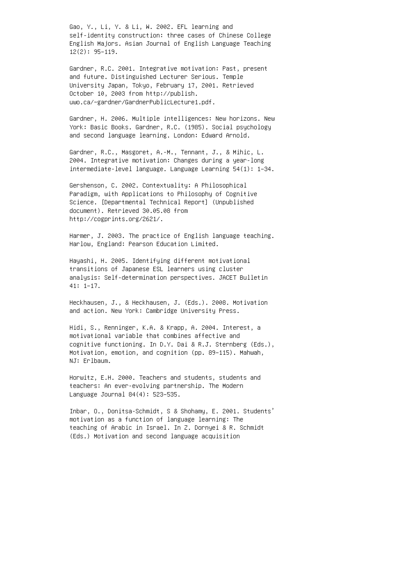Gao, Y., Li, Y. & Li, W. 2002. EFL learning and self-identity construction: three cases of Chinese College English Majors. Asian Journal of English Language Teaching 12(2): 95–119.

Gardner, R.C. 2001. Integrative motivation: Past, present and future. Distinguished Lecturer Serious. Temple University Japan, Tokyo, February 17, 2001. Retrieved October 10, 2003 from http://publish. uwo.ca/∼gardner/GardnerPublicLecture1.pdf.

Gardner, H. 2006. Multiple intelligences: New horizons. New York: Basic Books. Gardner, R.C. (1985). Social psychology and second language learning. London: Edward Arnold.

Gardner, R.C., Masgoret, A.-M., Tennant, J., & Mihic, L. 2004. Integrative motivation: Changes during a year-long intermediate-level language. Language Learning 54(1): 1–34.

Gershenson, C. 2002. Contextuality: A Philosophical Paradigm, with Applications to Philosophy of Cognitive Science. [Departmental Technical Report] (Unpublished document). Retrieved 30.05.08 from http://cogprints.org/2621/.

Harmer, J. 2003. The practice of English language teaching. Harlow, England: Pearson Education Limited.

Hayashi, H. 2005. Identifying different motivational transitions of Japanese ESL learners using cluster analysis: Self-determination perspectives. JACET Bulletin 41: 1–17.

Heckhausen, J., & Heckhausen, J. (Eds.). 2008. Motivation and action. New York: Cambridge University Press.

Hidi, S., Renninger, K.A. & Krapp, A. 2004. Interest, a motivational variable that combines affective and cognitive functioning. In D.Y. Dai & R.J. Sternberg (Eds.), Motivation, emotion, and cognition (pp. 89–115). Mahwah, NJ: Erlbaum.

Horwitz, E.H. 2000. Teachers and students, students and teachers: An ever-evolving partnership. The Modern Language Journal 84(4): 523–535.

Inbar, O., Donitsa-Schmidt, S & Shohamy, E. 2001. Students' motivation as a function of language learning: The teaching of Arabic in Israel. In Z. Dornyei & R. Schmidt (Eds.) Motivation and second language acquisition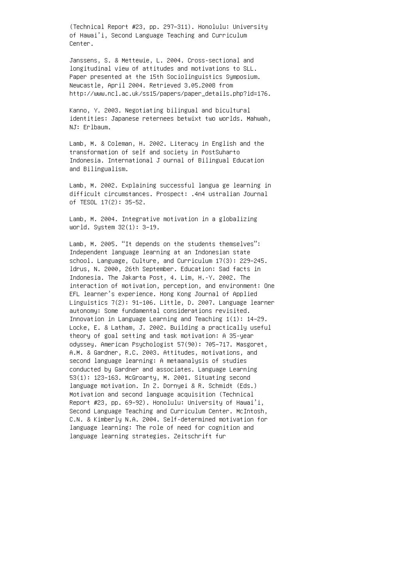(Technical Report #23, pp. 297–311). Honolulu: University of Hawai'i, Second Language Teaching and Curriculum Center.

Janssens, S. & Mettewie, L. 2004. Cross-sectional and longitudinal view of attitudes and motivations to SLL. Paper presented at the 15th Sociolinguistics Symposium. Newcastle, April 2004. Retrieved 3.05.2008 from http://www.ncl.ac.uk/ss15/papers/paper\_details.php?id=176.

Kanno, Y. 2003. Negotiating bilingual and bicultural identities: Japanese reternees betwixt two worlds. Mahwah, NJ: Erlbaum.

Lamb, M. & Coleman, H. 2002. Literacy in English and the transformation of self and society in PostSuharto Indonesia. International J ournal of Bilingual Education and Bilingualism.

Lamb, M. 2002. Explaining successful langua ge learning in difficult circumstances. Prospect: .4n4 ustralian Journal of TESOL 17(2): 35–52.

Lamb, M. 2004. Integrative motivation in a globalizing world. System 32(1): 3–19.

Lamb, M. 2005. "It depends on the students themselves": Independent language learning at an Indonesian state school. Language, Culture, and Curriculum 17(3): 229–245. ldrus, N. 2000, 26th September. Education: Sad facts in Indonesia. The Jakarta Post, 4. Lim, H.-Y. 2002. The interaction of motivation, perception, and environment: One EFL learner's experience. Hong Kong Journal of Applied Linguistics 7(2): 91–106. Little, D. 2007. Language learner autonomy: Some fundamental considerations revisited. Innovation in Language Learning and Teaching 1(1): 14–29. Locke, E. & Latham, J. 2002. Building a practically useful theory of goal setting and task motivation: A 35-year odyssey. American Psychologist 57(90): 705–717. Masgoret, A.M. & Gardner, R.C. 2003. Attitudes, motivations, and second language learning: A metaanalysis of studies conducted by Gardner and associates. Language Learning 53(1): 123–163. McGroarty, M. 2001. Situating second language motivation. In Z. Dornyei & R. Schmidt (Eds.) Motivation and second language acquisition (Technical Report #23, pp. 69–92). Honolulu: University of Hawai'i, Second Language Teaching and Curriculum Center. McIntosh, C.N. & Kimberly N.A. 2004. Self-determined motivation for language learning: The role of need for cognition and language learning strategies. Zeitschrift fur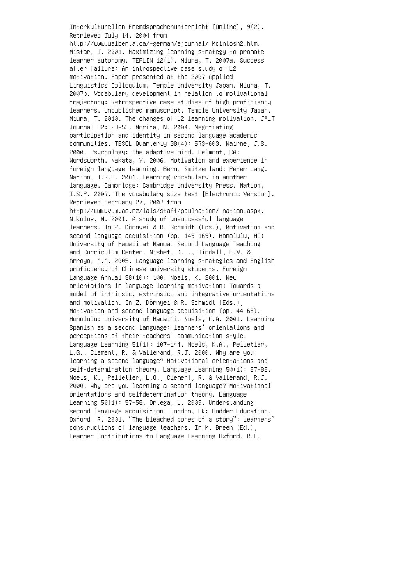Interkulturellen Fremdsprachenunterricht [Online], 9(2). Retrieved July 14, 2004 from http://www.ualberta.ca/∼german/ejournal/ Mcintosh2.htm. Mistar, J. 2001. Maximizing learning strategy to promote learner autonomy. TEFLIN 12(1). Miura, T. 2007a. Success after failure: An introspective case study of L2 motivation. Paper presented at the 2007 Applied Linguistics Colloquium, Temple University Japan. Miura, T. 2007b. Vocabulary development in relation to motivational trajectory: Retrospective case studies of high proficiency learners. Unpublished manuscript. Temple University Japan. Miura, T. 2010. The changes of L2 learning motivation. JALT Journal 32: 29–53. Morita, N. 2004. Negotiating participation and identity in second language academic communities. TESOL Quarterly 38(4): 573–603. Nairne, J.S. 2000. Psychology: The adaptive mind. Belmont, CA: Wordsworth. Nakata, Y. 2006. Motivation and experience in foreign language learning. Bern, Switzerland: Peter Lang. Nation, I.S.P. 2001. Learning vocabulary in another language. Cambridge: Cambridge University Press. Nation, I.S.P. 2007. The vocabulary size test [Electronic Version]. Retrieved February 27, 2007 from http://www.vuw.ac.nz/lals/staff/paulnation/ nation.aspx. Nikolov, M. 2001. A study of unsuccessful language learners. In Z. Dörnyei & R. Schmidt (Eds.), Motivation and second language acquisition (pp. 149–169). Honolulu, HI: University of Hawaii at Manoa. Second Language Teaching and Curriculum Center. Nisbet, D.L., Tindall, E.V. & Arroyo, A.A. 2005. Language learning strategies and English proficiency of Chinese university students. Foreign Language Annual 38(10): 100. Noels, K. 2001. New orientations in language learning motivation: Towards a model of intrinsic, extrinsic, and integrative orientations and motivation. In Z. Dörnyei & R. Schmidt (Eds.), Motivation and second language acquisition (pp. 44–68). Honolulu: University of Hawai'i. Noels, K.A. 2001. Learning Spanish as a second language: learners' orientations and perceptions of their teachers' communication style. Language Learning 51(1): 107–144. Noels, K.A., Pelletier, L.G., Clement, R. & Vallerand, R.J. 2000. Why are you learning a second language? Motivational orientations and self-determination theory. Language Learning 50(1): 57–85. Noels, K., Pelletier, L.G., Clement, R. & Vallerand, R.J. 2000. Why are you learning a second language? Motivational orientations and selfdetermination theory. Language Learning 50(1): 57–58. Ortega, L. 2009. Understanding second language acquisition. London, UK: Hodder Education. Oxford, R. 2001. "The bleached bones of a story": learners' constructions of language teachers. In M. Breen (Ed.), Learner Contributions to Language Learning Oxford, R.L.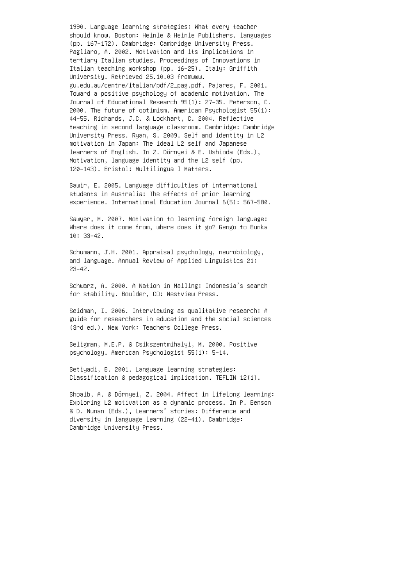1990. Language learning strategies: What every teacher should know. Boston: Heinle & Heinle Publishers. languages (pp. 167–172). Cambridge: Cambridge University Press. Pagliaro, A. 2002. Motivation and its implications in tertiary Italian studies. Proceedings of Innovations in Italian teaching workshop (pp. 16–25). Italy: Griffith University. Retrieved 25.10.03 fromwww. gu.edu.au/centre/italian/pdf/2\_pag.pdf. Pajares, F. 2001. Toward a positive psychology of academic motivation. The Journal of Educational Research 95(1): 27–35. Peterson, C. 2000. The future of optimism. American Psychologist 55(1): 44–55. Richards, J.C. & Lockhart, C. 2004. Reflective teaching in second language classroom. Cambridge: Cambridge University Press. Ryan, S. 2009. Self and identity in L2 motivation in Japan: The ideal L2 self and Japanese learners of English. In Z. Dörnyei & E. Ushioda (Eds.), Motivation, language identity and the L2 self (pp. 120–143). Bristol: Multilingua l Matters.

Sawir, E. 2005. Language difficulties of international students in Australia: The effects of prior learning experience. International Education Journal 6(5): 567–580.

Sawyer, M. 2007. Motivation to learning foreign language: Where does it come from, where does it go? Gengo to Bunka 10: 33–42.

Schumann, J.H. 2001. Appraisal psychology, neurobiology, and language. Annual Review of Applied Linguistics 21: 23–42.

Schwarz, A. 2000. A Nation in Mailing: Indonesia's search for stability. Boulder, CO: Westview Press.

Seidman, I. 2006. Interviewing as qualitative research: A guide for researchers in education and the social sciences (3rd ed.). New York: Teachers College Press.

Seligman, M.E.P. & Csikszentmihalyi, M. 2000. Positive psychology. American Psychologist 55(1): 5–14.

Setiyadi, B. 2001. Language learning strategies: Classification & pedagogical implication. TEFLIN 12(1).

Shoaib, A. & Dörnyei, Z. 2004. Affect in lifelong learning: Exploring L2 motivation as a dynamic process. In P. Benson & D. Nunan (Eds.), Learners' stories: Difference and diversity in language learning (22–41). Cambridge: Cambridge University Press.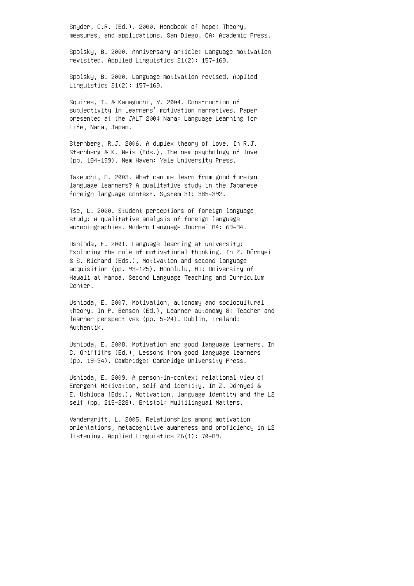Snyder, C.R. (Ed.). 2000. Handbook of hope: Theory, measures, and applications. San Diego, CA: Academic Press.

Spolsky, B. 2000. Anniversary article: Language motivation revisited. Applied Linguistics 21(2): 157–169.

Spolsky, B. 2000. Language motivation revised. Applied Linguistics 21(2): 157–169.

Squires, T. & Kawaguchi, Y. 2004. Construction of subjectivity in learners' motivation narratives. Paper presented at the JALT 2004 Nara: Language Learning for Life, Nara, Japan.

Sternberg, R.J. 2006. A duplex theory of love. In R.J. Sternberg & K. Weis (Eds.), The new psychology of love (pp. 184–199). New Haven: Yale University Press.

Takeuchi, O. 2003. What can we learn from good foreign language learners? A qualitative study in the Japanese foreign language context. System 31: 385–392.

Tse, L. 2000. Student perceptions of foreign language study: A qualitative analysis of foreign language autobiographies. Modern Language Journal 84: 69–84.

Ushioda, E. 2001. Language learning at university: Exploring the role of motivational thinking. In Z. Dörnyei & S. Richard (Eds.), Motivation and second language acquisition (pp. 93–125). Honolulu, HI: University of Hawaii at Manoa. Second Language Teaching and Curriculum Center.

Ushioda, E. 2007. Motivation, autonomy and sociocultural theory. In P. Benson (Ed.), Learner autonomy 8: Teacher and learner perspectives (pp. 5–24). Dublin, Ireland: Authentik.

Ushioda, E. 2008. Motivation and good language learners. In C. Griffiths (Ed.), Lessons from good language learners (pp. 19–34). Cambridge: Cambridge University Press.

Ushioda, E. 2009. A person-in-context relational view of Emergent Motivation, self and identity. In Z. Dörnyei & E. Ushioda (Eds.), Motivation, language identity and the L2 self (pp. 215–228). Bristol: Multilingual Matters.

Vandergrift, L. 2005. Relationships among motivation orientations, metacognitive awareness and proficiency in L2 listening. Applied Linguistics 26(1): 70–89.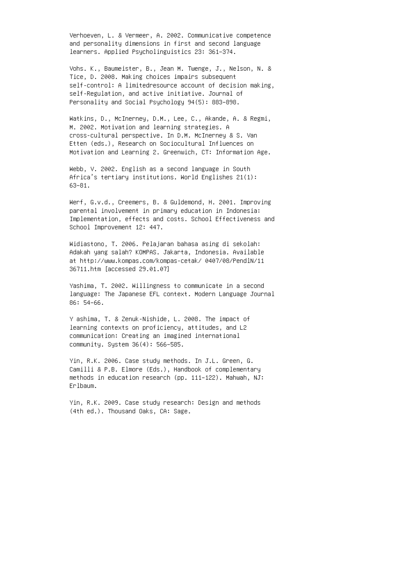Verhoeven, L. & Vermeer, A. 2002. Communicative competence and personality dimensions in first and second language learners. Applied Psycholinguistics 23: 361–374.

Vohs. K., Baumeister, B., Jean M. Twenge, J., Nelson, N. & Tice, D. 2008. Making choices impairs subsequent self-control: A limitedresource account of decision making, self-Regulation, and active initiative. Journal of Personality and Social Psychology 94(5): 883–898.

Watkins, D., McInerney, D.M., Lee, C., Akande, A. & Regmi, M. 2002. Motivation and learning strategies. A cross-cultural perspective. In D.M. McInerney & S. Van Etten (eds.), Research on Sociocultural Influences on Motivation and Learning 2. Greenwich, CT: Information Age.

Webb, V. 2002. English as a second language in South Africa's tertiary institutions. World Englishes 21(1): 63–81.

Werf, G.v.d., Creemers, B. & Guldemond, H. 2001. Improving parental involvement in primary education in Indonesia: Implementation, effects and costs. School Effectiveness and School Improvement 12: 447.

Widiastono, T. 2006. Pelajaran bahasa asing di sekolah: Adakah yang salah? KOMPAS. Jakarta, Indonesia. Available at http://www.kompas.com/kompas-cetak/ 0407/08/PendlN/11 36711.htm [accessed 29.01.07]

Yashima, T. 2002. Willingness to communicate in a second language: The Japanese EFL context. Modern Language Journal 86: 54–66.

Y ashima, T. & Zenuk-Nishide, L. 2008. The impact of learning contexts on proficiency, attitudes, and L2 communication: Creating an imagined international community. System 36(4): 566–585.

Yin, R.K. 2006. Case study methods. In J.L. Green, G. Camilli & P.B. Elmore (Eds.), Handbook of complementary methods in education research (pp. 111–122). Mahwah, NJ: Erlbaum.

Yin, R.K. 2009. Case study research: Design and methods (4th ed.). Thousand Oaks, CA: Sage.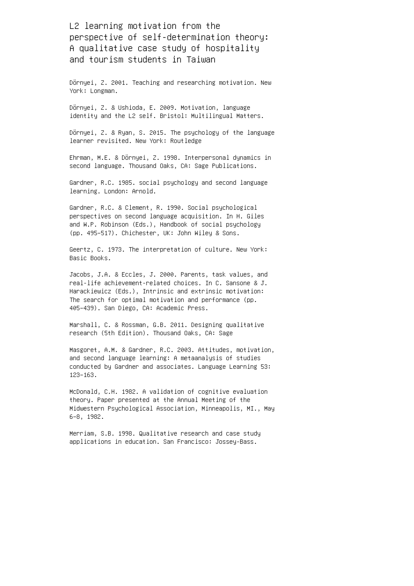L2 learning motivation from the perspective of self-determination theory: A qualitative case study of hospitality and tourism students in Taiwan

Dörnyei, Z. 2001. Teaching and researching motivation. New York: Longman.

Dörnyei, Z. & Ushioda, E. 2009. Motivation, language identity and the L2 self. Bristol: Multilingual Matters.

Dörnyei, Z. & Ryan, S. 2015. The psychology of the language learner revisited. New York: Routledge

Ehrman, M.E. & Dörnyei, Z. 1998. Interpersonal dynamics in second language. Thousand Oaks, CA: Sage Publications.

Gardner, R.C. 1985. social psychology and second language learning. London: Arnold.

Gardner, R.C. & Clement, R. 1990. Social psychological perspectives on second language acquisition. In H. Giles and W.P. Robinson (Eds.), Handbook of social psychology (pp. 495–517). Chichester, UK: John Wiley & Sons.

Geertz, C. 1973. The interpretation of culture. New York: Basic Books.

Jacobs, J.A. & Eccles, J. 2000. Parents, task values, and real-life achievement-related choices. In C. Sansone & J. Harackiewicz (Eds.), Intrinsic and extrinsic motivation: The search for optimal motivation and performance (pp. 405–439). San Diego, CA: Academic Press.

Marshall, C. & Rossman, G.B. 2011. Designing qualitative research (5th Edition). Thousand Oaks, CA: Sage

Masgoret, A.M. & Gardner, R.C. 2003. Attitudes, motivation, and second language learning: A metaanalysis of studies conducted by Gardner and associates. Language Learning 53: 123–163.

McDonald, C.H. 1982. A validation of cognitive evaluation theory. Paper presented at the Annual Meeting of the Midwestern Psychological Association, Minneapolis, MI., May 6–8, 1982.

Merriam, S.B. 1998. Qualitative research and case study applications in education. San Francisco: Jossey-Bass.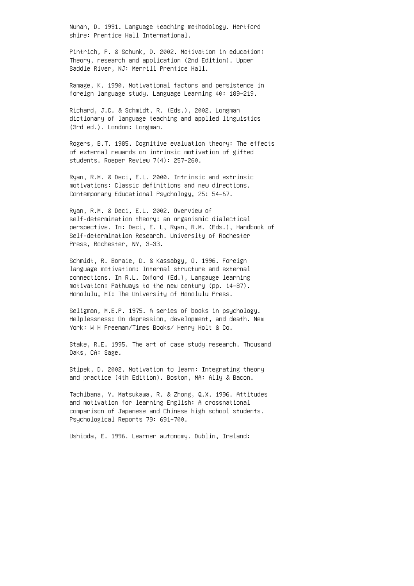Nunan, D. 1991. Language teaching methodology. Hertford shire: Prentice Hall International.

Pintrich, P. & Schunk, D. 2002. Motivation in education: Theory, research and application (2nd Edition). Upper Saddle River, NJ: Merrill Prentice Hall.

Ramage, K. 1990. Motivational factors and persistence in foreign language study. Language Learning 40: 189–219.

Richard, J.C. & Schmidt, R. (Eds.), 2002. Longman dictionary of language teaching and applied linguistics (3rd ed.). London: Longman.

Rogers, B.T. 1985. Cognitive evaluation theory: The effects of external rewards on intrinsic motivation of gifted students. Roeper Review 7(4): 257–260.

Ryan, R.M. & Deci, E.L. 2000. Intrinsic and extrinsic motivations: Classic definitions and new directions. Contemporary Educational Psychology, 25: 54–67.

Ryan, R.M. & Deci, E.L. 2002. Overview of self-determination theory: an organismic dialectical perspective. In: Deci, E. L, Ryan, R.M. (Eds.), Handbook of Self-determination Research. University of Rochester Press, Rochester, NY, 3–33.

Schmidt, R. Boraie, D. & Kassabgy, O. 1996. Foreign language motivation: Internal structure and external connections. In R.L. Oxford (Ed.), Langauge learning motivation: Pathways to the new century (pp. 14–87). Honolulu, HI: The University of Honolulu Press.

Seligman, M.E.P. 1975. A series of books in psychology. Helplessness: On depression, development, and death. New York: W H Freeman/Times Books/ Henry Holt & Co.

Stake, R.E. 1995. The art of case study research. Thousand Oaks, CA: Sage.

Stipek, D. 2002. Motivation to learn: Integrating theory and practice (4th Edition). Boston, MA: Ally & Bacon.

Tachibana, Y. Matsukawa, R. & Zhong, Q.X. 1996. Attitudes and motivation for learning English: A crossnational comparison of Japanese and Chinese high school students. Psychological Reports 79: 691–700.

Ushioda, E. 1996. Learner autonomy. Dublin, Ireland: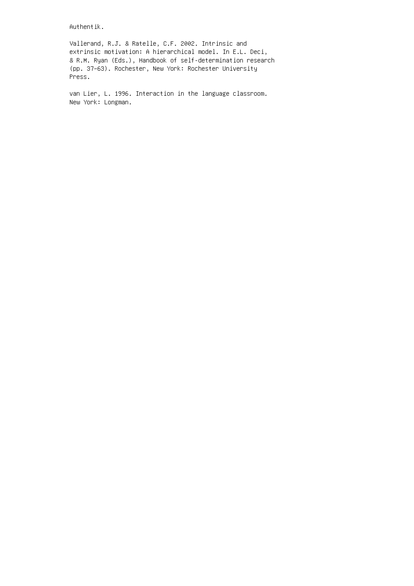Authentik.

Vallerand, R.J. & Ratelle, C.F. 2002. Intrinsic and extrinsic motivation: A hierarchical model. In E.L. Deci, & R.M. Ryan (Eds.), Handbook of self-determination research (pp. 37–63). Rochester, New York: Rochester University Press.

van Lier, L. 1996. Interaction in the language classroom. New York: Longman.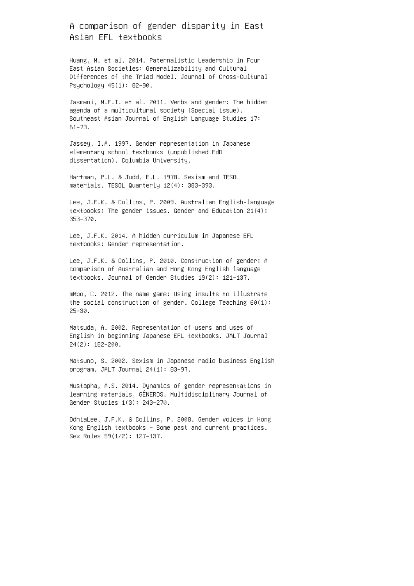A comparison of gender disparity in East Asian EFL textbooks

Huang, M. et al. 2014. Paternalistic Leadership in Four East Asian Societies: Generalizability and Cultural Differences of the Triad Model. Journal of Cross-Cultural Psychology 45(1): 82–90.

Jasmani, M.F.I. et al. 2011. Verbs and gender: The hidden agenda of a multicultural society (Special issue). Southeast Asian Journal of English Language Studies 17: 61–73.

Jassey, I.A. 1997. Gender representation in Japanese elementary school textbooks (unpublished EdD dissertation). Columbia University.

Hartman, P.L. & Judd, E.L. 1978. Sexism and TESOL materials. TESOL Quarterly 12(4): 383–393.

Lee, J.F.K. & Collins, P. 2009. Australian English-language textbooks: The gender issues. Gender and Education 21(4): 353–370.

Lee, J.F.K. 2014. A hidden curriculum in Japanese EFL textbooks: Gender representation.

Lee, J.F.K. & Collins, P. 2010. Construction of gender: A comparison of Australian and Hong Kong English language textbooks. Journal of Gender Studies 19(2): 121–137.

mMbo, C. 2012. The name game: Using insults to illustrate the social construction of gender. College Teaching 60(1): 25–30.

Matsuda, A. 2002. Representation of users and uses of English in beginning Japanese EFL textbooks. JALT Journal 24(2): 182–200.

Matsuno, S. 2002. Sexism in Japanese radio business English program. JALT Journal 24(1): 83–97.

Mustapha, A.S. 2014. Dynamics of gender representations in learning materials, GÉNEROS. Multidisciplinary Journal of Gender Studies 1(3): 243–270.

OdhiaLee, J.F.K. & Collins, P. 2008. Gender voices in Hong Kong English textbooks – Some past and current practices. Sex Roles 59(1/2): 127–137.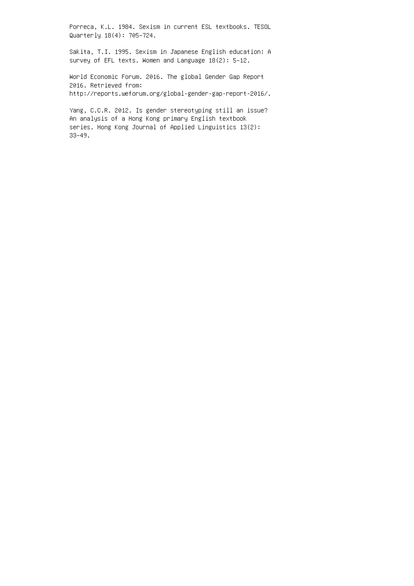Porreca, K.L. 1984. Sexism in current ESL textbooks. TESOL Quarterly 18(4): 705–724.

Sakita, T.I. 1995. Sexism in Japanese English education: A survey of EFL texts. Women and Language 18(2): 5–12.

World Economic Forum. 2016. The global Gender Gap Report 2016. Retrieved from: http://reports.weforum.org/global-gender-gap-report-2016/.

Yang, C.C.R. 2012. Is gender stereotyping still an issue? An analysis of a Hong Kong primary English textbook series. Hong Kong Journal of Applied Linguistics 13(2): 33–49.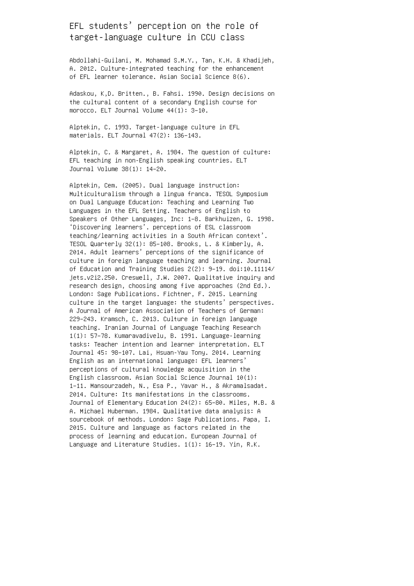## EFL students' perception on the role of target-language culture in CCU class

Abdollahi-Guilani, M. Mohamad S.M.Y., Tan, K.H. & Khadijeh, A. 2012. Culture-integrated teaching for the enhancement of EFL learner tolerance. Asian Social Science 8(6).

Adaskou, K,D. Britten., B. Fahsi. 1990. Design decisions on the cultural content of a secondary English course for morocco. ELT Journal Volume 44(1): 3–10.

Alptekin, C. 1993. Target-language culture in EFL materials. ELT Journal 47(2): 136–143.

Alptekin, C. & Margaret, A. 1984. The question of culture: EFL teaching in non-English speaking countries. ELT Journal Volume 38(1): 14–20.

Alptekin, Cem. (2005). Dual language instruction: Multiculturalism through a lingua franca. TESOL Symposium on Dual Language Education: Teaching and Learning Two Languages in the EFL Setting. Teachers of English to Speakers of Other Languages, Inc: 1–8. Barkhuizen, G. 1998. 'Discovering learners'. perceptions of ESL classroom teaching/learning activities in a South African context'. TESOL Quarterly 32(1): 85–108. Brooks, L. & Kimberly, A. 2014. Adult learners' perceptions of the significance of culture in foreign language teaching and learning. Journal of Education and Training Studies 2(2): 9–19. doi:10.11114/ jets.v2i2.250. Creswell, J.W. 2007. Qualitative inquiry and research design, choosing among five approaches (2nd Ed.). London: Sage Publications. Fichtner, F. 2015. Learning culture in the target language: the students' perspectives. A Journal of American Association of Teachers of German: 229–243. Kramsch, C. 2013. Culture in foreign language teaching. Iranian Journal of Language Teaching Research 1(1): 57–78. Kumaravadivelu, B. 1991. Language-learning tasks: Teacher intention and learner interpretation. ELT Journal 45: 98–107. Lai, Hsuan-Yau Tony. 2014. Learning English as an international language: EFL learners' perceptions of cultural knowledge acquisition in the English classroom. Asian Social Science Journal 10(1): 1–11. Mansourzadeh, N., Esa P., Yavar H., & Akramalsadat. 2014. Culture: Its manifestations in the classrooms. Journal of Elementary Education 24(2): 65–80. Miles, M.B. & A. Michael Huberman. 1984. Qualitative data analysis: A sourcebook of methods. London: Sage Publications. Papa, I. 2015. Culture and language as factors related in the process of learning and education. European Journal of Language and Literature Studies. 1(1): 16–19. Yin, R.K.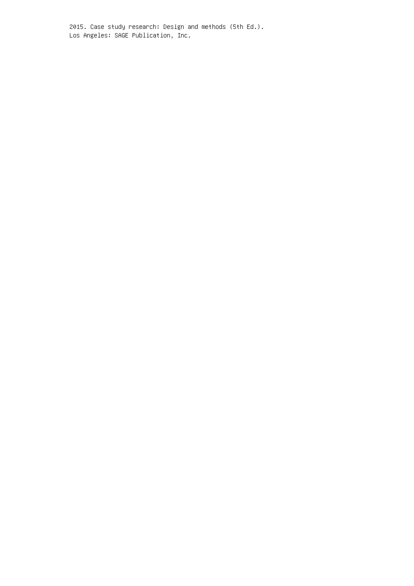2015. Case study research: Design and methods (5th Ed.). Los Angeles: SAGE Publication, Inc.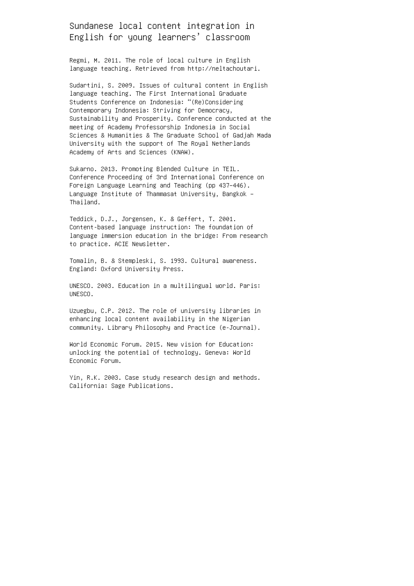Sundanese local content integration in English for young learners' classroom

Regmi, M. 2011. The role of local culture in English language teaching. Retrieved from http://neltachoutari.

Sudartini, S. 2009. Issues of cultural content in English language teaching. The First International Graduate Students Conference on Indonesia: "(Re)Considering Contemporary Indonesia: Striving for Democracy, Sustainability and Prosperity. Conference conducted at the meeting of Academy Professorship Indonesia in Social Sciences & Humanities & The Graduate School of Gadjah Mada University with the support of The Royal Netherlands Academy of Arts and Sciences (KNAW).

Sukarno. 2013. Promoting Blended Culture in TEIL. Conference Proceeding of 3rd International Conference on Foreign Language Learning and Teaching (pp 437–446). Language Institute of Thammasat University, Bangkok – Thailand.

Teddick, D.J., Jorgensen, K. & Geffert, T. 2001. Content-based language instruction: The foundation of language immersion education in the bridge: From research to practice. ACIE Newsletter.

Tomalin, B. & Stempleski, S. 1993. Cultural awareness. England: Oxford University Press.

UNESCO. 2003. Education in a multilingual world. Paris: UNESCO.

Uzuegbu, C.P. 2012. The role of university libraries in enhancing local content availability in the Nigerian community. Library Philosophy and Practice (e-Journal).

World Economic Forum. 2015. New vision for Education: unlocking the potential of technology. Geneva: World Economic Forum.

Yin, R.K. 2003. Case study research design and methods. California: Sage Publications.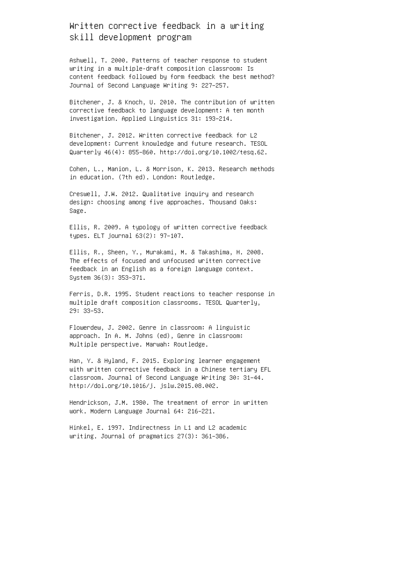Written corrective feedback in a writing skill development program

Ashwell, T. 2000. Patterns of teacher response to student writing in a multiple-draft composition classroom: Is content feedback followed by form feedback the best method? Journal of Second Language Writing 9: 227–257.

Bitchener, J. & Knoch, U. 2010. The contribution of written corrective feedback to language development: A ten month investigation. Applied Linguistics 31: 193–214.

Bitchener, J. 2012. Written corrective feedback for L2 development: Current knowledge and future research. TESOL Quarterly 46(4): 855–860. http://doi.org/10.1002/tesq.62.

Cohen, L., Manion, L. & Morrison, K. 2013. Research methods in education. (7th ed). London: Routledge.

Creswell, J.W. 2012. Qualitative inquiry and research design: choosing among five approaches. Thousand Oaks: Sage.

Ellis, R. 2009. A typology of written corrective feedback types. ELT journal 63(2): 97–107.

Ellis, R., Sheen, Y., Murakami, M. & Takashima, H. 2008. The effects of focused and unfocused written corrective feedback in an English as a foreign language context. System 36(3): 353–371.

Ferris, D.R. 1995. Student reactions to teacher response in multiple draft composition classrooms. TESOL Quarterly, 29: 33–53.

Flowerdew, J. 2002. Genre in classroom: A linguistic approach. In A. M. Johns (ed), Genre in classroom: Multiple perspective. Marwah: Routledge.

Han, Y. & Hyland, F. 2015. Exploring learner engagement with written corrective feedback in a Chinese tertiary EFL classroom. Journal of Second Language Writing 30: 31–44. http://doi.org/10.1016/j. jslw.2015.08.002.

Hendrickson, J.M. 1980. The treatment of error in written work. Modern Language Journal 64: 216–221.

Hinkel, E. 1997. Indirectness in L1 and L2 academic writing. Journal of pragmatics 27(3): 361–386.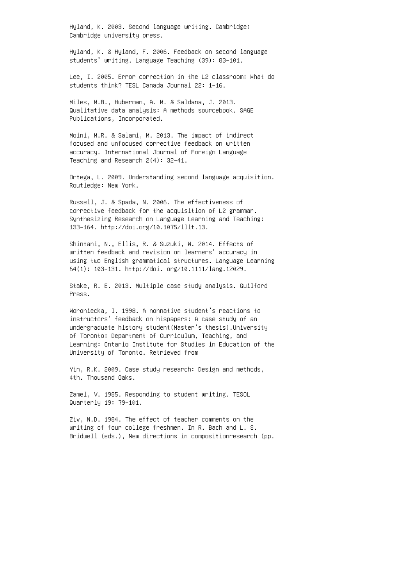Hyland, K. 2003. Second language writing. Cambridge: Cambridge university press.

Hyland, K. & Hyland, F. 2006. Feedback on second language students' writing. Language Teaching (39): 83–101.

Lee, I. 2005. Error correction in the L2 classroom: What do students think? TESL Canada Journal 22: 1–16.

Miles, M.B., Huberman, A. M. & Saldana, J. 2013. Qualitative data analysis: A methods sourcebook. SAGE Publications, Incorporated.

Moini, M.R. & Salami, M. 2013. The impact of indirect focused and unfocused corrective feedback on written accuracy. International Journal of Foreign Language Teaching and Research 2(4): 32–41.

Ortega, L. 2009. Understanding second language acquisition. Routledge: New York.

Russell, J. & Spada, N. 2006. The effectiveness of corrective feedback for the acquisition of L2 grammar. Synthesizing Research on Language Learning and Teaching: 133–164. http://doi.org/10.1075/lllt.13.

Shintani, N., Ellis, R. & Suzuki, W. 2014. Effects of written feedback and revision on learners' accuracy in using two English grammatical structures. Language Learning 64(1): 103–131. http://doi. org/10.1111/lang.12029.

Stake, R. E. 2013. Multiple case study analysis. Guilford Press.

Woroniecka, I. 1998. A nonnative student's reactions to instructors' feedback on hispapers: A case study of an undergraduate history student(Master's thesis).University of Toronto: Department of Curriculum, Teaching, and Learning: Ontario Institute for Studies in Education of the University of Toronto. Retrieved from

Yin, R.K. 2009. Case study research: Design and methods, 4th. Thousand Oaks.

Zamel, V. 1985. Responding to student writing. TESOL Quarterly 19: 79–101.

Ziv, N.D. 1984. The effect of teacher comments on the writing of four college freshmen. In R. Bach and L. S. Bridwell (eds.), New directions in compositionresearch (pp.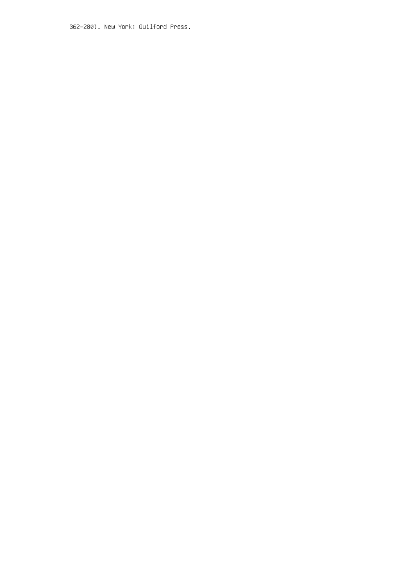362–280). New York: Guilford Press.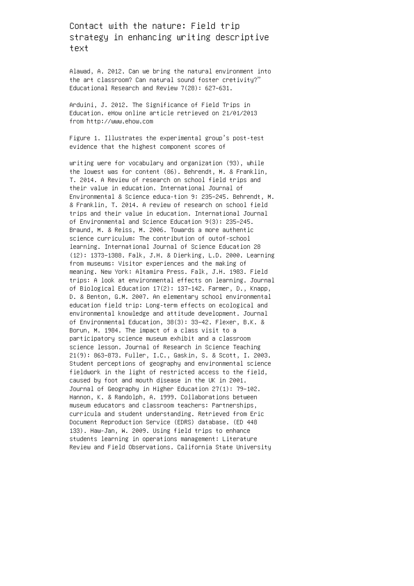Contact with the nature: Field trip strategy in enhancing writing descriptive text

Alawad, A. 2012. Can we bring the natural environment into the art classroom? Can natural sound foster cretivity?" Educational Research and Review 7(28): 627–631.

Arduini, J. 2012. The Significance of Field Trips in Education. eHow online article retrieved on 21/01/2013 from http://www.ehow.com

Figure 1. Illustrates the experimental group's post-test evidence that the highest component scores of

writing were for vocabulary and organization (93), while the lowest was for content (86). Behrendt, M. & Franklin, T. 2014. A Review of research on school field trips and their value in education. International Journal of Environmental & Science educa-tion 9: 235–245. Behrendt, M. & Franklin, T. 2014. A review of research on school field trips and their value in education. International Journal of Environmental and Science Education 9(3): 235–245. Braund, M. & Reiss, M. 2006. Towards a more authentic science curriculum: The contribution of outof-school learning. International Journal of Science Education 28 (12): 1373–1388. Falk, J.H. & Dierking, L.D. 2000. Learning from museums: Visitor experiences and the making of meaning. New York: Altamira Press. Falk, J.H. 1983. Field trips: A look at environmental effects on learning. Journal of Biological Education 17(2): 137–142. Farmer, D., Knapp, D. & Benton, G.M. 2007. An elementary school environmental education field trip: Long-term effects on ecological and environmental knowledge and attitude development. Journal of Environmental Education, 38(3): 33–42. Flexer, B.K. & Borun, M. 1984. The impact of a class visit to a participatory science museum exhibit and a classroom science lesson. Journal of Research in Science Teaching 21(9): 863–873. Fuller, I.C., Gaskin, S. & Scott, I. 2003. Student perceptions of geography and environmental science fieldwork in the light of restricted access to the field, caused by foot and mouth disease in the UK in 2001. Journal of Geography in Higher Education 27(1): 79–102. Hannon, K. & Randolph, A. 1999. Collaborations between museum educators and classroom teachers: Partnerships, curricula and student understanding. Retrieved from Eric Document Reproduction Service (EDRS) database. (ED 448 133). Haw-Jan, W. 2009. Using field trips to enhance students learning in operations management: Literature Review and Field Observations. California State University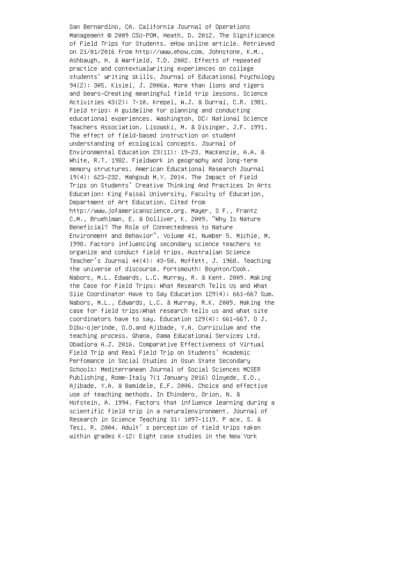San Bernardino, CA. California Journal of Operations Management © 2009 CSU-POM. Heath, D. 2012. The Significance of Field Trips for Students. eHow online article. Retrieved on 21/01/2016 from http://www.ehow.com. Johnstone, K.M., Ashbaugh, H. & Warfield, T.D. 2002. Effects of repeated practice and contextualwriting experiences on college students' writing skills. Journal of Educational Psychology 94(2): 305. Kisiel, J. 2006a. More than lions and tigers and bears–Creating meaningful field trip lessons. Science Activities 43(2): 7–10. Krepel, W.J. & Durral, C.R. 1981. Field trips: A guideline for planning and conducting educational experiences. Washington, DC: National Science Teachers Association. Lisowski, M. & Disinger, J.F. 1991. The effect of field-based instruction on student understanding of ecological concepts. Journal of Environmental Education 23(11): 19–23. MacKenzie, A.A. & White, R.T. 1982. Fieldwork in geography and long-term memory structures. American Educational Research Journal 19(4): 623–232. Mahgoub M.Y. 2014. The Impact of Field Trips on Students' Creative Thinking And Practices In Arts Education: King Faisal University, Faculty of Education, Department of Art Education. Cited from http://www.jofamericanscience.org. Mayer, S F., Frantz C.M., Bruehlman, E. & Dolliver, K. 2009. "Why Is Nature Beneficial? The Role of Connectedness to Nature Environment and Behavior". Volume 41, Number 5. Michie, M. 1998. Factors influencing secondary science teachers to organize and conduct field trips. Australian Science Teacher's Journal 44(4): 43–50. Moffett, J. 1968. Teaching the universe of discourse. Portsmouth: Boynton/Cook. Nabors, M.L. Edwards, L.C. Murray, R. & Kent. 2009. Making the Case for Field Trips: What Research Tells Us and What Siie Coordinator Have to Say Education 129(4): 661–667 Sum. Nabors, M.L., Edwards, L.C. & Murray, R.K. 2009. Making the case for field trips:What research tells us and what site coordinators have to say. Education 129(4): 661–667. O J. Dibu-ojerinde, O.O.and Ajibade, Y.A. Curriculum and the teaching process. Ghana, Dama Educational Services Ltd. Obadiora A.J. 2016. Comparative Effectiveness of Virtual Field Trip and Real Field Trip on Students' Academic Perfomance in Social Studies in Osun State Secondary Schools: Mediterranean Journal of Social Sciences MCSER Publishing, Rome-Italy 7(1 January 2016) Oloyede, E.O., Ajibade, Y.A. & Bamidele, E.F. 2006. Choice and effective use of teaching methods. In Ehindero, Orion, N. & Hofstein, A. 1994. Factors that influence learning during a scientific field trip in a naturalenvironment. Journal of Research in Science Teaching 31: 1097–1119. P ace, S. & Tesi, R. 2004. Adult' s perception of field trips taken within grades K-12: Eight case studies in the New York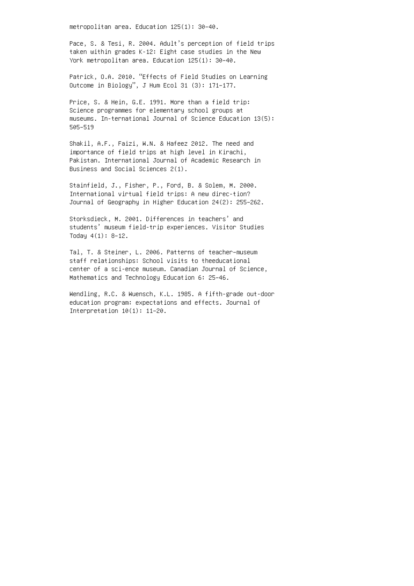metropolitan area. Education 125(1): 30–40.

Pace, S. & Tesi, R. 2004. Adult's perception of field trips taken within grades K-12: Eight case studies in the New York metropolitan area. Education 125(1): 30–40.

Patrick, O.A. 2010. "Effects of Field Studies on Learning Outcome in Biology", J Hum Ecol 31 (3): 171–177.

Price, S. & Hein, G.E. 1991. More than a field trip: Science programmes for elementary school groups at museums. In-ternational Journal of Science Education 13(5): 505–519

Shakil, A.F., Faizi, W.N. & Hafeez 2012. The need and importance of field trips at high level in Kirachi, Pakistan. International Journal of Academic Research in Business and Social Sciences 2(1).

Stainfield, J., Fisher, P., Ford, B. & Solem, M. 2000. International virtual field trips: A new direc-tion? Journal of Geography in Higher Education 24(2): 255–262.

Storksdieck, M. 2001. Differences in teachers' and students' museum field-trip experiences. Visitor Studies Today 4(1): 8–12.

Tal, T. & Steiner, L. 2006. Patterns of teacher–museum staff relationships: School visits to theeducational center of a sci-ence museum. Canadian Journal of Science, Mathematics and Technology Education 6: 25–46.

Wendling, R.C. & Wuensch, K.L. 1985. A fifth-grade out-door education program: expectations and effects. Journal of Interpretation 10(1): 11–20.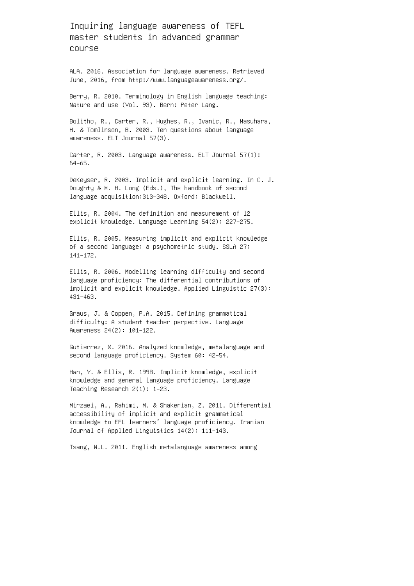Inquiring language awareness of TEFL master students in advanced grammar course

ALA. 2016. Association for language awareness. Retrieved June, 2016, from http://www.languageawareness.org/.

Berry, R. 2010. Terminology in English language teaching: Nature and use (Vol. 93). Bern: Peter Lang.

Bolitho, R., Carter, R., Hughes, R., Ivanic, R., Masuhara, H. & Tomlinson, B. 2003. Ten questions about language awareness. ELT Journal 57(3).

Carter, R. 2003. Language awareness. ELT Journal 57(1): 64–65.

DeKeyser, R. 2003. Implicit and explicit learning. In C. J. Doughty & M. H. Long (Eds.), The handbook of second language acquisition:313–348. Oxford: Blackwell.

Ellis, R. 2004. The definition and measurement of l2 explicit knowledge. Language Learning 54(2): 227–275.

Ellis, R. 2005. Measuring implicit and explicit knowledge of a second language: a psychometric study. SSLA 27: 141–172.

Ellis, R. 2006. Modelling learning difficulty and second language proficiency: The differential contributions of implicit and explicit knowledge. Applied Linguistic 27(3): 431–463.

Graus, J. & Coppen, P.A. 2015. Defining grammatical difficulty: A student teacher perpective. Language Awareness 24(2): 101–122.

Gutierrez, X. 2016. Analyzed knowledge, metalanguage and second language proficiency. System 60: 42-54.

Han, Y. & Ellis, R. 1998. Implicit knowledge, explicit knowledge and general language proficiency. Language Teaching Research 2(1): 1–23.

Mirzaei, A., Rahimi, M. & Shakerian, Z. 2011. Differential accessibility of implicit and explicit grammatical knowledge to EFL learners' language proficiency. Iranian Journal of Applied Linguistics 14(2): 111–143.

Tsang, W.L. 2011. English metalanguage awareness among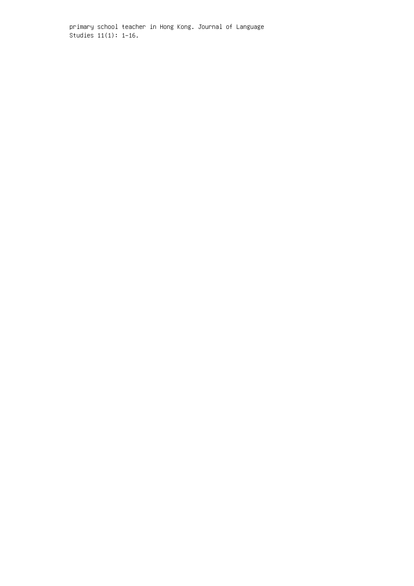primary school teacher in Hong Kong. Journal of Language Studies 11(1): 1–16.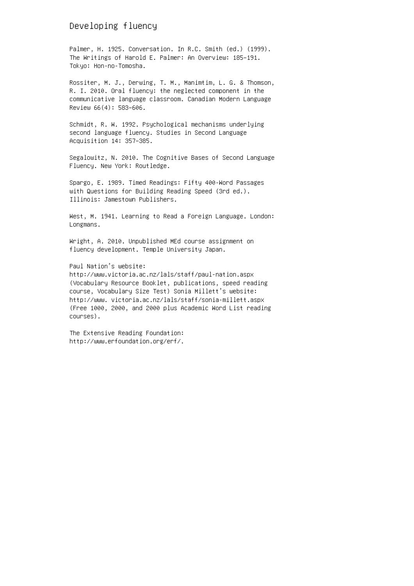#### Developing fluency

Palmer, H. 1925. Conversation. In R.C. Smith (ed.) (1999). The Writings of Harold E. Palmer: An Overview: 185–191. Tokyo: Hon-no-Tomosha.

Rossiter, M. J., Derwing, T. M., Manimtim, L. G. & Thomson, R. I. 2010. Oral fluency: the neglected component in the communicative language classroom. Canadian Modern Language Review 66(4): 583–606.

Schmidt, R. W. 1992. Psychological mechanisms underlying second language fluency. Studies in Second Language Acquisition 14: 357–385.

Segalowitz, N. 2010. The Cognitive Bases of Second Language Fluency. New York: Routledge.

Spargo, E. 1989. Timed Readings: Fifty 400-Word Passages with Questions for Building Reading Speed (3rd ed.). Illinois: Jamestown Publishers.

West, M. 1941. Learning to Read a Foreign Language. London: Longmans.

Wright, A. 2010. Unpublished MEd course assignment on fluency development. Temple University Japan.

Paul Nation's website:

http://www.victoria.ac.nz/lals/staff/paul-nation.aspx (Vocabulary Resource Booklet, publications, speed reading course, Vocabulary Size Test) Sonia Millett's website: http://www. victoria.ac.nz/lals/staff/sonia-millett.aspx (Free 1000, 2000, and 2000 plus Academic Word List reading courses).

The Extensive Reading Foundation: http://www.erfoundation.org/erf/.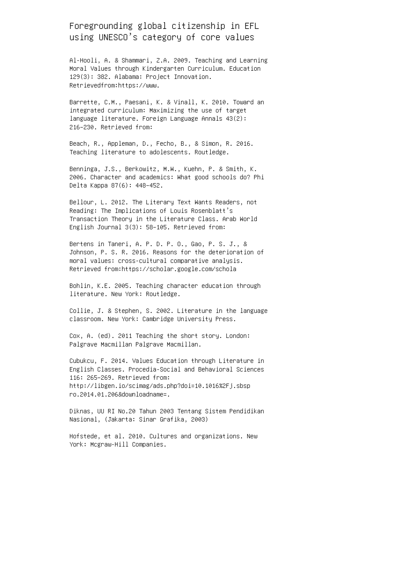# Foregrounding global citizenship in EFL using UNESCO's category of core values

Al-Hooli, A. & Shammari, Z.A. 2009. Teaching and Learning Moral Values through Kindergarten Curriculum. Education 129(3): 382. Alabama: Project Innovation. Retrievedfrom:https://www.

Barrette, C.M., Paesani, K. & Vinall, K. 2010. Toward an integrated curriculum: Maximizing the use of target language literature. Foreign Language Annals 43(2): 216–230. Retrieved from:

Beach, R., Appleman, D., Fecho, B., & Simon, R. 2016. Teaching literature to adolescents. Routledge.

Benninga, J.S., Berkowitz, M.W., Kuehn, P. & Smith, K. 2006. Character and academics: What good schools do? Phi Delta Kappa 87(6): 448–452.

Bellour, L. 2012. The Literary Text Wants Readers, not Reading: The Implications of Louis Rosenblatt's Transaction Theory in the Literature Class. Arab World English Journal 3(3): 58–105. Retrieved from:

Bertens in Taneri, A. P. D. P. O., Gao, P. S. J., & Johnson, P. S. R. 2016. Reasons for the deterioration of moral values: cross-cultural comparative analysis. Retrieved from:https://scholar.google.com/schola

Bohlin, K.E. 2005. Teaching character education through literature. New York: Routledge.

Collie, J. & Stephen, S. 2002. Literature in the language classroom. New York: Cambridge University Press.

Cox, A. (ed). 2011 Teaching the short story. London: Palgrave Macmillan Palgrave Macmillan.

Cubukcu, F. 2014. Values Education through Literature in English Classes. Procedia-Social and Behavioral Sciences 116: 265–269. Retrieved from: http://libgen.io/scimag/ads.php?doi=10.1016%2Fj.sbsp ro.2014.01.206&downloadname=.

Diknas, UU RI No.20 Tahun 2003 Tentang Sistem Pendidikan Nasional, (Jakarta: Sinar Grafika, 2003)

Hofstede, et al. 2010. Cultures and organizations. New York: Mcgraw-Hill Companies.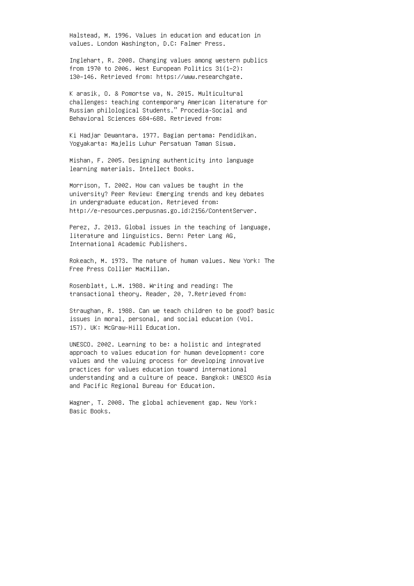Halstead, M. 1996. Values in education and education in values. London Washington, D.C: Falmer Press.

Inglehart, R. 2008. Changing values among western publics from 1970 to 2006. West European Politics 31(1–2): 130–146. Retrieved from: https://www.researchgate.

K arasik, O. & Pomortse va, N. 2015. Multicultural challenges: teaching contemporary American literature for Russian philological Students." Procedia-Social and Behavioral Sciences 684–688. Retrieved from:

Ki Hadjar Dewantara. 1977. Bagian pertama: Pendidikan. Yogyakarta: Majelis Luhur Persatuan Taman Siswa.

Mishan, F. 2005. Designing authenticity into language learning materials. Intellect Books.

Morrison, T. 2002. How can values be taught in the university? Peer Review: Emerging trends and key debates in undergraduate education. Retrieved from: http://e-resources.perpusnas.go.id:2156/ContentServer.

Perez, J. 2013. Global issues in the teaching of language, literature and linguistics. Bern: Peter Lang AG, International Academic Publishers.

Rokeach, M. 1973. The nature of human values. New York: The Free Press Collier MacMillan.

Rosenblatt, L.M. 1988. Writing and reading: The transactional theory. Reader, 20, 7.Retrieved from:

Straughan, R. 1988. Can we teach children to be good? basic issues in moral, personal, and social education (Vol. 157). UK: McGraw-Hill Education.

UNESCO. 2002. Learning to be: a holistic and integrated approach to values education for human development: core values and the valuing process for developing innovative practices for values education toward international understanding and a culture of peace. Bangkok: UNESCO Asia and Pacific Regional Bureau for Education.

Wagner, T. 2008. The global achievement gap. New York: Basic Books.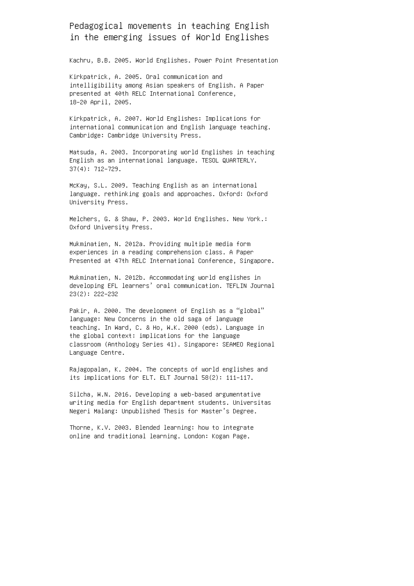Pedagogical movements in teaching English in the emerging issues of World Englishes

Kachru, B.B. 2005. World Englishes. Power Point Presentation

Kirkpatrick, A. 2005. Oral communication and intelligibility among Asian speakers of English. A Paper presented at 40th RELC International Conference, 18–20 April, 2005.

Kirkpatrick, A. 2007. World Englishes: Implications for international communication and English language teaching. Cambridge: Cambridge University Press.

Matsuda, A. 2003. Incorporating world Englishes in teaching English as an international language. TESOL QUARTERLY. 37(4): 712–729.

McKay, S.L. 2009. Teaching English as an international language. rethinking goals and approaches. Oxford: Oxford University Press.

Melchers, G. & Shaw, P. 2003. World Englishes. New York.: Oxford University Press.

Mukminatien, N. 2012a. Providing multiple media form experiences in a reading comprehension class. A Paper Presented at 47th RELC International Conference, Singapore.

Mukminatien, N. 2012b. Accommodating world englishes in developing EFL learners' oral communication. TEFLIN Journal 23(2): 222–232

Pakir, A. 2000. The development of English as a "global" language: New Concerns in the old saga of language teaching. In Ward, C. & Ho, W.K. 2000 (eds). Language in the global context: implications for the language classroom (Anthology Series 41). Singapore: SEAMEO Regional Language Centre.

Rajagopalan, K. 2004. The concepts of world englishes and its implications for ELT. ELT Journal 58(2): 111–117.

Silcha, W.N. 2016. Developing a web-based argumentative writing media for English department students. Universitas Negeri Malang: Unpublished Thesis for Master's Degree.

Thorne, K.V. 2003. Blended learning: how to integrate online and traditional learning. London: Kogan Page.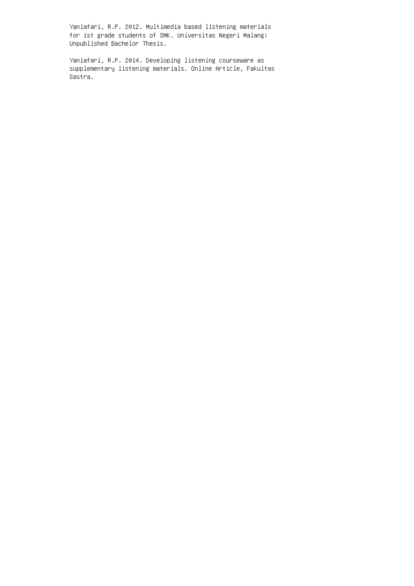Yaniafari, R.P. 2012. Multimedia based listening materials for 1st grade students of SMK. Universitas Negeri Malang: Unpublished Bachelor Thesis.

Yaniafari, R.P. 2014. Developing listening courseware as supplementary listening materials. Online Article, Fakultas Sastra.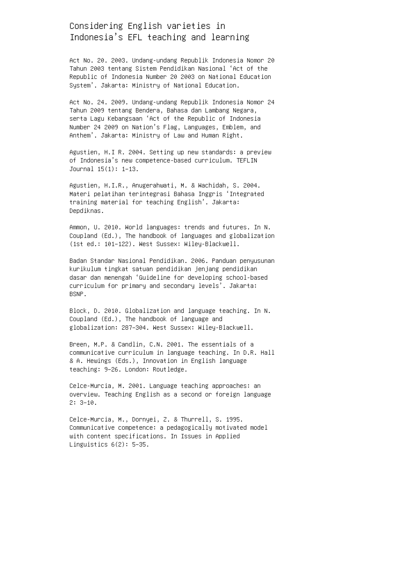## Considering English varieties in Indonesia's EFL teaching and learning

Act No. 20. 2003. Undang-undang Republik Indonesia Nomor 20 Tahun 2003 tentang Sistem Pendidikan Nasional 'Act of the Republic of Indonesia Number 20 2003 on National Education System'. Jakarta: Ministry of National Education.

Act No. 24. 2009. Undang-undang Republik Indonesia Nomor 24 Tahun 2009 tentang Bendera, Bahasa dan Lambang Negara, serta Lagu Kebangsaan 'Act of the Republic of Indonesia Number 24 2009 on Nation's Flag, Languages, Emblem, and Anthem'. Jakarta: Ministry of Law and Human Right.

Agustien, H.I R. 2004. Setting up new standards: a preview of Indonesia's new competence-based curriculum. TEFLIN Journal 15(1): 1–13.

Agustien, H.I.R., Anugerahwati, M. & Wachidah, S. 2004. Materi pelatihan terintegrasi Bahasa Inggris 'Integrated training material for teaching English'. Jakarta: Depdiknas.

Ammon, U. 2010. World languages: trends and futures. In N. Coupland (Ed.), The handbook of languages and globalization (1st ed.: 101–122). West Sussex: Wiley-Blackwell.

Badan Standar Nasional Pendidikan. 2006. Panduan penyusunan kurikulum tingkat satuan pendidikan jenjang pendidikan dasar dan menengah 'Guideline for developing school-based curriculum for primary and secondary levels'. Jakarta: BSNP.

Block, D. 2010. Globalization and language teaching. In N. Coupland (Ed.), The handbook of language and globalization: 287–304. West Sussex: Wiley-Blackwell.

Breen, M.P. & Candlin, C.N. 2001. The essentials of a communicative curriculum in language teaching. In D.R. Hall & A. Hewings (Eds.), Innovation in English language teaching: 9–26. London: Routledge.

Celce-Murcia, M. 2001. Language teaching approaches: an overview. Teaching English as a second or foreign language 2: 3–10.

Celce-Murcia, M., Dornyei, Z. & Thurrell, S. 1995. Communicative competence: a pedagogically motivated model with content specifications. In Issues in Applied Linguistics 6(2): 5–35.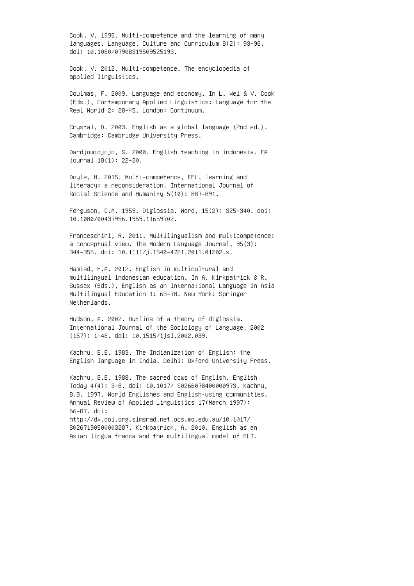Cook, V. 1995. Multi-competence and the learning of many languages. Language, Culture and Curriculum 8(2): 93–98. doi: 10.1080/07908319509525193.

Cook, V. 2012. Multi-competence. The encyclopedia of applied linguistics.

Coulmas, F. 2009. Language and economy. In L. Wei & V. Cook (Eds.), Contemporary Applied Linguistics: Language for the Real World 2: 28–45. London: Continuum.

Crystal, D. 2003. English as a global language (2nd ed.). Cambridge: Cambridge University Press.

Dardjowidjojo, S. 2000. English teaching in indonesia. EA journal 18(1): 22–30.

Doyle, H. 2015. Multi-competence, EFL, learning and literacy: a reconsideration. International Journal of Social Science and Humanity 5(10): 887–891.

Ferguson, C.A. 1959. Diglossia. Word, 15(2): 325–340. doi: 10.1080/00437956.1959.11659702.

Franceschini, R. 2011. Multilingualism and multicompetence: a conceptual view. The Modern Language Journal, 95(3): 344–355. doi: 10.1111/j.1540–4781.2011.01202.x.

Hamied, F.A. 2012. English in multicultural and multilingual indonesian education. In A. Kirkpatrick & R. Sussex (Eds.), English as an International Language in Asia Multilingual Education 1: 63–78. New York: Springer Netherlands.

Hudson, A. 2002. Outline of a theory of diglossia. International Journal of the Sociology of Language, 2002 (157): 1–48. doi: 10.1515/ijsl.2002.039.

Kachru, B.B. 1983. The Indianization of English: the English language in India. Delhi: Oxford University Press.

Kachru, B.B. 1988. The sacred cows of English. English Today 4(4): 3–8. doi: 10.1017/ S0266078400000973. Kachru, B.B. 1997. World Englishes and English-using communities. Annual Review of Applied Linguistics 17(March 1997): 66–87. doi:

http://dx.doi.org.simsrad.net.ocs.mq.edu.au/10.1017/ S0267190500003287. Kirkpatrick, A. 2010. English as an Asian lingua franca and the multilingual model of ELT.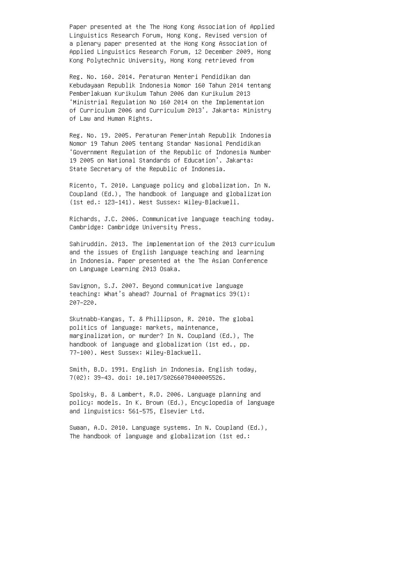Paper presented at the The Hong Kong Association of Applied Linguistics Research Forum, Hong Kong. Revised version of a plenary paper presented at the Hong Kong Association of Applied Linguistics Research Forum, 12 December 2009, Hong Kong Polytechnic University, Hong Kong retrieved from

Reg. No. 160. 2014. Peraturan Menteri Pendidikan dan Kebudayaan Republik Indonesia Nomor 160 Tahun 2014 tentang Pemberlakuan Kurikulum Tahun 2006 dan Kurikulum 2013 'Ministrial Regulation No 160 2014 on the Implementation of Curriculum 2006 and Curriculum 2013'. Jakarta: Ministry of Law and Human Rights.

Reg. No. 19. 2005. Peraturan Pemerintah Republik Indonesia Nomor 19 Tahun 2005 tentang Standar Nasional Pendidikan 'Government Regulation of the Republic of Indonesia Number 19 2005 on National Standards of Education'. Jakarta: State Secretary of the Republic of Indonesia.

Ricento, T. 2010. Language policy and globalization. In N. Coupland (Ed.), The handbook of language and globalization (1st ed.: 123–141). West Sussex: Wiley-Blackwell.

Richards, J.C. 2006. Communicative language teaching today. Cambridge: Cambridge University Press.

Sahiruddin. 2013. The implementation of the 2013 curriculum and the issues of English language teaching and learning in Indonesia. Paper presented at the The Asian Conference on Language Learning 2013 Osaka.

Savignon, S.J. 2007. Beyond communicative language teaching: What's ahead? Journal of Pragmatics 39(1): 207–220.

Skutnabb-Kangas, T. & Phillipson, R. 2010. The global politics of language: markets, maintenance, marginalization, or murder? In N. Coupland (Ed.), The handbook of language and globalization (1st ed., pp. 77–100). West Sussex: Wiley-Blackwell.

Smith, B.D. 1991. English in Indonesia. English today, 7(02): 39–43. doi: 10.1017/S0266078400005526.

Spolsky, B. & Lambert, R.D. 2006. Language planning and policy: models. In K. Brown (Ed.), Encyclopedia of language and linguistics: 561–575, Elsevier Ltd.

Swaan, A.D. 2010. Language systems. In N. Coupland (Ed.), The handbook of language and globalization (1st ed.: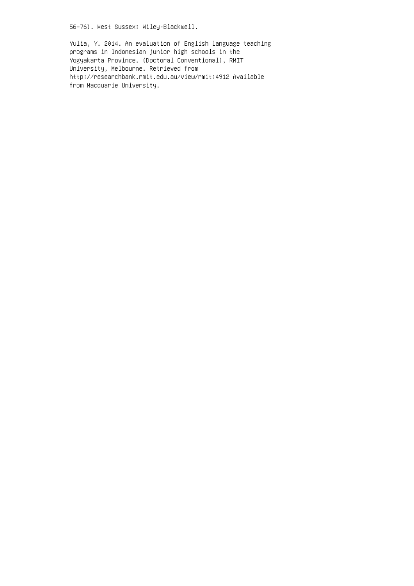56–76). West Sussex: Wiley-Blackwell.

Yulia, Y. 2014. An evaluation of English language teaching programs in Indonesian junior high schools in the Yogyakarta Province. (Doctoral Conventional), RMIT University, Melbourne. Retrieved from http://researchbank.rmit.edu.au/view/rmit:4912 Available from Macquarie University.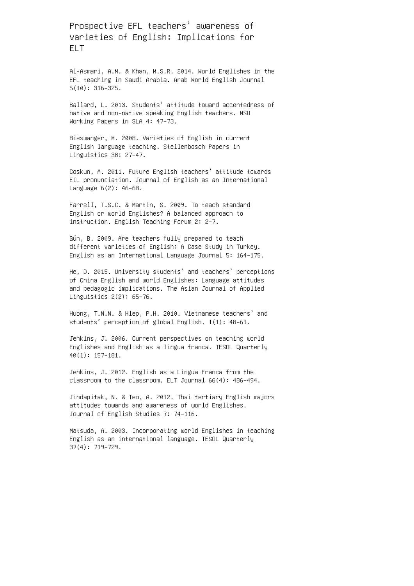Prospective EFL teachers' awareness of varieties of English: Implications for ELT

Al-Asmari, A.M. & Khan, M.S.R. 2014. World Englishes in the EFL teaching in Saudi Arabia. Arab World English Journal 5(10): 316–325.

Ballard, L. 2013. Students' attitude toward accentedness of native and non-native speaking English teachers. MSU Working Papers in SLA 4: 47–73.

Bieswanger, M. 2008. Varieties of English in current English language teaching. Stellenbosch Papers in Linguistics 38: 27–47.

Coskun, A. 2011. Future English teachers' attitude towards EIL pronunciation. Journal of English as an International Language 6(2): 46–68.

Farrell, T.S.C. & Martin, S. 2009. To teach standard English or world Englishes? A balanced approach to instruction. English Teaching Forum 2: 2–7.

Gün, B. 2009. Are teachers fully prepared to teach different varieties of English: A Case Study in Turkey. English as an International Language Journal 5: 164–175.

He, D. 2015. University students' and teachers' perceptions of China English and world Englishes: Language attitudes and pedagogic implications. The Asian Journal of Applied Linguistics 2(2): 65–76.

Huong, T.N.N. & Hiep, P.H. 2010. Vietnamese teachers' and students' perception of global English. 1(1): 48–61.

Jenkins, J. 2006. Current perspectives on teaching world Englishes and English as a lingua franca. TESOL Quarterly 40(1): 157–181.

Jenkins, J. 2012. English as a Lingua Franca from the classroom to the classroom. ELT Journal 66(4): 486–494.

Jindapitak, N. & Teo, A. 2012. Thai tertiary English majors attitudes towards and awareness of world Englishes. Journal of English Studies 7: 74–116.

Matsuda, A. 2003. Incorporating world Englishes in teaching English as an international language. TESOL Quarterly 37(4): 719–729.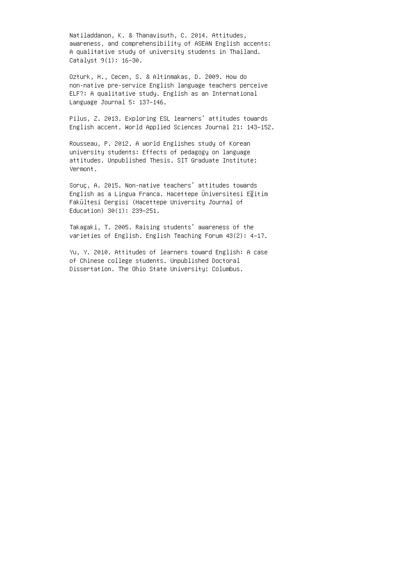Natiladdanon, K. & Thanavisuth, C. 2014. Attitudes, awareness, and comprehensibility of ASEAN English accents; A qualitative study of university students in Thailand. Catalyst 9(1): 16–30.

Ozturk, H., Cecen, S. & Altinmakas, D. 2009. How do non-native pre-service English language teachers perceive ELF?: A qualitative study. English as an International Language Journal 5: 137–146.

Pilus, Z. 2013. Exploring ESL learners' attitudes towards English accent. World Applied Sciences Journal 21: 143–152.

Rousseau, P. 2012. A world Englishes study of Korean university students: Effects of pedagogy on language attitudes. Unpublished Thesis. SIT Graduate Institute; Vermont.

Soruç, A. 2015. Non-native teachers' attitudes towards English as a Lingua Franca. Hacettepe Üniversitesi Eğitim Fakültesi Dergisi (Hacettepe University Journal of Education) 30(1): 239–251.

Takagaki, T. 2005. Raising students' awareness of the varieties of English. English Teaching Forum 43(2): 4–17.

Yu, Y. 2010. Attitudes of learners toward English: A case of Chinese college students. Unpublished Doctoral Dissertation. The Ohio State University; Columbus.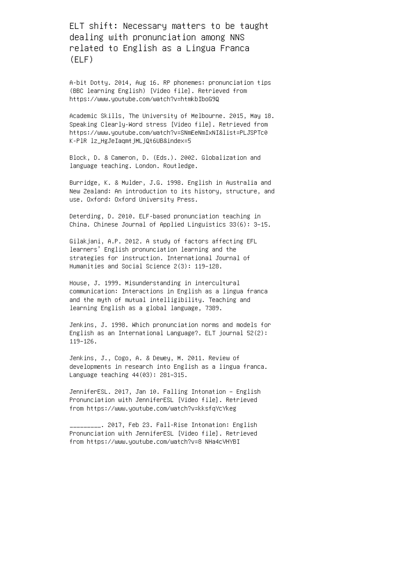ELT shift: Necessary matters to be taught dealing with pronunciation among NNS related to English as a Lingua Franca (ELF)

A-bit Dotty. 2014, Aug 16. RP phonemes: pronunciation tips (BBC learning English) [Video file]. Retrieved from https://www.youtube.com/watch?v=htmkbIboG9Q

Academic Skills, The University of Melbourne. 2015, May 18. Speaking Clearly-Word stress [Video file]. Retrieved from https://www.youtube.com/watch?v=SNmEeNmIxNI&list=PLJSPTc0 K-PlR lz\_HgJeIaqmtjMLjQt6UB&index=5

Block, D. & Cameron, D. (Eds.). 2002. Globalization and language teaching. London. Routledge.

Burridge, K. & Mulder, J.G. 1998. English in Australia and New Zealand: An introduction to its history, structure, and use. Oxford: Oxford University Press.

Deterding, D. 2010. ELF-based pronunciation teaching in China. Chinese Journal of Applied Linguistics 33(6): 3–15.

Gilakjani, A.P. 2012. A study of factors affecting EFL learners' English pronunciation learning and the strategies for instruction. International Journal of Humanities and Social Science 2(3): 119–128.

House, J. 1999. Misunderstanding in intercultural communication: Interactions in English as a lingua franca and the myth of mutual intelligibility. Teaching and learning English as a global language, 7389.

Jenkins, J. 1998. Which pronunciation norms and models for English as an International Language?. ELT journal 52(2): 119–126.

Jenkins, J., Cogo, A. & Dewey, M. 2011. Review of developments in research into English as a lingua franca. Language teaching 44(03): 281–315.

JenniferESL. 2017, Jan 10. Falling Intonation – English Pronunciation with JenniferESL [Video file]. Retrieved from https://www.youtube.com/watch?v=kksfqYcYkeg

\_\_\_\_\_\_\_\_\_. 2017, Feb 23. Fall-Rise Intonation: English Pronunciation with JenniferESL [Video file]. Retrieved from https://www.youtube.com/watch?v=8 NHa4cVHYBI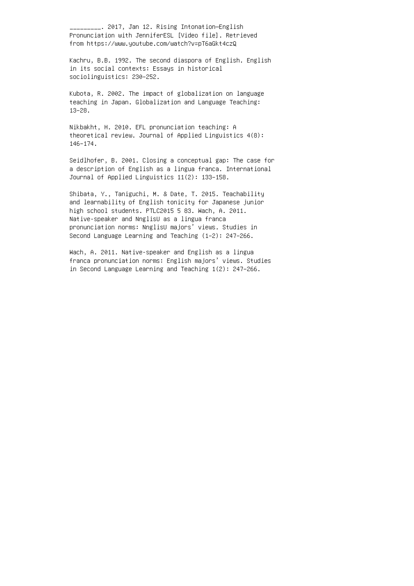\_\_\_\_\_\_\_\_\_. 2017, Jan 12. Rising Intonation—English Pronunciation with JenniferESL [Video file]. Retrieved from https://www.youtube.com/watch?v=pT6aGkt4czQ

Kachru, B.B. 1992. The second diaspora of English. English in its social contexts: Essays in historical sociolinguistics: 230–252.

Kubota, R. 2002. The impact of globalization on language teaching in Japan. Globalization and Language Teaching: 13–28.

Nikbakht, H. 2010. EFL pronunciation teaching: A theoretical review. Journal of Applied Linguistics 4(8): 146–174.

Seidlhofer, B. 2001. Closing a conceptual gap: The case for a description of English as a lingua franca. International Journal of Applied Linguistics 11(2): 133–158.

Shibata, Y., Taniguchi, M. & Date, T. 2015. Teachability and learnability of English tonicity for Japanese junior high school students. PTLC2015 5 83. Wach, A. 2011. Native-speaker and NnglisU as a lingua franca pronunciation norms: NnglisU majors' views. Studies in Second Language Learning and Teaching (1–2): 247–266.

Wach, A. 2011. Native-speaker and English as a lingua franca pronunciation norms: English majors' views. Studies in Second Language Learning and Teaching 1(2): 247–266.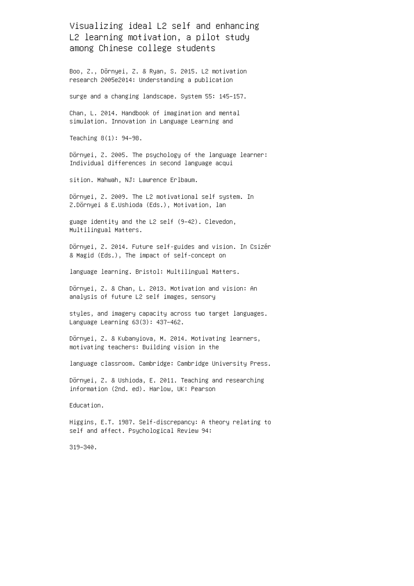Visualizing ideal L2 self and enhancing L2 learning motivation, a pilot study among Chinese college students

Boo, Z., Dörnyei, Z. & Ryan, S. 2015. L2 motivation research 2005e2014: Understanding a publication

surge and a changing landscape. System 55: 145–157.

Chan, L. 2014. Handbook of imagination and mental simulation. Innovation in Language Learning and

Teaching 8(1): 94–98.

Dörnyei, Z. 2005. The psychology of the language learner: Individual differences in second language acqui

sition. Mahwah, NJ: Lawrence Erlbaum.

Dörnyei, Z. 2009. The L2 motivational self system. In Z.Dörnyei & E.Ushioda (Eds.), Motivation, lan

guage identity and the L2 self (9–42). Clevedon, Multilingual Matters.

Dörnyei, Z. 2014. Future self-guides and vision. In Csizér & Magid (Eds.), The impact of self-concept on

language learning. Bristol: Multilingual Matters.

Dörnyei, Z. & Chan, L. 2013. Motivation and vision: An analysis of future L2 self images, sensory

styles, and imagery capacity across two target languages. Language Learning 63(3): 437–462.

Dörnyei, Z. & Kubanyiova, M. 2014. Motivating learners, motivating teachers: Building vision in the

language classroom. Cambridge: Cambridge University Press.

Dörnyei, Z. & Ushioda, E. 2011. Teaching and researching information (2nd. ed). Harlow, UK: Pearson

Education.

Higgins, E.T. 1987. Self-discrepancy: A theory relating to self and affect. Psychological Review 94:

319–340.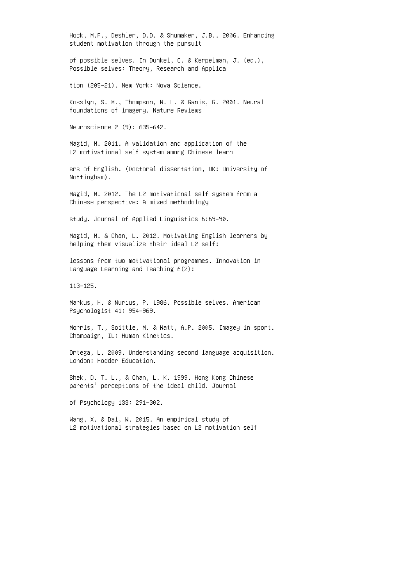Hock, M.F., Deshler, D.D. & Shumaker, J.B.. 2006. Enhancing student motivation through the pursuit

of possible selves. In Dunkel, C. & Kerpelman, J. (ed.), Possible selves: Theory, Research and Applica

tion (205–21). New York: Nova Science.

Kosslyn, S. M., Thompson, W. L. & Ganis, G. 2001. Neural foundations of imagery. Nature Reviews

Neuroscience 2 (9): 635–642.

Magid, M. 2011. A validation and application of the L2 motivational self system among Chinese learn

ers of English. (Doctoral dissertation, UK: University of Nottingham).

Magid, M. 2012. The L2 motivational self system from a Chinese perspective: A mixed methodology

study. Journal of Applied Linguistics 6:69–90.

Magid, M. & Chan, L. 2012. Motivating English learners by helping them visualize their ideal L2 self:

lessons from two motivational programmes. Innovation in Language Learning and Teaching 6(2):

113–125.

Markus, H. & Nurius, P. 1986. Possible selves. American Psychologist 41: 954–969.

Morris, T., Soittle, M. & Watt, A.P. 2005. Imagey in sport. Champaign, IL: Human Kinetics.

Ortega, L. 2009. Understanding second language acquisition. London: Hodder Education.

Shek, D. T. L., & Chan, L. K. 1999. Hong Kong Chinese parents' perceptions of the ideal child. Journal

of Psychology 133: 291–302.

Wang, X. & Dai, W. 2015. An empirical study of L2 motivational strategies based on L2 motivation self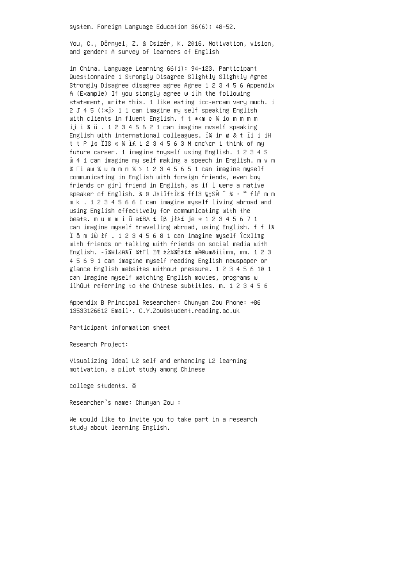system. Foreign Language Education 36(6): 48–52.

You, C., Dörnyei, Z. & Csizér, K. 2016. Motivation, vision, and gender: A survey of learners of English

in China. Language Learning 66(1): 94–123. Participant Questionnaire 1 Strongly Disagree Slightly Slightly Agree Strongly Disagree disagree agree Agree 1 2 3 4 5 6 Appendix A (Example) If you siongly agree w iίh the following statement, write this. 1 like eating icc-ercam very much. i 2 J 4 5 (¦\*ĵ> 1 1 can imagine my self speaking English with clients in fluent English. f t \*<m » ¾ iα m m m m ij i ¾ ü . 1 2 3 4 5 6 2 1 can imagine mvselſ speaking English with international colleagues. í¾ ir ø & t íi i iH t t P ļ« ÏIS « ¾ ì£ 1 2 3 4 5 6 3 M cnc\cr 1 think of my future career. 1 imagine tnyselſ using English. 1 2 3 4 S ŵ 4 1 can imagine my self making a speech in English. m v m % Γi aw % u m m n % > 1 2 3 4 5 6 5 1 can imagine myself communicating in English with foreign friends, even boy friends or girl friend in English, as iſ l were a native speaker of English. ¾ ¤ JŧiîftİŁ¾ ffl3 ξţSŴ ^ ¾ · " flř m m m k . 1 2 3 4 5 6 6 I can imagine myself living abroad and using English effectively for communicating with the beats. m u m w i ũ a£BΛ £ íβ jłλ£ je \* 1 2 3 4 5 6 7 1 can imagine myself travelling abroad, using English. f f l¾ Ί ā m iŵ łf . 1 2 3 4 5 6 8 1 can imagine myself ΐcxliπg with friends or talking with friends on social media with English. -í¾Wl¿A¾ĩ ¾tΓl ΞÆ ŧż¾¾Èŧ£± mΆ®um&iiίmm, mm. 1 2 3 4 5 6 9 1 can imagine myself reading English newspaper or glance English websites without pressure. 1 2 3 4 5 6 10 1 can imagine myself watching English movies, programs w ilhūut referring to the Chinese subtitles. m. 1 2 3 4 5 6

Appendix B Principal Researcher: Chunyan Zou Phone: +86 13533126612 Email·. C.Y.Zou@student.reading.ac.uk

Participant information sheet

Research Project:

Visualizing Ideal L2 self and enhancing L2 learning motivation, a pilot study among Chinese

college students. Φ

Researcher's name: Chunyan Zou :

We would like to invite you to take part in a research study about learning English.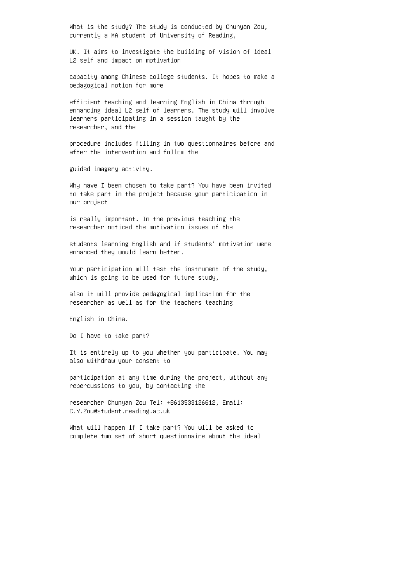What is the study? The study is conducted by Chunyan Zou, currently a MA student of University of Reading,

UK. It aims to investigate the building of vision of ideal L2 self and impact on motivation

capacity among Chinese college students. It hopes to make a pedagogical notion for more

efficient teaching and learning English in China through enhancing ideal L2 self of learners. The study will involve learners participating in a session taught by the researcher, and the

procedure includes filling in two questionnaires before and after the intervention and follow the

guided imagery activity.

Why have I been chosen to take part? You have been invited to take part in the project because your participation in our project

is really important. In the previous teaching the researcher noticed the motivation issues of the

students learning English and if students' motivation were enhanced they would learn better.

Your participation will test the instrument of the study, which is going to be used for future study,

also it will provide pedagogical implication for the researcher as well as for the teachers teaching

English in China.

Do I have to take part?

It is entirely up to you whether you participate. You may also withdraw your consent to

participation at any time during the project, without any repercussions to you, by contacting the

researcher Chunyan Zou Tel: +8613533126612, Email: C.Y.Zou@student.reading.ac.uk

What will happen if I take part? You will be asked to complete two set of short questionnaire about the ideal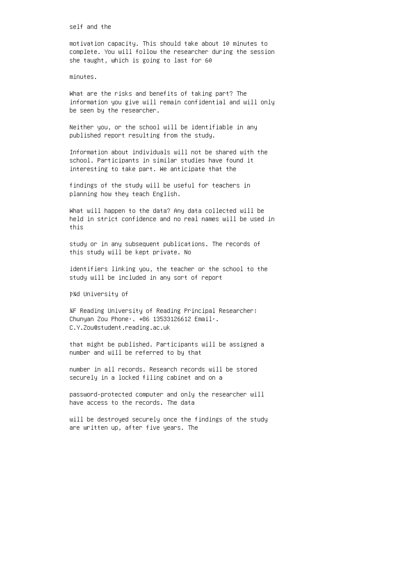self and the

motivation capacity. This should take about 10 minutes to complete. You will follow the researcher during the session she taught, which is going to last for 60

minutes.

What are the risks and benefits of taking part? The information you give will remain confidential and will only be seen by the researcher.

Neither you, or the school will be identifiable in any published report resulting from the study.

Information about individuals will not be shared with the school. Participants in similar studies have found it interesting to take part. We anticipate that the

findings of the study will be useful for teachers in planning how they teach English.

What will happen to the data? Any data collected will be held in strict confidence and no real names will be used in this

study or in any subsequent publications. The records of this study will be kept private. No

identifiers linking you, the teacher or the school to the study will be included in any sort of report

þ¾d University of

¾F Reading University of Reading Principal Researcher: Chunyan Zou Phone·. +86 13533126612 Email·. C.Y.Zou@student.reading.ac.uk

that might be published. Participants will be assigned a number and will be referred to by that

number in all records. Research records will be stored securely in a locked filing cabinet and on a

password-protected computer and only the researcher will have access to the records. The data

will be destroyed securely once the findings of the study are written up, after five years. The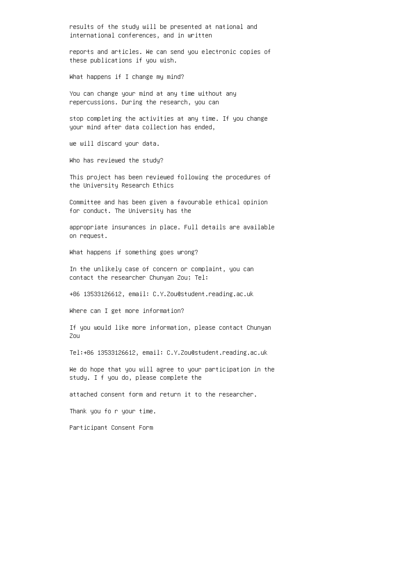results of the study will be presented at national and international conferences, and in written

reports and articles. We can send you electronic copies of these publications if you wish.

What happens if I change my mind?

You can change your mind at any time without any repercussions. During the research, you can

stop completing the activities at any time. If you change your mind after data collection has ended,

we will discard your data.

Who has reviewed the study?

This project has been reviewed following the procedures of the University Research Ethics

Committee and has been given a favourable ethical opinion for conduct. The University has the

appropriate insurances in place. Full details are available on request.

What happens if something goes wrong?

In the unlikely case of concern or complaint, you can contact the researcher Chunyan Zou; Tel:

+86 13533126612, email: C.Y.Zou@student.reading.ac.uk

Where can I get more information?

If you would like more information, please contact Chunyan Zou

Tel:+86 13533126612, email: C.Y.Zou@student.reading.ac.uk

We do hope that you will agree to your participation in the study. I f you do, please complete the

attached consent form and return it to the researcher.

Thank you fo r your time.

Participant Consent Form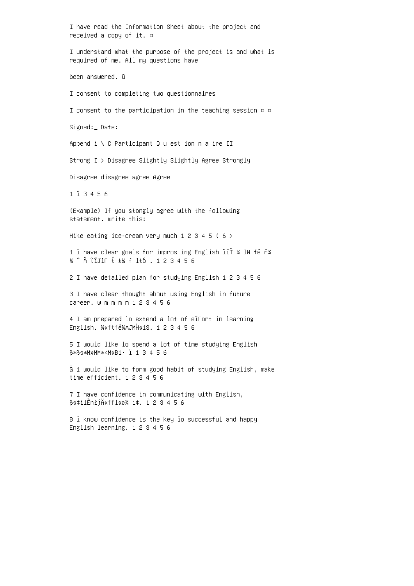I have read the Information Sheet about the project and received a copy of it. □ I understand what the purpose of the project is and what is required of me. All my questions have been answered. ū I consent to completing two questionnaires I consent to the participation in the teaching session □ □ Signed:\_ Date: Append  $i \setminus c$  Participant Q  $u$  est ion n a ire II Strong I > Disagree Slightly Slightly Agree Strongly Disagree disagree agree Agree 1 î 3 4 5 6 (Example) If you stongly agree with the following statement. write this: Hike eating ice-cream very much 1 2 3 4 5 (  $6$  > 1 ī have clear goals for impros ing English ïíŤ ¾ lW fë ř¾ ¾ ^ Ä ΐĩJlΓ ť ŧ¾ f ltó . 1 2 3 4 5 6 2 I have detailed plan for studying English 1 2 3 4 5 6 3 I have clear thought about using English in future career. w m m m m 1 2 3 4 5 6 4 I am prepared lo extend a lot of eíΓort in learning English. ¾«ftfë¾ΛJMΉ«iS. 1 2 3 4 5 6 5 I would like lo spend a lot of time studying English β\*β«\*Μ»ΜΜ\*<Μ«Β1· ï 1 3 4 5 6 Ġ 1 would like to form good habit of studying English, make time efficient. 1 2 3 4 5 6 7 I have confidence in communicating with English, β«¢iiÈnłĵÄ«ffl«»¾ i¢. 1 2 3 4 5 6 8 î know confidence is the key îo successful and happy

English learning. 1 2 3 4 5 6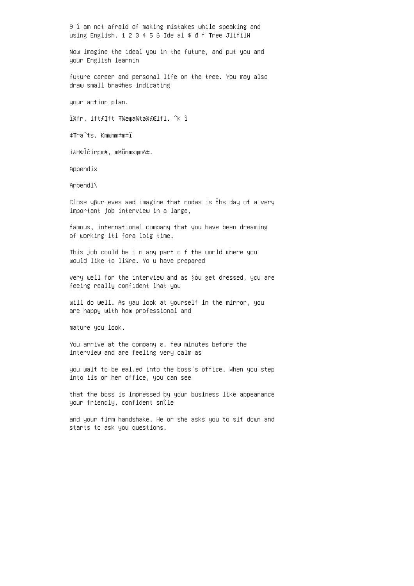9 í am not afraid of making mistakes while speaking and using English. 1 2 3 4 5 6 Ide al \$ đ f Tree JlifilW

Now imagine the ideal you in the future, and put you and your English learnin

future career and personal life on the tree. You may also draw small bra¢hes indicating

your action plan.

ï¾fr, ift£Įft Ŧ¾æψa¾tø¾£Œlfl. ^K ĩ

¢∏ra^ts. Kmwmm±m±ĩ

i¿H¢ľĉirpm#, mMŭnmxψmΛ±.

Appendix

Arpendi\

Close yβur eves aad imagine that rodas is ťhs day of a very important job interview in a large,

famous, international company that you have been dreaming of working iti fora loig time.

This job could be i n any part o f the world where you would like to li%re. Yo u have prepared

very well for the interview and as }όu get dressed, ycu are feeing really confident lhat you

will do well. As yau look at yourself in the mirror, you are happy with how professional and

mature you look.

You arrive at the company ε. few minutes before the interview and are feeling very calm as

you wait to be eal.ed into the boss's office. When you step into iis or her office, you can see

that the boss is impressed by your business like appearance your friendly, confident snΐle

and your firm handshake. He or she asks you to sit down and starts to ask you questions.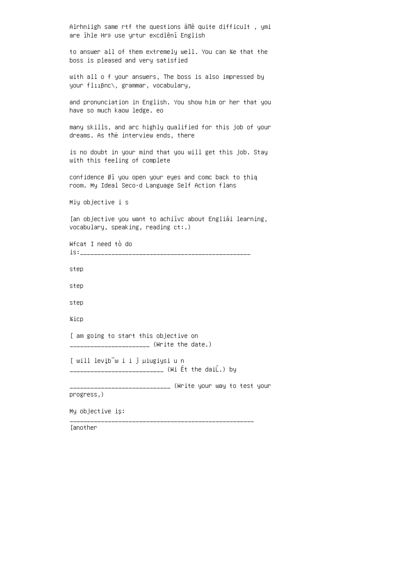```
Alrhniigh same rtf the questions ä∏è quite difficult , ymi
are íhle Hr» use yrtur excdlēní English
to answer all of them extremely well. You can ¾e that the
boss is pleased and very satisfied
with all o f your answers, The boss is also impressed by
your flııβnc\, grammar, vocabulary,
and pronunciation in English. You show him or her that you
have so much kaow ledge. eo
many skills, and arc highly qualified for this job of your
dreams. As tħė interview ends, there
is no doubt in your mind that you will get this job. Stay
with this feeling of complete
confidence Øí you open your eyes and comc back to ţhią
room. My Ideal Seco·d Language Self Action flans
Miy objective i s
[an objective you want to achiívc about Engliái learning,
vocabulary, speaking, reading ct:.)
Wfcat I need tό do
is:_________________________________________________
step
step
step
¾icp
[ am going to start this objective on
_______________________ (Write the date.)
[ will levįb¯w i i ĵ µiugiysi u n
       _______________________ (Wi Ét the daiĽ.) by
              _____________________________ (Write your way to test your
progress,)
My objective iş:
_____________________________________________________
[another
```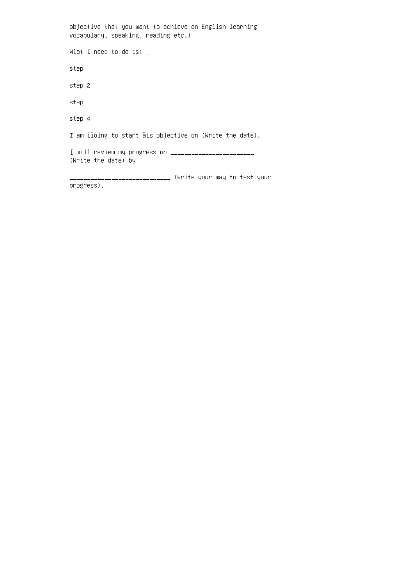objective that you want to achieve on English learning vocabulary, speaking, reading etc.) Wlat I need to do is:  $\_$ step step 2 step step 4\_\_\_\_\_\_\_\_\_\_\_\_\_\_\_\_\_\_\_\_\_\_\_\_\_\_\_\_\_\_\_\_\_\_\_\_\_\_\_\_\_\_\_\_\_\_\_\_\_\_\_\_\_\_ I am íîoing to start åis objective on (Write the date). [ will review my progress on \_\_\_\_\_\_\_\_\_\_\_\_\_\_\_\_\_\_\_\_\_\_\_\_ (Write the date) by \_\_\_\_\_\_\_\_\_\_\_\_\_\_\_\_\_\_\_\_\_\_\_\_\_\_\_\_\_ (Write your way to test your progress).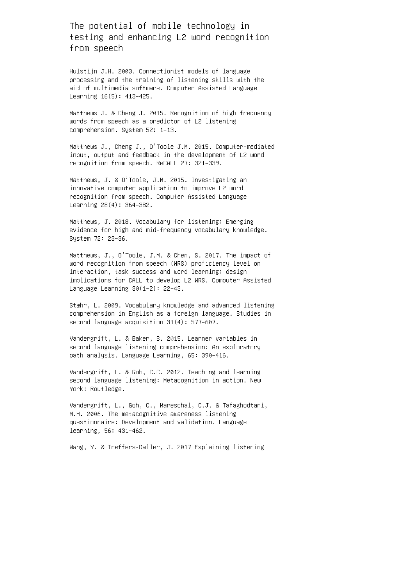The potential of mobile technology in testing and enhancing L2 word recognition from speech

Hulstijn J.H. 2003. Connectionist models of language processing and the training of listening skills with the aid of multimedia software. Computer Assisted Language Learning 16(5): 413–425.

Matthews J. & Cheng J. 2015. Recognition of high frequency words from speech as a predictor of L2 listening comprehension. System 52: 1–13.

Matthews J., Cheng J., O'Toole J.M. 2015. Computer-mediated input, output and feedback in the development of L2 word recognition from speech. ReCALL 27: 321–339.

Matthews, J. & O'Toole, J.M. 2015. Investigating an innovative computer application to improve L2 word recognition from speech. Computer Assisted Language Learning 28(4): 364–382.

Matthews, J. 2018. Vocabulary for listening: Emerging evidence for high and mid-frequency vocabulary knowledge. System 72: 23–36.

Matthews, J., O'Toole, J.M. & Chen, S. 2017. The impact of word recognition from speech (WRS) proficiency level on interaction, task success and word learning: design implications for CALL to develop L2 WRS. Computer Assisted Language Learning 30(1–2): 22–43.

Stæhr, L. 2009. Vocabulary knowledge and advanced listening comprehension in English as a foreign language. Studies in second language acquisition 31(4): 577–607.

Vandergrift, L. & Baker, S. 2015. Learner variables in second language listening comprehension: An exploratory path analysis. Language Learning, 65: 390–416.

Vandergrift, L. & Goh, C.C. 2012. Teaching and learning second language listening: Metacognition in action. New York: Routledge.

Vandergrift, L., Goh, C., Mareschal, C.J. & Tafaghodtari, M.H. 2006. The metacognitive awareness listening questionnaire: Development and validation. Language learning, 56: 431–462.

Wang, Y. & Treffers-Daller, J. 2017 Explaining listening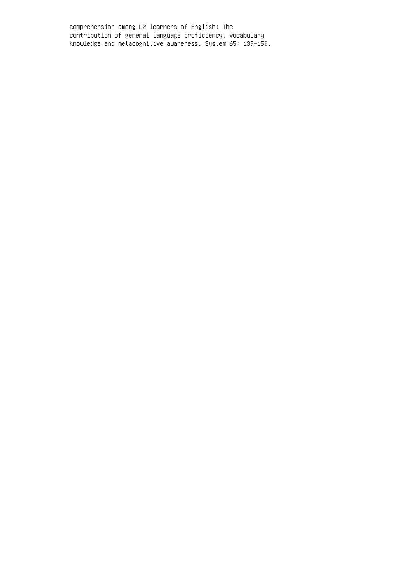comprehension among L2 learners of English: The contribution of general language proficiency, vocabulary knowledge and metacognitive awareness. System 65: 139–150.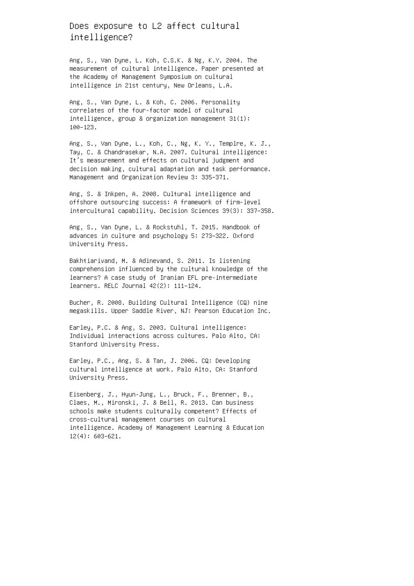Does exposure to L2 affect cultural intelligence?

Ang, S., Van Dyne, L. Koh, C.S.K. & Ng, K.Y. 2004. The measurement of cultural intelligence. Paper presented at the Academy of Management Symposium on cultural intelligence in 21st century, New Orleans, L.A.

Ang, S., Van Dyne, L. & Koh, C. 2006. Personality correlates of the four-factor model of cultural intelligence, group & organization management 31(1): 100–123.

Ang, S., Van Dyne, L., Koh, C., Ng, K. Y., Templre, K. J., Tay, C. & Chandrasekar, N.A. 2007. Cultural intelligence: It's measurement and effects on cultural judgment and decision making, cultural adaptation and task performance. Management and Organization Review 3: 335–371.

Ang, S. & Inkpen, A. 2008. Cultural intelligence and offshore outsourcing success: A framework of firm-level intercultural capability. Decision Sciences 39(3): 337–358.

Ang, S., Van Dyne, L. & Rockstuhl, T. 2015. Handbook of advances in culture and psychology 5: 273–322. Oxford University Press.

Bakhtiarivand, M. & Adinevand, S. 2011. Is listening comprehension influenced by the cultural knowledge of the learners? A case study of Iranian EFL pre-intermediate learners. RELC Journal 42(2): 111–124.

Bucher, R. 2008. Building Cultural Intelligence (CQ) nine megaskills. Upper Saddle River, NJ: Pearson Education Inc.

Earley, P.C. & Ang, S. 2003. Cultural intelligence: Individual interactions across cultures. Palo Alto, CA: Stanford University Press.

Earley, P.C., Ang, S. & Tan, J. 2006. CQ: Developing cultural intelligence at work. Palo Alto, CA: Stanford University Press.

Eisenberg, J., Hyun-Jung, L., Bruck, F., Brenner, B., Claes, M., Mironski, J. & Bell, R. 2013. Can business schools make students culturally competent? Effects of cross-cultural management courses on cultural intelligence. Academy of Management Learning & Education 12(4): 603–621.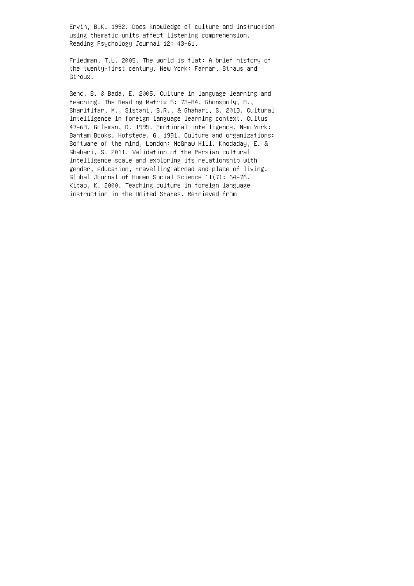Ervin, B.K. 1992. Does knowledge of culture and instruction using thematic units affect listening comprehension. Reading Psychology Journal 12: 43–61.

Friedman, T.L. 2005. The world is flat: A brief history of the twenty-first century. New York: Farrar, Straus and Giroux.

Genc, B. & Bada, E. 2005. Culture in language learning and teaching. The Reading Matrix 5: 73–84. Ghonsooly, B., Sharififar, M., Sistani, S.R., & Ghahari, S. 2013. Cultural intelligence in foreign language learning context. Cultus 47–68. Goleman, D. 1995. Emotional intelligence. New York: Bantam Books. Hofstede, G. 1991. Culture and organizations: Software of the mind, London: McGraw Hill. Khodaday, E. & Ghahari, S. 2011. Validation of the Persian cultural intelligence scale and exploring its relationship with gender, education, travelling abroad and place of living. Global Journal of Human Social Science 11(7): 64–76. Kitao, K. 2000. Teaching culture in foreign language instruction in the United States. Retrieved from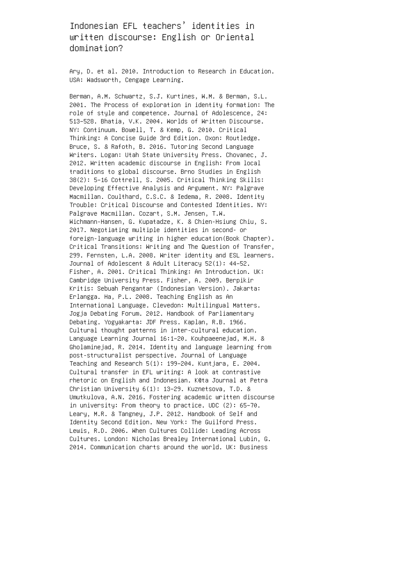## Indonesian EFL teachers' identities in written discourse: English or Oriental domination?

Ary, D. et al. 2010. Introduction to Research in Education. USA: Wadsworth, Cengage Learning.

Berman, A.M. Schwartz, S.J. Kurtines, W.M. & Berman, S.L. 2001. The Process of exploration in identity formation: The role of style and competence. Journal of Adolescence, 24: 513–528. Bhatia, V.K. 2004. Worlds of Written Discourse. NY: Continuum. Bowell, T. & Kemp, G. 2010. Critical Thinking: A Concise Guide 3rd Edition. Oxon: Routledge. Bruce, S. & Rafoth, B. 2016. Tutoring Second Language Writers. Logan: Utah State University Press. Chovanec, J. 2012. Written academic discourse in English: From local traditions to global discourse. Brno Studies in English 38(2): 5–16 Cottrell, S. 2005. Critical Thinking Skills: Developing Effective Analysis and Argument. NY: Palgrave Macmillan. Coulthard, C.S.C. & Iedema, R. 2008. Identity Trouble: Critical Discourse and Contested Identities. NY: Palgrave Macmillan. Cozart, S.M. Jensen, T.W. Wichmann-Hansen, G. Kupatadze, K. & Chien-Hsiung Chiu, S. 2017. Negotiating multiple identities in second- or foreign-language writing in higher education(Book Chapter). Critical Transitions: Writing and The Question of Transfer, 299. Fernsten, L.A. 2008. Writer identity and ESL learners. Journal of Adolescent & Adult Literacy 52(1): 44–52. Fisher, A. 2001. Critical Thinking: An Introduction. UK: Cambridge University Press. Fisher, A. 2009. Berpikir Kritis: Sebuah Pengantar (Indonesian Version). Jakarta: Erlangga. Ha, P.L. 2008. Teaching English as An International Language. Clevedon: Multilingual Matters. Jogja Debating Forum. 2012. Handbook of Parliamentary Debating. Yogyakarta: JDF Press. Kaplan, R.B. 1966. Cultural thought patterns in inter-cultural education. Language Learning Journal 16:1–20. Kouhpaeenejad, M.H. & Gholaminejad, R. 2014. Identity and language learning from post-structuralist perspective. Journal of Language Teaching and Research 5(1): 199–204. Kuntjara, E. 2004. Cultural transfer in EFL writing: A look at contrastive rhetoric on English and Indonesian. K@ta Journal at Petra Christian University 6(1): 13–29. Kuznetsova, T.D. & Umutkulova, A.N. 2016. Fostering academic written discourse in university: From theory to practice. UDC (2): 65–70. Leary, M.R. & Tangney, J.P. 2012. Handbook of Self and Identity Second Edition. New York: The Guilford Press. Lewis, R.D. 2006. When Cultures Collide: Leading Across Cultures. London: Nicholas Brealey International Lubin, G. 2014. Communication charts around the world. UK: Business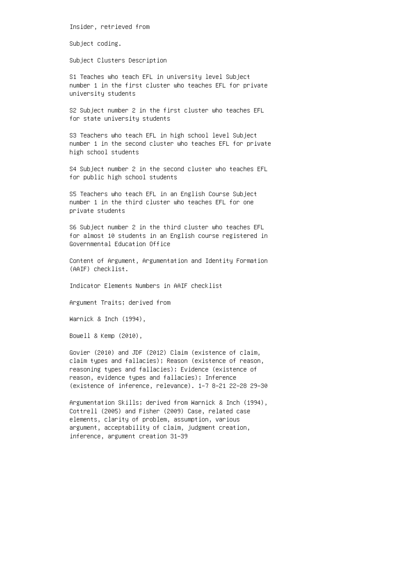Insider, retrieved from

Subject coding.

Subject Clusters Description

S1 Teaches who teach EFL in university level Subject number 1 in the first cluster who teaches EFL for private university students

S2 Subject number 2 in the first cluster who teaches EFL for state university students

S3 Teachers who teach EFL in high school level Subject number 1 in the second cluster who teaches EFL for private high school students

S4 Subject number 2 in the second cluster who teaches EFL for public high school students

S5 Teachers who teach EFL in an English Course Subject number 1 in the third cluster who teaches EFL for one private students

S6 Subject number 2 in the third cluster who teaches EFL for almost 10 students in an English course registered in Governmental Education Office

Content of Argument, Argumentation and Identity Formation (AAIF) checklist.

Indicator Elements Numbers in AAIF checklist

Argument Traits; derived from

Warnick & Inch (1994),

Bowell & Kemp (2010),

Govier (2010) and JDF (2012) Claim (existence of claim, claim types and fallacies); Reason (existence of reason, reasoning types and fallacies); Evidence (existence of reason, evidence types and fallacies); Inference (existence of inference, relevance). 1–7 8–21 22–28 29–30

Argumentation Skills; derived from Warnick & Inch (1994), Cottrell (2005) and Fisher (2009) Case, related case elements, clarity of problem, assumption, various argument, acceptability of claim, judgment creation, inference, argument creation 31–39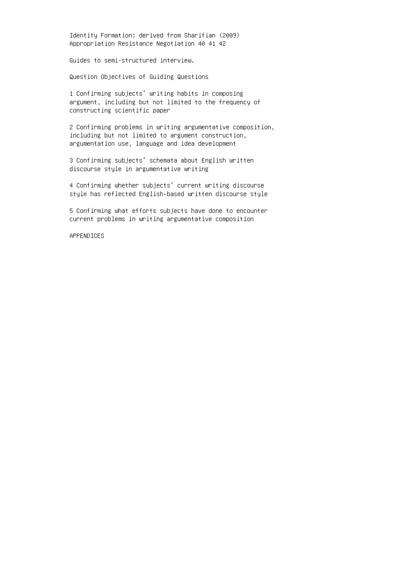Identity Formation; derived from Sharifian (2009) Appropriation Resistance Negotiation 40 41 42

Guides to semi-structured interview.

Question Objectives of Guiding Questions

1 Confirming subjects' writing habits in composing argument, including but not limited to the frequency of constructing scientific paper

2 Confirming problems in writing argumentative composition, including but not limited to argument construction, argumentation use, language and idea development

3 Confirming subjects' schemata about English written discourse style in argumentative writing

4 Confirming whether subjects' current writing discourse style has reflected English-based written discourse style

5 Confirming what efforts subjects have done to encounter current problems in writing argumentative composition

APPENDICES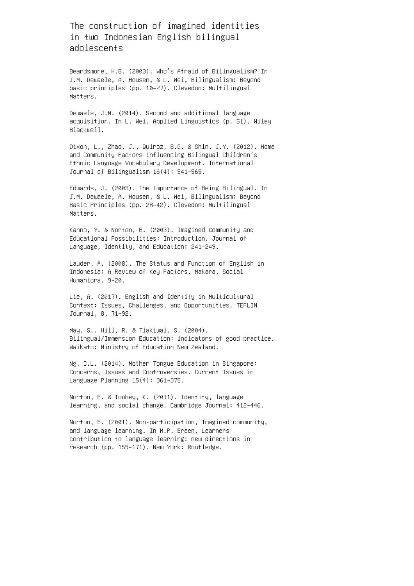The construction of imagined identities in two Indonesian English bilingual adolescents

Beardsmore, H.B. (2003). Who's Afraid of Bilingualism? In J.M. Dewaele, A. Housen, & L. Wei, Bilingualism: Beyond basic principles (pp. 10–27). Clevedon: Multilingual Matters.

Dewaele, J.M. (2014). Second and additional language acquisition. In L. Wei, Applied Linguistics (p. 51). Wiley Blackwell.

Dixon, L., Zhao, J., Quiroz, B.G. & Shin, J.Y. (2012). Home and Community Factors Influencing Bilingual Children's Ethnic Language Vocabulary Development. International Journal of Bilingualism 16(4): 541–565.

Edwards, J. (2003). The Importance of Being Bilingual. In J.M. Dewaele, A. Housen, & L. Wei, Bilingualism: Beyond Basic Principles (pp. 28–42). Clevedon: Multilingual Matters.

Kanno, Y. & Norton, B. (2003). Imagined Community and Educational Possibilities: Introduction. Journal of Language, Identity, and Education: 241–249.

Lauder, A. (2008). The Status and Function of English in Indonesia: A Review of Key Factors. Makara, Social Humaniora, 9–20.

Lie, A. (2017). English and Identity in Multicultural Context: Issues, Challenges, and Opportunities. TEFLIN Journal, 8, 71–92.

May, S., Hill, R. & Tiakiwai, S. (2004). Bilingual/Immersion Education: indicators of good practice. Waikato: Ministry of Education New Zealand.

Ng, C.L. (2014). Mother Tongue Education in Singapore: Concerns, Issues and Controversies. Current Issues in Language Planning 15(4): 361–375.

Norton, B. & Toohey, K. (2011). Identity, language learning, and social change. Cambridge Journal: 412–446.

Norton, B. (2001). Non-participation, Imagined community, and language learning. In M.P. Breen, Learners contribution to language learning: new directions in research (pp. 159–171). New York: Routledge.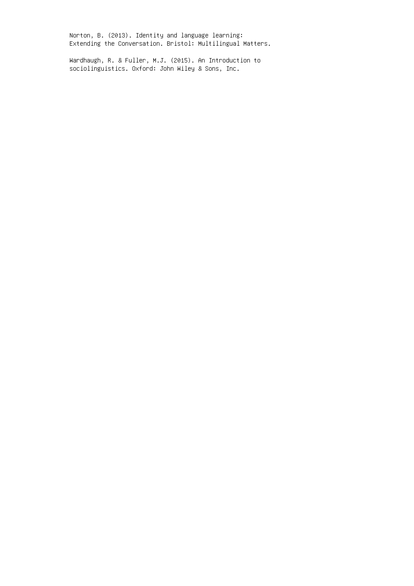Norton, B. (2013). Identity and language learning: Extending the Conversation. Bristol: Multilingual Matters.

Wardhaugh, R. & Fuller, M.J. (2015). An Introduction to sociolinguistics. Oxford: John Wiley & Sons, Inc.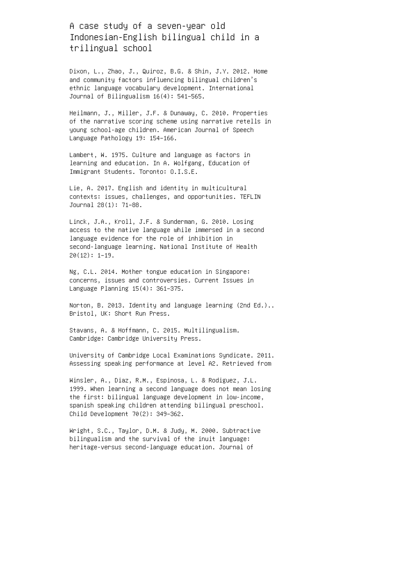## A case study of a seven-year old Indonesian-English bilingual child in a trilingual school

Dixon, L., Zhao, J., Quiroz, B.G. & Shin, J.Y. 2012. Home and community factors influencing bilingual children's ethnic language vocabulary development. International Journal of Bilingualism 16(4): 541–565.

Heilmann, J., Miller, J.F. & Dunaway, C. 2010. Properties of the narrative scoring scheme using narrative retells in young school-age children. American Journal of Speech Language Pathology 19: 154–166.

Lambert, W. 1975. Culture and language as factors in learning and education. In A. Wolfgang, Education of Immigrant Students. Toronto: O.I.S.E.

Lie, A. 2017. English and identity in multicultural contexts: issues, challenges, and opportunities. TEFLIN Journal 28(1): 71–88.

Linck, J.A., Kroll, J.F. & Sunderman, G. 2010. Losing access to the native language while immersed in a second language evidence for the role of inhibition in second-language learning. National Institute of Health 20(12): 1–19.

Ng, C.L. 2014. Mother tongue education in Singapore: concerns, issues and controversies. Current Issues in Language Planning 15(4): 361–375.

Norton, B. 2013. Identity and language learning (2nd Ed.).. Bristol, UK: Short Run Press.

Stavans, A. & Hoffmann, C. 2015. Multilingualism. Cambridge: Cambridge University Press.

University of Cambridge Local Examinations Syndicate. 2011. Assessing speaking performance at level A2. Retrieved from

Winsler, A., Diaz, R.M., Espinosa, L. & Rodiguez, J.L. 1999. When learning a second language does not mean losing the first: bilingual language development in low-income, spanish speaking children attending bilingual preschool. Child Development 70(2): 349–362.

Wright, S.C., Taylor, D.M. & Judy, M. 2000. Subtractive bilingualism and the survival of the inuit language: heritage-versus second-language education. Journal of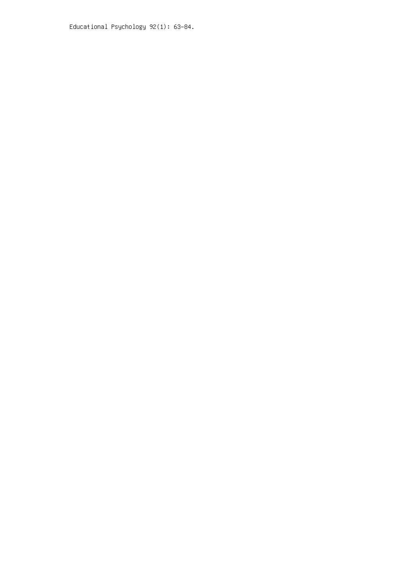Educational Psychology 92(1): 63–84.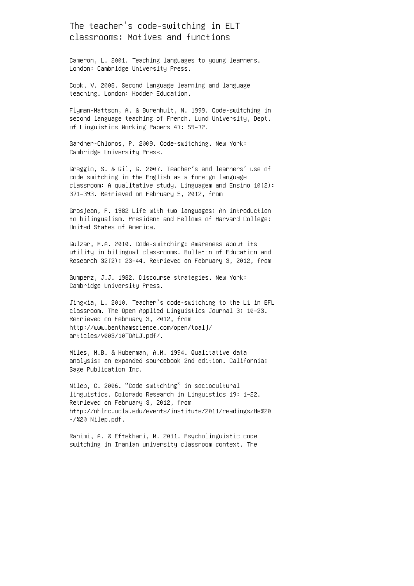The teacher's code-switching in ELT classrooms: Motives and functions

Cameron, L. 2001. Teaching languages to young learners. London: Cambridge University Press.

Cook, V. 2008. Second language learning and language teaching. London: Hodder Education.

Flyman-Mattson, A. & Burenhult, N. 1999. Code-switching in second language teaching of French. Lund University, Dept. of Linguistics Working Papers 47: 59–72.

Gardner-Chloros, P. 2009. Code-switching. New York: Cambridge University Press.

Greggio, S. & Gil, G. 2007. Teacher's and learners' use of code switching in the English as a foreign language classroom: A qualitative study. Linguagem and Ensino 10(2): 371–393. Retrieved on February 5, 2012, from

Grosjean, F. 1982 Life with two languages: An introduction to bilingualism. President and Fellows of Harvard College: United States of America.

Gulzar, M.A. 2010. Code-switching: Awareness about its utility in bilingual classrooms. Bulletin of Education and Research 32(2): 23–44. Retrieved on February 3, 2012, from

Gumperz, J.J. 1982. Discourse strategies. New York: Cambridge University Press.

Jingxia, L. 2010. Teacher's code-switching to the L1 in EFL classroom. The Open Applied Linguistics Journal 3: 10–23. Retrieved on February 3, 2012, from http://www.benthamscience.com/open/toalj/ articles/V003/10TOALJ.pdf/.

Miles, M.B. & Huberman, A.M. 1994. Qualitative data analysis: an expanded sourcebook 2nd edition. California: Sage Publication Inc.

Nilep, C. 2006. "Code switching" in sociocultural linguistics. Colorado Research in Linguistics 19: 1–22. Retrieved on February 3, 2012, from http://nhlrc.ucla.edu/events/institute/2011/readings/He%20 -/%20 Nilep.pdf.

Rahimi, A. & Eftekhari, M. 2011. Psycholinguistic code switching in Iranian university classroom context. The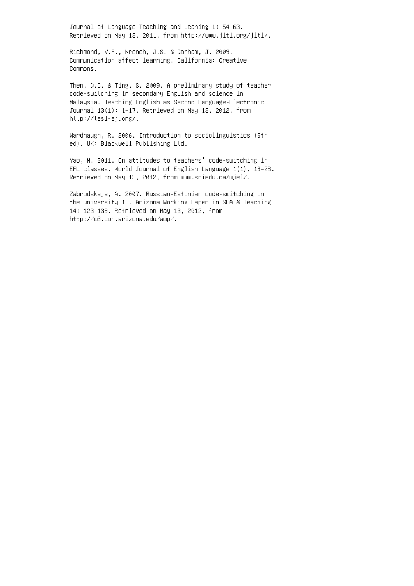Journal of Language Teaching and Leaning 1: 54–63. Retrieved on May 13, 2011, from http://www.jltl.org/jltl/.

Richmond, V.P., Wrench, J.S. & Gorham, J. 2009. Communication affect learning. California: Creative Commons.

Then, D.C. & Ting, S. 2009. A preliminary study of teacher code-switching in secondary English and science in Malaysia. Teaching English as Second Language-Electronic Journal 13(1): 1–17. Retrieved on May 13, 2012, from http://tesl-ej.org/.

Wardhaugh, R. 2006. Introduction to sociolinguistics (5th ed). UK: Blackwell Publishing Ltd.

Yao, M. 2011. On attitudes to teachers' code-switching in EFL classes. World Journal of English Language 1(1), 19–28. Retrieved on May 13, 2012, from www.sciedu.ca/wjel/.

Zabrodskaja, A. 2007. Russian-Estonian code-switching in the university 1 . Arizona Working Paper in SLA & Teaching 14: 123–139. Retrieved on May 13, 2012, from http://w3.coh.arizona.edu/awp/.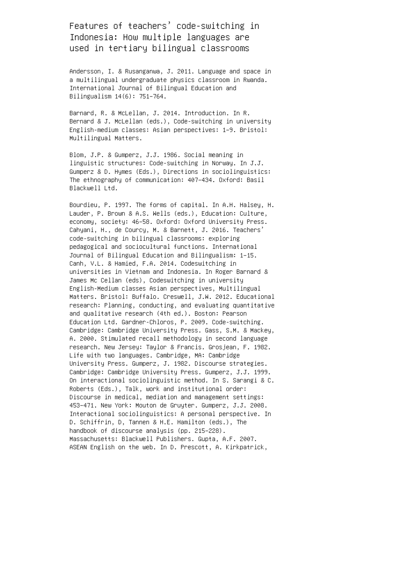Features of teachers' code-switching in Indonesia: How multiple languages are used in tertiary bilingual classrooms

Andersson, I. & Rusanganwa, J. 2011. Language and space in a multilingual undergraduate physics classroom in Rwanda. International Journal of Bilingual Education and Bilingualism 14(6): 751–764.

Barnard, R. & McLellan, J. 2014. Introduction. In R. Bernard & J. McLellan (eds.), Code-switching in university English-medium classes: Asian perspectives: 1–9. Bristol: Multilingual Matters.

Blom, J.P. & Gumperz, J.J. 1986. Social meaning in linguistic structures: Code-switching in Norway. In J.J. Gumperz & D. Hymes (Eds.), Directions in sociolinguistics: The ethnography of communication: 407–434. Oxford: Basil Blackwell Ltd.

Bourdieu, P. 1997. The forms of capital. In A.H. Halsey, H. Lauder, P. Brown & A.S. Wells (eds.), Education: Culture, economy, society: 46–58. Oxford: Oxford University Press. Cahyani, H., de Courcy, M. & Barnett, J. 2016. Teachers' code-switching in bilingual classrooms: exploring pedagogical and sociocultural functions. International Journal of Bilingual Education and Bilingualism: 1–15. Canh, V.L. & Hamied, F.A. 2014. Codeswitching in universities in Vietnam and Indonesia. In Roger Barnard & James Mc Cellan (eds), Codeswitching in university English-Medium classes Asian perspectives, Multilingual Matters. Bristol: Buffalo. Creswell, J.W. 2012. Educational research: Planning, conducting, and evaluating quantitative and qualitative research (4th ed.). Boston: Pearson Education Ltd. Gardner-Chloros, P. 2009. Code-switching. Cambridge: Cambridge University Press. Gass, S.M. & Mackey, A. 2000. Stimulated recall methodology in second language research. New Jersey: Taylor & Francis. Grosjean, F. 1982. Life with two languages. Cambridge, MA: Cambridge University Press. Gumperz, J. 1982. Discourse strategies. Cambridge: Cambridge University Press. Gumperz, J.J. 1999. On interactional sociolinguistic method. In S. Sarangi & C. Roberts (Eds.), Talk, work and institutional order: Discourse in medical, mediation and management settings: 453–471. New York: Mouton de Gruyter. Gumperz, J.J. 2008. Interactional sociolinguistics: A personal perspective. In D. Schiffrin, D, Tannen & H.E. Hamilton (eds.), The handbook of discourse analysis (pp. 215–228). Massachusetts: Blackwell Publishers. Gupta, A.F. 2007. ASEAN English on the web. In D. Prescott, A. Kirkpatrick,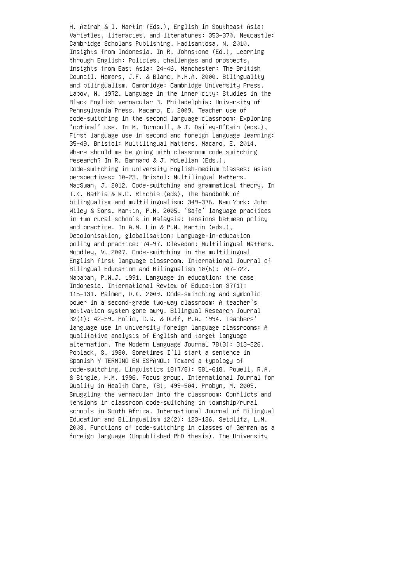H. Azirah & I. Martin (Eds.), English in Southeast Asia: Varieties, literacies, and literatures: 353–370. Newcastle: Cambridge Scholars Publishing. Hadisantosa, N. 2010. Insights from Indonesia. In R. Johnstone (Ed.), Learning through English: Policies, challenges and prospects, insights from East Asia: 24–46. Manchester: The British Council. Hamers, J.F. & Blanc, M.H.A. 2000. Bilinguality and bilingualism. Cambridge: Cambridge University Press. Labov, W. 1972. Language in the inner city: Studies in the Black English vernacular 3. Philadelphia: University of Pennsylvania Press. Macaro, E. 2009. Teacher use of code-switching in the second language classroom: Exploring 'optimal' use. In M. Turnbull, & J. Dailey-O'Cain (eds.), First language use in second and foreign language learning: 35–49. Bristol: Multilingual Matters. Macaro, E. 2014. Where should we be going with classroom code switching research? In R. Barnard & J. McLellan (Eds.), Code-switching in university English-medium classes: Asian perspectives: 10–23. Bristol: Multilingual Matters. MacSwan, J. 2012. Code-switching and grammatical theory. In T.K. Bathia & W.C. Ritchie (eds), The handbook of bilingualism and multilingualism: 349–376. New York: John Wiley & Sons. Martin, P.W. 2005. 'Safe' language practices in two rural schools in Malaysia: Tensions between policy and practice. In A.M. Lin & P.W. Martin (eds.), Decolonisation, globalisation: Language-in-education policy and practice: 74–97. Clevedon: Multilingual Matters. Moodley, V. 2007. Code-switching in the multilingual English first language classroom. International Journal of Bilingual Education and Bilingualism 10(6): 707–722. Nababan, P.W.J. 1991. Language in education: the case Indonesia. International Review of Education 37(1): 115–131. Palmer, D.K. 2009. Code-switching and symbolic power in a second-grade two-way classroom: A teacher's motivation system gone awry. Bilingual Research Journal 32(1): 42–59. Polio, C.G. & Duff, P.A. 1994. Teachers' language use in university foreign language classrooms: A qualitative analysis of English and target language alternation. The Modern Language Journal 78(3): 313–326. Poplack, S. 1980. Sometimes I'll start a sentence in Spanish Y TERMINO EN ESPANOL: Toward a typology of code-switching. Linguistics 18(7/8): 581–618. Powell, R.A. & Single, H.M. 1996. Focus group. International Journal for Quality in Health Care, (8), 499–504. Probyn, M. 2009. Smuggling the vernacular into the classroom: Conflicts and tensions in classroom code-switching in township/rural schools in South Africa. International Journal of Bilingual Education and Bilingualism 12(2): 123–136. Seidlitz, L.M. 2003. Functions of code-switching in classes of German as a foreign language (Unpublished PhD thesis). The University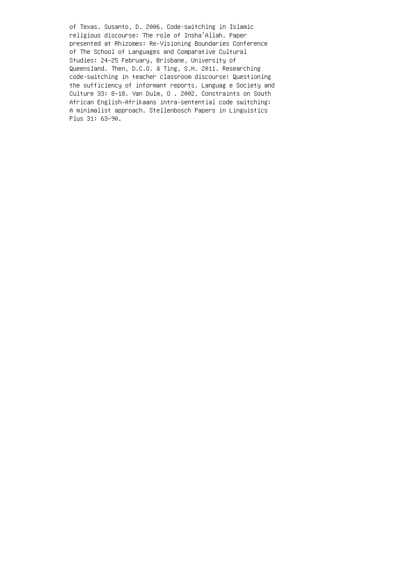of Texas. Susanto, D. 2006. Code-switching in Islamic religious discourse: The role of Insha'Allah. Paper presented at Rhizomes: Re-Visioning Boundaries Conference of The School of Languages and Comparative Cultural Studies: 24–25 February, Brisbane, University of Queensland. Then, D.C.O. & Ting, S.H. 2011. Researching code-switching in teacher classroom discourse: Questioning the sufficiency of informant reports. Languag e Society and Culture 33: 8–18. Van Dulm, O . 2002. Constraints on South African English-Afrikaans intra-sentential code switching: A minimalist approach. Stellenbosch Papers in Linguistics Plus 31: 63–90.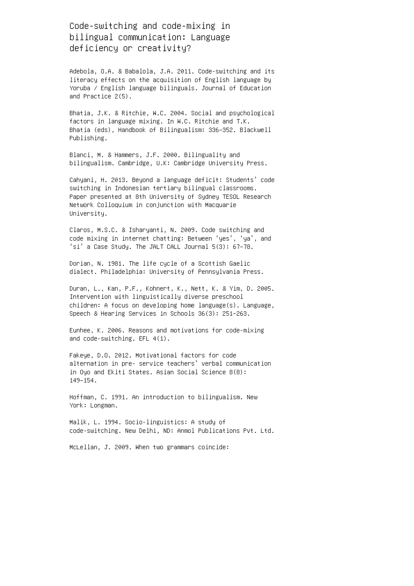Code-switching and code-mixing in bilingual communication: Language deficiency or creativity?

Adebola, O.A. & Babalola, J.A. 2011. Code-switching and its literacy effects on the acquisition of English language by Yoruba / English language bilinguals. Journal of Education and Practice 2(5).

Bhatia, J.K. & Ritchie, W.C. 2004. Social and psychological factors in language mixing. In W.C. Ritchie and T.K. Bhatia (eds), Handbook of Bilingualism: 336–352. Blackwell Publishing.

Blanci, M. & Hammers, J.F. 2000. Bilinguality and bilingualism. Cambridge, U.K: Cambridge University Press.

Cahyani, H. 2013. Beyond a language deficit: Students' code switching in Indonesian tertiary bilingual classrooms. Paper presented at 8th University of Sydney TESOL Research Network Colloquium in conjunction with Macquarie University.

Claros, M.S.C. & Isharyanti, N. 2009. Code switching and code mixing in internet chatting: Between 'yes', 'ya', and 'si' a Case Study. The JALT CALL Journal 5(3): 67–78.

Dorian, N. 1981. The life cycle of a Scottish Gaelic dialect. Philadelphia: University of Pennsylvania Press.

Duran, L., Kan, P.F., Kohnert, K., Nett, K. & Yim, D. 2005. Intervention with linguistically diverse preschool children: A focus on developing home language(s). Language, Speech & Hearing Services in Schools 36(3): 251–263.

Eunhee, K. 2006. Reasons and motivations for code-mixing and code-switching. EFL 4(1).

Fakeye, D.O. 2012. Motivational factors for code alternation in pre- service teachers' verbal communication in Oyo and Ekiti States. Asian Social Science 8(8): 149–154.

Hoffman, C. 1991. An introduction to bilingualism. New York: Longman.

Malik, L. 1994. Socio-linguistics: A study of code-switching. New Delhi, ND: Anmol Publications Pvt. Ltd.

McLellan, J. 2009. When two grammars coincide: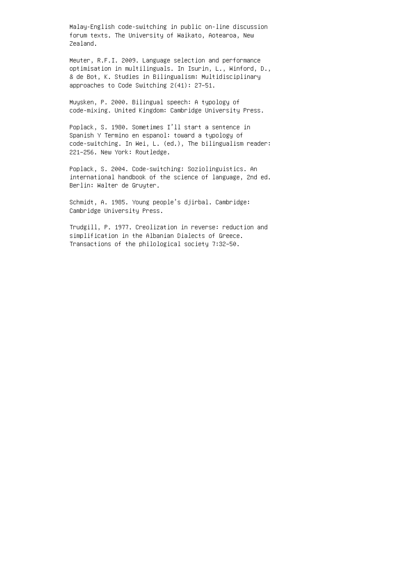Malay-English code-switching in public on-line discussion forum texts. The University of Waikato, Aotearoa, New Zealand.

Meuter, R.F.I. 2009. Language selection and performance optimisation in multilinguals. In Isurin, L., Winford, D., & de Bot, K. Studies in Bilingualism: Multidisciplinary approaches to Code Switching 2(41): 27–51.

Muysken, P. 2000. Bilingual speech: A typology of code-mixing. United Kingdom: Cambridge University Press.

Poplack, S. 1980. Sometimes I'll start a sentence in Spanish Y Termino en espanol: toward a typology of code-switching. In Wei, L. (ed.), The bilingualism reader: 221–256. New York: Routledge.

Poplack, S. 2004. Code-switching: Soziolinguistics. An international handbook of the science of language, 2nd ed. Berlin: Walter de Gruyter.

Schmidt, A. 1985. Young people's djirbal. Cambridge: Cambridge University Press.

Trudgill, P. 1977. Creolization in reverse: reduction and simplification in the Albanian Dialects of Greece. Transactions of the philological society 7:32–50.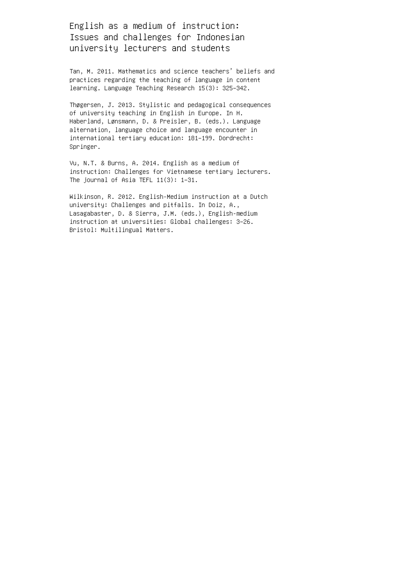English as a medium of instruction: Issues and challenges for Indonesian university lecturers and students

Tan, M. 2011. Mathematics and science teachers' beliefs and practices regarding the teaching of language in content learning. Language Teaching Research 15(3): 325–342.

Thøgersen, J. 2013. Stylistic and pedagogical consequences of university teaching in English in Europe. In H. Haberland, Lønsmann, D. & Preisler, B. (eds.). Language alternation, language choice and language encounter in international tertiary education: 181–199. Dordrecht: Springer.

Vu, N.T. & Burns, A. 2014. English as a medium of instruction: Challenges for Vietnamese tertiary lecturers. The journal of Asia TEFL 11(3): 1–31.

Wilkinson, R. 2012. English-Medium instruction at a Dutch university: Challenges and pitfalls. In Doiz, A., Lasagabaster, D. & Sierra, J.M. (eds.), English-medium instruction at universities: Global challenges: 3–26. Bristol: Multilingual Matters.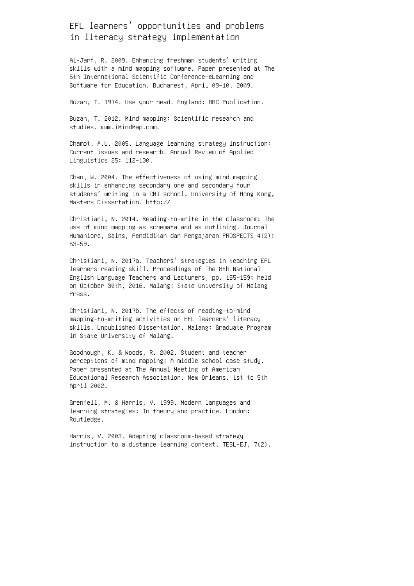#### EFL learners' opportunities and problems in literacy strategy implementation

Al-Jarf, R. 2009. Enhancing freshman students' writing skills with a mind mapping software. Paper presented at The 5th International Scientific Conference—eLearning and Software for Education. Bucharest, April 09–10, 2009.

Buzan, T. 1974. Use your head. England: BBC Publication.

Buzan, T. 2012. Mind mapping: Scientific research and studies. www.iMindMap.com.

Chamot, A.U. 2005. Language learning strategy instruction: Current issues and research. Annual Review of Applied Linguistics 25: 112–130.

Chan, W. 2004. The effectiveness of using mind mapping skills in enhancing secondary one and secondary four students' writing in a CMI school. University of Hong Kong, Masters Dissertation. http://

Christiani, N. 2014. Reading-to-write in the classroom: The use of mind mapping as schemata and as outlining. Journal Humaniora, Sains, Pendidikan dan Pengajaran PROSPECTS 4(2): 53–59.

Christiani, N. 2017a. Teachers' strategies in teaching EFL learners reading skill. Proceedings of The 8th National English Language Teachers and Lecturers, pp. 155–159; held on October 30th, 2016. Malang: State University of Malang Press.

Christiani, N. 2017b. The effects of reading-to-mind mapping-to-writing activities on EFL learners' literacy skills. Unpublished Dissertation. Malang: Graduate Program in State University of Malang.

Goodnough, K. & Woods, R. 2002. Student and teacher perceptions of mind mapping: A middle school case study. Paper presented at The Annual Meeting of American Educational Research Association. New Orleans. 1st to 5th April 2002.

Grenfell, M. & Harris, V. 1999. Modern languages and learning strategies: In theory and practice. London: Routledge.

Harris, V. 2003. Adapting classroom-based strategy instruction to a distance learning context. TESL-EJ, 7(2).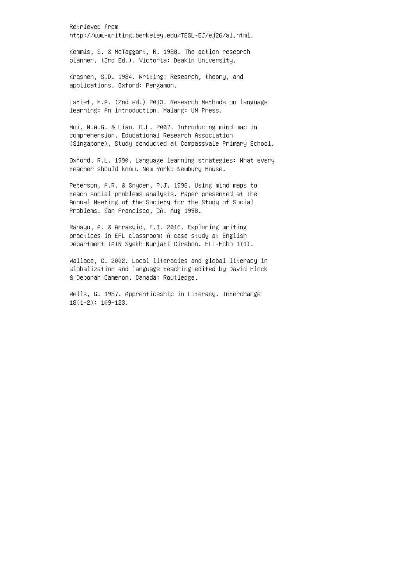Retrieved from http://www-writing.berkeley.edu/TESL-EJ/ej26/al.html.

Kemmis, S. & McTaggart, R. 1988. The action research planner. (3rd Ed.). Victoria: Deakin University.

Krashen, S.D. 1984. Writing: Research, theory, and applications. Oxford: Pergamon.

Latief, M.A. (2nd ed.) 2013. Research Methods on language learning: An introduction. Malang: UM Press.

Moi, W.A.G. & Lian, O.L. 2007. Introducing mind map in comprehension. Educational Research Association (Singapore), Study conducted at Compassvale Primary School.

Oxford, R.L. 1990. Language learning strategies: What every teacher should know. New York: Newbury House.

Peterson, A.R. & Snyder, P.J. 1998. Using mind maps to teach social problems analysis. Paper presented at The Annual Meeting of the Society for the Study of Social Problems. San Francisco, CA. Aug 1998.

Rahayu, A. & Arrasyid, F.I. 2016. Exploring writing practices in EFL classroom: A case study at English Department IAIN Syekh Nurjati Cirebon. ELT-Echo 1(1).

Wallace, C. 2002. Local literacies and global literacy in Globalization and language teaching edited by David Block & Deborah Cameron. Canada: Routledge.

Wells, G. 1987. Apprenticeship in Literacy. Interchange 18(1–2): 109–123.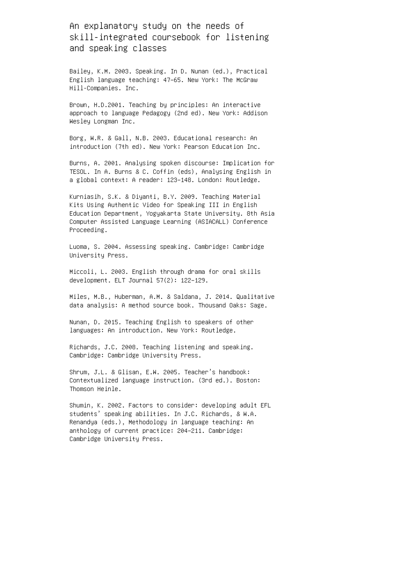An explanatory study on the needs of skill-integrated coursebook for listening and speaking classes

Bailey, K.M. 2003. Speaking. In D. Nunan (ed.), Practical English language teaching: 47–65. New York: The McGraw Hill-Companies. Inc.

Brown, H.D.2001. Teaching by principles: An interactive approach to language Pedagogy (2nd ed). New York: Addison Wesley Longman Inc.

Borg, W.R. & Gall, N.B. 2003. Educational research: An introduction (7th ed). New York: Pearson Education Inc.

Burns, A. 2001. Analysing spoken discourse: Implication for TESOL. In A. Burns & C. Coffin (eds), Analysing English in a global context: A reader: 123–148. London: Routledge.

Kurniasih, S.K. & Diyanti, B.Y. 2009. Teaching Material Kits Using Authentic Video for Speaking III in English Education Department, Yogyakarta State University. 8th Asia Computer Assisted Language Learning (ASIACALL) Conference Proceeding.

Luoma, S. 2004. Assessing speaking. Cambridge: Cambridge University Press.

Miccoli, L. 2003. English through drama for oral skills development. ELT Journal 57(2): 122–129.

Miles, M.B., Huberman, A.M. & Saldana, J. 2014. Qualitative data analysis: A method source book. Thousand Oaks: Sage.

Nunan, D. 2015. Teaching English to speakers of other languages: An introduction. New York: Routledge.

Richards, J.C. 2008. Teaching listening and speaking. Cambridge: Cambridge University Press.

Shrum, J.L. & Glisan, E.W. 2005. Teacher's handbook: Contextualized language instruction. (3rd ed.). Boston: Thomson Heinle.

Shumin, K. 2002. Factors to consider: developing adult EFL students' speaking abilities. In J.C. Richards, & W.A. Renandya (eds.), Methodology in language teaching: An anthology of current practice: 204–211. Cambridge: Cambridge University Press.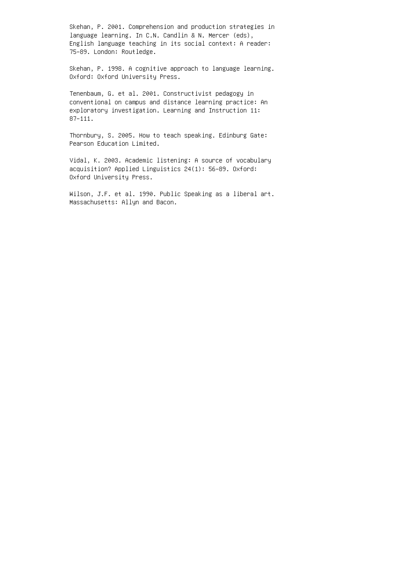Skehan, P. 2001. Comprehension and production strategies in language learning. In C.N. Candlin & N. Mercer (eds), English language teaching in its social context: A reader: 75–89. London: Routledge.

Skehan, P. 1998. A cognitive approach to language learning. Oxford: Oxford University Press.

Tenenbaum, G. et al. 2001. Constructivist pedagogy in conventional on campus and distance learning practice: An exploratory investigation. Learning and Instruction 11: 87–111.

Thornbury, S. 2005. How to teach speaking. Edinburg Gate: Pearson Education Limited.

Vidal, K. 2003. Academic listening: A source of vocabulary acquisition? Applied Linguistics 24(1): 56–89. Oxford: Oxford University Press.

Wilson, J.F. et al. 1990. Public Speaking as a liberal art. Massachusetts: Allyn and Bacon.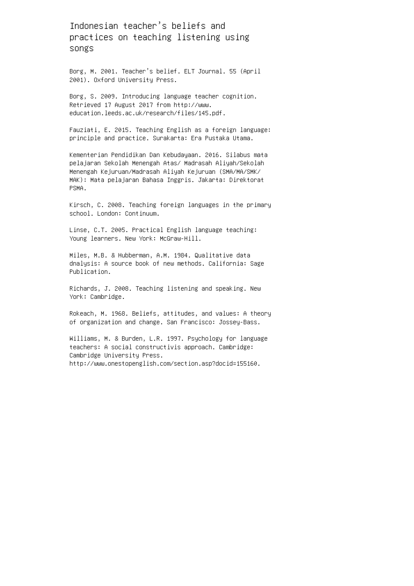Indonesian teacher's beliefs and practices on teaching listening using songs

Borg, M. 2001. Teacher's belief. ELT Journal. 55 (April 2001). Oxford University Press.

Borg, S. 2009. Introducing language teacher cognition. Retrieved 17 August 2017 from http://www. education.leeds.ac.uk/research/files/145.pdf.

Fauziati, E. 2015. Teaching English as a foreign language: principle and practice. Surakarta: Era Pustaka Utama.

Kementerian Pendidikan Dan Kebudayaan. 2016. Silabus mata pelajaran Sekolah Menengah Atas/ Madrasah Aliyah/Sekolah Menengah Kejuruan/Madrasah Aliyah Kejuruan (SMA/MA/SMK/ MAK): Mata pelajaran Bahasa Inggris. Jakarta: Direktorat PSMA.

Kirsch, C. 2008. Teaching foreign languages in the primary school. London: Continuum.

Linse, C.T. 2005. Practical English language teaching: Young learners. New York: McGraw-Hill.

Miles, M.B. & Hubberman, A.M. 1984. Qualitative data dnalysis: A source book of new methods. California: Sage Publication.

Richards, J. 2008. Teaching listening and speaking. New York: Cambridge.

Rokeach, M. 1968. Beliefs, attitudes, and values: A theory of organization and change. San Francisco: Jossey-Bass.

Williams, M. & Burden, L.R. 1997. Psychology for language teachers: A social constructivis approach. Cambridge: Cambridge University Press. http://www.onestopenglish.com/section.asp?docid=155160.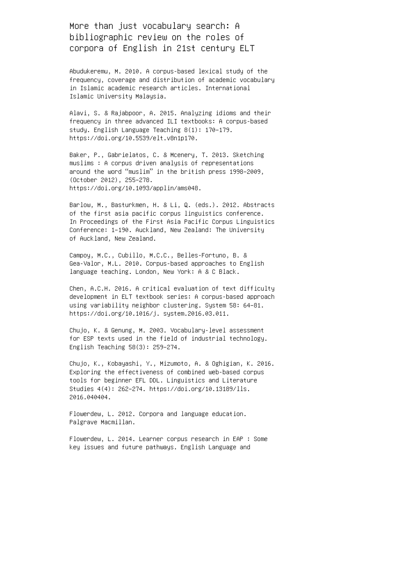More than just vocabulary search: A bibliographic review on the roles of corpora of English in 21st century ELT

Abudukeremu, M. 2010. A corpus-based lexical study of the frequency, coverage and distribution of academic vocabulary in Islamic academic research articles. International Islamic University Malaysia.

Alavi, S. & Rajabpoor, A. 2015. Analyzing idioms and their frequency in three advanced ILI textbooks: A corpus-based study. English Language Teaching 8(1): 170–179. https://doi.org/10.5539/elt.v8n1p170.

Baker, P., Gabrielatos, C. & Mcenery, T. 2013. Sketching muslims : A corpus driven analysis of representations around the word "muslim" in the british press 1998–2009, (October 2012), 255–278. https://doi.org/10.1093/applin/ams048.

Barlow, M., Basturkmen, H. & Li, Q. (eds.). 2012. Abstracts of the first asia pacific corpus linguistics conference. In Proceedings of the First Asia Pacific Corpus Linguistics Conference: 1–190. Auckland, New Zealand: The University of Auckland, New Zealand.

Campoy, M.C., Cubillo, M.C.C., Belles-Fortuno, B. & Gea-Valor, M.L. 2010. Corpus-based approaches to English language teaching. London, New York: A & C Black.

Chen, A.C.H. 2016. A critical evaluation of text difficulty development in ELT textbook series: A corpus-based approach using variability neighbor clustering. System 58: 64–81. https://doi.org/10.1016/j. system.2016.03.011.

Chujo, K. & Genung, M. 2003. Vocabulary-level assessment for ESP texts used in the field of industrial technology. English Teaching 58(3): 259–274.

Chujo, K., Kobayashi, Y., Mizumoto, A. & Oghigian, K. 2016. Exploring the effectiveness of combined web-based corpus tools for beginner EFL DDL. Linguistics and Literature Studies 4(4): 262–274. https://doi.org/10.13189/lls. 2016.040404.

Flowerdew, L. 2012. Corpora and language education. Palgrave Macmillan.

Flowerdew, L. 2014. Learner corpus research in EAP : Some key issues and future pathways. English Language and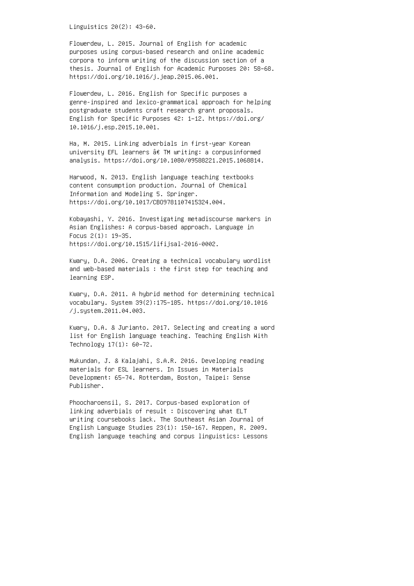Linguistics 20(2): 43–60.

Flowerdew, L. 2015. Journal of English for academic purposes using corpus-based research and online academic corpora to inform writing of the discussion section of a thesis. Journal of English for Academic Purposes 20: 58–68. https://doi.org/10.1016/j.jeap.2015.06.001.

Flowerdew, L. 2016. English for Specific purposes a genre-inspired and lexico-grammatical approach for helping postgraduate students craft research grant proposals. English for Specific Purposes 42: 1–12. https://doi.org/ 10.1016/j.esp.2015.10.001.

Ha, M. 2015. Linking adverbials in first-year Korean university EFL learners  $\hat{a} \in TM$  writing: a corpusinformed analysis. https://doi.org/10.1080/09588221.2015.1068814.

Harwood, N. 2013. English language teaching textbooks content consumption production. Journal of Chemical Information and Modeling 5. Springer. https://doi.org/10.1017/CBO9781107415324.004.

Kobayashi, Y. 2016. Investigating metadiscourse markers in Asian Englishes: A corpus-based approach. Language in Focus 2(1): 19–35. https://doi.org/10.1515/lifijsal-2016-0002.

Kwary, D.A. 2006. Creating a technical vocabulary wordlist and web-based materials : the first step for teaching and learning ESP.

Kwary, D.A. 2011. A hybrid method for determining technical vocabulary. System 39(2):175–185. https://doi.org/10.1016 /j.system.2011.04.003.

Kwary, D.A. & Jurianto. 2017. Selecting and creating a word list for English language teaching. Teaching English With Technology 17(1): 60–72.

Mukundan, J. & Kalajahi, S.A.R. 2016. Developing reading materials for ESL learners. In Issues in Materials Development: 65–74. Rotterdam, Boston, Taipei: Sense Publisher.

Phoocharoensil, S. 2017. Corpus-based exploration of linking adverbials of result : Discovering what ELT writing coursebooks lack. The Southeast Asian Journal of English Language Studies 23(1): 150–167. Reppen, R. 2009. English language teaching and corpus linguistics: Lessons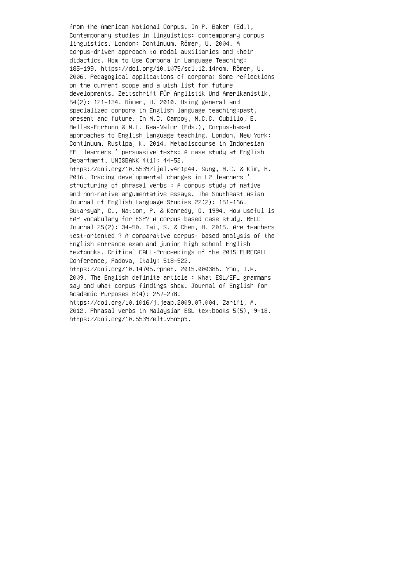from the American National Corpus. In P. Baker (Ed.), Contemporary studies in linguistics: contemporary corpus linguistics. London: Continuum. Römer, U. 2004. A corpus-driven approach to modal auxiliaries and their didactics. How to Use Corpora in Language Teaching: 185–199. https://doi.org/10.1075/scl.12.14rom. Römer, U. 2006. Pedagogical applications of corpora: Some reflections on the current scope and a wish list for future developments. Zeitschrift Für Anglistik Und Amerikanistik, 54(2): 121–134. Römer, U. 2010. Using general and specialized corpora in English language teaching:past, present and future. In M.C. Campoy, M.C.C. Cubillo, B. Belles-Fortuno & M.L. Gea-Valor (Eds.), Corpus-based approaches to English language teaching. London, New York: Continuum. Rustipa, K. 2014. Metadiscourse in Indonesian EFL learners ' persuasive texts: A case study at English Department, UNISBANK 4(1): 44–52. https://doi.org/10.5539/ijel.v4n1p44. Sung, M.C. & Kim, H. 2016. Tracing developmental changes in L2 learners ' structuring of phrasal verbs : A corpus study of native and non-native argumentative essays. The Southeast Asian Journal of English Language Studies 22(2): 151–166. Sutarsyah, C., Nation, P. & Kennedy, G. 1994. How useful is EAP vocabulary for ESP? A corpus based case study. RELC Journal 25(2): 34–50. Tai, S. & Chen, H. 2015. Are teachers test-oriented ? A comparative corpus- based analysis of the English entrance exam and junior high school English textbooks. Critical CALL-Proceedings of the 2015 EUROCALL Conference, Padova, Italy: 518–522. https://doi.org/10.14705.rpnet. 2015.000386. Yoo, I.W. 2009. The English definite article : What ESL/EFL grammars say and what corpus findings show. Journal of English for Academic Purposes 8(4): 267–278. https://doi.org/10.1016/j.jeap.2009.07.004. Zarifi, A.

2012. Phrasal verbs in Malaysian ESL textbooks 5(5), 9–18. https://doi.org/10.5539/elt.v5n5p9.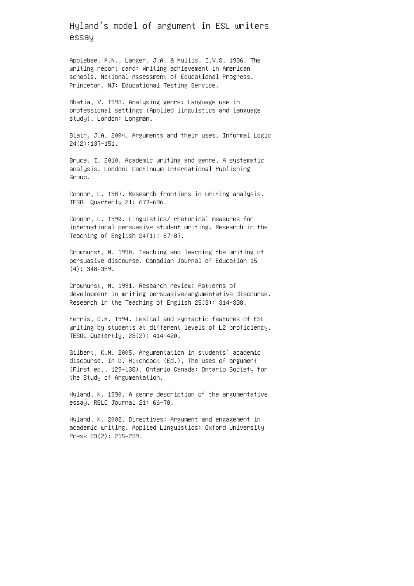Hyland's model of argument in ESL writers essay

Applebee, A.N., Langer, J.A. & Mullis, I.V.S. 1986. The writing report card: Writing achievement in American schools. National Assessment of Educational Progress. Princeton, NJ: Educational Testing Service.

Bhatia, V. 1993. Analysing genre: Language use in professional settings (Applied linguistics and language study). London: Longman.

Blair, J.A. 2004. Arguments and their uses. Informal Logic 24(2):137–151.

Bruce, I. 2010. Academic writing and genre. A systematic analysis. London: Continuum International Publishing Group.

Connor, U. 1987. Research frontiers in writing analysis. TESOL Quarterly 21: 677–696.

Connor, U. 1990. Linguistics/ rhetorical measures for international persuasive student writing. Research in the Teaching of English 24(1): 67–87.

Crowhurst, M. 1990. Teaching and learning the writing of persuasive discourse. Canadian Journal of Education 15 (4): 348–359.

Crowhurst, M. 1991. Research review: Patterns of development in writing persuasive/argumentative discourse. Research in the Teaching of English 25(3): 314–338.

Ferris, D.R. 1994. Lexical and syntactic features of ESL writing by students at different levels of L2 proficiency. TESOL Quatertly, 28(2): 414–420.

Gilbert, K.M. 2005. Argumentation in students' academic discourse. In D. Hitchcock (Ed.), The uses of argument (First ed., 129–138). Ontario Canada: Ontario Society for the Study of Argumentation.

Hyland, K. 1990. A genre description of the argumentative essay. RELC Journal 21: 66–78.

Hyland, K. 2002. Directives: Argument and engagement in academic writing. Applied Linguistics: Oxford University Press 23(2): 215–239.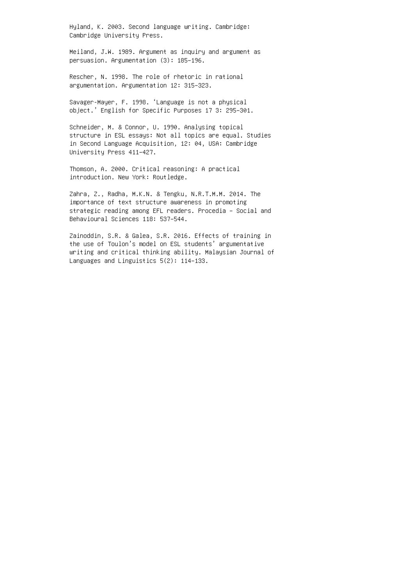Hyland, K. 2003. Second language writing. Cambridge: Cambridge University Press.

Meiland, J.W. 1989. Argument as inquiry and argument as persuasion. Argumentation (3): 185–196.

Rescher, N. 1998. The role of rhetoric in rational argumentation. Argumentation 12: 315–323.

Savager-Mayer, F. 1998. 'Language is not a physical object.' English for Specific Purposes 17 3: 295–301.

Schneider, M. & Connor, U. 1990. Analysing topical structure in ESL essays: Not all topics are equal. Studies in Second Language Acquisition, 12: 04, USA: Cambridge University Press 411–427.

Thomson, A. 2000. Critical reasoning: A practical introduction. New York: Routledge.

Zahra, Z., Radha, M.K.N. & Tengku, N.R.T.M.M. 2014. The importance of text structure awareness in promoting strategic reading among EFL readers. Procedia – Social and Behavioural Sciences 118: 537–544.

Zainoddin, S.R. & Galea, S.R. 2016. Effects of training in the use of Toulon's model on ESL students' argumentative writing and critical thinking ability. Malaysian Journal of Languages and Linguistics 5(2): 114–133.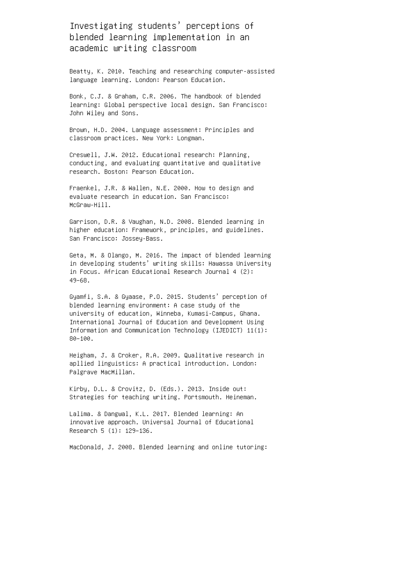## Investigating students' perceptions of blended learning implementation in an academic writing classroom

Beatty, K. 2010. Teaching and researching computer-assisted language learning. London: Pearson Education.

Bonk, C.J. & Graham, C.R. 2006. The handbook of blended learning: Global perspective local design. San Francisco: John Wiley and Sons.

Brown, H.D. 2004. Language assessment: Principles and classroom practices. New York: Longman.

Creswell, J.W. 2012. Educational research: Planning, conducting, and evaluating quantitative and qualitative research. Boston: Pearson Education.

Fraenkel, J.R. & Wallen, N.E. 2000. How to design and evaluate research in education. San Francisco: McGraw-Hill.

Garrison, D.R. & Vaughan, N.D. 2008. Blended learning in higher education: Framework, principles, and guidelines. San Francisco: Jossey-Bass.

Geta, M. & Olango, M. 2016. The impact of blended learning in developing students' writing skills: Hawassa University in Focus. African Educational Research Journal 4 (2): 49–68.

Gyamfi, S.A. & Gyaase, P.O. 2015. Students' perception of blended learning environment: A case study of the university of education, Winneba, Kumasi-Campus, Ghana. International Journal of Education and Development Using Information and Communication Technology (IJEDICT) 11(1): 80–100.

Heigham, J. & Croker, R.A. 2009. Qualitative research in apllied linguistics: A practical introduction. London: Palgrave MacMillan.

Kirby, D.L. & Crovitz, D. (Eds.). 2013. Inside out: Strategies for teaching writing. Portsmouth. Heineman.

Lalima. & Dangwal, K.L. 2017. Blended learning: An innovative approach. Universal Journal of Educational Research 5 (1): 129–136.

MacDonald, J. 2008. Blended learning and online tutoring: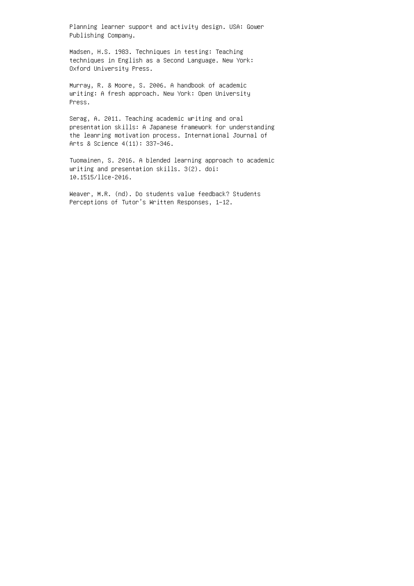Planning learner support and activity design. USA: Gower Publishing Company.

Madsen, H.S. 1983. Techniques in testing: Teaching techniques in English as a Second Language. New York: Oxford University Press.

Murray, R. & Moore, S. 2006. A handbook of academic writing: A fresh approach. New York: Open University Press.

Serag, A. 2011. Teaching academic writing and oral presentation skills: A Japanese framework for understanding the leanring motivation process. International Journal of Arts & Science 4(11): 337–346.

Tuomainen, S. 2016. A blended learning approach to academic writing and presentation skills. 3(2). doi: 10.1515/llce-2016.

Weaver, M.R. (nd). Do students value feedback? Students Perceptions of Tutor's Written Responses, 1–12.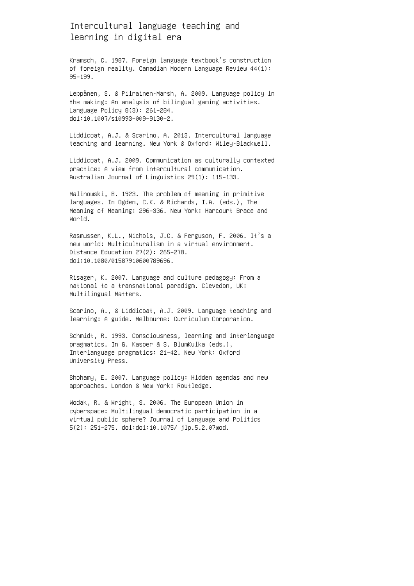Intercultural language teaching and learning in digital era

Kramsch, C. 1987. Foreign language textbook's construction of foreign reality. Canadian Modern Language Review 44(1): 95–199.

Leppänen, S. & Piirainen-Marsh, A. 2009. Language policy in the making: An analysis of bilingual gaming activities. Language Policy 8(3): 261–284. doi:10.1007/s10993–009–9130–2.

Liddicoat, A.J. & Scarino, A. 2013. Intercultural language teaching and learning. New York & Oxford: Wiley-Blackwell.

Liddicoat, A.J. 2009. Communication as culturally contexted practice: A view from intercultural communication. Australian Journal of Linguistics 29(1): 115–133.

Malinowski, B. 1923. The problem of meaning in primitive languages. In Ogden, C.K. & Richards, I.A. (eds.), The Meaning of Meaning: 296–336. New York: Harcourt Brace and World.

Rasmussen, K.L., Nichols, J.C. & Ferguson, F. 2006. It's a new world: Multiculturalism in a virtual environment. Distance Education 27(2): 265–278. doi:10.1080/01587910600789696.

Risager, K. 2007. Language and culture pedagogy: From a national to a transnational paradigm. Clevedon, UK: Multilingual Matters.

Scarino, A., & Liddicoat, A.J. 2009. Language teaching and learning: A guide. Melbourne: Curriculum Corporation.

Schmidt, R. 1993. Consciousness, learning and interlanguage pragmatics. In G. Kasper & S. BlumKulka (eds.), Interlanguage pragmatics: 21–42. New York: Oxford University Press.

Shohamy, E. 2007. Language policy: Hidden agendas and new approaches. London & New York: Routledge.

Wodak, R. & Wright, S. 2006. The European Union in cyberspace: Multilingual democratic participation in a virtual public sphere? Journal of Language and Politics 5(2): 251–275. doi:doi:10.1075/ jlp.5.2.07wod.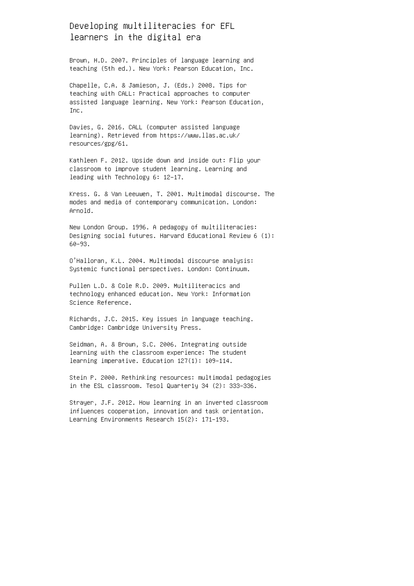#### Developing multiliteracies for EFL learners in the digital era

Brown, H.D. 2007. Principles of language learning and teaching (5th ed.). New York: Pearson Education, Inc.

Chapelle, C.A. & Jamieson, J. (Eds.) 2008. Tips for teaching with CALL: Practical approaches to computer assisted language learning. New York: Pearson Education, Inc.

Davies, G. 2016. CALL (computer assisted language learning). Retrieved from https://www.llas.ac.uk/ resources/gpg/61.

Kathleen F. 2012. Upside down and inside out: Flip your classroom to improve student learning. Learning and leading with Technology 6: 12–17.

Kress. G. & Van Leeuwen, T. 2001. Multimodal discourse. The modes and media of contemporary communication. London: Arnold.

New London Group. 1996. A pedagogy of multiliteracies: Designing social futures. Harvard Educational Review 6 (1): 60–93.

O'Halloran, K.L. 2004. Multimodal discourse analysis: Systemic functional perspectives. London: Continuum.

Pullen L.D. & Cole R.D. 2009. Multiliteracics and technology enhanced education. New York: Information Science Reference.

Richards, J.C. 2015. Key issues in language teaching. Cambridge: Cambridge University Press.

Seidman, A. & Brown, S.C. 2006. Integrating outside learning with the classroom experience: The student learning imperative. Education 127(1): 109–114.

Stein P. 2000. Rethinking resources: multimodal pedagogies in the ESL classroom. Tesol Quarter1y 34 (2): 333–336.

Strayer, J.F. 2012. How learning in an inverted classroom influences cooperation, innovation and task orientation. Learning Environments Research 15(2): 171–193.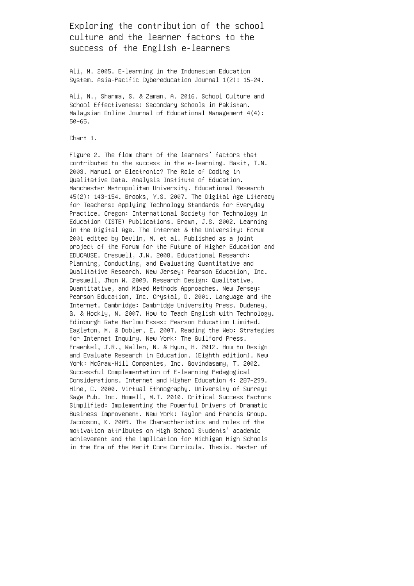# Exploring the contribution of the school culture and the learner factors to the success of the English e-learners

Ali, M. 2005. E-learning in the Indonesian Education System. Asia-Pacific Cybereducation Journal 1(2): 15–24.

Ali, N., Sharma, S. & Zaman, A. 2016. School Culture and School Effectiveness: Secondary Schools in Pakistan. Malaysian Online Journal of Educational Management 4(4): 50–65.

Chart 1.

Figure 2. The flow chart of the learners' factors that contributed to the success in the e-learning. Basit, T.N. 2003. Manual or Electronic? The Role of Coding in Qualitative Data. Analysis Institute of Education. Manchester Metropolitan University. Educational Research 45(2): 143–154. Brooks, Y.S. 2007. The Digital Age Literacy for Teachers: Applying Technology Standards for Everyday Practice. Oregon: International Society for Technology in Education (ISTE) Publications. Brown, J.S. 2002. Learning in the Digital Age. The Internet & the University: Forum 2001 edited by Devlin, M. et al. Published as a joint project of the Forum for the Future of Higher Education and EDUCAUSE. Creswell, J.W. 2008. Educational Research: Planning, Conducting, and Evaluating Quantitative and Qualitative Research. New Jersey: Pearson Education, Inc. Creswell, Jhon W. 2009. Research Design: Qualitative, Quantitative, and Mixed Methods Approaches. New Jersey: Pearson Education, Inc. Crystal, D. 2001. Language and the Internet. Cambridge: Cambridge University Press. Dudeney, G. & Hockly, N. 2007. How to Teach English with Technology. Edinburgh Gate Harlow Essex: Pearson Education Limited. Eagleton, M. & Dobler, E. 2007. Reading the Web: Strategies for Internet Inquiry. New York: The Guilford Press. Fraenkel, J.R., Wallen, N. & Hyun, H. 2012. How to Design and Evaluate Research in Education. (Eighth edition). New York: McGraw-Hill Companies, Inc. Govindasamy, T. 2002. Successful Complementation of E-learning Pedagogical Considerations. Internet and Higher Education 4: 287–299. Hine, C. 2000. Virtual Ethnography. University of Surrey: Sage Pub. Inc. Howell, M.T. 2010. Critical Success Factors Simplified: Implementing the Powerful Drivers of Dramatic Business Improvement. New York: Taylor and Francis Group. Jacobson, K. 2009. The Charactheristics and roles of the motivation attributes on High School Students' academic achievement and the implication for Michigan High Schools in the Era of the Merit Core Curricula. Thesis. Master of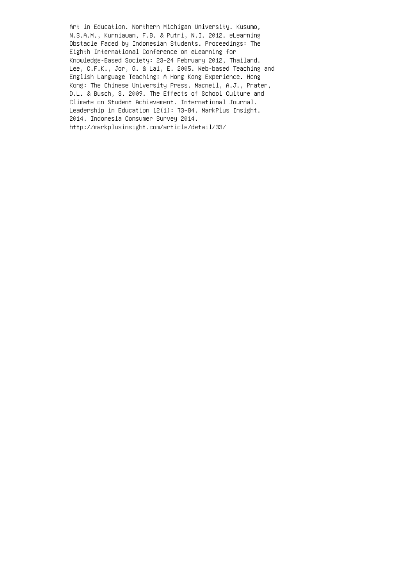Art in Education. Northern Michigan University. Kusumo, N.S.A.M., Kurniawan, F.B. & Putri, N.I. 2012. eLearning Obstacle Faced by Indonesian Students. Proceedings: The Eighth International Conference on eLearning for Knowledge-Based Society: 23–24 February 2012, Thailand. Lee, C.F.K., Jor, G. & Lai, E. 2005. Web-based Teaching and English Language Teaching: A Hong Kong Experience. Hong Kong: The Chinese University Press. Macneil, A.J., Prater, D.L. & Busch, S. 2009. The Effects of School Culture and Climate on Student Achievement. International Journal. Leadership in Education 12(1): 73–84. MarkPlus Insight. 2014. Indonesia Consumer Survey 2014. http://markplusinsight.com/article/detail/33/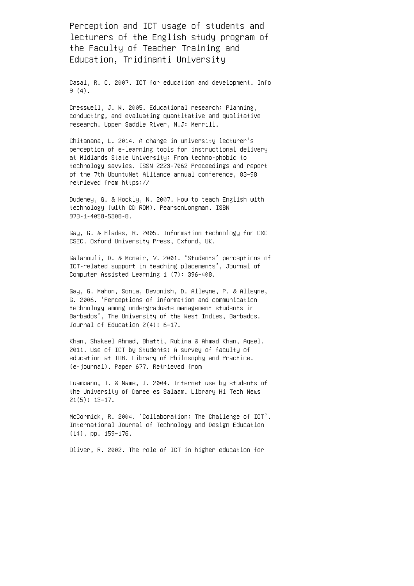Perception and ICT usage of students and lecturers of the English study program of the Faculty of Teacher Training and Education, Tridinanti University

Casal, R. C. 2007. ICT for education and development. Info 9 (4).

Cresswell, J. W. 2005. Educational research: Planning, conducting, and evaluating quantitative and qualitative research. Upper Saddle River, N.J: Merrill.

Chitanana, L. 2014. A change in university lecturer's perception of e-learning tools for instructional delivery at Midlands State University: From techno-phobic to technology savvies. ISSN 2223-7062 Proceedings and report of the 7th UbuntuNet Alliance annual conference, 83–98 retrieved from https://

Dudeney, G. & Hockly, N. 2007. How to teach English with technology (with CD ROM). PearsonLongman. ISBN 978-1-4058-5308-8.

Gay, G. & Blades, R. 2005. Information technology for CXC CSEC. Oxford University Press, Oxford, UK.

Galanouli, D. & Mcnair, V. 2001. 'Students' perceptions of ICT-related support in teaching placements', Journal of Computer Assisted Learning 1 (7): 396–408.

Gay, G. Mahon, Sonia, Devonish, D. Alleyne, P. & Alleyne, G. 2006. 'Perceptions of information and communication technology among undergraduate management students in Barbados', The University of the West Indies, Barbados. Journal of Education 2(4): 6–17.

Khan, Shakeel Ahmad, Bhatti, Rubina & Ahmad Khan, Aqeel. 2011. Use of ICT by Students: A survey of faculty of education at IUB. Library of Philosophy and Practice. (e-journal). Paper 677. Retrieved from

Luambano, I. & Nawe, J. 2004. Internet use by students of the University of Daree es Salaam. Library Hi Tech News 21(5): 13–17.

McCormick, R. 2004. 'Collaboration: The Challenge of ICT'. International Journal of Technology and Design Education (14), pp. 159–176.

Oliver, R. 2002. The role of ICT in higher education for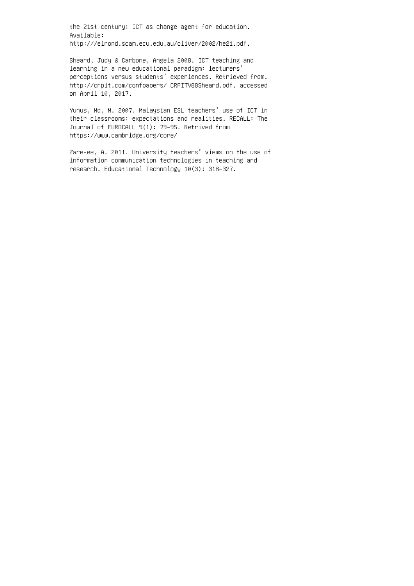the 21st century: ICT as change agent for education. Available: http:///elrond.scam.ecu.edu.au/oliver/2002/he21.pdf.

Sheard, Judy & Carbone, Angela 2008. ICT teaching and learning in a new educational paradigm: lecturers' perceptions versus students' experiences. Retrieved from. http://crpit.com/confpapers/ CRPITV88Sheard.pdf. accessed on April 10, 2017.

Yunus, Md, M. 2007. Malaysian ESL teachers' use of ICT in their classrooms: expectations and realities. RECALL: The Journal of EUROCALL 9(1): 79–95. Retrived from https://www.cambridge.org/core/

Zare-ee, A. 2011. University teachers' views on the use of information communication technologies in teaching and research. Educational Technology 10(3): 318–327.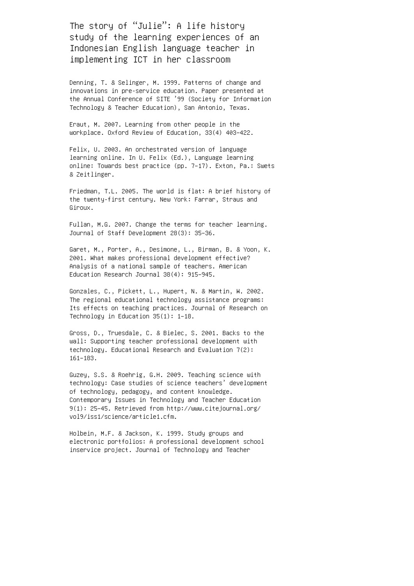The story of "Julie": A life history study of the learning experiences of an Indonesian English language teacher in implementing ICT in her classroom

Denning, T. & Selinger, M. 1999. Patterns of change and innovations in pre-service education. Paper presented at the Annual Conference of SITE '99 (Society for Information Technology & Teacher Education), San Antonio, Texas.

Eraut, M. 2007. Learning from other people in the workplace. Oxford Review of Education, 33(4) 403–422.

Felix, U. 2003. An orchestrated version of language learning online. In U. Felix (Ed.), Language learning online: Towards best practice (pp. 7–17). Exton, Pa.: Swets & Zeitlinger.

Friedman, T.L. 2005. The world is flat: A brief history of the twenty-first century. New York: Farrar, Straus and Giroux.

Fullan, M.G. 2007. Change the terms for teacher learning. Journal of Staff Development 28(3): 35–36.

Garet, M., Porter, A., Desimone, L., Birman, B. & Yoon, K. 2001. What makes professional development effective? Analysis of a national sample of teachers. American Education Research Journal 38(4): 915–945.

Gonzales, C., Pickett, L., Hupert, N. & Martin, W. 2002. The regional educational technology assistance programs: Its effects on teaching practices. Journal of Research on Technology in Education 35(1): 1–18.

Gross, D., Truesdale, C. & Bielec, S. 2001. Backs to the wall: Supporting teacher professional development with technology. Educational Research and Evaluation 7(2): 161–183.

Guzey, S.S. & Roehrig, G.H. 2009. Teaching science with technology: Case studies of science teachers' development of technology, pedagogy, and content knowledge. Contemporary Issues in Technology and Teacher Education 9(1): 25–45. Retrieved from http://www.citejournal.org/ vol9/iss1/science/article1.cfm.

Holbein, M.F. & Jackson, K. 1999. Study groups and electronic portfolios: A professional development school inservice project. Journal of Technology and Teacher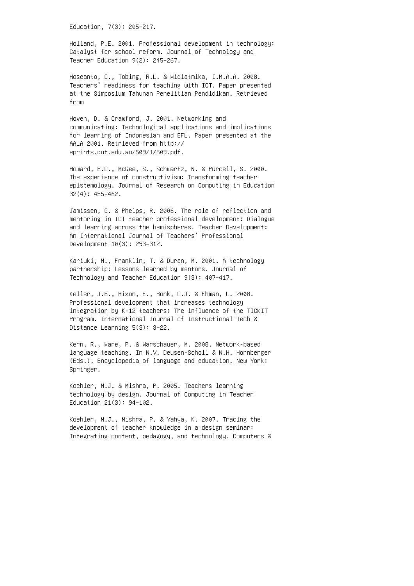Education, 7(3): 205–217.

Holland, P.E. 2001. Professional development in technology: Catalyst for school reform. Journal of Technology and Teacher Education 9(2): 245–267.

Hoseanto, O., Tobing, R.L. & Widiatmika, I.M.A.A. 2008. Teachers' readiness for teaching with ICT. Paper presented at the Simposium Tahunan Penelitian Pendidikan. Retrieved from

Hoven, D. & Crawford, J. 2001. Networking and communicating: Technological applications and implications for learning of Indonesian and EFL. Paper presented at the AALA 2001. Retrieved from http:// eprints.qut.edu.au/509/1/509.pdf.

Howard, B.C., McGee, S., Schwartz, N. & Purcell, S. 2000. The experience of constructivism: Transforming teacher epistemology. Journal of Research on Computing in Education 32(4): 455–462.

Jamissen, G. & Phelps, R. 2006. The role of reflection and mentoring in ICT teacher professional development: Dialogue and learning across the hemispheres. Teacher Development: An International Journal of Teachers' Professional Development 10(3): 293–312.

Kariuki, M., Franklin, T. & Duran, M. 2001. A technology partnership: Lessons learned by mentors. Journal of Technology and Teacher Education 9(3): 407–417.

Keller, J.B., Hixon, E., Bonk, C.J. & Ehman, L. 2008. Professional development that increases technology integration by K-12 teachers: The influence of the TICKIT Program. International Journal of Instructional Tech & Distance Learning 5(3): 3–22.

Kern, R., Ware, P. & Warschauer, M. 2008. Network-based language teaching. In N.V. Deusen-Scholl & N.H. Hornberger (Eds.), Encyclopedia of language and education. New York: Springer.

Koehler, M.J. & Mishra, P. 2005. Teachers learning technology by design. Journal of Computing in Teacher Education 21(3): 94–102.

Koehler, M.J., Mishra, P. & Yahya, K. 2007. Tracing the development of teacher knowledge in a design seminar: Integrating content, pedagogy, and technology. Computers &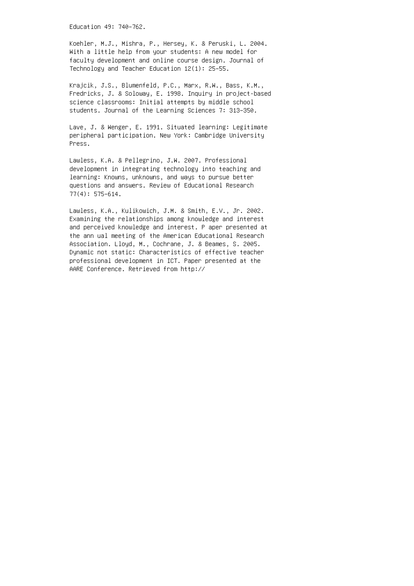Education 49: 740–762.

Koehler, M.J., Mishra, P., Hersey, K. & Peruski, L. 2004. With a little help from your students: A new model for faculty development and online course design. Journal of Technology and Teacher Education 12(1): 25–55.

Krajcik, J.S., Blumenfeld, P.C., Marx, R.W., Bass, K.M., Fredricks, J. & Soloway, E. 1998. Inquiry in project-based science classrooms: Initial attempts by middle school students. Journal of the Learning Sciences 7: 313–350.

Lave, J. & Wenger, E. 1991. Situated learning: Legitimate peripheral participation. New York: Cambridge University Press.

Lawless, K.A. & Pellegrino, J.W. 2007. Professional development in integrating technology into teaching and learning: Knowns, unknowns, and ways to pursue better questions and answers. Review of Educational Research 77(4): 575–614.

Lawless, K.A., Kulikowich, J.M. & Smith, E.V., Jr. 2002. Examining the relationships among knowledge and interest and perceived knowledge and interest. P aper presented at the ann ual meeting of the American Educational Research Association. Lloyd, M., Cochrane, J. & Beames, S. 2005. Dynamic not static: Characteristics of effective teacher professional development in ICT. Paper presented at the AARE Conference. Retrieved from http://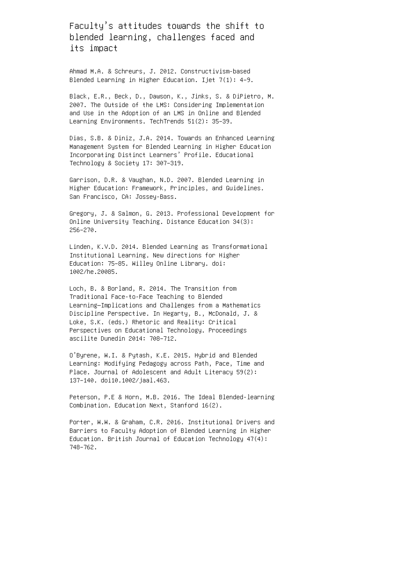Faculty's attitudes towards the shift to blended learning, challenges faced and its impact

Ahmad M.A. & Schreurs, J. 2012. Constructivism-based Blended Learning in Higher Education. Ijet 7(1): 4–9.

Black, E.R., Beck, D., Dawson, K., Jinks, S. & DiPietro, M. 2007. The Outside of the LMS: Considering Implementation and Use in the Adoption of an LMS in Online and Blended Learning Environments. TechTrends 51(2): 35–39.

Dias, S.B. & Diniz, J.A. 2014. Towards an Enhanced Learning Management System for Blended Learning in Higher Education Incorporating Distinct Learners' Profile. Educational Technology & Society 17: 307–319.

Garrison, D.R. & Vaughan, N.D. 2007. Blended Learning in Higher Education: Framework, Principles, and Guidelines. San Francisco, CA: Jossey-Bass.

Gregory, J. & Salmon, G. 2013. Professional Development for Online University Teaching. Distance Education 34(3): 256–270.

Linden, K.V.D. 2014. Blended Learning as Transformational Institutional Learning. New directions for Higher Education: 75−85. Willey Online Library. doi: 1002/he.20085.

Loch, B. & Borland, R. 2014. The Transition from Traditional Face-to-Face Teaching to Blended Learning—Implications and Challenges from a Mathematics Discipline Perspective. In Hegarty, B., McDonald, J. & Loke, S.K. (eds.) Rhetoric and Reality: Critical Perspectives on Educational Technology. Proceedings ascilite Dunedin 2014: 708–712.

O'Byrene, W.I. & Pytash, K.E. 2015. Hybrid and Blended Learning: Modifying Pedagogy across Path, Pace, Time and Place. Journal of Adolescent and Adult Literacy 59(2): 137–140. doi10.1002/jaal.463.

Peterson, P.E & Horn, M.B. 2016. The Ideal Blended-learning Combination. Education Next, Stanford 16(2).

Porter, W.W. & Graham, C.R. 2016. Institutional Drivers and Barriers to Faculty Adoption of Blended Learning in Higher Education. British Journal of Education Technology 47(4): 748–762.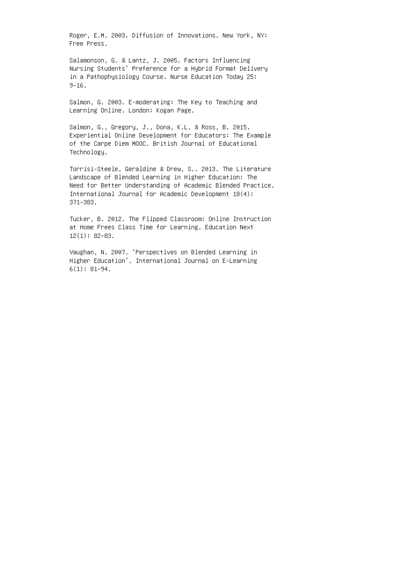Roger, E.M. 2003. Diffusion of Innovations. New York, NY: Free Press.

Salamonson, G. & Lantz, J. 2005. Factors Influencing Nursing Students' Preference for a Hybrid Format Delivery in a Pathophysiology Course. Nurse Education Today 25: 9–16.

Salmon, G. 2003. E-moderating: The Key to Teaching and Learning Online. London: Kogan Page.

Salmon, G., Gregory, J., Dona, K.L. & Ross, B. 2015. Experiential Online Development for Educators: The Example of the Carpe Diem MOOC. British Journal of Educational Technology.

Torrisi-Steele, Geraldine & Drew, S.. 2013. The Literature Landscape of Blended Learning in Higher Education: The Need for Better Understanding of Academic Blended Practice. International Journal for Academic Development 18(4): 371–383.

Tucker, B. 2012. The Flipped Classroom: Online Instruction at Home Frees Class Time for Learning. Education Next 12(1): 82–83.

Vaughan, N. 2007. 'Perspectives on Blended Learning in Higher Education'. International Journal on E-Learning 6(1): 81–94.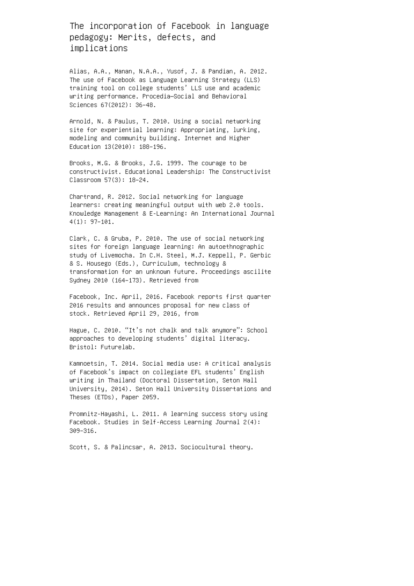The incorporation of Facebook in language pedagogy: Merits, defects, and implications

Alias, A.A., Manan, N.A.A., Yusof, J. & Pandian, A. 2012. The use of Facebook as Language Learning Strategy (LLS) training tool on college students' LLS use and academic writing performance. Procedia—Social and Behavioral Sciences 67(2012): 36–48.

Arnold, N. & Paulus, T. 2010. Using a social networking site for experiential learning: Appropriating, lurking, modeling and community building. Internet and Higher Education 13(2010): 188–196.

Brooks, M.G. & Brooks, J.G. 1999. The courage to be constructivist. Educational Leadership: The Constructivist Classroom 57(3): 18–24.

Chartrand, R. 2012. Social networking for language learners: creating meaningful output with web 2.0 tools. Knowledge Management & E-Learning: An International Journal 4(1): 97–101.

Clark, C. & Gruba, P. 2010. The use of social networking sites for foreign language learning: An autoethnographic study of Livemocha. In C.H. Steel, M.J. Keppell, P. Gerbic & S. Housego (Eds.), Curriculum, technology & transformation for an unknown future. Proceedings ascilite Sydney 2010 (164–173). Retrieved from

Facebook, Inc. April, 2016. Facebook reports first quarter 2016 results and announces proposal for new class of stock. Retrieved April 29, 2016, from

Hague, C. 2010. "It's not chalk and talk anymore": School approaches to developing students' digital literacy. Bristol: Futurelab.

Kamnoetsin, T. 2014. Social media use: A critical analysis of Facebook's impact on collegiate EFL students' English writing in Thailand (Doctoral Dissertation, Seton Hall University, 2014). Seton Hall University Dissertations and Theses (ETDs), Paper 2059.

Promnitz-Hayashi, L. 2011. A learning success story using Facebook. Studies in Self-Access Learning Journal 2(4): 309–316.

Scott, S. & Palincsar, A. 2013. Sociocultural theory.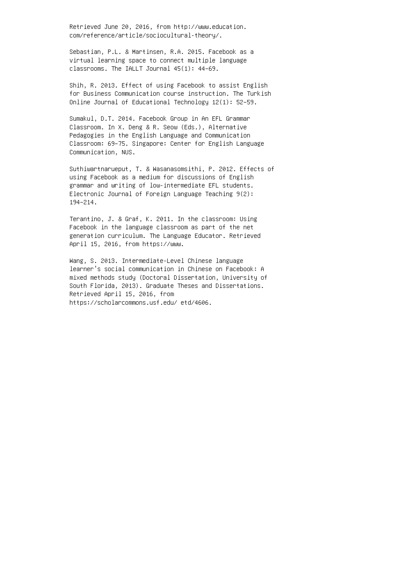Retrieved June 20, 2016, from http://www.education. com/reference/article/sociocultural-theory/.

Sebastian, P.L. & Martinsen, R.A. 2015. Facebook as a virtual learning space to connect multiple language classrooms. The IALLT Journal 45(1): 44–69.

Shih, R. 2013. Effect of using Facebook to assist English for Business Communication course instruction. The Turkish Online Journal of Educational Technology 12(1): 52–59.

Sumakul, D.T. 2014. Facebook Group in An EFL Grammar Classroom. In X. Deng & R. Seow (Eds.), Alternative Pedagogies in the English Language and Communication Classroom: 69–75. Singapore: Center for English Language Communication, NUS.

Suthiwartnarueput, T. & Wasanasomsithi, P. 2012. Effects of using Facebook as a medium for discussions of English grammar and writing of low-intermediate EFL students. Electronic Journal of Foreign Language Teaching 9(2): 194–214.

Terantino, J. & Graf, K. 2011. In the classroom: Using Facebook in the language classroom as part of the net generation curriculum. The Language Educator. Retrieved April 15, 2016, from https://www.

Wang, S. 2013. Intermediate-Level Chinese language learner's social communication in Chinese on Facebook: A mixed methods study (Doctoral Dissertation, University of South Florida, 2013). Graduate Theses and Dissertations. Retrieved April 15, 2016, from https://scholarcommons.usf.edu/ etd/4606.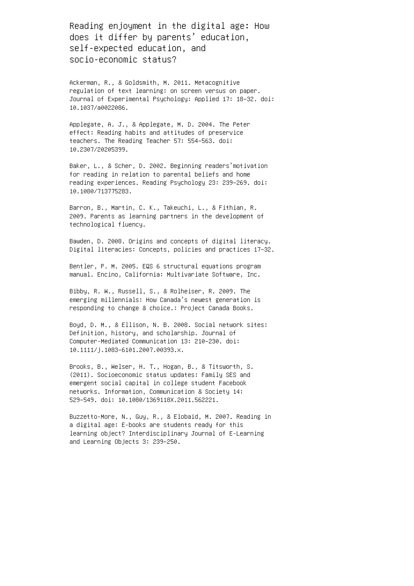Reading enjoyment in the digital age: How does it differ by parents' education, self-expected education, and socio-economic status?

Ackerman, R., & Goldsmith, M. 2011. Metacognitive regulation of text learning: on screen versus on paper. Journal of Experimental Psychology: Applied 17: 18–32. doi: 10.1037/a0022086.

Applegate, A. J., & Applegate, M. D. 2004. The Peter effect: Reading habits and attitudes of preservice teachers. The Reading Teacher 57: 554–563. doi: 10.2307/20205399.

Baker, L., & Scher, D. 2002. Beginning readers'motivation for reading in relation to parental beliefs and home reading experiences. Reading Psychology 23: 239–269. doi: 10.1080/713775283.

Barron, B., Martin, C. K., Takeuchi, L., & Fithian, R. 2009. Parents as learning partners in the development of technological fluency.

Bawden, D. 2008. Origins and concepts of digital literacy. Digital literacies: Concepts, policies and practices 17–32.

Bentler, P. M. 2005. EQS 6 structural equations program manual. Encino, California: Multivariate Software, Inc.

Bibby, R. W., Russell, S., & Rolheiser, R. 2009. The emerging millennials: How Canada's newest generation is responding to change & choice.: Project Canada Books.

Boyd, D. M., & Ellison, N. B. 2008. Social network sites: Definition, history, and scholarship. Journal of Computer-Mediated Communication 13: 210–230. doi: 10.1111/j.1083–6101.2007.00393.x.

Brooks, B., Welser, H. T., Hogan, B., & Titsworth, S. (2011). Socioeconomic status updates: Family SES and emergent social capital in college student Facebook networks. Information, Communication & Society 14: 529–549. doi: 10.1080/1369118X.2011.562221.

Buzzetto-More, N., Guy, R., & Elobaid, M. 2007. Reading in a digital age: E-books are students ready for this learning object? Interdisciplinary Journal of E-Learning and Learning Objects 3: 239–250.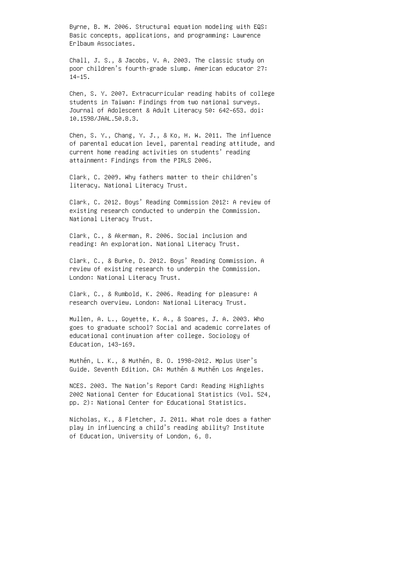Byrne, B. M. 2006. Structural equation modeling with EQS: Basic concepts, applications, and programming: Lawrence Erlbaum Associates.

Chall, J. S., & Jacobs, V. A. 2003. The classic study on poor children's fourth-grade slump. American educator 27: 14–15.

Chen, S. Y. 2007. Extracurricular reading habits of college students in Taiwan: Findings from two national surveys. Journal of Adolescent & Adult Literacy 50: 642–653. doi: 10.1598/JAAL.50.8.3.

Chen, S. Y., Chang, Y. J., & Ko, H. W. 2011. The influence of parental education level, parental reading attitude, and current home reading activities on students' reading attainment: Findings from the PIRLS 2006.

Clark, C. 2009. Why fathers matter to their children's literacy. National Literacy Trust.

Clark, C. 2012. Boys' Reading Commission 2012: A review of existing research conducted to underpin the Commission. National Literacy Trust.

Clark, C., & Akerman, R. 2006. Social inclusion and reading: An exploration. National Literacy Trust.

Clark, C., & Burke, D. 2012. Boys' Reading Commission. A review of existing research to underpin the Commission. London: National Literacy Trust.

Clark, C., & Rumbold, K. 2006. Reading for pleasure: A research overview. London: National Literacy Trust.

Mullen, A. L., Goyette, K. A., & Soares, J. A. 2003. Who goes to graduate school? Social and academic correlates of educational continuation after college. Sociology of Education, 143–169.

Muthén, L. K., & Muthén, B. O. 1998–2012. Mplus User's Guide. Seventh Edition. CA: Muthén & Muthén Los Angeles.

NCES. 2003. The Nation's Report Card: Reading Highlights 2002 National Center for Educational Statistics (Vol. 524, pp. 2): National Center for Educational Statistics.

Nicholas, K., & Fletcher, J. 2011. What role does a father play in influencing a child's reading ability? Institute of Education, University of London, 6, 8.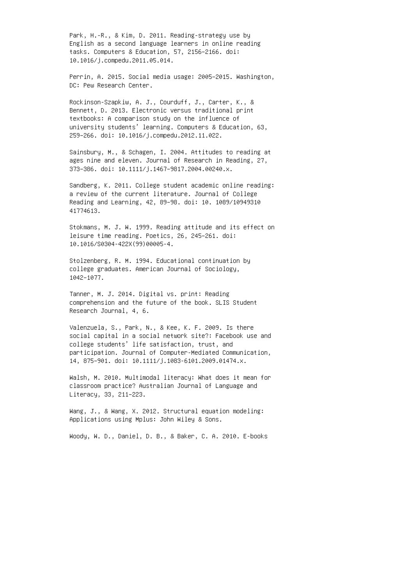Park, H.-R., & Kim, D. 2011. Reading-strategy use by English as a second language learners in online reading tasks. Computers & Education, 57, 2156–2166. doi: 10.1016/j.compedu.2011.05.014.

Perrin, A. 2015. Social media usage: 2005–2015. Washington, DC: Pew Research Center.

Rockinson-Szapkiw, A. J., Courduff, J., Carter, K., & Bennett, D. 2013. Electronic versus traditional print textbooks: A comparison study on the influence of university students' learning. Computers & Education, 63, 259–266. doi: 10.1016/j.compedu.2012.11.022.

Sainsbury, M., & Schagen, I. 2004. Attitudes to reading at ages nine and eleven. Journal of Research in Reading, 27, 373–386. doi: 10.1111/j.1467–9817.2004.00240.x.

Sandberg, K. 2011. College student academic online reading: a review of the current literature. Journal of College Reading and Learning, 42, 89–98. doi: 10. 1089/10949310 41774613.

Stokmans, M. J. W. 1999. Reading attitude and its effect on leisure time reading. Poetics, 26, 245–261. doi: 10.1016/S0304-422X(99)00005-4.

Stolzenberg, R. M. 1994. Educational continuation by college graduates. American Journal of Sociology, 1042–1077.

Tanner, M. J. 2014. Digital vs. print: Reading comprehension and the future of the book. SLIS Student Research Journal, 4, 6.

Valenzuela, S., Park, N., & Kee, K. F. 2009. Is there social capital in a social network site?: Facebook use and college students' life satisfaction, trust, and participation. Journal of Computer-Mediated Communication, 14, 875–901. doi: 10.1111/j.1083-6101.2009.01474.x.

Walsh, M. 2010. Multimodal literacy: What does it mean for classroom practice? Australian Journal of Language and Literacy, 33, 211–223.

Wang, J., & Wang, X. 2012. Structural equation modeling: Applications using Mplus: John Wiley & Sons.

Woody, W. D., Daniel, D. B., & Baker, C. A. 2010. E-books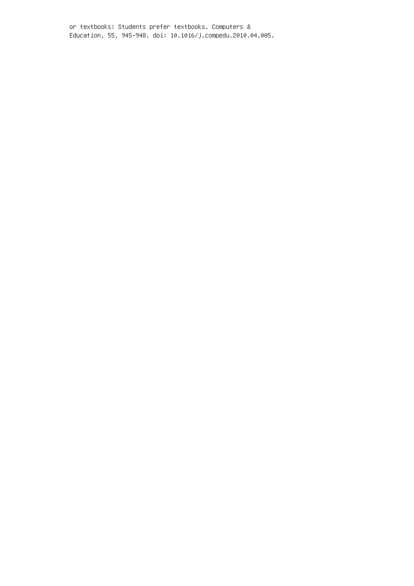or textbooks: Students prefer textbooks. Computers & Education, 55, 945–948. doi: 10.1016/j.compedu.2010.04.005.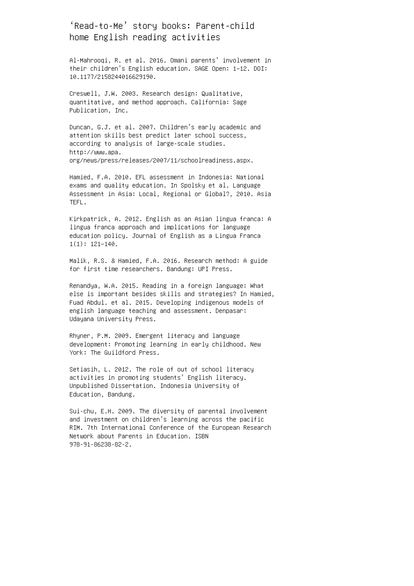'Read-to-Me' story books: Parent-child home English reading activities

Al-Mahrooqi, R. et al. 2016. Omani parents' involvement in their children's English education. SAGE Open: 1–12. DOI: 10.1177/2158244016629190.

Creswell, J.W. 2003. Research design: Qualitative, quantitative, and method approach. California: Sage Publication, Inc.

Duncan, G.J. et al. 2007. Children's early academic and attention skills best predict later school success, according to analysis of large-scale studies. http://www.apa. org/news/press/releases/2007/11/schoolreadiness.aspx.

Hamied, F.A. 2010. EFL assessment in Indonesia: National exams and quality education. In Spolsky et al. Language Assessment in Asia: Local, Regional or Global?, 2010. Asia TEFL.

Kirkpatrick, A. 2012. English as an Asian lingua franca: A lingua franca approach and implications for language education policy. Journal of English as a Lingua Franca 1(1): 121–140.

Malik, R.S. & Hamied, F.A. 2016. Research method: A guide for first time researchers. Bandung: UPI Press.

Renandya, W.A. 2015. Reading in a foreign language: What else is important besides skills and strategies? In Hamied, Fuad Abdul. et al. 2015. Developing indigenous models of english language teaching and assessment. Denpasar: Udayana University Press.

Rhyner, P.M. 2009. Emergent literacy and language development: Promoting learning in early childhood. New York: The Guildford Press.

Setiasih, L. 2012. The role of out of school literacy activities in promoting students' English literacy. Unpublished Dissertation. Indonesia University of Education, Bandung.

Sui-chu, E.H. 2009. The diversity of parental involvement and investment on children's learning across the pacific RIM. 7th International Conference of the European Research Network about Parents in Education. ISBN 978-91-86238-82-2.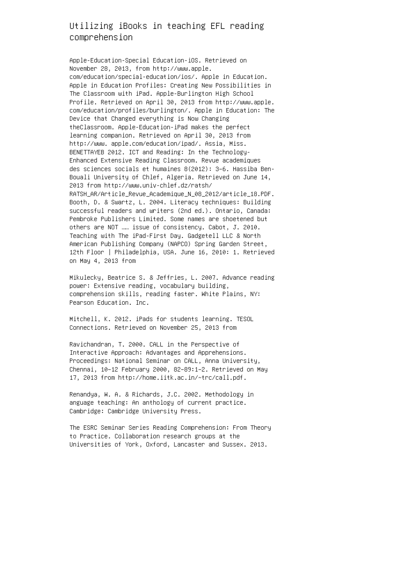### Utilizing iBooks in teaching EFL reading comprehension

Apple-Education-Special Education-iOS. Retrieved on November 28, 2013, from http://www.apple. com/education/special-education/ios/. Apple in Education. Apple in Education Profiles: Creating New Possibilities in The Classroom with iPad. Apple-Burlington High School Profile. Retrieved on April 30, 2013 from http://www.apple. com/education/profiles/burlington/. Apple in Education: The Device that Changed everything is Now Changing theClassroom. Apple-Education-iPad makes the perfect learning companion. Retrieved on April 30, 2013 from http://www. apple.com/education/ipad/. Assia, Miss. BENETTAYEB 2012. ICT and Reading: In the Technology-Enhanced Extensive Reading Classroom. Revue academiques des sciences socials et humaines 8(2012): 3–6. Hassiba Ben-Bouali University of Chlef, Algeria. Retrieved on June 14, 2013 from http://www.univ-chlef.dz/ratsh/ RATSH\_AR/Article\_Revue\_Academique\_N\_08\_2012/article\_18.PDF. Booth, D. & Swartz, L. 2004. Literacy techniques: Building successful readers and writers (2nd ed.). Ontario, Canada: Pembroke Publishers Limited. Some names are shoetened but others are NOT …… issue of consistency. Cabot, J. 2010. Teaching with The iPad-First Day. Gadgetell LLC & North American Publishing Company (NAPCO) Spring Garden Street, 12th Floor | Philadelphia, USA. June 16, 2010: 1. Retrieved on May 4, 2013 from

Mikulecky, Beatrice S. & Jeffries, L. 2007. Advance reading power: Extensive reading, vocabulary building, comprehension skills, reading faster. White Plains, NY: Pearson Education. Inc.

Mitchell, K. 2012. iPads for students learning. TESOL Connections. Retrieved on November 25, 2013 from

Ravichandran, T. 2000. CALL in the Perspective of Interactive Approach: Advantages and Apprehensions. Proceedings: National Seminar on CALL, Anna University, Chennai, 10–12 February 2000, 82–89:1–2. Retrieved on May 17, 2013 from http://home.iitk.ac.in/∼trc/call.pdf.

Renandya, W. A. & Richards, J.C. 2002. Methodology in anguage teaching: An anthology of current practice. Cambridge: Cambridge University Press.

The ESRC Seminar Series Reading Comprehension: From Theory to Practice. Collaboration research groups at the Universities of York, Oxford, Lancaster and Sussex. 2013.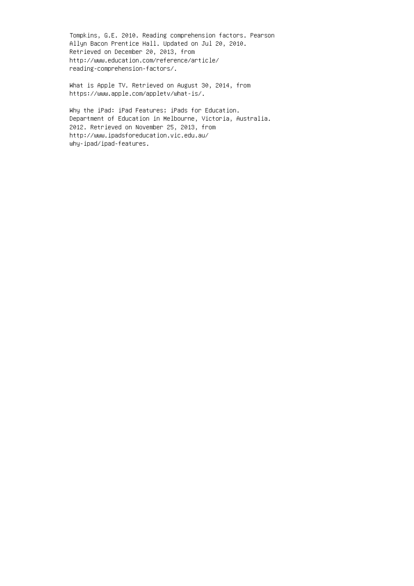Tompkins, G.E. 2010. Reading comprehension factors. Pearson Allyn Bacon Prentice Hall. Updated on Jul 20, 2010. Retrieved on December 20, 2013, from http://www.education.com/reference/article/ reading-comprehension-factors/.

What is Apple TV. Retrieved on August 30, 2014, from https://www.apple.com/appletv/what-is/.

Why the iPad: iPad Features; iPads for Education. Department of Education in Melbourne, Victoria, Australia. 2012. Retrieved on November 25, 2013, from http://www.ipadsforeducation.vic.edu.au/ why-ipad/ipad-features.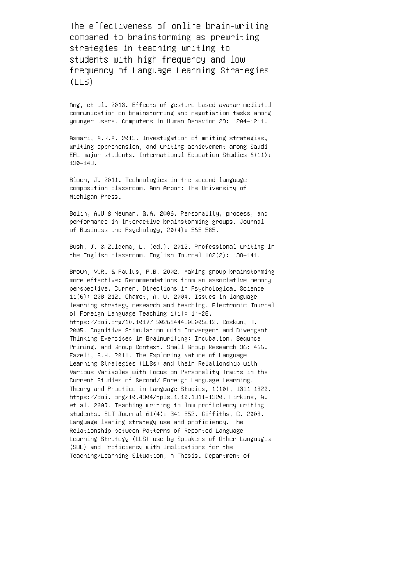The effectiveness of online brain-writing compared to brainstorming as prewriting strategies in teaching writing to students with high frequency and low frequency of Language Learning Strategies (LLS)

Ang, et al. 2013. Effects of gesture-based avatar-mediated communication on brainstorming and negotiation tasks among younger users. Computers in Human Behavior 29: 1204–1211.

Asmari, A.R.A. 2013. Investigation of writing strategies, writing apprehension, and writing achievement among Saudi EFL-major students. International Education Studies 6(11): 130–143.

Bloch, J. 2011. Technologies in the second language composition classroom. Ann Arbor: The University of Michigan Press.

Bolin, A.U & Neuman, G.A. 2006. Personality, process, and performance in interactive brainstorming groups. Journal of Business and Psychology, 20(4): 565–585.

Bush, J. & Zuidema, L. (ed.). 2012. Professional writing in the English classroom. English Journal 102(2): 138–141.

Brown, V.R. & Paulus, P.B. 2002. Making group brainstorming more effective: Recommendations from an associative memory perspective. Current Directions in Psychological Science 11(6): 208–212. Chamot, A. U. 2004. Issues in language learning strategy research and teaching. Electronic Journal of Foreign Language Teaching 1(1): 14–26. https://doi.org/10.1017/ S0261444808005612. Coskun, H. 2005. Cognitive Stimulation with Convergent and Divergent Thinking Exercises in Brainwriting: Incubation, Sequnce Priming, and Group Context. Small Group Research 36: 466. Fazeli, S.H. 2011. The Exploring Nature of Language Learning Strategies (LLSs) and their Relationship with Various Variables with Focus on Personality Traits in the Current Studies of Second/ Foreign Language Learning. Theory and Practice in Language Studies, 1(10), 1311–1320. https://doi. org/10.4304/tpls.1.10.1311–1320. Firkins, A. et al. 2007. Teaching writing to low proficiency writing students. ELT Journal 61(4): 341–352. Giffiths, C. 2003. Language leaning strategy use and proficiency. The Relationship between Patterns of Reported Language Learning Strategy (LLS) use by Speakers of Other Languages (SOL) and Proficiency with Implications for the Teaching/Learning Situation, A Thesis. Department of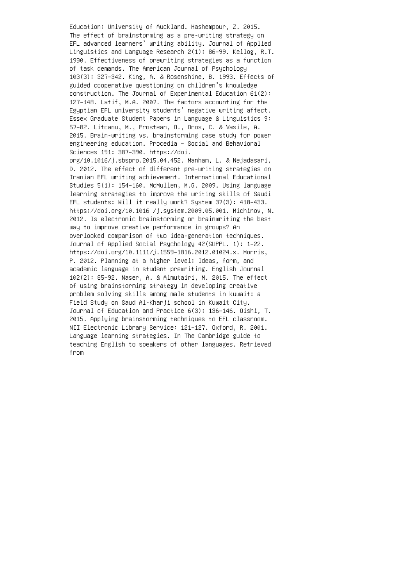Education: University of Auckland. Hashempour, Z. 2015. The effect of brainstorming as a pre-writing strategy on EFL advanced learners' writing ability. Journal of Applied Linguistics and Language Research 2(1): 86–99. Kellog, R.T. 1990. Effectiveness of prewriting strategies as a function of task demands. The American Journal of Psychology 103(3): 327–342. King, A. & Rosenshine, B. 1993. Effects of guided cooperative questioning on children's knowledge construction. The Journal of Experimental Education 61(2): 127–148. Latif, M.A. 2007. The factors accounting for the Egyptian EFL university students' negative writing affect. Essex Graduate Student Papers in Language & Linguistics 9: 57–82. Litcanu, M., Prostean, O., Oros, C. & Vasile, A. 2015. Brain-writing vs. brainstorming case study for power engineering education. Procedia – Social and Behavioral Sciences 191: 387–390. https://doi. org/10.1016/j.sbspro.2015.04.452. Manham, L. & Nejadasari, D. 2012. The effect of different pre-writing strategies on Iranian EFL writing achievement. International Educational Studies 5(1): 154–160. McMullen, M.G. 2009. Using language learning strategies to improve the writing skills of Saudi EFL students: Will it really work? System 37(3): 418–433. https://doi.org/10.1016 /j.system.2009.05.001. Michinov, N. 2012. Is electronic brainstorming or brainwriting the best way to improve creative performance in groups? An overlooked comparison of two idea-generation techniques. Journal of Applied Social Psychology 42(SUPPL. 1): 1–22. https://doi.org/10.1111/j.1559–1816.2012.01024.x. Morris,

P. 2012. Planning at a higher level: Ideas, form, and academic language in student prewriting. English Journal 102(2): 85–92. Naser, A. & Almutairi, M. 2015. The effect of using brainstorming strategy in developing creative problem solving skills among male students in kuwait: a Field Study on Saud Al-Kharji school in Kuwait City. Journal of Education and Practice 6(3): 136–146. Oishi, T. 2015. Applying brainstorming techniques to EFL classroom. NII Electronic Library Service: 121–127. Oxford, R. 2001. Language learning strategies. In The Cambridge guide to teaching English to speakers of other languages. Retrieved

from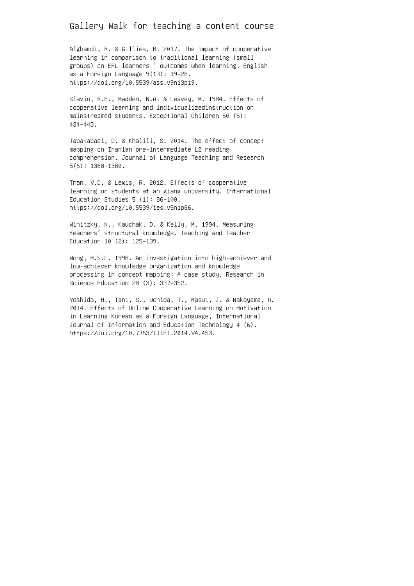Gallery Walk for teaching a content course

Alghamdi, R. & Gillies, R. 2017. The impact of cooperative learning in comparison to traditional learning (small groups) on EFL learners ' outcomes when learning. English as a Foreign Language 9(13): 19–28. https://doi.org/10.5539/ass.v9n13p19.

Slavin, R.E., Madden, N.A. & Leavey, M. 1984. Effects of cooperative learning and individualizedinstruction on mainstreamed students. Exceptional Children 50 (5): 434–443.

Tabatabaei, O. & Khalili, S. 2014. The effect of concept mapping on Iranian pre-intermediate L2 reading comprehension. Journal of Language Teaching and Research 5(6): 1368–1380.

Tran, V.D. & Lewis, R. 2012. Effects of cooperative learning on students at an giang university. International Education Studies 5 (1): 86–100. https://doi.org/10.5539/ies.v5n1p86.

Winitzky, N., Kauchak, D. & Kelly, M. 1994. Measuring teachers' structural knowledge. Teaching and Teacher Education 10 (2): 125–139.

Wong, M.S.L. 1998. An investigation into high-achiever and low-achiever knowledge organization and knowledge processing in concept mapping: A case study. Research in Science Education 28 (3): 337–352.

Yoshida, H., Tani, S., Uchida, T., Masui, J. & Nakayama, A. 2014. Effects of Online Cooperative Learning on Motivation in Learning Korean as a Foreign Language, International Journal of Information and Education Technology 4 (6). https://doi.org/10.7763/IJIET.2014.V4.453.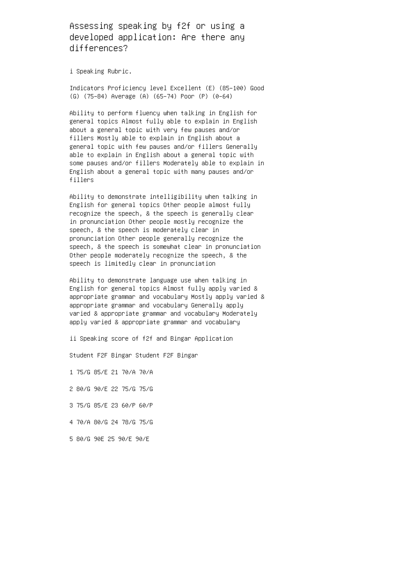Assessing speaking by f2f or using a developed application: Are there any differences?

i Speaking Rubric.

Indicators Proficiency level Excellent (E) (85–100) Good (G) (75–84) Average (A) (65–74) Poor (P) (0–64)

Ability to perform fluency when talking in English for general topics Almost fully able to explain in English about a general topic with very few pauses and/or fillers Mostly able to explain in English about a general topic with few pauses and/or fillers Generally able to explain in English about a general topic with some pauses and/or fillers Moderately able to explain in English about a general topic with many pauses and/or fillers

Ability to demonstrate intelligibility when talking in English for general topics Other people almost fully recognize the speech, & the speech is generally clear in pronunciation Other people mostly recognize the speech, & the speech is moderately clear in pronunciation Other people generally recognize the speech, & the speech is somewhat clear in pronunciation Other people moderately recognize the speech, & the speech is limitedly clear in pronunciation

Ability to demonstrate language use when talking in English for general topics Almost fully apply varied & appropriate grammar and vocabulary Mostly apply varied & appropriate grammar and vocabulary Generally apply varied & appropriate grammar and vocabulary Moderately apply varied & appropriate grammar and vocabulary

ii Speaking score of f2f and Bingar Application

Student F2F Bingar Student F2F Bingar

1 75/G 85/E 21 70/A 70/A

2 80/G 90/E 22 75/G 75/G

3 75/G 85/E 23 60/P 60/P

4 70/A 80/G 24 78/G 75/G

5 80/G 90E 25 90/E 90/E